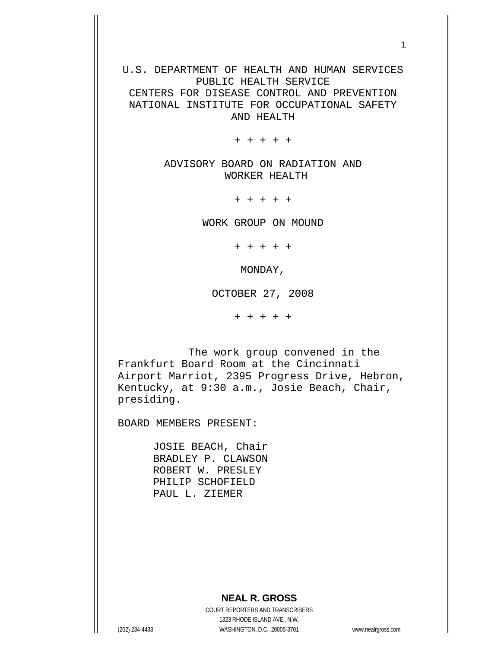U.S. DEPARTMENT OF HEALTH AND HUMAN SERVICES PUBLIC HEALTH SERVICE CENTERS FOR DISEASE CONTROL AND PREVENTION

NATIONAL INSTITUTE FOR OCCUPATIONAL SAFETY AND HEALTH

+ + + + +

ADVISORY BOARD ON RADIATION AND WORKER HEALTH

+ + + + +

WORK GROUP ON MOUND

+ + + + +

MONDAY,

OCTOBER 27, 2008

+ + + + +

 The work group convened in the Frankfurt Board Room at the Cincinnati Airport Marriot, 2395 Progress Drive, Hebron, Kentucky, at 9:30 a.m., Josie Beach, Chair, presiding.

BOARD MEMBERS PRESENT:

 JOSIE BEACH, Chair BRADLEY P. CLAWSON ROBERT W. PRESLEY PHILIP SCHOFIELD PAUL L. ZIEMER

## **NEAL R. GROSS**

 COURT REPORTERS AND TRANSCRIBERS 1323 RHODE ISLAND AVE., N.W. (202) 234-4433 WASHINGTON, D.C. 20005-3701 www.nealrgross.com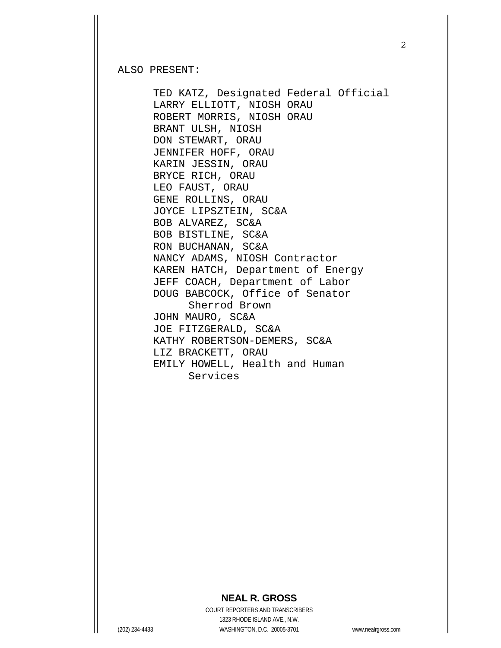ALSO PRESENT:

 TED KATZ, Designated Federal Official LARRY ELLIOTT, NIOSH ORAU ROBERT MORRIS, NIOSH ORAU BRANT ULSH, NIOSH DON STEWART, ORAU JENNIFER HOFF, ORAU KARIN JESSIN, ORAU BRYCE RICH, ORAU LEO FAUST, ORAU GENE ROLLINS, ORAU JOYCE LIPSZTEIN, SC&A BOB ALVAREZ, SC&A BOB BISTLINE, SC&A RON BUCHANAN, SC&A NANCY ADAMS, NIOSH Contractor KAREN HATCH, Department of Energy JEFF COACH, Department of Labor DOUG BABCOCK, Office of Senator Sherrod Brown JOHN MAURO, SC&A JOE FITZGERALD, SC&A KATHY ROBERTSON-DEMERS, SC&A LIZ BRACKETT, ORAU EMILY HOWELL, Health and Human Services

## **NEAL R. GROSS**

 COURT REPORTERS AND TRANSCRIBERS 1323 RHODE ISLAND AVE., N.W. (202) 234-4433 WASHINGTON, D.C. 20005-3701 www.nealrgross.com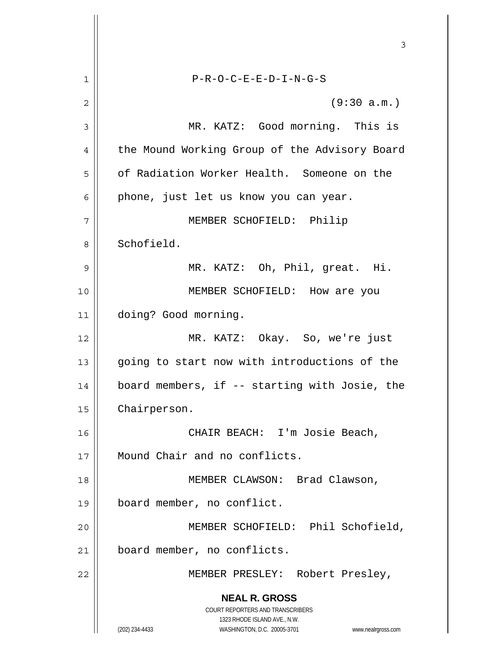**NEAL R. GROSS** COURT REPORTERS AND TRANSCRIBERS 1323 RHODE ISLAND AVE., N.W. (202) 234-4433 WASHINGTON, D.C. 20005-3701 www.nealrgross.com 3 1 P-R-O-C-E-E-D-I-N-G-S  $2 \parallel$  (9:30 a.m.) 3 MR. KATZ: Good morning. This is 4 | the Mound Working Group of the Advisory Board 5 | of Radiation Worker Health. Someone on the  $6 \parallel$  phone, just let us know you can year. 7 MEMBER SCHOFIELD: Philip 8 || Schofield. 9 MR. KATZ: Oh, Phil, great. Hi. 10 || MEMBER SCHOFIELD: How are you 11 doing? Good morning. 12 MR. KATZ: Okay. So, we're just 13 || going to start now with introductions of the 14 board members, if -- starting with Josie, the 15 | Chairperson. 16 CHAIR BEACH: I'm Josie Beach, 17 || Mound Chair and no conflicts. 18 MEMBER CLAWSON: Brad Clawson, 19 board member, no conflict. 20 MEMBER SCHOFIELD: Phil Schofield, 21 | board member, no conflicts. 22 MEMBER PRESLEY: Robert Presley,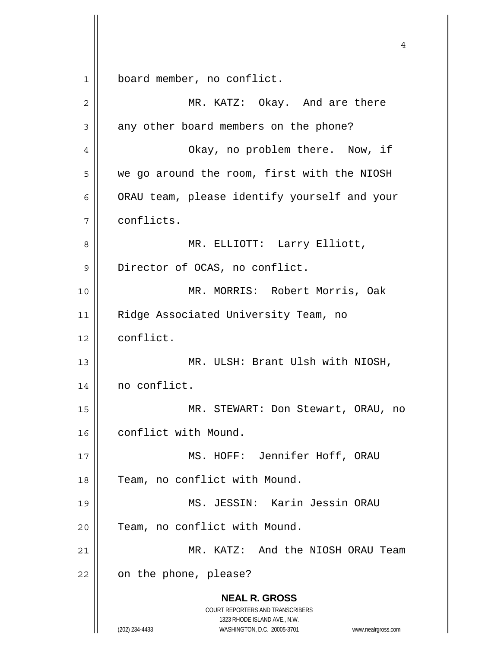1 board member, no conflict.

| 2  | MR. KATZ: Okay. And are there                                                                                                                                   |
|----|-----------------------------------------------------------------------------------------------------------------------------------------------------------------|
| 3  | any other board members on the phone?                                                                                                                           |
| 4  | Okay, no problem there. Now, if                                                                                                                                 |
| 5  | we go around the room, first with the NIOSH                                                                                                                     |
| 6  | ORAU team, please identify yourself and your                                                                                                                    |
| 7  | conflicts.                                                                                                                                                      |
| 8  | MR. ELLIOTT: Larry Elliott,                                                                                                                                     |
| 9  | Director of OCAS, no conflict.                                                                                                                                  |
| 10 | MR. MORRIS: Robert Morris, Oak                                                                                                                                  |
| 11 | Ridge Associated University Team, no                                                                                                                            |
| 12 | conflict.                                                                                                                                                       |
| 13 | MR. ULSH: Brant Ulsh with NIOSH,                                                                                                                                |
| 14 | no conflict.                                                                                                                                                    |
| 15 | MR. STEWART: Don Stewart, ORAU, no                                                                                                                              |
| 16 | conflict with Mound.                                                                                                                                            |
| 17 | MS. HOFF: Jennifer Hoff, ORAU                                                                                                                                   |
| 18 | Team, no conflict with Mound.                                                                                                                                   |
| 19 | MS. JESSIN: Karin Jessin ORAU                                                                                                                                   |
| 20 | Team, no conflict with Mound.                                                                                                                                   |
| 21 | MR. KATZ: And the NIOSH ORAU Team                                                                                                                               |
| 22 | on the phone, please?                                                                                                                                           |
|    | <b>NEAL R. GROSS</b><br>COURT REPORTERS AND TRANSCRIBERS<br>1323 RHODE ISLAND AVE., N.W.<br>(202) 234-4433<br>WASHINGTON, D.C. 20005-3701<br>www.nealrgross.com |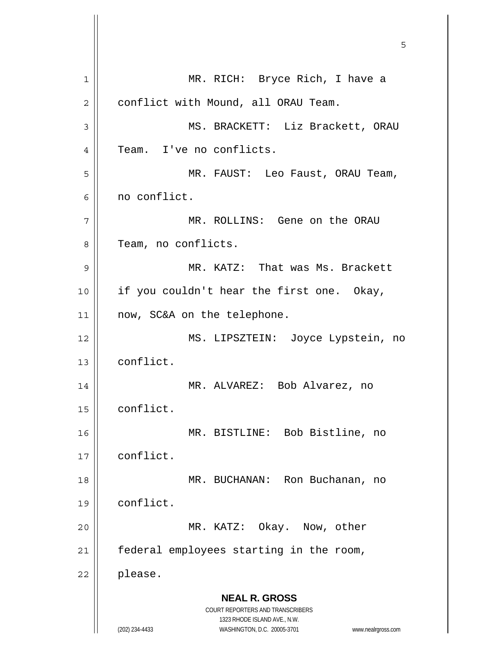**NEAL R. GROSS** COURT REPORTERS AND TRANSCRIBERS 1323 RHODE ISLAND AVE., N.W. (202) 234-4433 WASHINGTON, D.C. 20005-3701 www.nealrgross.com  $\sim$  5  $\sim$  5  $\sim$  5  $\sim$  5  $\sim$  5  $\sim$  5  $\sim$  5  $\sim$  5  $\sim$  5  $\sim$  5  $\sim$  5  $\sim$  5  $\sim$  5  $\sim$  5  $\sim$  5  $\sim$  5  $\sim$  5  $\sim$  5  $\sim$  5  $\sim$  5  $\sim$  5  $\sim$  5  $\sim$  5  $\sim$  5  $\sim$  5  $\sim$  5  $\sim$  5  $\sim$  5  $\sim$  5  $\sim$  5  $\sim$  5  $\sim$ 1 || MR. RICH: Bryce Rich, I have a 2 | conflict with Mound, all ORAU Team. 3 || MS. BRACKETT: Liz Brackett, ORAU 4 || Team. I've no conflicts. 5 MR. FAUST: Leo Faust, ORAU Team, 6 no conflict. 7 || MR. ROLLINS: Gene on the ORAU 8 || Team, no conflicts. 9 || MR. KATZ: That was Ms. Brackett 10 || if you couldn't hear the first one. Okay, 11 || now, SC&A on the telephone. 12 MS. LIPSZTEIN: Joyce Lypstein, no 13 conflict. 14 MR. ALVAREZ: Bob Alvarez, no 15 | conflict. 16 MR. BISTLINE: Bob Bistline, no 17 conflict. 18 MR. BUCHANAN: Ron Buchanan, no 19 conflict. 20 || MR. KATZ: Okay. Now, other  $21$  | federal employees starting in the room, 22 please.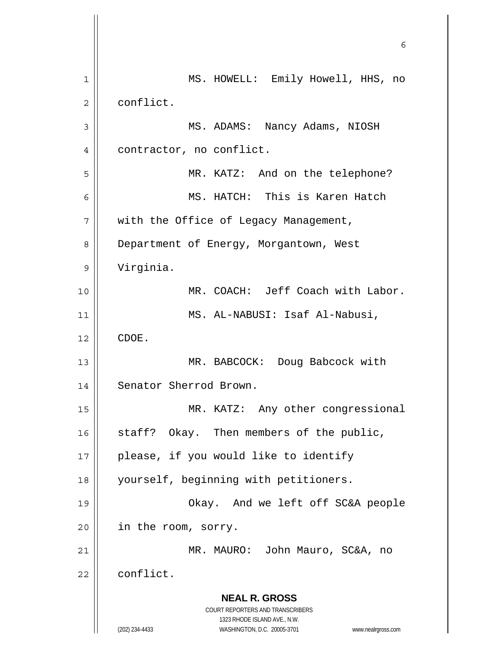**NEAL R. GROSS** COURT REPORTERS AND TRANSCRIBERS 1323 RHODE ISLAND AVE., N.W. (202) 234-4433 WASHINGTON, D.C. 20005-3701 www.nealrgross.com 1 || MS. HOWELL: Emily Howell, HHS, no 2 | conflict. 3 MS. ADAMS: Nancy Adams, NIOSH 4 | contractor, no conflict. 5 MR. KATZ: And on the telephone? 6 MS. HATCH: This is Karen Hatch  $7 \parallel$  with the Office of Legacy Management, 8 | Department of Energy, Morgantown, West 9 Virginia. 10 MR. COACH: Jeff Coach with Labor. 11 MS. AL-NABUSI: Isaf Al-Nabusi,  $12 \parallel$  CDOE. 13 || MR. BABCOCK: Doug Babcock with 14 | Senator Sherrod Brown. 15 || MR. KATZ: Any other congressional  $16$  staff? Okay. Then members of the public, 17 || please, if you would like to identify 18 yourself, beginning with petitioners. 19 Okay. And we left off SC&A people 20 | in the room, sorry. 21 MR. MAURO: John Mauro, SC&A, no 22 conflict.

 $\sim$  6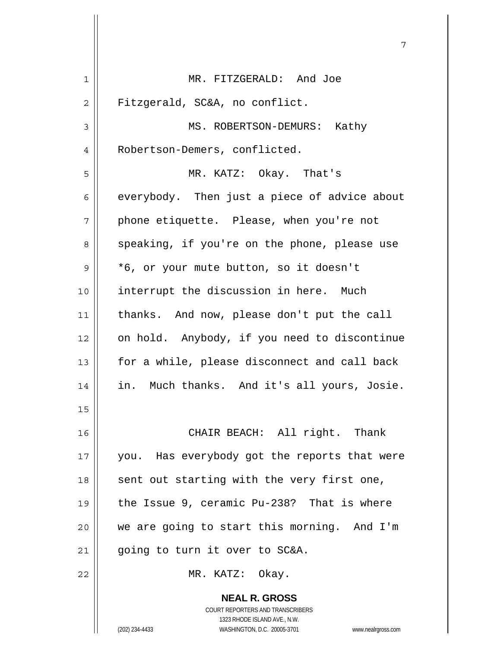| 1  | MR. FITZGERALD: And Joe                                  |
|----|----------------------------------------------------------|
| 2  | Fitzgerald, SC&A, no conflict.                           |
| 3  | MS. ROBERTSON-DEMURS: Kathy                              |
| 4  | Robertson-Demers, conflicted.                            |
| 5  | MR. KATZ: Okay. That's                                   |
| 6  | everybody. Then just a piece of advice about             |
| 7  | phone etiquette. Please, when you're not                 |
| 8  | speaking, if you're on the phone, please use             |
| 9  | *6, or your mute button, so it doesn't                   |
| 10 | interrupt the discussion in here. Much                   |
| 11 | thanks. And now, please don't put the call               |
| 12 | on hold. Anybody, if you need to discontinue             |
| 13 | for a while, please disconnect and call back             |
| 14 | in. Much thanks. And it's all yours, Josie.              |
| 15 |                                                          |
| 16 | CHAIR BEACH: All right. Thank                            |
| 17 | you. Has everybody got the reports that were             |
| 18 | sent out starting with the very first one,               |
| 19 | the Issue 9, ceramic Pu-238? That is where               |
| 20 | we are going to start this morning. And I'm              |
| 21 | going to turn it over to SC&A.                           |
| 22 | MR. KATZ: Okay.                                          |
|    | <b>NEAL R. GROSS</b><br>COURT REPORTERS AND TRANSCRIBERS |

1323 RHODE ISLAND AVE., N.W.

 $\prod$ 

(202) 234-4433 WASHINGTON, D.C. 20005-3701 www.nealrgross.com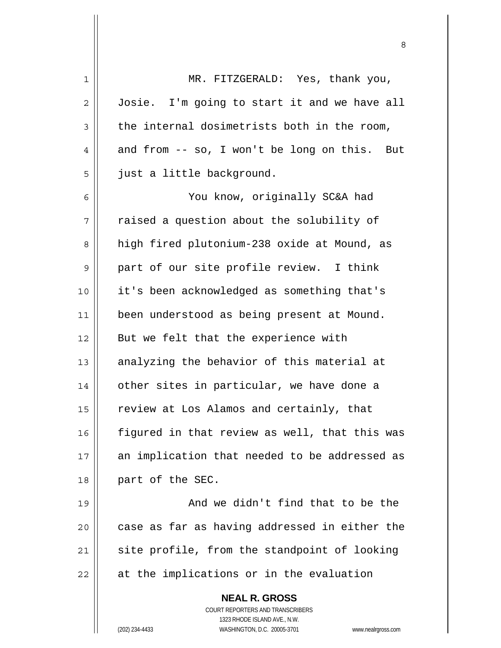| 1            | MR. FITZGERALD: Yes, thank you,                                     |
|--------------|---------------------------------------------------------------------|
| $\mathbf{2}$ | Josie. I'm going to start it and we have all                        |
| 3            | the internal dosimetrists both in the room,                         |
| 4            | and from -- so, I won't be long on this. But                        |
| 5            | just a little background.                                           |
| 6            | You know, originally SC&A had                                       |
| 7            | raised a question about the solubility of                           |
| 8            | high fired plutonium-238 oxide at Mound, as                         |
| 9            | part of our site profile review. I think                            |
| 10           | it's been acknowledged as something that's                          |
| 11           | been understood as being present at Mound.                          |
| 12           | But we felt that the experience with                                |
| 13           | analyzing the behavior of this material at                          |
| 14           | other sites in particular, we have done a                           |
| 15           | review at Los Alamos and certainly, that                            |
| 16           | figured in that review as well, that this was                       |
| 17           | an implication that needed to be addressed as                       |
| 18           | part of the SEC.                                                    |
| 19           | And we didn't find that to be the                                   |
| 20           | case as far as having addressed in either the                       |
| 21           | site profile, from the standpoint of looking                        |
| 22           | at the implications or in the evaluation                            |
|              | <b>NEAL R. GROSS</b>                                                |
|              | COURT REPORTERS AND TRANSCRIBERS                                    |
|              | 1323 RHODE ISLAND AVE., N.W.                                        |
|              | (202) 234-4433<br>WASHINGTON, D.C. 20005-3701<br>www.nealrgross.com |

<u>83 - Santa Carlos de Santa Carlos de Santa Carlos de Santa Carlos de Santa Carlos de Santa Carlos de Santa Ca</u>

 $\mathsf{I}$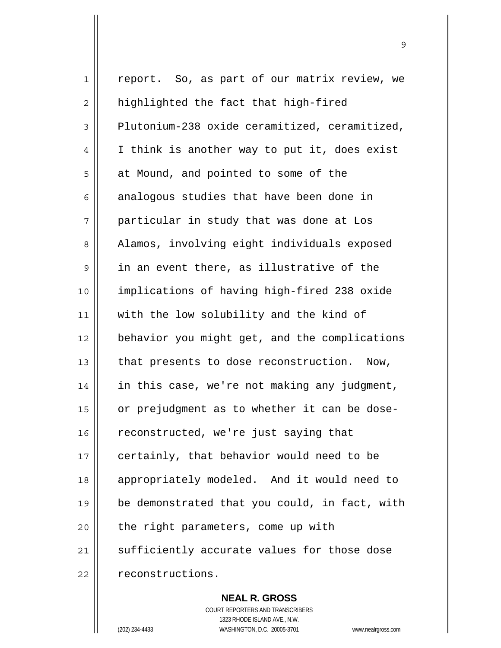1 || report. So, as part of our matrix review, we  $2 \parallel$  highlighted the fact that high-fired  $3 \parallel$  Plutonium-238 oxide ceramitized, ceramitized, 4 | I think is another way to put it, does exist  $5 \parallel$  at Mound, and pointed to some of the  $6 \parallel$  analogous studies that have been done in 7 particular in study that was done at Los 8 || Alamos, involving eight individuals exposed  $9 \parallel$  in an event there, as illustrative of the 10 implications of having high-fired 238 oxide 11 with the low solubility and the kind of 12 behavior you might get, and the complications 13  $\parallel$  that presents to dose reconstruction. Now, 14 | in this case, we're not making any judgment, 15 or prejudgment as to whether it can be dose-16 | reconstructed, we're just saying that  $17$  | certainly, that behavior would need to be 18 || appropriately modeled. And it would need to 19 be demonstrated that you could, in fact, with  $20$  | the right parameters, come up with 21 || sufficiently accurate values for those dose 22 | reconstructions.

9

 **NEAL R. GROSS**

 COURT REPORTERS AND TRANSCRIBERS 1323 RHODE ISLAND AVE., N.W. (202) 234-4433 WASHINGTON, D.C. 20005-3701 www.nealrgross.com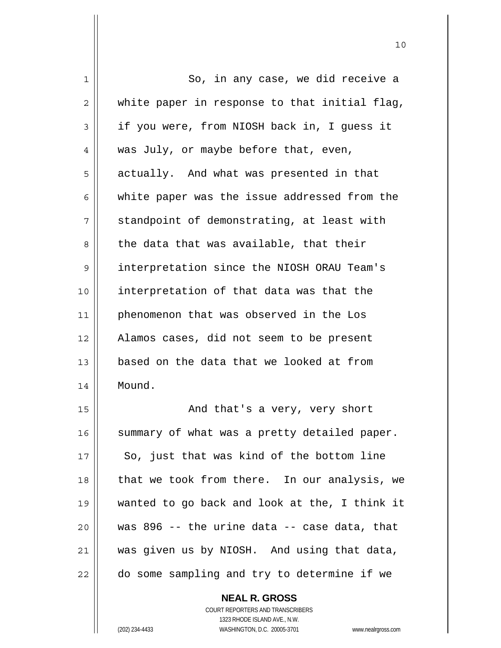| 1              | So, in any case, we did receive a             |
|----------------|-----------------------------------------------|
| $\overline{2}$ | white paper in response to that initial flag, |
| 3              | if you were, from NIOSH back in, I guess it   |
| 4              | was July, or maybe before that, even,         |
| 5              | actually. And what was presented in that      |
| 6              | white paper was the issue addressed from the  |
| 7              | standpoint of demonstrating, at least with    |
| 8              | the data that was available, that their       |
| 9              | interpretation since the NIOSH ORAU Team's    |
| 10             | interpretation of that data was that the      |
| 11             | phenomenon that was observed in the Los       |
| 12             | Alamos cases, did not seem to be present      |
| 13             | based on the data that we looked at from      |
| 14             | Mound.                                        |
| 15             | And that's a very, very short                 |
| 16             | summary of what was a pretty detailed paper.  |
| 17             | So, just that was kind of the bottom line     |
| 18             | that we took from there. In our analysis, we  |
| 19             | wanted to go back and look at the, I think it |
| 20             | was 896 -- the urine data -- case data, that  |
| 21             | was given us by NIOSH. And using that data,   |
| 22             | do some sampling and try to determine if we   |

 **NEAL R. GROSS** COURT REPORTERS AND TRANSCRIBERS

1323 RHODE ISLAND AVE., N.W.

(202) 234-4433 WASHINGTON, D.C. 20005-3701 www.nealrgross.com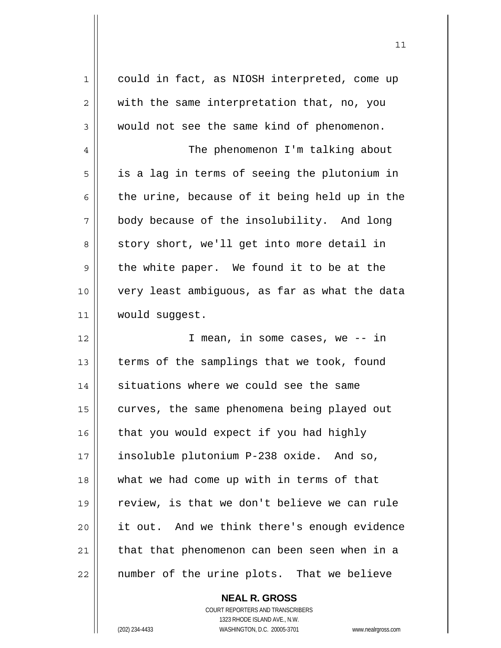| 1           | could in fact, as NIOSH interpreted, come up  |
|-------------|-----------------------------------------------|
| 2           | with the same interpretation that, no, you    |
| 3           | would not see the same kind of phenomenon.    |
| 4           | The phenomenon I'm talking about              |
| 5           | is a lag in terms of seeing the plutonium in  |
| 6           | the urine, because of it being held up in the |
| 7           | body because of the insolubility. And long    |
| 8           | story short, we'll get into more detail in    |
| $\mathsf 9$ | the white paper. We found it to be at the     |
| 10          | very least ambiquous, as far as what the data |
| 11          | would suggest.                                |
| 12          | I mean, in some cases, we -- in               |
| 13          | terms of the samplings that we took, found    |
| 14          | situations where we could see the same        |
| 15          | curves, the same phenomena being played out   |
| 16          | that you would expect if you had highly       |
| 17          | insoluble plutonium P-238 oxide. And so,      |
| 18          | what we had come up with in terms of that     |
| 19          | review, is that we don't believe we can rule  |
| 20          | it out. And we think there's enough evidence  |
| 21          | that that phenomenon can been seen when in a  |
| 22          | number of the urine plots. That we believe    |

 **NEAL R. GROSS** COURT REPORTERS AND TRANSCRIBERS

1323 RHODE ISLAND AVE., N.W.

(202) 234-4433 WASHINGTON, D.C. 20005-3701 www.nealrgross.com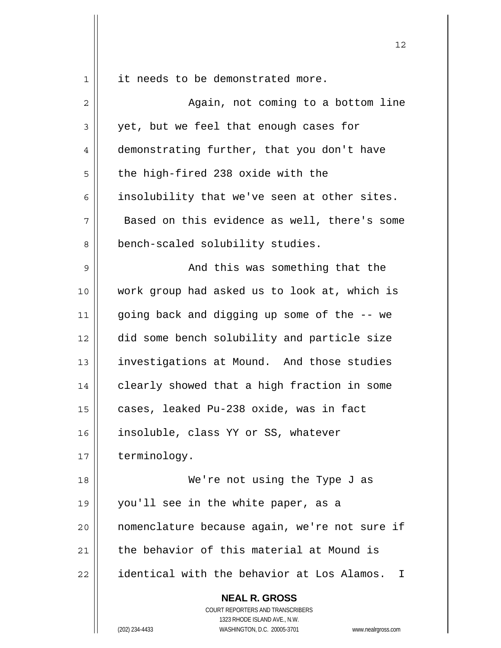$1 \parallel$  it needs to be demonstrated more.

| $\overline{c}$ | Again, not coming to a bottom line                                                                                                                              |
|----------------|-----------------------------------------------------------------------------------------------------------------------------------------------------------------|
| $\mathsf 3$    | yet, but we feel that enough cases for                                                                                                                          |
| $\overline{4}$ | demonstrating further, that you don't have                                                                                                                      |
| 5              | the high-fired 238 oxide with the                                                                                                                               |
| 6              | insolubility that we've seen at other sites.                                                                                                                    |
| 7              | Based on this evidence as well, there's some                                                                                                                    |
| 8              | bench-scaled solubility studies.                                                                                                                                |
| 9              | And this was something that the                                                                                                                                 |
| 10             | work group had asked us to look at, which is                                                                                                                    |
| 11             | going back and digging up some of the -- we                                                                                                                     |
| 12             | did some bench solubility and particle size                                                                                                                     |
| 13             | investigations at Mound. And those studies                                                                                                                      |
| 14             | clearly showed that a high fraction in some                                                                                                                     |
| 15             | cases, leaked Pu-238 oxide, was in fact                                                                                                                         |
| 16             | insoluble, class YY or SS, whatever                                                                                                                             |
| 17             | terminology.                                                                                                                                                    |
| 18             | We're not using the Type J as                                                                                                                                   |
| 19             | you'll see in the white paper, as a                                                                                                                             |
| 20             | nomenclature because again, we're not sure if                                                                                                                   |
| 21             | the behavior of this material at Mound is                                                                                                                       |
| 22             | identical with the behavior at Los Alamos.<br>T                                                                                                                 |
|                | <b>NEAL R. GROSS</b><br>COURT REPORTERS AND TRANSCRIBERS<br>1323 RHODE ISLAND AVE., N.W.<br>WASHINGTON, D.C. 20005-3701<br>(202) 234-4433<br>www.nealrgross.com |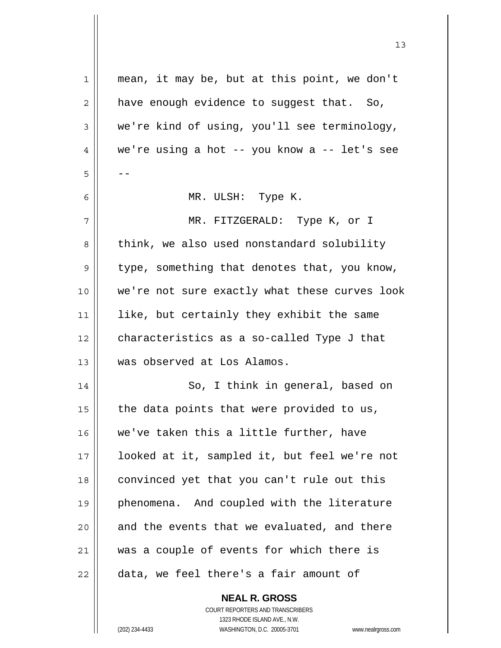| 1  | mean, it may be, but at this point, we don't  |
|----|-----------------------------------------------|
| 2  | have enough evidence to suggest that. So,     |
| 3  | we're kind of using, you'll see terminology,  |
| 4  | we're using a hot -- you know a -- let's see  |
| 5  |                                               |
| 6  | MR. ULSH: Type K.                             |
| 7  | MR. FITZGERALD: Type K, or I                  |
| 8  | think, we also used nonstandard solubility    |
| 9  | type, something that denotes that, you know,  |
| 10 | we're not sure exactly what these curves look |
| 11 | like, but certainly they exhibit the same     |
| 12 | characteristics as a so-called Type J that    |
| 13 | was observed at Los Alamos.                   |
| 14 | So, I think in general, based on              |
| 15 | the data points that were provided to us,     |
| 16 | we've taken this a little further, have       |
| 17 | looked at it, sampled it, but feel we're not  |
| 18 | convinced yet that you can't rule out this    |
| 19 | phenomena. And coupled with the literature    |
| 20 | and the events that we evaluated, and there   |
| 21 | was a couple of events for which there is     |
| 22 | data, we feel there's a fair amount of        |
|    | <b>NEAL R. GROSS</b>                          |

 COURT REPORTERS AND TRANSCRIBERS 1323 RHODE ISLAND AVE., N.W. (202) 234-4433 WASHINGTON, D.C. 20005-3701 www.nealrgross.com

 $\mathsf{I}$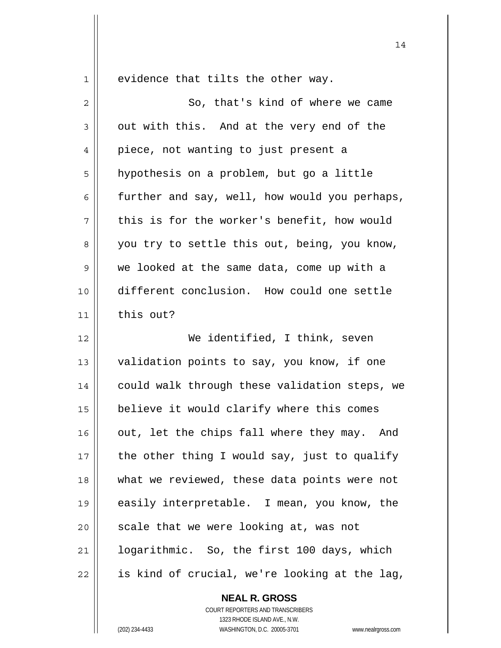$1 \parallel$  evidence that tilts the other way.

| 2           | So, that's kind of where we came              |
|-------------|-----------------------------------------------|
| 3           | out with this. And at the very end of the     |
| 4           | piece, not wanting to just present a          |
| 5           | hypothesis on a problem, but go a little      |
| 6           | further and say, well, how would you perhaps, |
| 7           | this is for the worker's benefit, how would   |
| 8           | you try to settle this out, being, you know,  |
| $\mathsf 9$ | we looked at the same data, come up with a    |
| 10          | different conclusion. How could one settle    |
| 11          | this out?                                     |
| 12          | We identified, I think, seven                 |
| 13          | validation points to say, you know, if one    |
| 14          | could walk through these validation steps, we |
| 15          | believe it would clarify where this comes     |
| 16          | out, let the chips fall where they may. And   |
| 17          | the other thing I would say, just to qualify  |
| 18          | what we reviewed, these data points were not  |
| 19          | easily interpretable. I mean, you know, the   |
| 20          | scale that we were looking at, was not        |
| 21          | logarithmic. So, the first 100 days, which    |
| 22          | is kind of crucial, we're looking at the lag, |

 **NEAL R. GROSS** COURT REPORTERS AND TRANSCRIBERS 1323 RHODE ISLAND AVE., N.W.

(202) 234-4433 WASHINGTON, D.C. 20005-3701 www.nealrgross.com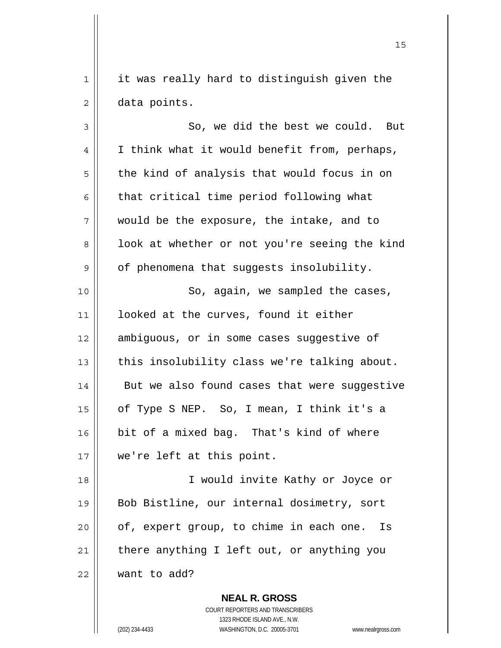1 || it was really hard to distinguish given the 2 data points.

15

 $3 \parallel$  So, we did the best we could. But  $4 \parallel$  I think what it would benefit from, perhaps,  $5 \parallel$  the kind of analysis that would focus in on  $6 \parallel$  that critical time period following what 7 would be the exposure, the intake, and to 8 | look at whether or not you're seeing the kind 9 || of phenomena that suggests insolubility. 10 || So, again, we sampled the cases, 11 || looked at the curves, found it either 12 | ambiguous, or in some cases suggestive of 13  $\parallel$  this insolubility class we're talking about. 14 || But we also found cases that were suggestive 15 of Type S NEP. So, I mean, I think it's a 16 bit of a mixed bag. That's kind of where 17 we're left at this point. 18 || T would invite Kathy or Joyce or

19 || Bob Bistline, our internal dosimetry, sort | of, expert group, to chime in each one. Is there anything I left out, or anything you want to add?

> **NEAL R. GROSS** COURT REPORTERS AND TRANSCRIBERS 1323 RHODE ISLAND AVE., N.W. (202) 234-4433 WASHINGTON, D.C. 20005-3701 www.nealrgross.com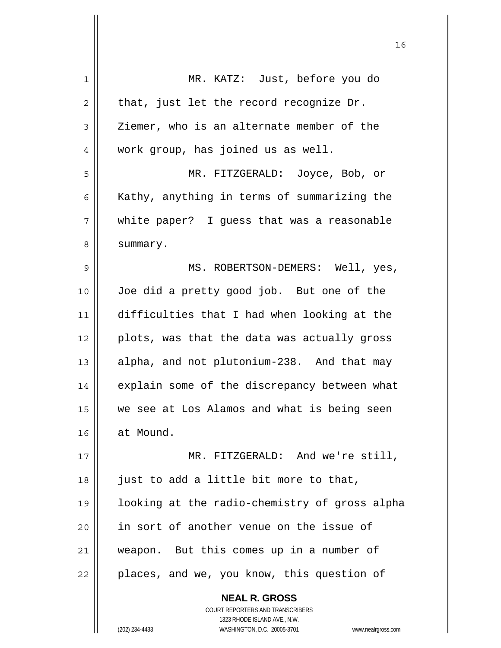| 1  | MR. KATZ: Just, before you do                 |
|----|-----------------------------------------------|
| 2  | that, just let the record recognize Dr.       |
| 3  | Ziemer, who is an alternate member of the     |
| 4  | work group, has joined us as well.            |
| 5  | MR. FITZGERALD: Joyce, Bob, or                |
| 6  | Kathy, anything in terms of summarizing the   |
| 7  | white paper? I guess that was a reasonable    |
| 8  | summary.                                      |
| 9  | MS. ROBERTSON-DEMERS: Well, yes,              |
| 10 | Joe did a pretty good job. But one of the     |
| 11 | difficulties that I had when looking at the   |
| 12 | plots, was that the data was actually gross   |
| 13 | alpha, and not plutonium-238. And that may    |
| 14 | explain some of the discrepancy between what  |
| 15 | we see at Los Alamos and what is being seen   |
| 16 | at Mound.                                     |
| 17 | MR. FITZGERALD: And we're still,              |
| 18 | just to add a little bit more to that,        |
| 19 | looking at the radio-chemistry of gross alpha |
| 20 | in sort of another venue on the issue of      |
| 21 | weapon. But this comes up in a number of      |
| 22 | places, and we, you know, this question of    |
|    | <b>NEAL R. GROSS</b>                          |

 COURT REPORTERS AND TRANSCRIBERS 1323 RHODE ISLAND AVE., N.W.

 $\prod$ 

(202) 234-4433 WASHINGTON, D.C. 20005-3701 www.nealrgross.com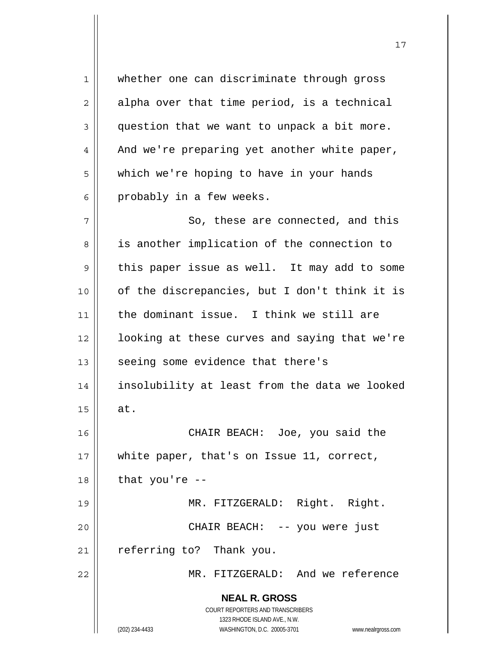**NEAL R. GROSS** COURT REPORTERS AND TRANSCRIBERS 1323 RHODE ISLAND AVE., N.W. 1 whether one can discriminate through gross  $2 \parallel$  alpha over that time period, is a technical  $3 \parallel$  question that we want to unpack a bit more.  $4 \parallel$  And we're preparing yet another white paper, 5 | which we're hoping to have in your hands  $6 \parallel$  probably in a few weeks. 7 || So, these are connected, and this 8 || is another implication of the connection to  $9 \parallel$  this paper issue as well. It may add to some  $10$  | of the discrepancies, but I don't think it is 11 || the dominant issue. I think we still are 12 | looking at these curves and saying that we're 13 || seeing some evidence that there's 14 insolubility at least from the data we looked  $15 \parallel$  at. 16 CHAIR BEACH: Joe, you said the 17 || white paper, that's on Issue 11, correct,  $18$  || that you're  $-$ 19 || MR. FITZGERALD: Right. Right. 20 CHAIR BEACH: -- you were just  $21$  | referring to? Thank you. 22 MR. FITZGERALD: And we reference

17

(202) 234-4433 WASHINGTON, D.C. 20005-3701 www.nealrgross.com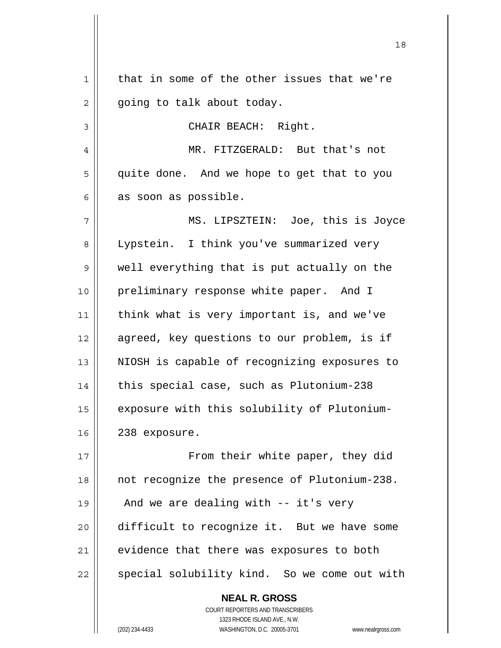**NEAL R. GROSS**  $1$  that in some of the other issues that we're  $2 \parallel$  going to talk about today. 3 || CHAIR BEACH: Right. 4 MR. FITZGERALD: But that's not 5 | quite done. And we hope to get that to you  $6 \parallel$  as soon as possible. 7 MS. LIPSZTEIN: Joe, this is Joyce 8 || Lypstein. I think you've summarized very 9 || well everything that is put actually on the 10 || preliminary response white paper. And I 11 think what is very important is, and we've 12 || agreed, key questions to our problem, is if 13 || NIOSH is capable of recognizing exposures to 14 || this special case, such as Plutonium-238 15 | exposure with this solubility of Plutonium- $16 \parallel 238$  exposure. 17 || From their white paper, they did 18 || not recognize the presence of Plutonium-238. 19  $\parallel$  And we are dealing with -- it's very 20 difficult to recognize it. But we have some  $21$  evidence that there was exposures to both 22 || special solubility kind. So we come out with

18

 COURT REPORTERS AND TRANSCRIBERS 1323 RHODE ISLAND AVE., N.W. (202) 234-4433 WASHINGTON, D.C. 20005-3701 www.nealrgross.com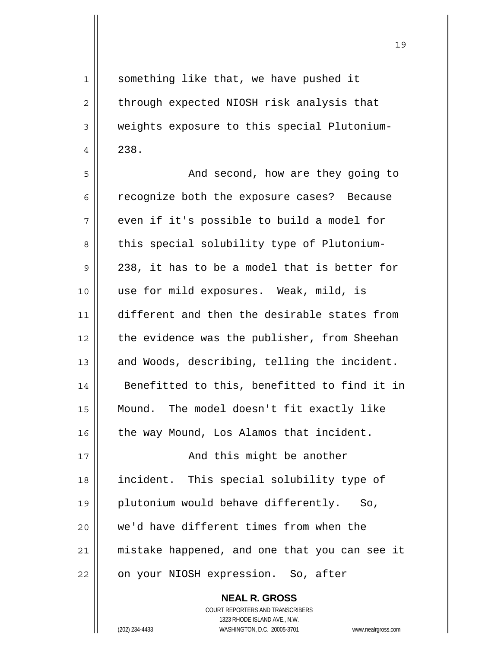1 || something like that, we have pushed it  $2 \parallel$  through expected NIOSH risk analysis that 3 weights exposure to this special Plutonium- $4 \parallel 238.$ 5 And second, how are they going to 6 cases? 6 recognize both the exposure cases? Because  $7 \parallel$  even if it's possible to build a model for 8 this special solubility type of Plutonium- $9 \parallel 238$ , it has to be a model that is better for 10 use for mild exposures. Weak, mild, is 11 different and then the desirable states from 12 || the evidence was the publisher, from Sheehan 13  $\parallel$  and Woods, describing, telling the incident. 14 || Benefitted to this, benefitted to find it in 15 Mound. The model doesn't fit exactly like 16 | the way Mound, Los Alamos that incident. 17 || **And this might be another** 18 || incident. This special solubility type of 19 plutonium would behave differently. So, 20 || we'd have different times from when the 21 | mistake happened, and one that you can see it 22 || on your NIOSH expression. So, after

> **NEAL R. GROSS** COURT REPORTERS AND TRANSCRIBERS 1323 RHODE ISLAND AVE., N.W. (202) 234-4433 WASHINGTON, D.C. 20005-3701 www.nealrgross.com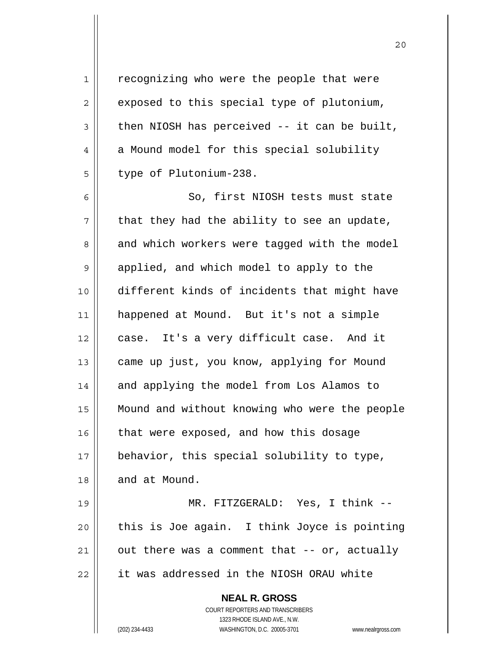**NEAL R. GROSS** COURT REPORTERS AND TRANSCRIBERS 1 | recognizing who were the people that were  $2 \parallel$  exposed to this special type of plutonium,  $3 \parallel$  then NIOSH has perceived -- it can be built, 4 a Mound model for this special solubility  $5$  | type of Plutonium-238. 6 || So, first NIOSH tests must state  $7 \parallel$  that they had the ability to see an update, 8 and which workers were tagged with the model 9 || applied, and which model to apply to the 10 different kinds of incidents that might have 11 happened at Mound. But it's not a simple 12 case. It's a very difficult case. And it 13 | came up just, you know, applying for Mound 14 || and applying the model from Los Alamos to 15 Mound and without knowing who were the people  $16$  that were exposed, and how this dosage 17 || behavior, this special solubility to type, 18 || and at Mound. 19 MR. FITZGERALD: Yes, I think --  $20$  | this is Joe again. I think Joyce is pointing  $21$  || out there was a comment that  $-$  or, actually 22 | it was addressed in the NIOSH ORAU white

1323 RHODE ISLAND AVE., N.W.

(202) 234-4433 WASHINGTON, D.C. 20005-3701 www.nealrgross.com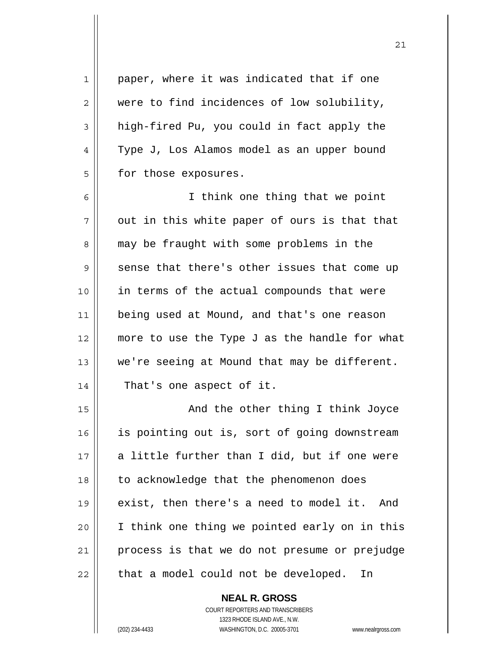1 || paper, where it was indicated that if one 2 were to find incidences of low solubility,  $3 \parallel$  high-fired Pu, you could in fact apply the 4 | Type J, Los Alamos model as an upper bound  $5 \parallel$  for those exposures. 6 I think one thing that we point  $7 \parallel$  out in this white paper of ours is that that 8 || may be fraught with some problems in the  $9 \parallel$  sense that there's other issues that come up 10 in terms of the actual compounds that were 11 being used at Mound, and that's one reason 12 || more to use the Type J as the handle for what 13 || we're seeing at Mound that may be different. 14 || That's one aspect of it. 15 || And the other thing I think Joyce 16 || is pointing out is, sort of going downstream  $17$  a little further than I did, but if one were 18 | to acknowledge that the phenomenon does 19 || exist, then there's a need to model it. And 20 I think one thing we pointed early on in this 21 || process is that we do not presume or prejudge  $22$  | that a model could not be developed. In

> **NEAL R. GROSS** COURT REPORTERS AND TRANSCRIBERS 1323 RHODE ISLAND AVE., N.W.

(202) 234-4433 WASHINGTON, D.C. 20005-3701 www.nealrgross.com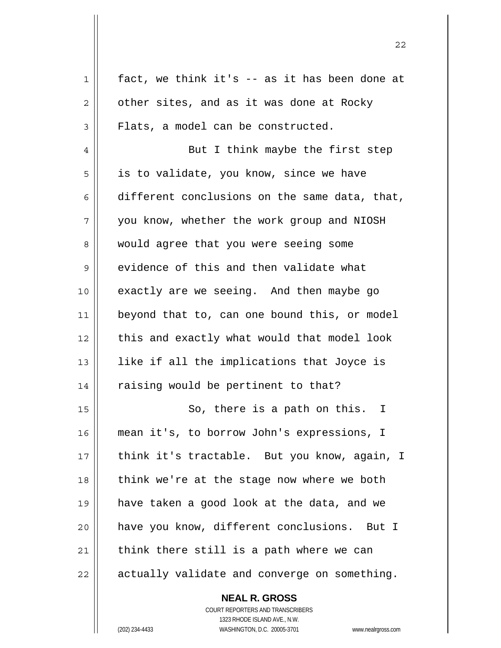| 1  | fact, we think it's -- as it has been done at |
|----|-----------------------------------------------|
| 2  | other sites, and as it was done at Rocky      |
| 3  | Flats, a model can be constructed.            |
| 4  | But I think maybe the first step              |
| 5  | is to validate, you know, since we have       |
| 6  | different conclusions on the same data, that, |
| 7  | you know, whether the work group and NIOSH    |
| 8  | would agree that you were seeing some         |
| 9  | evidence of this and then validate what       |
| 10 | exactly are we seeing. And then maybe go      |
| 11 | beyond that to, can one bound this, or model  |
| 12 | this and exactly what would that model look   |
| 13 | like if all the implications that Joyce is    |
| 14 | raising would be pertinent to that?           |
| 15 | So, there is a path on this.<br>T             |
| 16 | mean it's, to borrow John's expressions, I    |
| 17 | think it's tractable. But you know, again, I  |
| 18 | think we're at the stage now where we both    |
| 19 | have taken a good look at the data, and we    |
| 20 | have you know, different conclusions. But I   |
| 21 | think there still is a path where we can      |
| 22 | actually validate and converge on something.  |
|    |                                               |

 COURT REPORTERS AND TRANSCRIBERS 1323 RHODE ISLAND AVE., N.W. (202) 234-4433 WASHINGTON, D.C. 20005-3701 www.nealrgross.com

 **NEAL R. GROSS**

 $\mathbf{I}$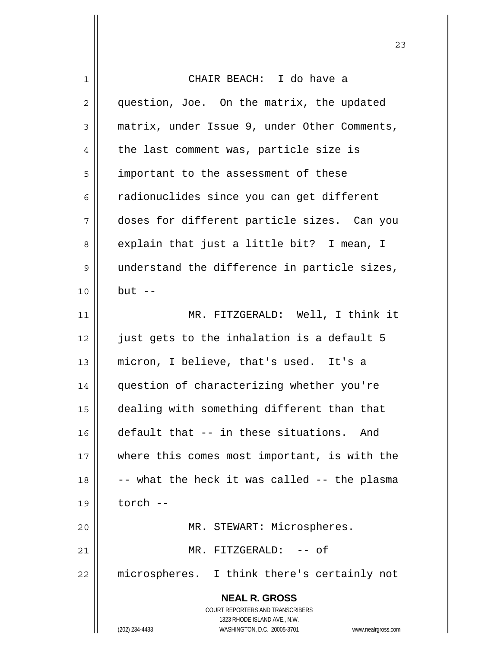| 1  | CHAIR BEACH: I do have a                                            |
|----|---------------------------------------------------------------------|
| 2  | question, Joe. On the matrix, the updated                           |
| 3  | matrix, under Issue 9, under Other Comments,                        |
| 4  | the last comment was, particle size is                              |
| 5  | important to the assessment of these                                |
| 6  | radionuclides since you can get different                           |
| 7  | doses for different particle sizes. Can you                         |
| 8  | explain that just a little bit? I mean, I                           |
| 9  | understand the difference in particle sizes,                        |
| 10 | $but --$                                                            |
| 11 | MR. FITZGERALD: Well, I think it                                    |
| 12 | just gets to the inhalation is a default 5                          |
| 13 | micron, I believe, that's used. It's a                              |
| 14 | question of characterizing whether you're                           |
| 15 | dealing with something different than that                          |
| 16 | default that -- in these situations.<br>And                         |
| 17 | where this comes most important, is with the                        |
| 18 | -- what the heck it was called -- the plasma                        |
| 19 | torch --                                                            |
| 20 | MR. STEWART: Microspheres.                                          |
| 21 | MR. FITZGERALD: -- of                                               |
| 22 | microspheres. I think there's certainly not                         |
|    | <b>NEAL R. GROSS</b><br>COURT REPORTERS AND TRANSCRIBERS            |
|    | 1323 RHODE ISLAND AVE., N.W.                                        |
|    | (202) 234-4433<br>WASHINGTON, D.C. 20005-3701<br>www.nealrgross.com |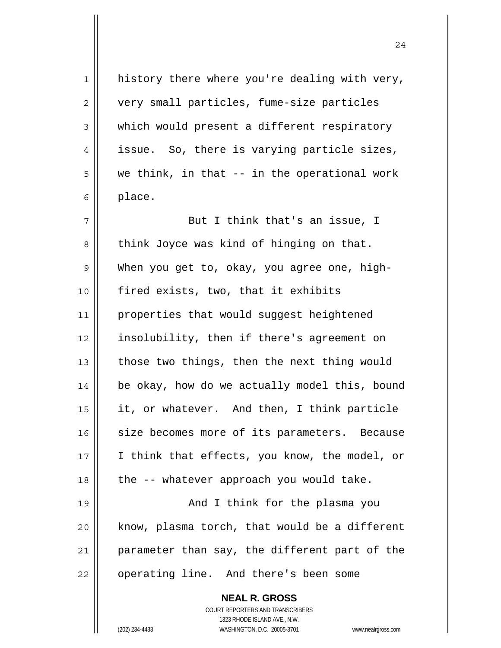**NEAL R. GROSS**  $1$  history there where you're dealing with very, 2 | very small particles, fume-size particles  $3 \parallel$  which would present a different respiratory  $4 \parallel$  issue. So, there is varying particle sizes,  $5 \parallel$  we think, in that -- in the operational work  $6 \parallel$  place. 7 || But I think that's an issue, I  $8 \parallel$  think Joyce was kind of hinging on that. 9 When you get to, okay, you agree one, high-10 || fired exists, two, that it exhibits 11 || properties that would suggest heightened 12 insolubility, then if there's agreement on 13  $\parallel$  those two things, then the next thing would 14 | be okay, how do we actually model this, bound 15 it, or whatever. And then, I think particle 16 size becomes more of its parameters. Because 17 || I think that effects, you know, the model, or  $18$  || the  $-$  whatever approach you would take. 19 And I think for the plasma you  $20$  know, plasma torch, that would be a different 21 parameter than say, the different part of the 22 | operating line. And there's been some

24

 COURT REPORTERS AND TRANSCRIBERS 1323 RHODE ISLAND AVE., N.W.

(202) 234-4433 WASHINGTON, D.C. 20005-3701 www.nealrgross.com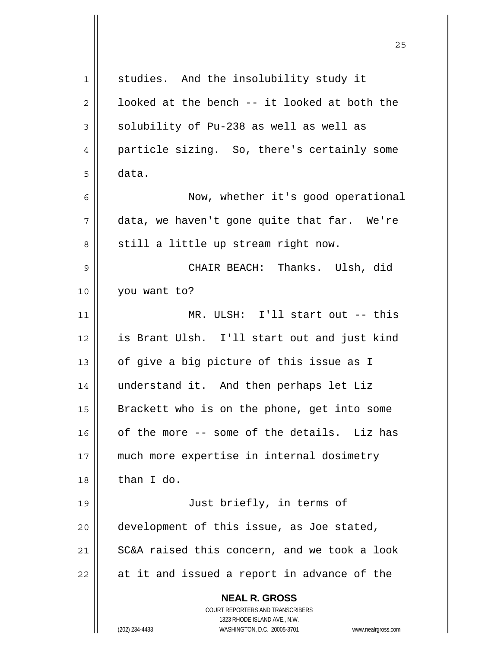| 1  | studies. And the insolubility study it                              |
|----|---------------------------------------------------------------------|
| 2  | looked at the bench -- it looked at both the                        |
| 3  | solubility of Pu-238 as well as well as                             |
| 4  | particle sizing. So, there's certainly some                         |
| 5  | data.                                                               |
| 6  | Now, whether it's good operational                                  |
| 7  | data, we haven't gone quite that far. We're                         |
| 8  | still a little up stream right now.                                 |
| 9  | CHAIR BEACH: Thanks. Ulsh, did                                      |
| 10 | you want to?                                                        |
| 11 | MR. ULSH: I'll start out -- this                                    |
| 12 | is Brant Ulsh. I'll start out and just kind                         |
| 13 | of give a big picture of this issue as I                            |
| 14 | understand it. And then perhaps let Liz                             |
| 15 | Brackett who is on the phone, get into some                         |
| 16 | of the more -- some of the details. Liz has                         |
| 17 | much more expertise in internal dosimetry                           |
| 18 | than I do.                                                          |
| 19 | Just briefly, in terms of                                           |
| 20 | development of this issue, as Joe stated,                           |
| 21 | SC&A raised this concern, and we took a look                        |
| 22 | at it and issued a report in advance of the                         |
|    | <b>NEAL R. GROSS</b>                                                |
|    | COURT REPORTERS AND TRANSCRIBERS                                    |
|    | 1323 RHODE ISLAND AVE., N.W.                                        |
|    | (202) 234-4433<br>WASHINGTON, D.C. 20005-3701<br>www.nealrgross.com |

<u>25</u>

 $\mathsf{I}$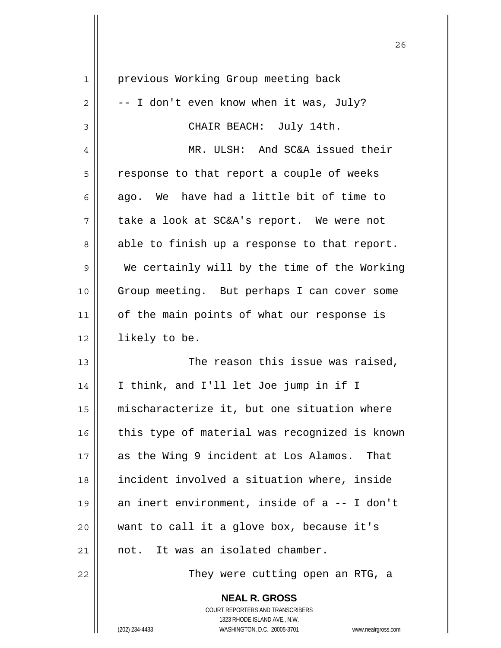| 1  | previous Working Group meeting back           |
|----|-----------------------------------------------|
| 2  | -- I don't even know when it was, July?       |
| 3  | CHAIR BEACH: July 14th.                       |
| 4  | MR. ULSH: And SC&A issued their               |
| 5  | response to that report a couple of weeks     |
| 6  | ago. We have had a little bit of time to      |
| 7  | take a look at SC&A's report. We were not     |
| 8  | able to finish up a response to that report.  |
| 9  | We certainly will by the time of the Working  |
| 10 | Group meeting. But perhaps I can cover some   |
| 11 | of the main points of what our response is    |
| 12 | likely to be.                                 |
| 13 | The reason this issue was raised,             |
| 14 | I think, and I'll let Joe jump in if I        |
| 15 | mischaracterize it, but one situation where   |
| 16 | this type of material was recognized is known |
| 17 | as the Wing 9 incident at Los Alamos. That    |
| 18 | incident involved a situation where, inside   |
| 19 | an inert environment, inside of a -- I don't  |
| 20 | want to call it a glove box, because it's     |
| 21 | not. It was an isolated chamber.              |
| 22 | They were cutting open an RTG, a              |
|    | <b>NEAL R. GROSS</b>                          |

<u>26</u>

 COURT REPORTERS AND TRANSCRIBERS 1323 RHODE ISLAND AVE., N.W.

 $\mathop{\text{||}}$ 

(202) 234-4433 WASHINGTON, D.C. 20005-3701 www.nealrgross.com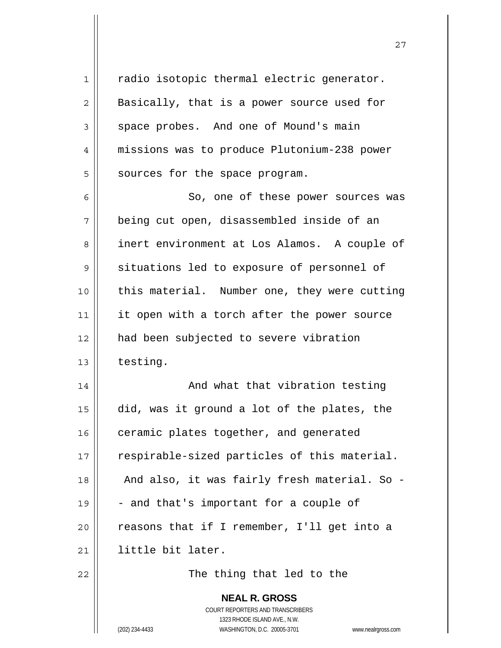| $\mathbf 1$    | radio isotopic thermal electric generator.                          |
|----------------|---------------------------------------------------------------------|
| $\overline{2}$ | Basically, that is a power source used for                          |
| $\mathsf 3$    | space probes. And one of Mound's main                               |
| 4              | missions was to produce Plutonium-238 power                         |
| 5              | sources for the space program.                                      |
| 6              | So, one of these power sources was                                  |
| 7              | being cut open, disassembled inside of an                           |
| 8              | inert environment at Los Alamos. A couple of                        |
| 9              | situations led to exposure of personnel of                          |
| 10             | this material. Number one, they were cutting                        |
| 11             | it open with a torch after the power source                         |
| 12             | had been subjected to severe vibration                              |
| 13             | testing.                                                            |
| 14             | And what that vibration testing                                     |
| 15             | did, was it ground a lot of the plates, the                         |
| 16             | ceramic plates together, and generated                              |
| 17             | respirable-sized particles of this material.                        |
| 18             | And also, it was fairly fresh material. So -                        |
| 19             | - and that's important for a couple of                              |
| 20             | reasons that if I remember, I'll get into a                         |
| 21             | little bit later.                                                   |
| 22             | The thing that led to the                                           |
|                | <b>NEAL R. GROSS</b>                                                |
|                | COURT REPORTERS AND TRANSCRIBERS                                    |
|                | 1323 RHODE ISLAND AVE., N.W.                                        |
|                | (202) 234-4433<br>WASHINGTON, D.C. 20005-3701<br>www.nealrgross.com |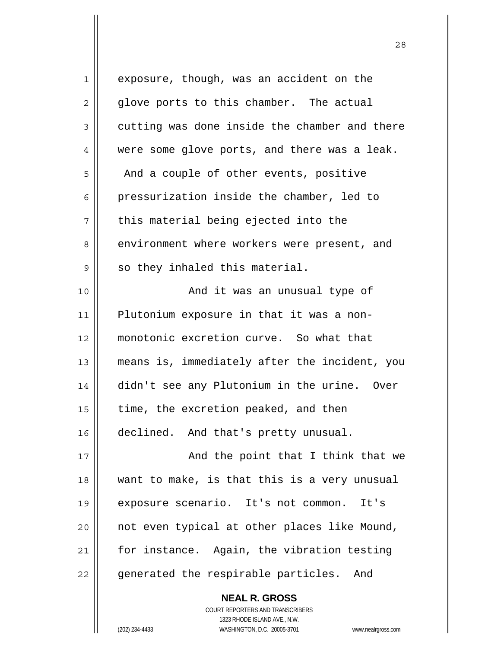| $\mathbf 1$ | exposure, though, was an accident on the      |
|-------------|-----------------------------------------------|
| 2           | glove ports to this chamber. The actual       |
| 3           | cutting was done inside the chamber and there |
| 4           | were some glove ports, and there was a leak.  |
| 5           | And a couple of other events, positive        |
| 6           | pressurization inside the chamber, led to     |
| 7           | this material being ejected into the          |
| 8           | environment where workers were present, and   |
| 9           | so they inhaled this material.                |
| 10          | And it was an unusual type of                 |
| 11          | Plutonium exposure in that it was a non-      |
| 12          | monotonic excretion curve. So what that       |
| 13          | means is, immediately after the incident, you |
| 14          | didn't see any Plutonium in the urine. Over   |
| 15          | time, the excretion peaked, and then          |
| 16          | declined. And that's pretty unusual.          |
| 17          | And the point that I think that we            |
| 18          | want to make, is that this is a very unusual  |
| 19          | exposure scenario. It's not common. It's      |
| 20          | not even typical at other places like Mound,  |
| 21          | for instance. Again, the vibration testing    |
| 22          | generated the respirable particles. And       |
|             | <b>NEAL R. GROSS</b>                          |

 COURT REPORTERS AND TRANSCRIBERS 1323 RHODE ISLAND AVE., N.W.

(202) 234-4433 WASHINGTON, D.C. 20005-3701 www.nealrgross.com

 $\mathsf{II}$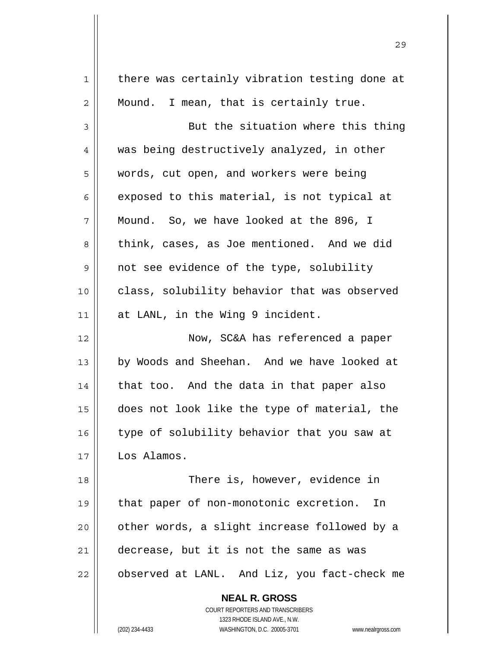| $\mathbf 1$    | there was certainly vibration testing done at                                                       |
|----------------|-----------------------------------------------------------------------------------------------------|
| $\overline{c}$ | Mound. I mean, that is certainly true.                                                              |
| 3              | But the situation where this thing                                                                  |
| 4              | was being destructively analyzed, in other                                                          |
| 5              | words, cut open, and workers were being                                                             |
| 6              | exposed to this material, is not typical at                                                         |
| 7              | Mound. So, we have looked at the 896, I                                                             |
| 8              | think, cases, as Joe mentioned. And we did                                                          |
| 9              | not see evidence of the type, solubility                                                            |
| 10             | class, solubility behavior that was observed                                                        |
| 11             | at LANL, in the Wing 9 incident.                                                                    |
| 12             | Now, SC&A has referenced a paper                                                                    |
| 13             | by Woods and Sheehan. And we have looked at                                                         |
| 14             | that too. And the data in that paper also                                                           |
| 15             | does not look like the type of material, the                                                        |
| 16             | type of solubility behavior that you saw at                                                         |
| 17             | Los Alamos.                                                                                         |
| 18             | There is, however, evidence in                                                                      |
| 19             | that paper of non-monotonic excretion.<br>In                                                        |
| 20             | other words, a slight increase followed by a                                                        |
| 21             | decrease, but it is not the same as was                                                             |
| 22             | observed at LANL. And Liz, you fact-check me                                                        |
|                |                                                                                                     |
|                | <b>NEAL R. GROSS</b>                                                                                |
|                | COURT REPORTERS AND TRANSCRIBERS                                                                    |
|                | 1323 RHODE ISLAND AVE., N.W.<br>(202) 234-4433<br>WASHINGTON, D.C. 20005-3701<br>www.nealrgross.com |

<u>29</u>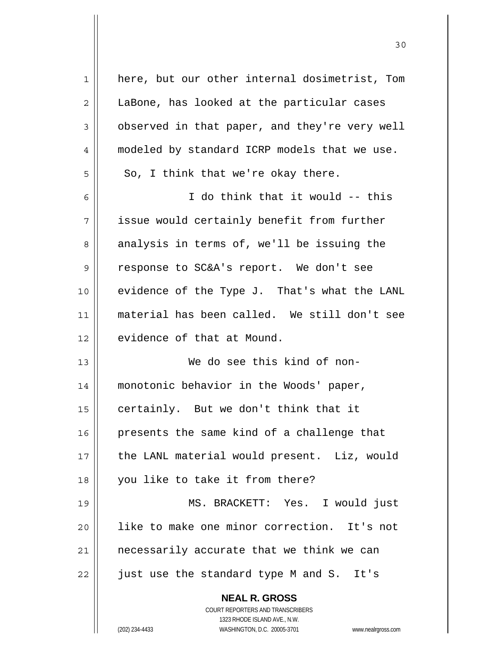| $\mathbf 1$ | here, but our other internal dosimetrist, Tom                                                       |
|-------------|-----------------------------------------------------------------------------------------------------|
| 2           | LaBone, has looked at the particular cases                                                          |
| 3           | observed in that paper, and they're very well                                                       |
| 4           | modeled by standard ICRP models that we use.                                                        |
| 5           | So, I think that we're okay there.                                                                  |
| 6           | I do think that it would -- this                                                                    |
| 7           | issue would certainly benefit from further                                                          |
| 8           | analysis in terms of, we'll be issuing the                                                          |
| 9           | response to SC&A's report. We don't see                                                             |
| 10          | evidence of the Type J. That's what the LANL                                                        |
| 11          | material has been called. We still don't see                                                        |
| 12          | evidence of that at Mound.                                                                          |
| 13          | We do see this kind of non-                                                                         |
| 14          | monotonic behavior in the Woods' paper,                                                             |
| 15          | certainly. But we don't think that it                                                               |
| 16          | presents the same kind of a challenge that                                                          |
| 17          | the LANL material would present. Liz, would                                                         |
| 18          | you like to take it from there?                                                                     |
| 19          | MS. BRACKETT: Yes. I would just                                                                     |
| 20          | like to make one minor correction. It's not                                                         |
| 21          | necessarily accurate that we think we can                                                           |
| 22          | just use the standard type M and S. It's                                                            |
|             | <b>NEAL R. GROSS</b>                                                                                |
|             | <b>COURT REPORTERS AND TRANSCRIBERS</b>                                                             |
|             | 1323 RHODE ISLAND AVE., N.W.<br>(202) 234-4433<br>WASHINGTON, D.C. 20005-3701<br>www.nealrgross.com |
|             |                                                                                                     |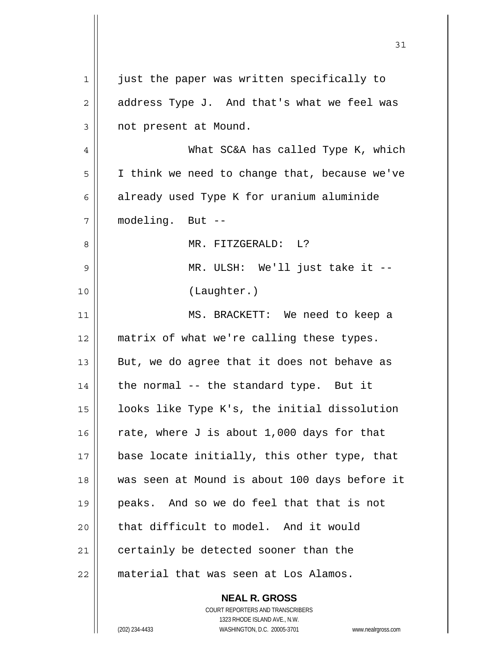|    | <b>NEAL R. GROSS</b>                          |
|----|-----------------------------------------------|
| 22 | material that was seen at Los Alamos.         |
| 21 | certainly be detected sooner than the         |
| 20 | that difficult to model. And it would         |
| 19 | peaks. And so we do feel that that is not     |
| 18 | was seen at Mound is about 100 days before it |
| 17 | base locate initially, this other type, that  |
| 16 | rate, where J is about 1,000 days for that    |
| 15 | looks like Type K's, the initial dissolution  |
| 14 | the normal -- the standard type. But it       |
| 13 | But, we do agree that it does not behave as   |
| 12 | matrix of what we're calling these types.     |
| 11 | MS. BRACKETT: We need to keep a               |
| 10 | (Laughter.)                                   |
| 9  | MR. ULSH: We'll just take it --               |
| 8  | MR. FITZGERALD: L?                            |
| 7  | modeling. But --                              |
| 6  | already used Type K for uranium aluminide     |
| 5  | I think we need to change that, because we've |
| 4  | What SC&A has called Type K, which            |
| 3  | not present at Mound.                         |
| 2  | address Type J. And that's what we feel was   |
| 1  | just the paper was written specifically to    |
|    |                                               |

 $\mathsf{II}$ 

 1323 RHODE ISLAND AVE., N.W. (202) 234-4433 WASHINGTON, D.C. 20005-3701 www.nealrgross.com

COURT REPORTERS AND TRANSCRIBERS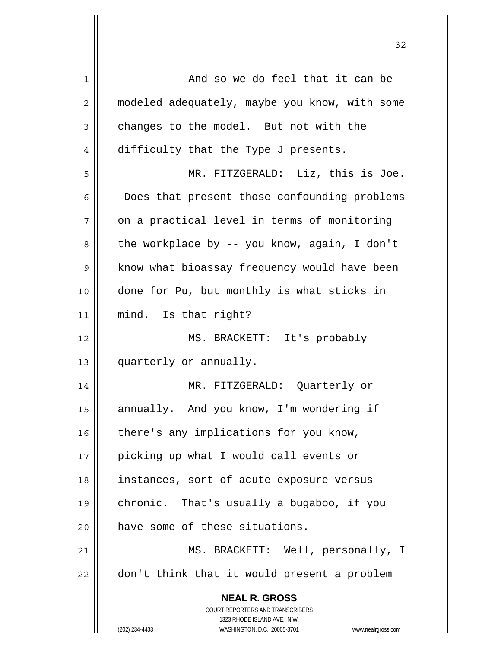| $\mathbf 1$ | And so we do feel that it can be                                    |
|-------------|---------------------------------------------------------------------|
| 2           | modeled adequately, maybe you know, with some                       |
| 3           | changes to the model. But not with the                              |
| 4           | difficulty that the Type J presents.                                |
| 5           | MR. FITZGERALD: Liz, this is Joe.                                   |
| 6           | Does that present those confounding problems                        |
| 7           | on a practical level in terms of monitoring                         |
| 8           | the workplace by -- you know, again, I don't                        |
| 9           | know what bioassay frequency would have been                        |
| 10          | done for Pu, but monthly is what sticks in                          |
| 11          | mind. Is that right?                                                |
| 12          | MS. BRACKETT: It's probably                                         |
| 13          | quarterly or annually.                                              |
| 14          | MR. FITZGERALD: Quarterly or                                        |
| 15          | annually. And you know, I'm wondering if                            |
| 16          | there's any implications for you know,                              |
| 17          | picking up what I would call events or                              |
| 18          | instances, sort of acute exposure versus                            |
| 19          | chronic. That's usually a bugaboo, if you                           |
| 20          | have some of these situations.                                      |
| 21          | MS. BRACKETT: Well, personally, I                                   |
| 22          | don't think that it would present a problem                         |
|             | <b>NEAL R. GROSS</b>                                                |
|             | COURT REPORTERS AND TRANSCRIBERS                                    |
|             | 1323 RHODE ISLAND AVE., N.W.                                        |
|             | (202) 234-4433<br>WASHINGTON, D.C. 20005-3701<br>www.nealrgross.com |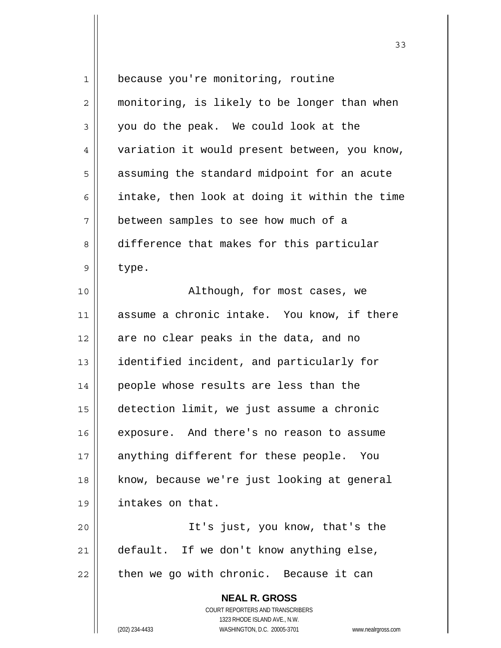| $\mathbf 1$ | because you're monitoring, routine                                  |
|-------------|---------------------------------------------------------------------|
| 2           | monitoring, is likely to be longer than when                        |
| 3           | you do the peak. We could look at the                               |
| 4           | variation it would present between, you know,                       |
| 5           | assuming the standard midpoint for an acute                         |
| 6           | intake, then look at doing it within the time                       |
| 7           | between samples to see how much of a                                |
| 8           | difference that makes for this particular                           |
| 9           | type.                                                               |
| 10          | Although, for most cases, we                                        |
| 11          | assume a chronic intake. You know, if there                         |
| 12          | are no clear peaks in the data, and no                              |
| 13          | identified incident, and particularly for                           |
| 14          | people whose results are less than the                              |
| 15          | detection limit, we just assume a chronic                           |
| 16          | exposure. And there's no reason to assume                           |
| 17          | anything different for these people. You                            |
| 18          | know, because we're just looking at general                         |
| 19          | intakes on that.                                                    |
| 20          | It's just, you know, that's the                                     |
| 21          | default. If we don't know anything else,                            |
| 22          | then we go with chronic. Because it can                             |
|             | <b>NEAL R. GROSS</b>                                                |
|             | COURT REPORTERS AND TRANSCRIBERS                                    |
|             | 1323 RHODE ISLAND AVE., N.W.                                        |
|             | (202) 234-4433<br>WASHINGTON, D.C. 20005-3701<br>www.nealrgross.com |

 $\mathsf{I}$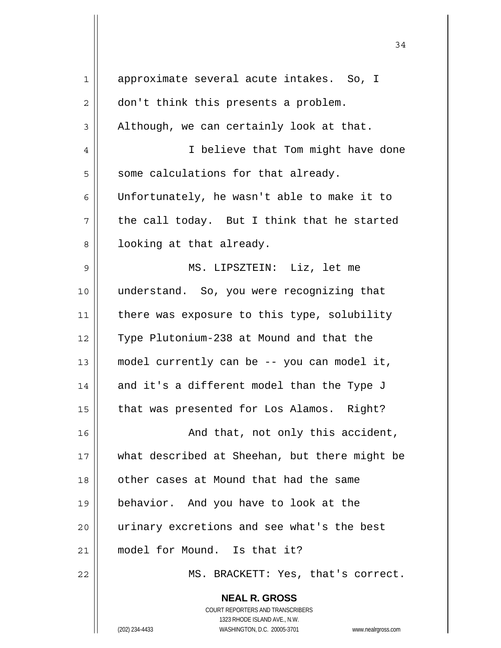| 1  | approximate several acute intakes. So, I      |
|----|-----------------------------------------------|
| 2  | don't think this presents a problem.          |
| 3  | Although, we can certainly look at that.      |
| 4  | I believe that Tom might have done            |
| 5  | some calculations for that already.           |
| 6  | Unfortunately, he wasn't able to make it to   |
| 7  | the call today. But I think that he started   |
| 8  | looking at that already.                      |
| 9  | MS. LIPSZTEIN: Liz, let me                    |
| 10 | understand. So, you were recognizing that     |
| 11 | there was exposure to this type, solubility   |
| 12 | Type Plutonium-238 at Mound and that the      |
| 13 | model currently can be -- you can model it,   |
| 14 | and it's a different model than the Type J    |
| 15 | that was presented for Los Alamos. Right?     |
| 16 | And that, not only this accident,             |
| 17 | what described at Sheehan, but there might be |
| 18 | other cases at Mound that had the same        |
| 19 | behavior. And you have to look at the         |
| 20 | urinary excretions and see what's the best    |
| 21 | model for Mound. Is that it?                  |
| 22 | MS. BRACKETT: Yes, that's correct.            |
|    | <b>NEAL R. GROSS</b>                          |

 COURT REPORTERS AND TRANSCRIBERS 1323 RHODE ISLAND AVE., N.W.

 $\mathsf{II}$ 

(202) 234-4433 WASHINGTON, D.C. 20005-3701 www.nealrgross.com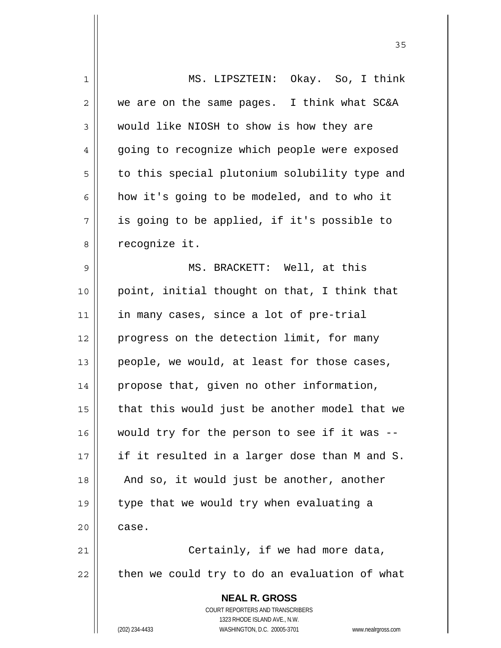| 1  | MS. LIPSZTEIN: Okay. So, I think                                    |
|----|---------------------------------------------------------------------|
| 2  | we are on the same pages. I think what SC&A                         |
| 3  | would like NIOSH to show is how they are                            |
| 4  | going to recognize which people were exposed                        |
| 5  | to this special plutonium solubility type and                       |
| 6  | how it's going to be modeled, and to who it                         |
| 7  | is going to be applied, if it's possible to                         |
| 8  | recognize it.                                                       |
| 9  | MS. BRACKETT: Well, at this                                         |
| 10 | point, initial thought on that, I think that                        |
| 11 | in many cases, since a lot of pre-trial                             |
| 12 | progress on the detection limit, for many                           |
| 13 | people, we would, at least for those cases,                         |
| 14 | propose that, given no other information,                           |
| 15 | that this would just be another model that we                       |
| 16 | would try for the person to see if it was --                        |
| 17 | if it resulted in a larger dose than M and S.                       |
| 18 | And so, it would just be another, another                           |
| 19 | type that we would try when evaluating a                            |
| 20 | case.                                                               |
| 21 | Certainly, if we had more data,                                     |
| 22 | then we could try to do an evaluation of what                       |
|    | <b>NEAL R. GROSS</b>                                                |
|    | COURT REPORTERS AND TRANSCRIBERS                                    |
|    | 1323 RHODE ISLAND AVE., N.W.                                        |
|    | (202) 234-4433<br>WASHINGTON, D.C. 20005-3701<br>www.nealrgross.com |

<u>35</u>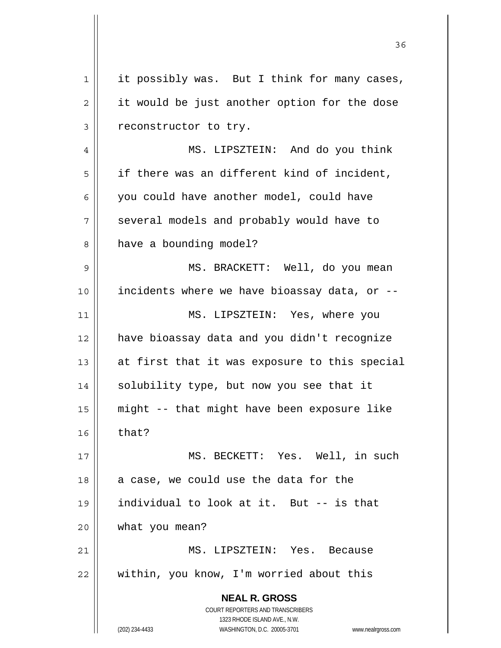**NEAL R. GROSS** COURT REPORTERS AND TRANSCRIBERS 1323 RHODE ISLAND AVE., N.W. (202) 234-4433 WASHINGTON, D.C. 20005-3701 www.nealrgross.com  $1 \parallel$  it possibly was. But I think for many cases,  $2 \parallel$  it would be just another option for the dose 3 || reconstructor to try. 4 MS. LIPSZTEIN: And do you think  $5 \parallel$  if there was an different kind of incident, 6 || you could have another model, could have 7 || several models and probably would have to 8 | have a bounding model? 9 || MS. BRACKETT: Well, do you mean 10 incidents where we have bioassay data, or -- 11 MS. LIPSZTEIN: Yes, where you 12 have bioassay data and you didn't recognize 13  $\parallel$  at first that it was exposure to this special 14 || solubility type, but now you see that it 15 might -- that might have been exposure like  $16 \parallel$  that? 17 MS. BECKETT: Yes. Well, in such  $18$  || a case, we could use the data for the 19 individual to look at it. But -- is that 20 what you mean? 21 MS. LIPSZTEIN: Yes. Because 22 | within, you know, I'm worried about this

<u>36 and 2012</u>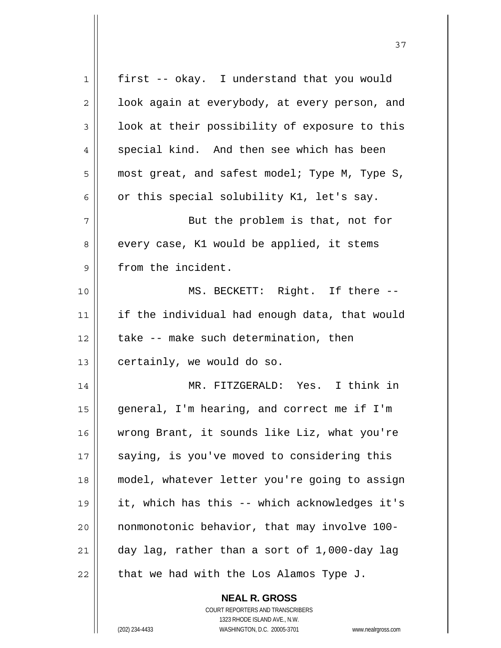| 1  | first -- okay. I understand that you would    |
|----|-----------------------------------------------|
| 2  | look again at everybody, at every person, and |
| 3  | look at their possibility of exposure to this |
| 4  | special kind. And then see which has been     |
| 5  | most great, and safest model; Type M, Type S, |
| 6  | or this special solubility K1, let's say.     |
| 7  | But the problem is that, not for              |
| 8  | every case, K1 would be applied, it stems     |
| 9  | from the incident.                            |
| 10 | MS. BECKETT: Right. If there --               |
| 11 | if the individual had enough data, that would |
| 12 | take -- make such determination, then         |
| 13 | certainly, we would do so.                    |
| 14 | MR. FITZGERALD: Yes. I think in               |
| 15 | general, I'm hearing, and correct me if I'm   |
| 16 | wrong Brant, it sounds like Liz, what you're  |
| 17 | saying, is you've moved to considering this   |
| 18 | model, whatever letter you're going to assign |
| 19 | it, which has this -- which acknowledges it's |
| 20 | nonmonotonic behavior, that may involve 100-  |
| 21 | day lag, rather than a sort of 1,000-day lag  |
| 22 | that we had with the Los Alamos Type J.       |

 **NEAL R. GROSS** COURT REPORTERS AND TRANSCRIBERS 1323 RHODE ISLAND AVE., N.W.

 $\mathbf{I}$ 

(202) 234-4433 WASHINGTON, D.C. 20005-3701 www.nealrgross.com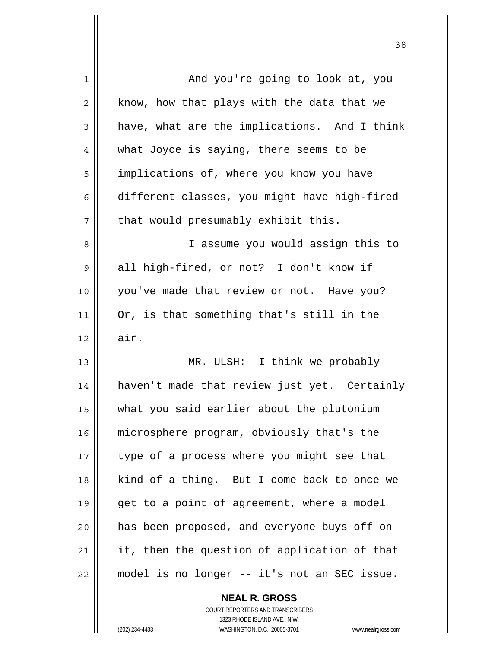| 1              | And you're going to look at, you             |
|----------------|----------------------------------------------|
| $\overline{2}$ | know, how that plays with the data that we   |
| 3              | have, what are the implications. And I think |
| 4              | what Joyce is saying, there seems to be      |
| 5              | implications of, where you know you have     |
| 6              | different classes, you might have high-fired |
| 7              | that would presumably exhibit this.          |
| 8              | I assume you would assign this to            |
| 9              | all high-fired, or not? I don't know if      |
| 10             | you've made that review or not. Have you?    |
| 11             | Or, is that something that's still in the    |
| 12             | air.                                         |
| 13             | MR. ULSH: I think we probably                |
| 14             | haven't made that review just yet. Certainly |
| 15             | what you said earlier about the plutonium    |
| 16             | microsphere program, obviously that's the    |
| 17             | type of a process where you might see that   |
| 18             | kind of a thing. But I come back to once we  |
| 19             | get to a point of agreement, where a model   |
| 20             | has been proposed, and everyone buys off on  |
| 21             | it, then the question of application of that |
| 22             | model is no longer -- it's not an SEC issue. |
|                |                                              |

<u>38</u>

 **NEAL R. GROSS** COURT REPORTERS AND TRANSCRIBERS

 $\mathbf{I}$ 

 1323 RHODE ISLAND AVE., N.W. (202) 234-4433 WASHINGTON, D.C. 20005-3701 www.nealrgross.com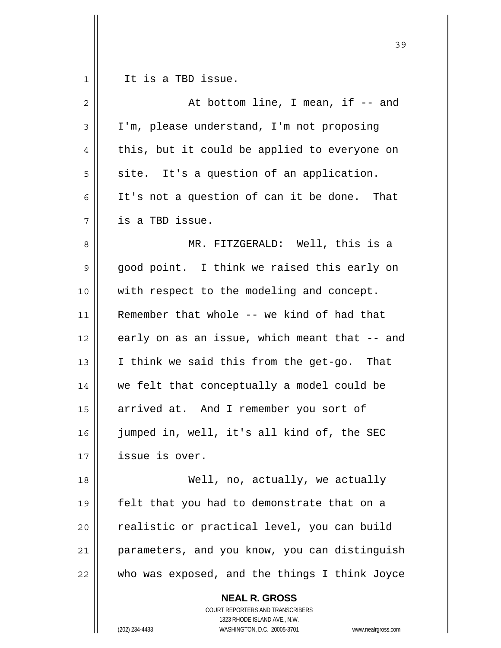|    | 39                                                                                       |
|----|------------------------------------------------------------------------------------------|
| 1  | It is a TBD issue.                                                                       |
| 2  | At bottom line, I mean, if -- and                                                        |
| 3  | I'm, please understand, I'm not proposing                                                |
| 4  | this, but it could be applied to everyone on                                             |
| 5  | site. It's a question of an application.                                                 |
| 6  | It's not a question of can it be done. That                                              |
| 7  | is a TBD issue.                                                                          |
| 8  | MR. FITZGERALD: Well, this is a                                                          |
| 9  | good point. I think we raised this early on                                              |
| 10 | with respect to the modeling and concept.                                                |
| 11 | Remember that whole -- we kind of had that                                               |
| 12 | early on as an issue, which meant that -- and                                            |
| 13 | I think we said this from the get-go. That                                               |
| 14 | we felt that conceptually a model could be                                               |
| 15 | arrived at. And I remember you sort of                                                   |
| 16 | jumped in, well, it's all kind of, the SEC                                               |
| 17 | issue is over.                                                                           |
| 18 | Well, no, actually, we actually                                                          |
| 19 | felt that you had to demonstrate that on a                                               |
| 20 | realistic or practical level, you can build                                              |
| 21 | parameters, and you know, you can distinguish                                            |
| 22 | who was exposed, and the things I think Joyce                                            |
|    | <b>NEAL R. GROSS</b><br>COURT REPORTERS AND TRANSCRIBERS<br>1323 RHODE ISLAND AVE., N.W. |
|    | (202) 234-4433<br>WASHINGTON, D.C. 20005-3701<br>www.nealrgross.com                      |

 $\overline{\phantom{a}}$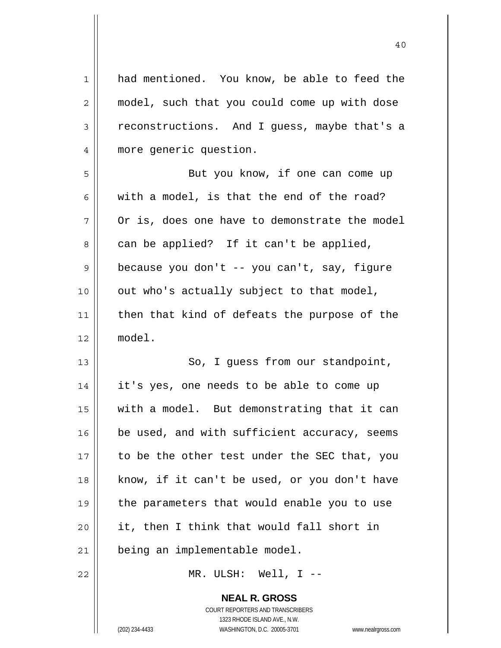| $\mathbf 1$ | had mentioned. You know, be able to feed the  |
|-------------|-----------------------------------------------|
| 2           | model, such that you could come up with dose  |
| 3           | reconstructions. And I guess, maybe that's a  |
| 4           | more generic question.                        |
| 5           | But you know, if one can come up              |
| 6           | with a model, is that the end of the road?    |
| 7           | Or is, does one have to demonstrate the model |
| 8           | can be applied? If it can't be applied,       |
| $\mathsf 9$ | because you don't -- you can't, say, figure   |
| 10          | out who's actually subject to that model,     |
| 11          | then that kind of defeats the purpose of the  |
| 12          | model.                                        |
| 13          | So, I guess from our standpoint,              |
| 14          | it's yes, one needs to be able to come up     |
| 15          | with a model. But demonstrating that it can   |
| 16          | be used, and with sufficient accuracy, seems  |
| 17          | to be the other test under the SEC that, you  |
| 18          | know, if it can't be used, or you don't have  |
| 19          | the parameters that would enable you to use   |
| 20          | it, then I think that would fall short in     |
|             |                                               |
| 21          | being an implementable model.                 |

 **NEAL R. GROSS** COURT REPORTERS AND TRANSCRIBERS 1323 RHODE ISLAND AVE., N.W.

 $\mathbf{I}$ 

(202) 234-4433 WASHINGTON, D.C. 20005-3701 www.nealrgross.com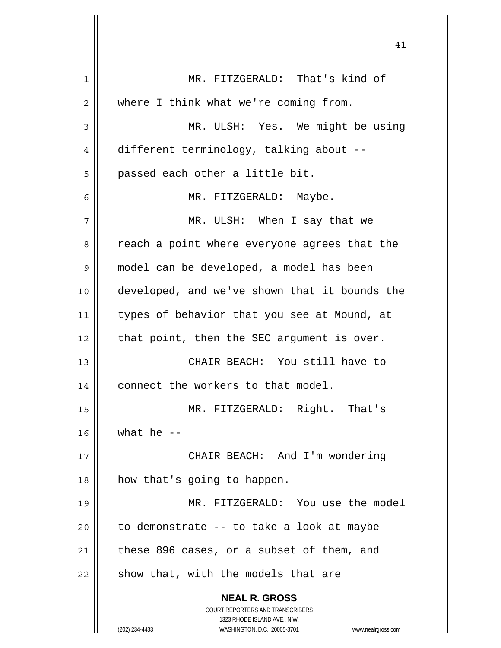| 1  | MR. FITZGERALD: That's kind of                                      |
|----|---------------------------------------------------------------------|
| 2  | where I think what we're coming from.                               |
| 3  | MR. ULSH: Yes. We might be using                                    |
| 4  | different terminology, talking about --                             |
| 5  | passed each other a little bit.                                     |
| 6  | MR. FITZGERALD: Maybe.                                              |
| 7  | MR. ULSH: When I say that we                                        |
| 8  | reach a point where everyone agrees that the                        |
| 9  | model can be developed, a model has been                            |
| 10 | developed, and we've shown that it bounds the                       |
| 11 | types of behavior that you see at Mound, at                         |
| 12 | that point, then the SEC argument is over.                          |
| 13 | CHAIR BEACH: You still have to                                      |
| 14 | connect the workers to that model.                                  |
| 15 | MR. FITZGERALD: Right. That's                                       |
| 16 | what he $-$                                                         |
| 17 | CHAIR BEACH: And I'm wondering                                      |
| 18 | how that's going to happen.                                         |
| 19 | MR. FITZGERALD: You use the model                                   |
| 20 | to demonstrate -- to take a look at maybe                           |
| 21 | these 896 cases, or a subset of them, and                           |
| 22 | show that, with the models that are                                 |
|    | <b>NEAL R. GROSS</b>                                                |
|    | COURT REPORTERS AND TRANSCRIBERS                                    |
|    | 1323 RHODE ISLAND AVE., N.W.                                        |
|    | WASHINGTON, D.C. 20005-3701<br>(202) 234-4433<br>www.nealrgross.com |

 $\mathbf{\mathsf{H}}$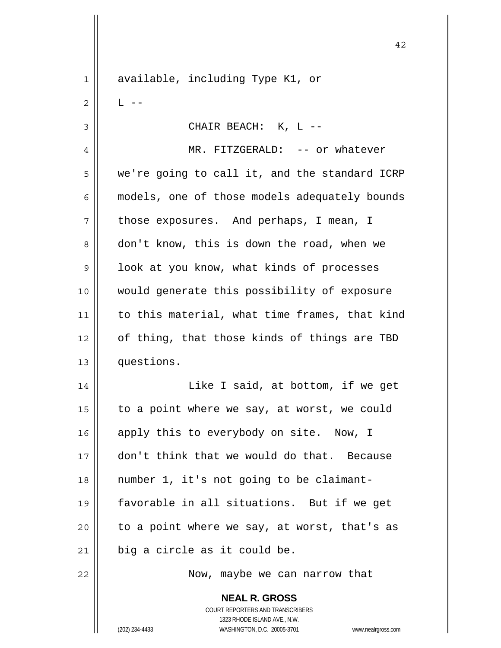**NEAL R. GROSS** COURT REPORTERS AND TRANSCRIBERS 1323 RHODE ISLAND AVE., N.W. 1 available, including Type K1, or  $2 \parallel$  L  $-$ 3 CHAIR BEACH: K, L -- 4 MR. FITZGERALD: -- or whatever  $5 \parallel$  we're going to call it, and the standard ICRP 6 | models, one of those models adequately bounds  $7 \parallel$  those exposures. And perhaps, I mean, I 8 don't know, this is down the road, when we  $9 \parallel$  look at you know, what kinds of processes 10 would generate this possibility of exposure 11 | to this material, what time frames, that kind 12 || of thing, that those kinds of things are TBD 13 questions. 14 || Like I said, at bottom, if we get 15  $\parallel$  to a point where we say, at worst, we could 16 apply this to everybody on site. Now, I 17 don't think that we would do that. Because 18 number 1, it's not going to be claimant-19 favorable in all situations. But if we get  $20$  | to a point where we say, at worst, that's as  $21$  | big a circle as it could be. 22 || Now, maybe we can narrow that

42

(202) 234-4433 WASHINGTON, D.C. 20005-3701 www.nealrgross.com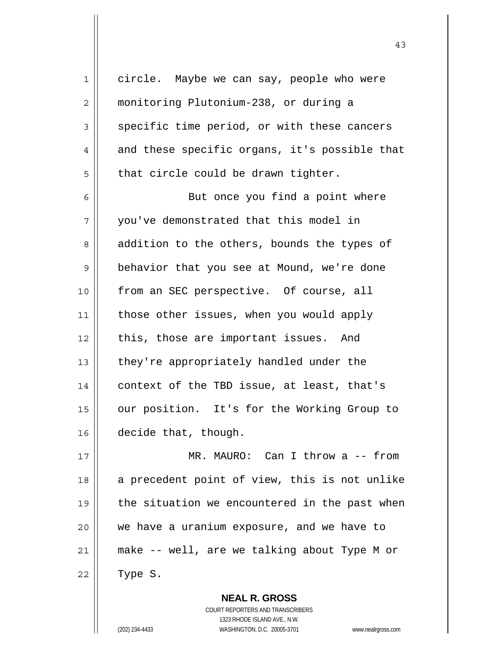1 circle. Maybe we can say, people who were 2 monitoring Plutonium-238, or during a  $3 \parallel$  specific time period, or with these cancers  $4 \parallel$  and these specific organs, it's possible that  $5 \parallel$  that circle could be drawn tighter. 6 || But once you find a point where 7 | vou've demonstrated that this model in 8 || addition to the others, bounds the types of 9 | behavior that you see at Mound, we're done 10 || from an SEC perspective. Of course, all 11 | those other issues, when you would apply  $12$  | this, those are important issues. And 13 || they're appropriately handled under the 14  $\vert$  context of the TBD issue, at least, that's 15 | our position. It's for the Working Group to 16 decide that, though. 17 MR. MAURO: Can I throw a -- from  $18$  a precedent point of view, this is not unlike  $19$  | the situation we encountered in the past when

> COURT REPORTERS AND TRANSCRIBERS 1323 RHODE ISLAND AVE., N.W. (202) 234-4433 WASHINGTON, D.C. 20005-3701 www.nealrgross.com

 **NEAL R. GROSS**

20 we have a uranium exposure, and we have to

21 make -- well, are we talking about Type M or

 $22 \parallel$  Type S.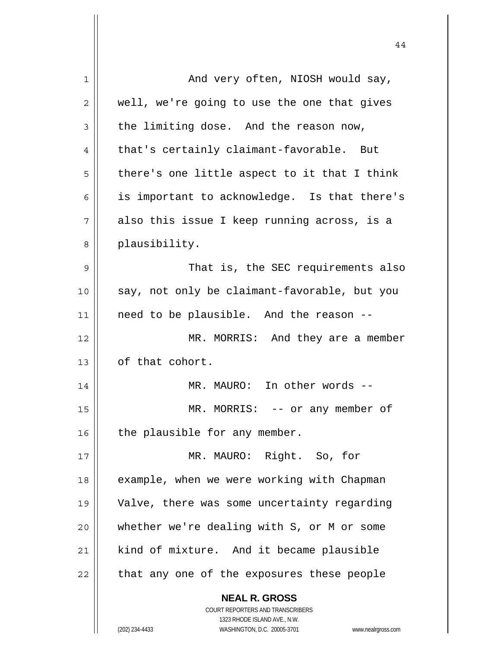| 1  | And very often, NIOSH would say,                                    |
|----|---------------------------------------------------------------------|
| 2  | well, we're going to use the one that gives                         |
| 3  | the limiting dose. And the reason now,                              |
| 4  | that's certainly claimant-favorable. But                            |
| 5  | there's one little aspect to it that I think                        |
| 6  | is important to acknowledge. Is that there's                        |
| 7  | also this issue I keep running across, is a                         |
| 8  | plausibility.                                                       |
| 9  | That is, the SEC requirements also                                  |
| 10 | say, not only be claimant-favorable, but you                        |
| 11 | need to be plausible. And the reason --                             |
| 12 | MR. MORRIS: And they are a member                                   |
| 13 | of that cohort.                                                     |
| 14 | MR. MAURO: In other words --                                        |
| 15 | $MR. MORRIS: -- or any member of$                                   |
| 16 | the plausible for any member.                                       |
| 17 | MR. MAURO: Right. So, for                                           |
| 18 | example, when we were working with Chapman                          |
| 19 | Valve, there was some uncertainty regarding                         |
| 20 | whether we're dealing with S, or M or some                          |
| 21 | kind of mixture. And it became plausible                            |
| 22 | that any one of the exposures these people                          |
|    |                                                                     |
|    | <b>NEAL R. GROSS</b><br>COURT REPORTERS AND TRANSCRIBERS            |
|    | 1323 RHODE ISLAND AVE., N.W.                                        |
|    | WASHINGTON, D.C. 20005-3701<br>(202) 234-4433<br>www.nealrgross.com |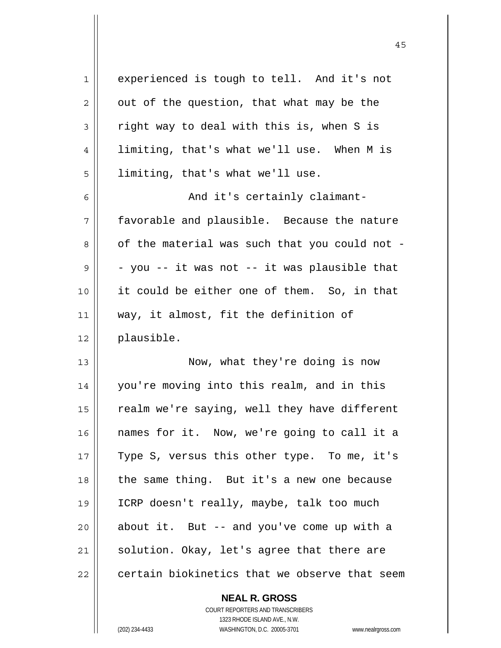| $\mathbf 1$ | experienced is tough to tell. And it's not    |
|-------------|-----------------------------------------------|
| 2           | out of the question, that what may be the     |
| 3           | right way to deal with this is, when S is     |
| 4           | limiting, that's what we'll use. When M is    |
| 5           | limiting, that's what we'll use.              |
| 6           | And it's certainly claimant-                  |
| 7           | favorable and plausible. Because the nature   |
| 8           | of the material was such that you could not - |
| 9           | - you -- it was not -- it was plausible that  |
| 10          | it could be either one of them. So, in that   |
| 11          | way, it almost, fit the definition of         |
| 12          | plausible.                                    |
| 13          | Now, what they're doing is now                |
| 14          | you're moving into this realm, and in this    |
| 15          | realm we're saying, well they have different  |
| 16          | names for it. Now, we're going to call it a   |
| 17          | Type S, versus this other type. To me, it's   |
| 18          | the same thing. But it's a new one because    |
| 19          | ICRP doesn't really, maybe, talk too much     |
| 20          | about it. But -- and you've come up with a    |
| 21          | solution. Okay, let's agree that there are    |
| 22          | certain biokinetics that we observe that seem |

 **NEAL R. GROSS** COURT REPORTERS AND TRANSCRIBERS

1323 RHODE ISLAND AVE., N.W.

 $\mathbf{I}$ 

(202) 234-4433 WASHINGTON, D.C. 20005-3701 www.nealrgross.com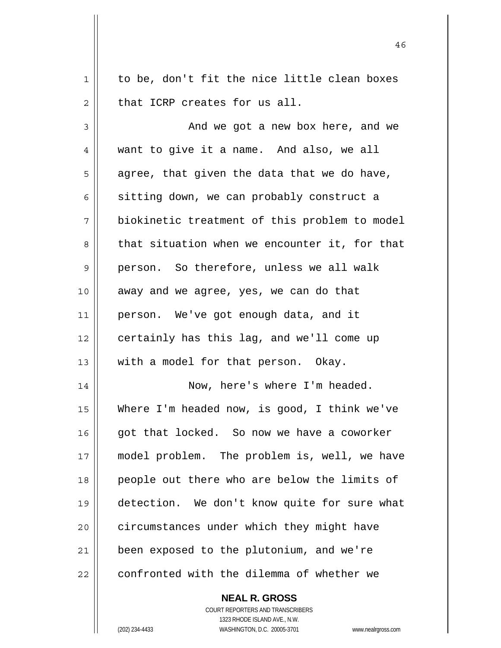$1 \parallel$  to be, don't fit the nice little clean boxes  $2 \parallel$  that ICRP creates for us all. 3 And we got a new box here, and we 4 want to give it a name. And also, we all  $5 \parallel$  agree, that given the data that we do have, 6 | sitting down, we can probably construct a 7 biokinetic treatment of this problem to model  $8 \parallel$  that situation when we encounter it, for that 9 || person. So therefore, unless we all walk 10 || away and we agree, yes, we can do that 11 || person. We've got enough data, and it  $12$  | certainly has this lag, and we'll come up 13  $\parallel$  with a model for that person. Okay. 14 || Now, here's where I'm headed. 15 Where I'm headed now, is good, I think we've 16 || qot that locked. So now we have a coworker 17 model problem. The problem is, well, we have 18 people out there who are below the limits of 19 detection. We don't know quite for sure what 20 | circumstances under which they might have 21 || been exposed to the plutonium, and we're  $22$   $\parallel$  confronted with the dilemma of whether we

46

 COURT REPORTERS AND TRANSCRIBERS 1323 RHODE ISLAND AVE., N.W. (202) 234-4433 WASHINGTON, D.C. 20005-3701 www.nealrgross.com

 **NEAL R. GROSS**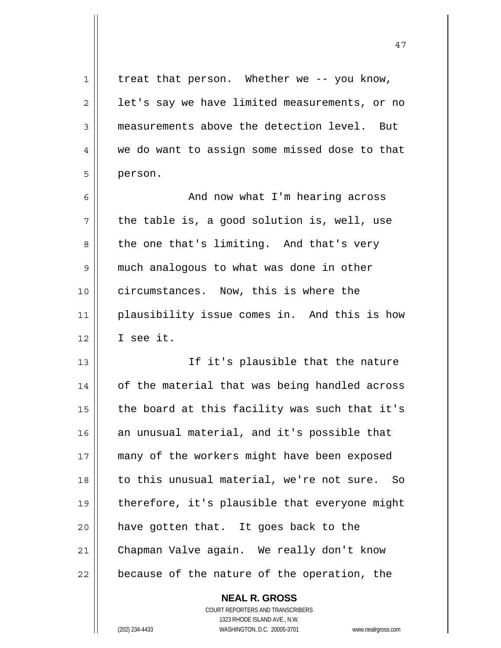$1 \parallel$  treat that person. Whether we -- you know,  $2 \parallel$  let's say we have limited measurements, or no 3 measurements above the detection level. But 4 we do want to assign some missed dose to that 5 person. 6 And now what I'm hearing across  $7 \parallel$  the table is, a good solution is, well, use  $8 \parallel$  the one that's limiting. And that's very 9 | much analogous to what was done in other 10 || circumstances. Now, this is where the 11 plausibility issue comes in. And this is how 12 I see it. 13 || If it's plausible that the nature 14 | of the material that was being handled across 15  $\parallel$  the board at this facility was such that it's 16  $\parallel$  an unusual material, and it's possible that 17 many of the workers might have been exposed 18 || to this unusual material, we're not sure. So 19 || therefore, it's plausible that everyone might  $20$  || have gotten that. It goes back to the 21 Chapman Valve again. We really don't know  $22$  || because of the nature of the operation, the

47

 **NEAL R. GROSS** COURT REPORTERS AND TRANSCRIBERS 1323 RHODE ISLAND AVE., N.W. (202) 234-4433 WASHINGTON, D.C. 20005-3701 www.nealrgross.com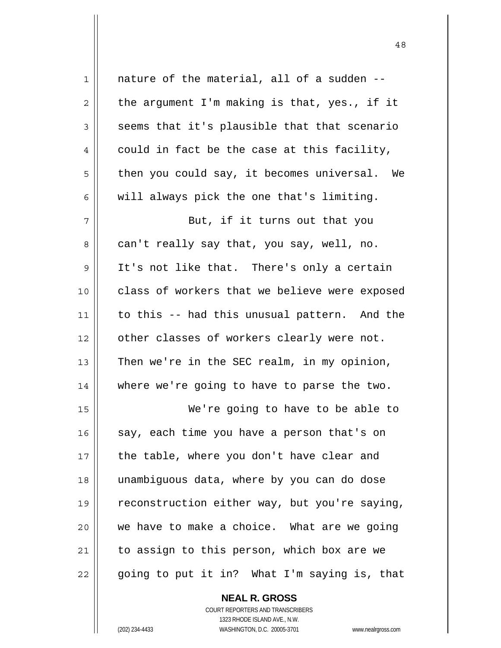1 || nature of the material, all of a sudden -- $2 \parallel$  the argument I'm making is that, yes., if it  $3 \parallel$  seems that it's plausible that that scenario  $4 \parallel$  could in fact be the case at this facility,  $5 \parallel$  then you could say, it becomes universal. We  $6 \parallel$  will always pick the one that's limiting. 7 || But, if it turns out that you 8 || can't really say that, you say, well, no.  $9 \parallel$  It's not like that. There's only a certain 10 class of workers that we believe were exposed 11 | to this -- had this unusual pattern. And the 12 || other classes of workers clearly were not. 13  $\parallel$  Then we're in the SEC realm, in my opinion, 14 where we're going to have to parse the two. 15 We're going to have to be able to 16  $\parallel$  say, each time you have a person that's on 17 | the table, where you don't have clear and 18 unambiguous data, where by you can do dose 19 | reconstruction either way, but you're saying, 20 we have to make a choice. What are we going 21 || to assign to this person, which box are we  $22 \parallel$  going to put it in? What I'm saying is, that

> **NEAL R. GROSS** COURT REPORTERS AND TRANSCRIBERS 1323 RHODE ISLAND AVE., N.W.

(202) 234-4433 WASHINGTON, D.C. 20005-3701 www.nealrgross.com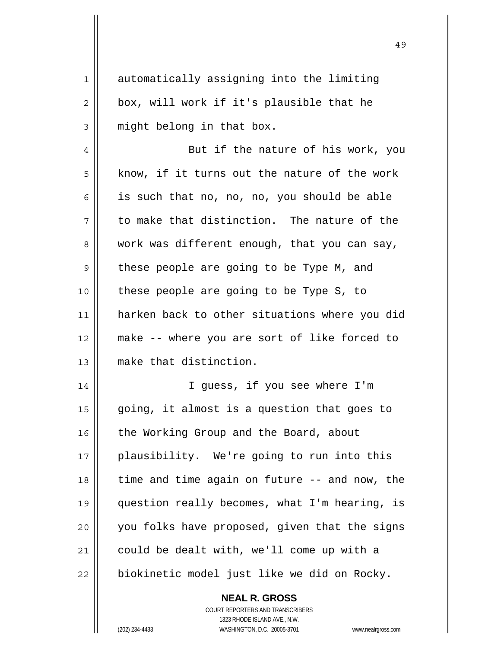1 automatically assigning into the limiting  $2 \parallel$  box, will work if it's plausible that he  $3$  || might belong in that box. 4 || But if the nature of his work, you  $5 \parallel$  know, if it turns out the nature of the work  $6 \parallel$  is such that no, no, no, you should be able  $7 \parallel$  to make that distinction. The nature of the  $8 \parallel$  work was different enough, that you can say,  $9 \parallel$  these people are going to be Type M, and 10 || these people are going to be Type S, to 11 harken back to other situations where you did 12 make -- where you are sort of like forced to 13 make that distinction. 14 || T guess, if you see where I'm  $15$  || going, it almost is a question that goes to 16 | the Working Group and the Board, about 17 plausibility. We're going to run into this  $18$  | time and time again on future  $-$  and now, the 19 question really becomes, what I'm hearing, is 20 || you folks have proposed, given that the signs  $21$  could be dealt with, we'll come up with a  $22$  | biokinetic model just like we did on Rocky.

> **NEAL R. GROSS** COURT REPORTERS AND TRANSCRIBERS 1323 RHODE ISLAND AVE., N.W. (202) 234-4433 WASHINGTON, D.C. 20005-3701 www.nealrgross.com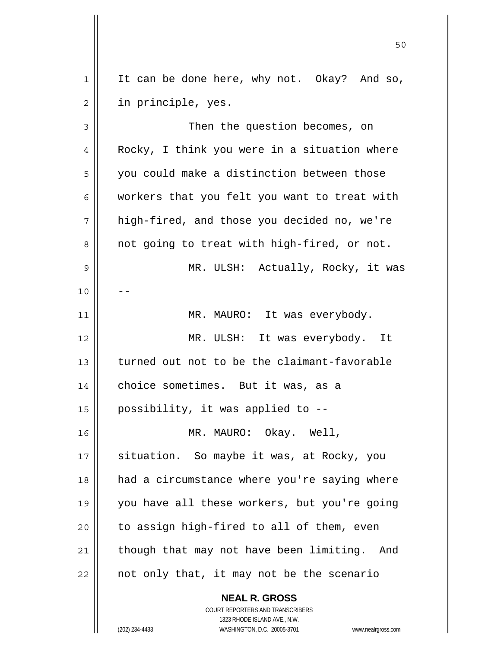$1 \parallel$  It can be done here, why not. Okay? And so, 2 || in principle, yes.

50

3 || Then the question becomes, on 4 || Rocky, I think you were in a situation where 5 | you could make a distinction between those 6 workers that you felt you want to treat with 7 high-fired, and those you decided no, we're 8 || not going to treat with high-fired, or not. 9 MR. ULSH: Actually, Rocky, it was  $10$ 11 | MR. MAURO: It was everybody. 12 MR. ULSH: It was everybody. It 13 turned out not to be the claimant-favorable 14 | choice sometimes. But it was, as a 15  $\parallel$  possibility, it was applied to --16 MR. MAURO: Okay. Well, 17 || situation. So maybe it was, at Rocky, you 18 had a circumstance where you're saying where 19 you have all these workers, but you're going  $20$  | to assign high-fired to all of them, even  $21$  though that may not have been limiting. And  $22$  | not only that, it may not be the scenario

 **NEAL R. GROSS**

 COURT REPORTERS AND TRANSCRIBERS 1323 RHODE ISLAND AVE., N.W. (202) 234-4433 WASHINGTON, D.C. 20005-3701 www.nealrgross.com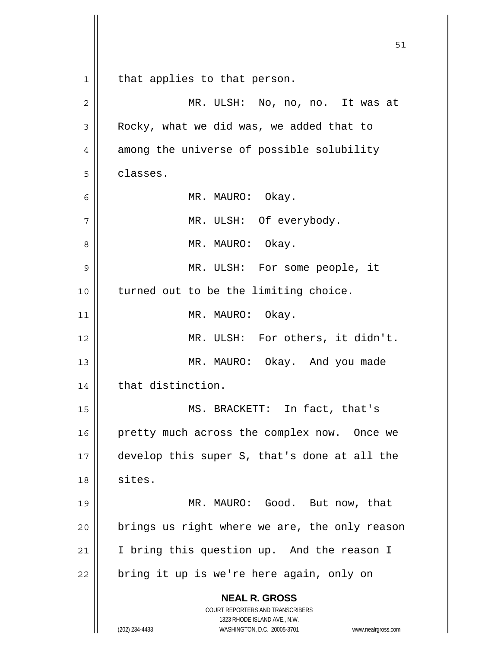**NEAL R. GROSS** COURT REPORTERS AND TRANSCRIBERS 1323 RHODE ISLAND AVE., N.W. (202) 234-4433 WASHINGTON, D.C. 20005-3701 www.nealrgross.com 1 || that applies to that person. 2 MR. ULSH: No, no, no. It was at 3 | Rocky, what we did was, we added that to 4 || among the universe of possible solubility 5 classes. 6 MR. MAURO: Okay. 7 || MR. ULSH: Of everybody. 8 MR. MAURO: Okay. 9 MR. ULSH: For some people, it 10 || turned out to be the limiting choice. 11 || MR. MAURO: Okay. 12 || MR. ULSH: For others, it didn't. 13 || MR. MAURO: Okay. And you made 14 | that distinction. 15 MS. BRACKETT: In fact, that's 16 || pretty much across the complex now. Once we 17 develop this super S, that's done at all the 18 sites. 19 || MR. MAURO: Good. But now, that  $20$  | brings us right where we are, the only reason 21 || I bring this question up. And the reason I  $22$  | bring it up is we're here again, only on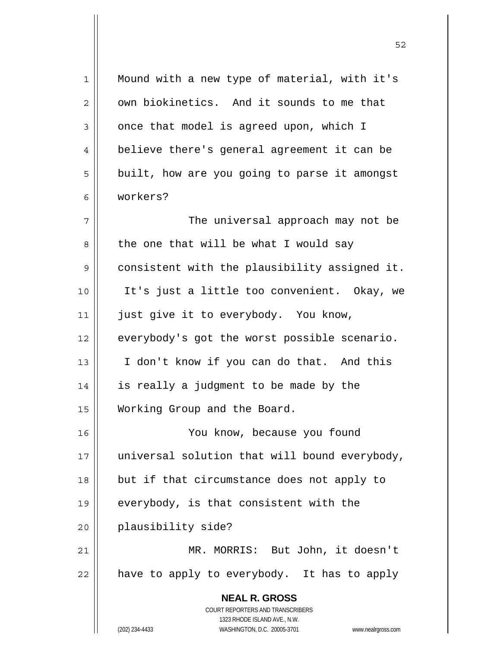**NEAL R. GROSS** COURT REPORTERS AND TRANSCRIBERS 1323 RHODE ISLAND AVE., N.W. (202) 234-4433 WASHINGTON, D.C. 20005-3701 www.nealrgross.com 1 || Mound with a new type of material, with it's  $2 \parallel$  own biokinetics. And it sounds to me that  $3 \parallel$  once that model is agreed upon, which I 4 | believe there's general agreement it can be 5 | built, how are you going to parse it amongst 6 workers? 7 The universal approach may not be  $8 \parallel$  the one that will be what I would say 9 consistent with the plausibility assigned it. 10 It's just a little too convenient. Okay, we 11 || just give it to everybody. You know, 12 | everybody's got the worst possible scenario. 13 I don't know if you can do that. And this 14 || is really a judgment to be made by the 15 Working Group and the Board. 16 You know, because you found  $17$  || universal solution that will bound everybody, 18 but if that circumstance does not apply to 19 || everybody, is that consistent with the 20 plausibility side? 21 MR. MORRIS: But John, it doesn't  $22$  || have to apply to everybody. It has to apply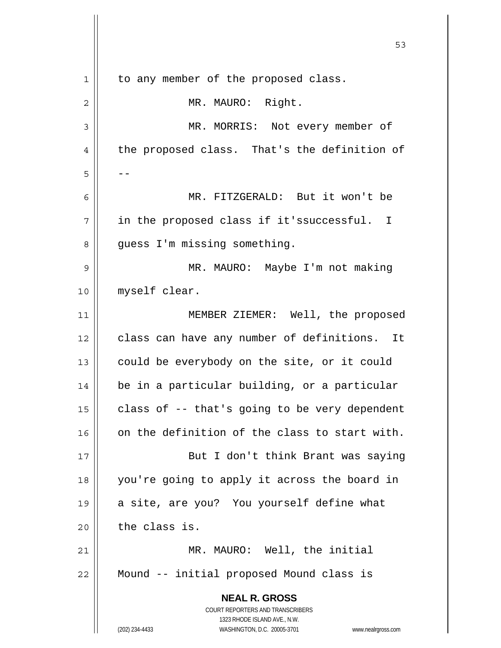**NEAL R. GROSS** COURT REPORTERS AND TRANSCRIBERS 1323 RHODE ISLAND AVE., N.W. (202) 234-4433 WASHINGTON, D.C. 20005-3701 www.nealrgross.com  $\sim$  53 1 | to any member of the proposed class. 2 || MR. MAURO: Right. 3 MR. MORRIS: Not every member of 4 the proposed class. That's the definition of  $5 \parallel - -$ 6 MR. FITZGERALD: But it won't be 7 || in the proposed class if it'ssuccessful. I 8 | guess I'm missing something. 9 MR. MAURO: Maybe I'm not making 10 myself clear. 11 || MEMBER ZIEMER: Well, the proposed 12 class can have any number of definitions. It 13  $\parallel$  could be everybody on the site, or it could 14 | be in a particular building, or a particular 15  $\vert$  class of -- that's going to be very dependent  $16$  on the definition of the class to start with. 17 || But I don't think Brant was saying 18 you're going to apply it across the board in 19 || a site, are you? You yourself define what  $20$  the class is. 21 MR. MAURO: Well, the initial 22 Mound -- initial proposed Mound class is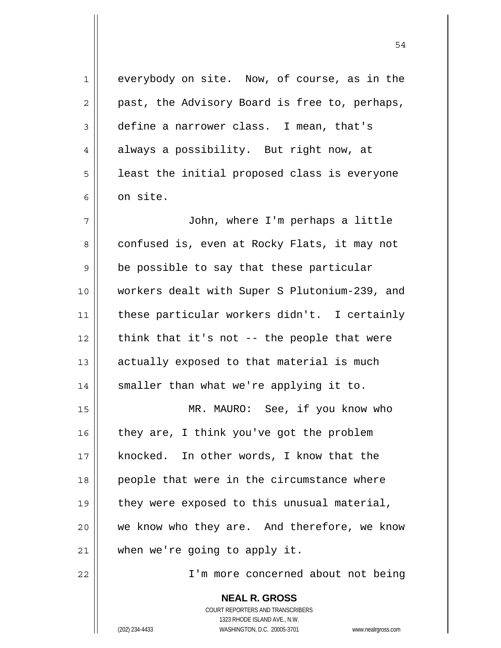1 everybody on site. Now, of course, as in the  $2 \parallel$  past, the Advisory Board is free to, perhaps, 3 define a narrower class. I mean, that's 4 always a possibility. But right now, at  $5 \parallel$  least the initial proposed class is everyone  $6 \parallel$  on site. 7 John, where I'm perhaps a little 8 confused is, even at Rocky Flats, it may not  $9 \parallel$  be possible to say that these particular 10 workers dealt with Super S Plutonium-239, and 11 these particular workers didn't. I certainly  $12$  | think that it's not -- the people that were  $13$  actually exposed to that material is much 14 || smaller than what we're applying it to. 15 || MR. MAURO: See, if you know who  $16$  they are, I think you've got the problem 17 || knocked. In other words, I know that the 18 people that were in the circumstance where  $19$  | they were exposed to this unusual material, 20 we know who they are. And therefore, we know  $21$  | when we're going to apply it. 22 I'm more concerned about not being

> **NEAL R. GROSS** COURT REPORTERS AND TRANSCRIBERS 1323 RHODE ISLAND AVE., N.W. (202) 234-4433 WASHINGTON, D.C. 20005-3701 www.nealrgross.com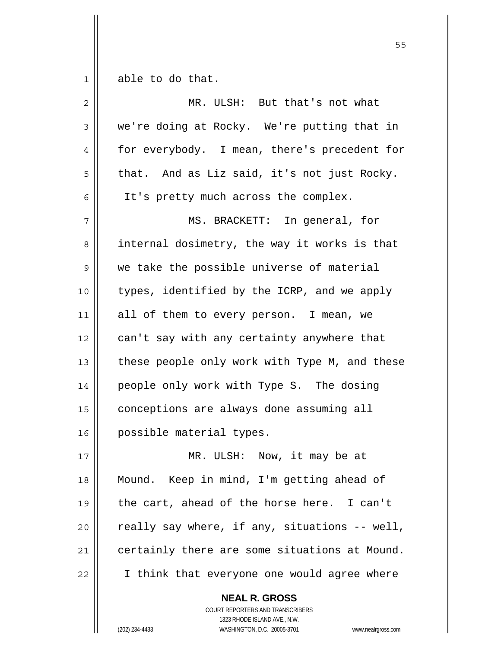$1 \parallel$  able to do that.

| $\overline{2}$ | MR. ULSH: But that's not what                 |
|----------------|-----------------------------------------------|
| 3              | we're doing at Rocky. We're putting that in   |
| 4              | for everybody. I mean, there's precedent for  |
| 5              | that. And as Liz said, it's not just Rocky.   |
| 6              | It's pretty much across the complex.          |
| 7              | MS. BRACKETT: In general, for                 |
| 8              | internal dosimetry, the way it works is that  |
| 9              | we take the possible universe of material     |
| 10             | types, identified by the ICRP, and we apply   |
| 11             | all of them to every person. I mean, we       |
| 12             | can't say with any certainty anywhere that    |
| 13             | these people only work with Type M, and these |
| 14             | people only work with Type S. The dosing      |
| 15             | conceptions are always done assuming all      |
| 16             | possible material types.                      |
| 17             | MR. ULSH: Now, it may be at                   |
| 18             | Mound. Keep in mind, I'm getting ahead of     |
| 19             | the cart, ahead of the horse here. I can't    |
| 20             | really say where, if any, situations -- well, |
| $2\,1$         | certainly there are some situations at Mound. |
| 22             | I think that everyone one would agree where   |

 **NEAL R. GROSS** COURT REPORTERS AND TRANSCRIBERS 1323 RHODE ISLAND AVE., N.W. (202) 234-4433 WASHINGTON, D.C. 20005-3701 www.nealrgross.com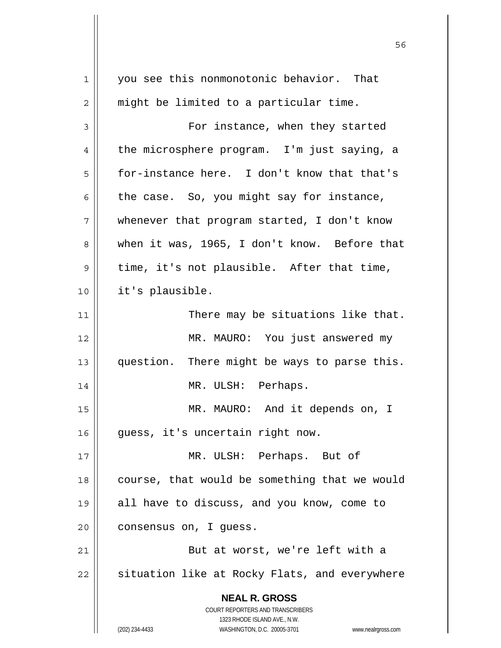| 1  | you see this nonmonotonic behavior. That                                |
|----|-------------------------------------------------------------------------|
| 2  | might be limited to a particular time.                                  |
| 3  | For instance, when they started                                         |
| 4  | the microsphere program. I'm just saying, a                             |
| 5  | for-instance here. I don't know that that's                             |
| 6  | the case. So, you might say for instance,                               |
| 7  | whenever that program started, I don't know                             |
| 8  | when it was, 1965, I don't know. Before that                            |
| 9  | time, it's not plausible. After that time,                              |
| 10 | it's plausible.                                                         |
| 11 | There may be situations like that.                                      |
| 12 | MR. MAURO: You just answered my                                         |
| 13 | question. There might be ways to parse this.                            |
| 14 | MR. ULSH: Perhaps.                                                      |
| 15 | MR. MAURO: And it depends on, I                                         |
| 16 | guess, it's uncertain right now.                                        |
| 17 | MR. ULSH: Perhaps. But of                                               |
| 18 | course, that would be something that we would                           |
| 19 | all have to discuss, and you know, come to                              |
| 20 | consensus on, I guess.                                                  |
| 21 | But at worst, we're left with a                                         |
| 22 | situation like at Rocky Flats, and everywhere                           |
|    | <b>NEAL R. GROSS</b>                                                    |
|    | <b>COURT REPORTERS AND TRANSCRIBERS</b><br>1323 RHODE ISLAND AVE., N.W. |
|    | (202) 234-4433<br>WASHINGTON, D.C. 20005-3701<br>www.nealrgross.com     |

 $\mathsf{II}$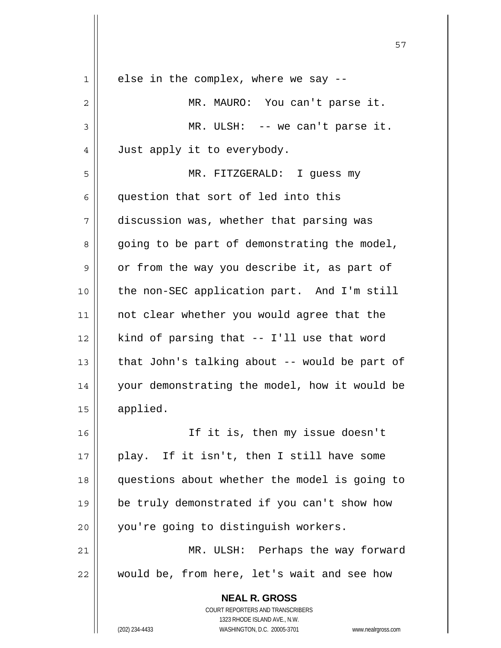| 1  | else in the complex, where we say --                                                                |
|----|-----------------------------------------------------------------------------------------------------|
| 2  | MR. MAURO: You can't parse it.                                                                      |
| 3  | MR. ULSH: -- we can't parse it.                                                                     |
| 4  | Just apply it to everybody.                                                                         |
| 5  | MR. FITZGERALD: I guess my                                                                          |
| 6  | question that sort of led into this                                                                 |
| 7  | discussion was, whether that parsing was                                                            |
| 8  | going to be part of demonstrating the model,                                                        |
| 9  | or from the way you describe it, as part of                                                         |
| 10 | the non-SEC application part. And I'm still                                                         |
| 11 | not clear whether you would agree that the                                                          |
| 12 | kind of parsing that -- I'll use that word                                                          |
| 13 | that John's talking about -- would be part of                                                       |
| 14 | your demonstrating the model, how it would be                                                       |
| 15 | applied.                                                                                            |
| 16 | If it is, then my issue doesn't                                                                     |
| 17 | play. If it isn't, then I still have some                                                           |
| 18 | questions about whether the model is going to                                                       |
| 19 | be truly demonstrated if you can't show how                                                         |
| 20 | you're going to distinguish workers.                                                                |
| 21 | MR. ULSH: Perhaps the way forward                                                                   |
| 22 | would be, from here, let's wait and see how                                                         |
|    | <b>NEAL R. GROSS</b>                                                                                |
|    | COURT REPORTERS AND TRANSCRIBERS                                                                    |
|    | 1323 RHODE ISLAND AVE., N.W.<br>(202) 234-4433<br>WASHINGTON, D.C. 20005-3701<br>www.nealrgross.com |
|    |                                                                                                     |

Ш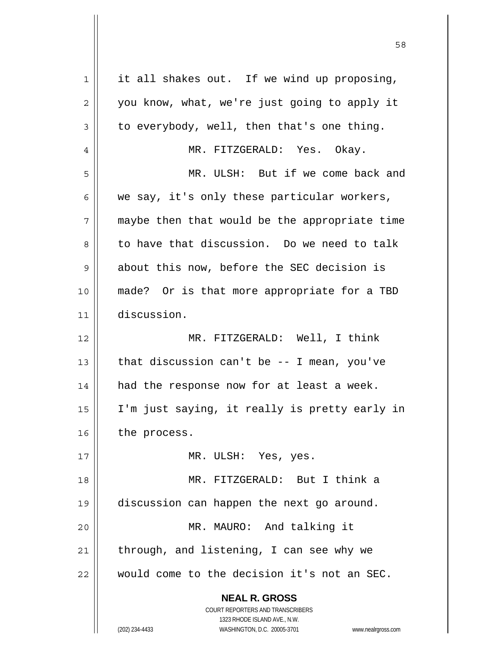| $\mathbf 1$ | it all shakes out. If we wind up proposing,                         |
|-------------|---------------------------------------------------------------------|
| $\mathbf 2$ | you know, what, we're just going to apply it                        |
| 3           | to everybody, well, then that's one thing.                          |
| 4           | MR. FITZGERALD: Yes. Okay.                                          |
| 5           | MR. ULSH: But if we come back and                                   |
| 6           | we say, it's only these particular workers,                         |
| 7           | maybe then that would be the appropriate time                       |
| 8           | to have that discussion. Do we need to talk                         |
| 9           | about this now, before the SEC decision is                          |
| 10          | made? Or is that more appropriate for a TBD                         |
| 11          | discussion.                                                         |
| 12          | MR. FITZGERALD: Well, I think                                       |
| 13          | that discussion can't be -- I mean, you've                          |
| 14          | had the response now for at least a week.                           |
| 15          | I'm just saying, it really is pretty early in                       |
| 16          | the process.                                                        |
| 17          | MR. ULSH: Yes, yes.                                                 |
| 18          | MR. FITZGERALD: But I think a                                       |
| 19          | discussion can happen the next go around.                           |
| 20          | MR. MAURO: And talking it                                           |
| 21          | through, and listening, I can see why we                            |
| 22          | would come to the decision it's not an SEC.                         |
|             | <b>NEAL R. GROSS</b>                                                |
|             | <b>COURT REPORTERS AND TRANSCRIBERS</b>                             |
|             | 1323 RHODE ISLAND AVE., N.W.                                        |
|             | (202) 234-4433<br>WASHINGTON, D.C. 20005-3701<br>www.nealrgross.com |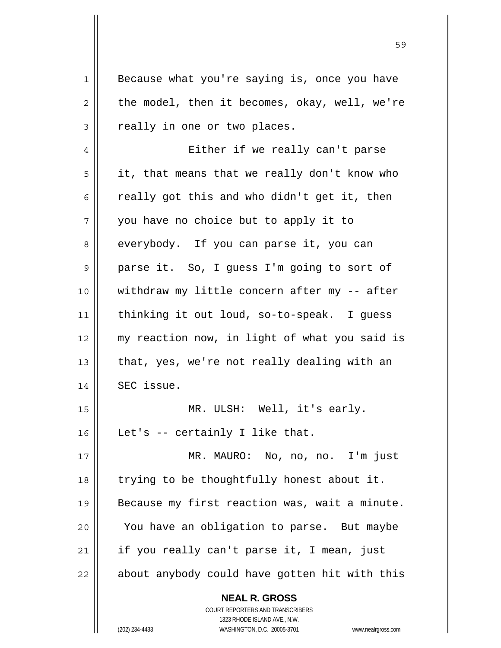**NEAL R. GROSS** 1 || Because what you're saying is, once you have  $2 \parallel$  the model, then it becomes, okay, well, we're  $3 \parallel$  really in one or two places. 4 Either if we really can't parse  $5 \parallel$  it, that means that we really don't know who  $6 \parallel$  really got this and who didn't get it, then  $7 \parallel$  you have no choice but to apply it to 8 everybody. If you can parse it, you can 9 || parse it. So, I guess I'm going to sort of 10 withdraw my little concern after my -- after 11 thinking it out loud, so-to-speak. I guess 12 my reaction now, in light of what you said is 13  $\parallel$  that, yes, we're not really dealing with an 14 | SEC issue. 15 MR. ULSH: Well, it's early. 16 Let's -- certainly I like that. 17 MR. MAURO: No, no, no. I'm just 18 || trying to be thoughtfully honest about it. 19 | Because my first reaction was, wait a minute. 20 You have an obligation to parse. But maybe  $21$  | if you really can't parse it, I mean, just 22 || about anybody could have gotten hit with this

59

 COURT REPORTERS AND TRANSCRIBERS 1323 RHODE ISLAND AVE., N.W. (202) 234-4433 WASHINGTON, D.C. 20005-3701 www.nealrgross.com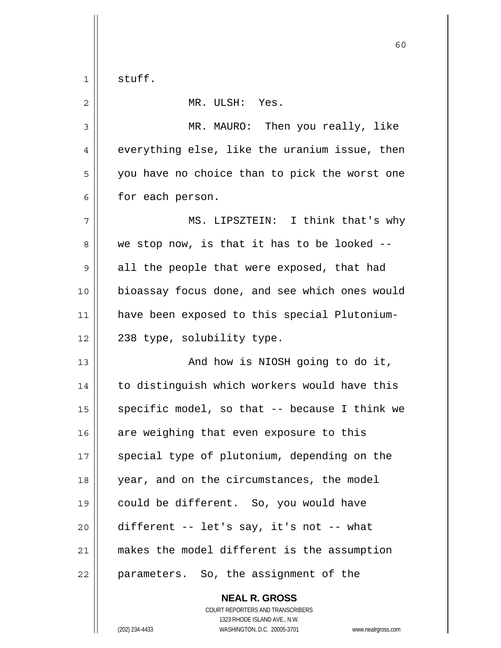$1 \parallel$  stuff.

| $\overline{2}$ | MR. ULSH: Yes.                                |
|----------------|-----------------------------------------------|
| 3              | MR. MAURO: Then you really, like              |
| 4              | everything else, like the uranium issue, then |
| 5              | you have no choice than to pick the worst one |
| 6              | for each person.                              |
| 7              | MS. LIPSZTEIN: I think that's why             |
| 8              | we stop now, is that it has to be looked --   |
| 9              | all the people that were exposed, that had    |
| 10             | bioassay focus done, and see which ones would |
| 11             | have been exposed to this special Plutonium-  |
| 12             | 238 type, solubility type.                    |
| 13             | And how is NIOSH going to do it,              |
| 14             | to distinguish which workers would have this  |
| 15             | specific model, so that -- because I think we |
| 16             | are weighing that even exposure to this       |
| 17             | special type of plutonium, depending on the   |
| 18             | year, and on the circumstances, the model     |
| 19             | could be different. So, you would have        |
| 20             | different -- let's say, it's not -- what      |
| 21             | makes the model different is the assumption   |
| 22             | parameters. So, the assignment of the         |

 **NEAL R. GROSS** COURT REPORTERS AND TRANSCRIBERS 1323 RHODE ISLAND AVE., N.W. (202) 234-4433 WASHINGTON, D.C. 20005-3701 www.nealrgross.com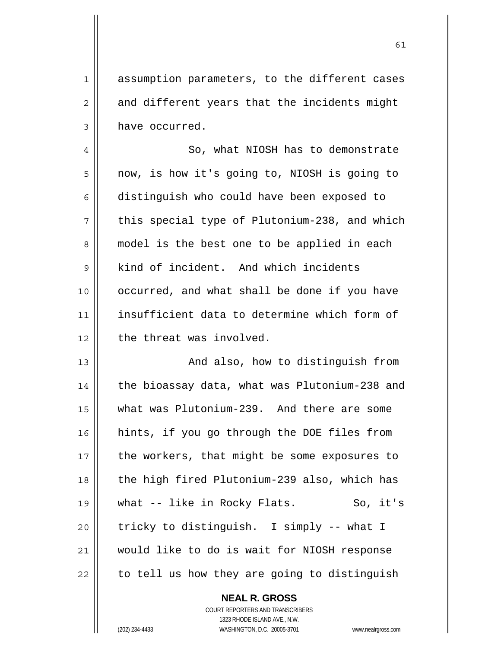1 || assumption parameters, to the different cases  $2 \parallel$  and different years that the incidents might  $3 \parallel$  have occurred.

4 | So, what NIOSH has to demonstrate 5 | now, is how it's going to, NIOSH is going to 6 distinguish who could have been exposed to  $7 \parallel$  this special type of Plutonium-238, and which 8 || model is the best one to be applied in each 9 | kind of incident. And which incidents 10 || occurred, and what shall be done if you have 11 insufficient data to determine which form of 12 || the threat was involved.

13 || And also, how to distinguish from 14 | the bioassay data, what was Plutonium-238 and 15 what was Plutonium-239. And there are some 16 hints, if you go through the DOE files from  $17$  | the workers, that might be some exposures to 18 || the high fired Plutonium-239 also, which has 19 || what -- like in Rocky Flats. So, it's 20  $\parallel$  tricky to distinguish. I simply -- what I 21 would like to do is wait for NIOSH response  $22$  | to tell us how they are going to distinguish

> **NEAL R. GROSS** COURT REPORTERS AND TRANSCRIBERS 1323 RHODE ISLAND AVE., N.W. (202) 234-4433 WASHINGTON, D.C. 20005-3701 www.nealrgross.com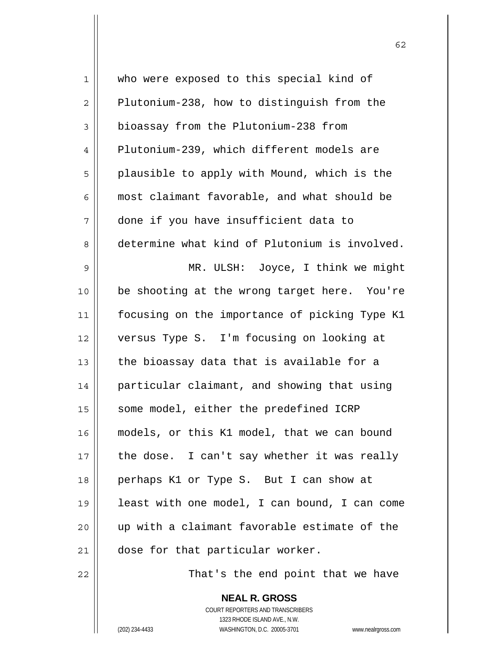| 1  | who were exposed to this special kind of      |
|----|-----------------------------------------------|
| 2  | Plutonium-238, how to distinguish from the    |
| 3  | bioassay from the Plutonium-238 from          |
| 4  | Plutonium-239, which different models are     |
| 5  | plausible to apply with Mound, which is the   |
| 6  | most claimant favorable, and what should be   |
| 7  | done if you have insufficient data to         |
| 8  | determine what kind of Plutonium is involved. |
| 9  | MR. ULSH: Joyce, I think we might             |
| 10 | be shooting at the wrong target here. You're  |
| 11 | focusing on the importance of picking Type K1 |
| 12 | versus Type S. I'm focusing on looking at     |
| 13 | the bioassay data that is available for a     |
| 14 | particular claimant, and showing that using   |
| 15 | some model, either the predefined ICRP        |
| 16 | models, or this K1 model, that we can bound   |
| 17 | the dose. I can't say whether it was really   |
| 18 | perhaps K1 or Type S. But I can show at       |
| 19 | least with one model, I can bound, I can come |
| 20 | up with a claimant favorable estimate of the  |
| 21 | dose for that particular worker.              |
|    |                                               |

 $\parallel$  That's the end point that we have

 **NEAL R. GROSS** COURT REPORTERS AND TRANSCRIBERS 1323 RHODE ISLAND AVE., N.W. (202) 234-4433 WASHINGTON, D.C. 20005-3701 www.nealrgross.com

 $\mathsf{I}$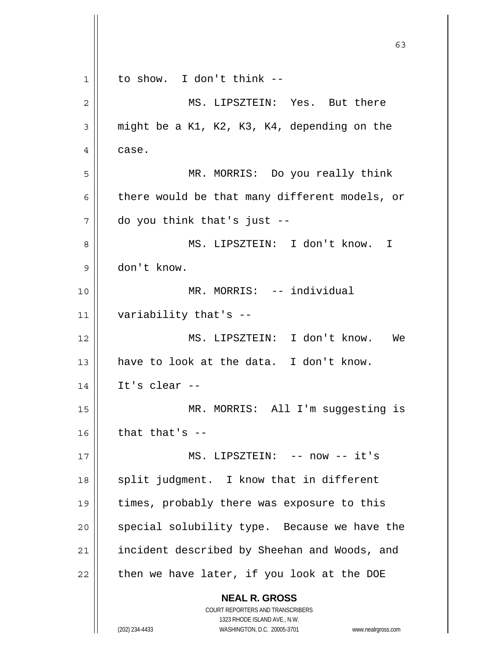|              | 63                                                                  |
|--------------|---------------------------------------------------------------------|
| $\mathbf{1}$ | to show. I don't think --                                           |
| 2            | MS. LIPSZTEIN: Yes. But there                                       |
| 3            | might be a K1, K2, K3, K4, depending on the                         |
| 4            | case.                                                               |
| 5            | MR. MORRIS: Do you really think                                     |
| 6            | there would be that many different models, or                       |
| 7            | do you think that's just --                                         |
| 8            | MS. LIPSZTEIN: I don't know. I                                      |
| 9            | don't know.                                                         |
| 10           | MR. MORRIS: -- individual                                           |
| 11           | variability that's --                                               |
| 12           | MS. LIPSZTEIN: I don't know.<br>We                                  |
| 13           | have to look at the data. I don't know.                             |
| 14           | It's clear $-$                                                      |
| 15           | MR. MORRIS: All I'm suggesting is                                   |
| 16           | that that's $-$                                                     |
| 17           | MS. LIPSZTEIN: -- now -- it's                                       |
| 18           | split judgment. I know that in different                            |
| 19           | times, probably there was exposure to this                          |
| 20           | special solubility type. Because we have the                        |
| 21           | incident described by Sheehan and Woods, and                        |
| 22           | then we have later, if you look at the DOE                          |
|              | <b>NEAL R. GROSS</b>                                                |
|              | COURT REPORTERS AND TRANSCRIBERS<br>1323 RHODE ISLAND AVE., N.W.    |
|              | (202) 234-4433<br>WASHINGTON, D.C. 20005-3701<br>www.nealrgross.com |

 $\mathsf{I}$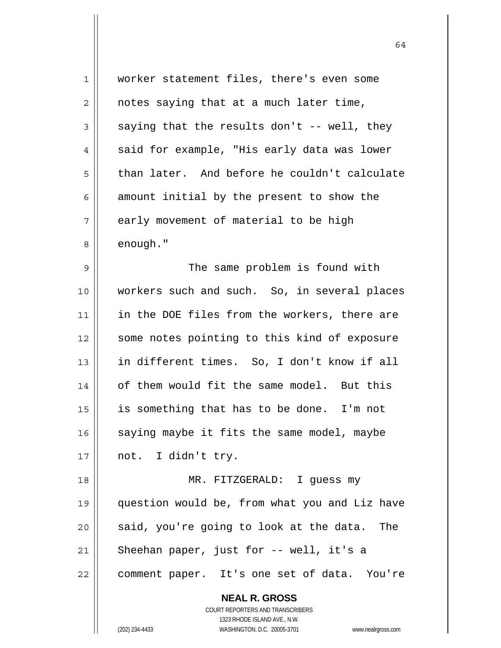| 1              | worker statement files, there's even some                           |
|----------------|---------------------------------------------------------------------|
| $\overline{2}$ | notes saying that at a much later time,                             |
| 3              | saying that the results don't -- well, they                         |
| 4              | said for example, "His early data was lower                         |
| 5              | than later. And before he couldn't calculate                        |
| 6              | amount initial by the present to show the                           |
| 7              | early movement of material to be high                               |
| 8              | enough."                                                            |
| 9              | The same problem is found with                                      |
| 10             | workers such and such. So, in several places                        |
| 11             | in the DOE files from the workers, there are                        |
| 12             | some notes pointing to this kind of exposure                        |
| 13             | in different times. So, I don't know if all                         |
| 14             | of them would fit the same model. But this                          |
| 15             | is something that has to be done. I'm not                           |
| 16             | saying maybe it fits the same model, maybe                          |
| 17             | not. I didn't try.                                                  |
| 18             | MR. FITZGERALD: I guess my                                          |
| 19             | question would be, from what you and Liz have                       |
| 20             | said, you're going to look at the data.<br>The                      |
| 21             | Sheehan paper, just for -- well, it's a                             |
| 22             | comment paper. It's one set of data. You're                         |
|                | <b>NEAL R. GROSS</b>                                                |
|                | <b>COURT REPORTERS AND TRANSCRIBERS</b>                             |
|                | 1323 RHODE ISLAND AVE., N.W.                                        |
|                | WASHINGTON, D.C. 20005-3701<br>(202) 234-4433<br>www.nealrgross.com |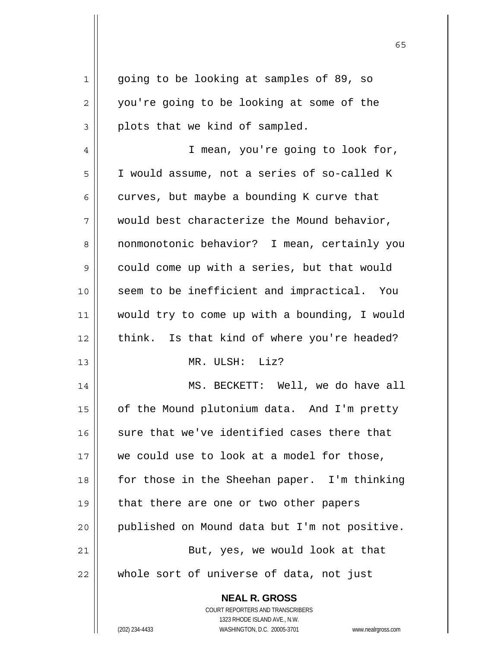| $\mathbf 1$    | going to be looking at samples of 89, so      |
|----------------|-----------------------------------------------|
| $\overline{2}$ | you're going to be looking at some of the     |
| 3              | plots that we kind of sampled.                |
| $\overline{4}$ | I mean, you're going to look for,             |
| 5              | I would assume, not a series of so-called K   |
| 6              | curves, but maybe a bounding K curve that     |
| 7              | would best characterize the Mound behavior,   |
| 8              | nonmonotonic behavior? I mean, certainly you  |
| 9              | could come up with a series, but that would   |
| 10             | seem to be inefficient and impractical. You   |
| 11             | would try to come up with a bounding, I would |
| 12             | think. Is that kind of where you're headed?   |
| 13             | MR. ULSH: Liz?                                |
|                |                                               |
| 14             | MS. BECKETT: Well, we do have all             |
| 15             | of the Mound plutonium data. And I'm pretty   |
| 16             | sure that we've identified cases there that   |
| 17             | we could use to look at a model for those,    |
| 18             | for those in the Sheehan paper. I'm thinking  |
| 19             | that there are one or two other papers        |
| 20             | published on Mound data but I'm not positive. |
| 21             | But, yes, we would look at that               |
| 22             | whole sort of universe of data, not just      |
|                | <b>NEAL R. GROSS</b>                          |
|                | COURT REPORTERS AND TRANSCRIBERS              |
|                | 1323 RHODE ISLAND AVE., N.W.                  |
|                |                                               |

 $\sim$  65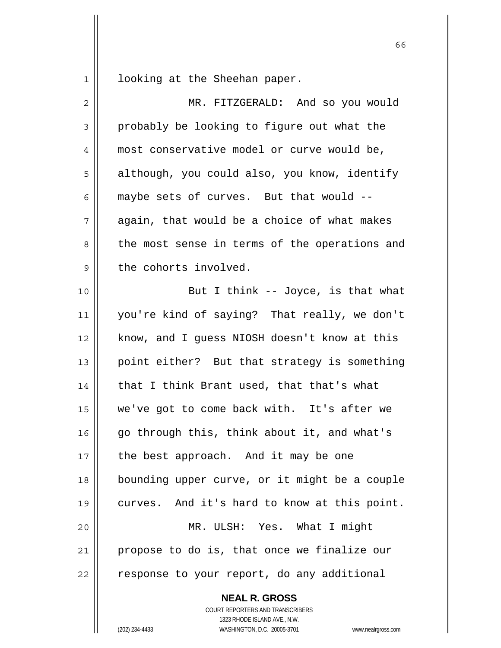$1 \parallel$  looking at the Sheehan paper.

| $\overline{c}$ | MR. FITZGERALD: And so you would              |
|----------------|-----------------------------------------------|
| 3              | probably be looking to figure out what the    |
| 4              | most conservative model or curve would be,    |
| 5              | although, you could also, you know, identify  |
| 6              | maybe sets of curves. But that would --       |
| 7              | again, that would be a choice of what makes   |
| 8              | the most sense in terms of the operations and |
| $\mathsf 9$    | the cohorts involved.                         |
| 10             | But I think -- Joyce, is that what            |
| 11             | you're kind of saying? That really, we don't  |
| 12             | know, and I guess NIOSH doesn't know at this  |
| 13             | point either? But that strategy is something  |
| 14             | that I think Brant used, that that's what     |
| 15             | we've got to come back with. It's after we    |
| 16             | go through this, think about it, and what's   |
| 17             | the best approach. And it may be one          |
| 18             | bounding upper curve, or it might be a couple |
| 19             | curves. And it's hard to know at this point.  |
| 20             | MR. ULSH: Yes. What I might                   |
| 21             | propose to do is, that once we finalize our   |
| 22             | response to your report, do any additional    |
|                | <b>NEAL R. GROSS</b>                          |

 COURT REPORTERS AND TRANSCRIBERS 1323 RHODE ISLAND AVE., N.W.

(202) 234-4433 WASHINGTON, D.C. 20005-3701 www.nealrgross.com

 $\sim$  66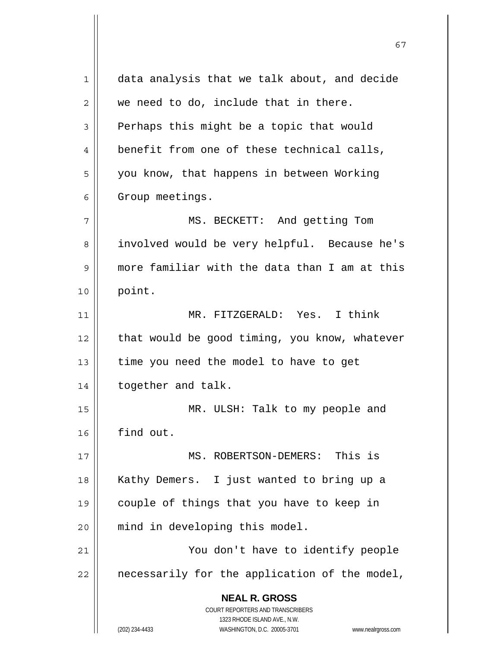**NEAL R. GROSS** COURT REPORTERS AND TRANSCRIBERS 1323 RHODE ISLAND AVE., N.W. (202) 234-4433 WASHINGTON, D.C. 20005-3701 www.nealrgross.com 1 data analysis that we talk about, and decide  $2 \parallel$  we need to do, include that in there.  $3 \parallel$  Perhaps this might be a topic that would 4 || benefit from one of these technical calls, 5 | you know, that happens in between Working 6 | Group meetings. 7 MS. BECKETT: And getting Tom 8 || involved would be very helpful. Because he's 9 more familiar with the data than I am at this 10 point. 11 MR. FITZGERALD: Yes. I think  $12$  | that would be good timing, you know, whatever  $13$  | time you need the model to have to get 14 | together and talk. 15 MR. ULSH: Talk to my people and 16 find out. 17 MS. ROBERTSON-DEMERS: This is 18 || Kathy Demers. I just wanted to bring up a 19 couple of things that you have to keep in 20 || mind in developing this model. 21 || You don't have to identify people  $22$  | necessarily for the application of the model,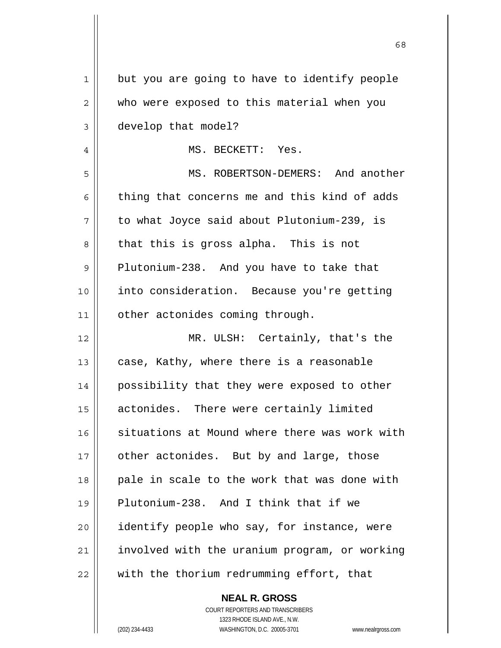| 1        | but you are going to have to identify people  |
|----------|-----------------------------------------------|
| 2        | who were exposed to this material when you    |
| 3        | develop that model?                           |
| 4        | MS. BECKETT: Yes.                             |
| 5        | MS. ROBERTSON-DEMERS: And another             |
| 6        | thing that concerns me and this kind of adds  |
| 7        | to what Joyce said about Plutonium-239, is    |
| 8        | that this is gross alpha. This is not         |
| 9        | Plutonium-238. And you have to take that      |
| 10       | into consideration. Because you're getting    |
| 11       | other actonides coming through.               |
| 12       | MR. ULSH: Certainly, that's the               |
| 13       | case, Kathy, where there is a reasonable      |
| 14       | possibility that they were exposed to other   |
| 15       | actonides. There were certainly limited       |
| 16       | situations at Mound where there was work with |
| 17       | other actonides. But by and large, those      |
| 18       | pale in scale to the work that was done with  |
| 19       | Plutonium-238. And I think that if we         |
|          |                                               |
|          | identify people who say, for instance, were   |
| 20<br>21 | involved with the uranium program, or working |

 $\sim$  68

 COURT REPORTERS AND TRANSCRIBERS 1323 RHODE ISLAND AVE., N.W. (202) 234-4433 WASHINGTON, D.C. 20005-3701 www.nealrgross.com

 **NEAL R. GROSS**

 $\mathbf{I}$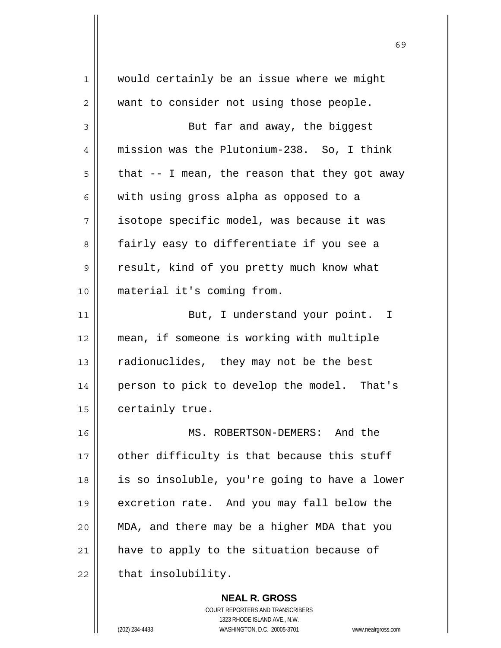1 Would certainly be an issue where we might 2 || want to consider not using those people.  $3 \parallel$  But far and away, the biggest 4 mission was the Plutonium-238. So, I think  $5 \parallel$  that -- I mean, the reason that they got away  $6 \parallel$  with using gross alpha as opposed to a 7 isotope specific model, was because it was 8 || fairly easy to differentiate if you see a 9 || result, kind of you pretty much know what 10 material it's coming from. 11 || But, I understand your point. I 12 mean, if someone is working with multiple 13 | radionuclides, they may not be the best 14 | person to pick to develop the model. That's 15 | certainly true. 16 || MS. ROBERTSON-DEMERS: And the  $17$  || other difficulty is that because this stuff 18 || is so insoluble, you're going to have a lower 19 excretion rate. And you may fall below the 20 MDA, and there may be a higher MDA that you 21 | have to apply to the situation because of  $22$   $\parallel$  that insolubility.

 $\sim$  69

 COURT REPORTERS AND TRANSCRIBERS 1323 RHODE ISLAND AVE., N.W. (202) 234-4433 WASHINGTON, D.C. 20005-3701 www.nealrgross.com

 **NEAL R. GROSS**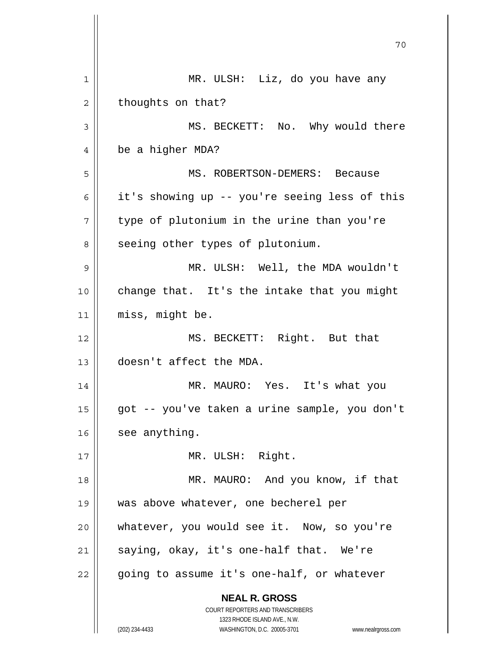|    | 70                                                                                                  |
|----|-----------------------------------------------------------------------------------------------------|
| 1  | MR. ULSH: Liz, do you have any                                                                      |
| 2  | thoughts on that?                                                                                   |
| 3  | MS. BECKETT: No. Why would there                                                                    |
| 4  | be a higher MDA?                                                                                    |
| 5  | MS. ROBERTSON-DEMERS: Because                                                                       |
| 6  | it's showing up -- you're seeing less of this                                                       |
| 7  | type of plutonium in the urine than you're                                                          |
| 8  | seeing other types of plutonium.                                                                    |
| 9  | MR. ULSH: Well, the MDA wouldn't                                                                    |
| 10 | change that. It's the intake that you might                                                         |
| 11 | miss, might be.                                                                                     |
| 12 | MS. BECKETT: Right. But that                                                                        |
| 13 | doesn't affect the MDA.                                                                             |
| 14 | MR. MAURO: Yes. It's what you                                                                       |
| 15 | got -- you've taken a urine sample, you don't                                                       |
| 16 | see anything.                                                                                       |
| 17 | MR. ULSH: Right.                                                                                    |
| 18 | MR. MAURO: And you know, if that                                                                    |
| 19 | was above whatever, one becherel per                                                                |
| 20 | whatever, you would see it. Now, so you're                                                          |
| 21 | saying, okay, it's one-half that. We're                                                             |
| 22 | going to assume it's one-half, or whatever                                                          |
|    | <b>NEAL R. GROSS</b><br>COURT REPORTERS AND TRANSCRIBERS                                            |
|    | 1323 RHODE ISLAND AVE., N.W.<br>(202) 234-4433<br>WASHINGTON, D.C. 20005-3701<br>www.nealrgross.com |

 $\mathsf{I}$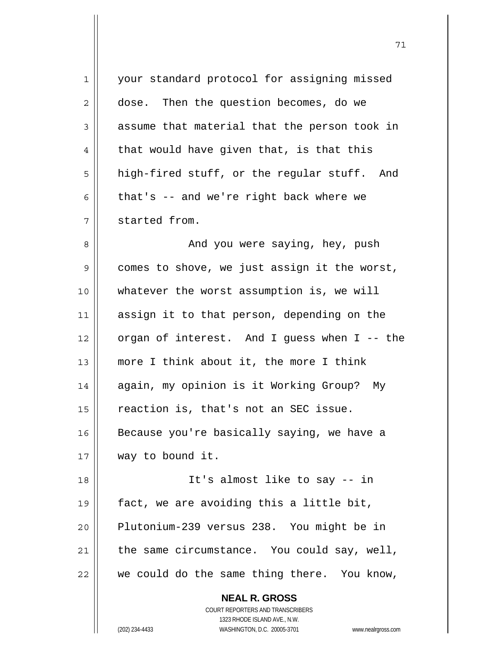| 1  | your standard protocol for assigning missed                         |
|----|---------------------------------------------------------------------|
| 2  | dose. Then the question becomes, do we                              |
| 3  | assume that material that the person took in                        |
| 4  | that would have given that, is that this                            |
| 5  | high-fired stuff, or the regular stuff. And                         |
| 6  | that's -- and we're right back where we                             |
| 7  | started from.                                                       |
| 8  | And you were saying, hey, push                                      |
| 9  | comes to shove, we just assign it the worst,                        |
| 10 | whatever the worst assumption is, we will                           |
| 11 | assign it to that person, depending on the                          |
| 12 | organ of interest. And I guess when I -- the                        |
| 13 | more I think about it, the more I think                             |
| 14 | again, my opinion is it Working Group? My                           |
| 15 | reaction is, that's not an SEC issue.                               |
| 16 | Because you're basically saying, we have a                          |
| 17 | way to bound it.                                                    |
| 18 | It's almost like to say -- in                                       |
| 19 | fact, we are avoiding this a little bit,                            |
| 20 | Plutonium-239 versus 238. You might be in                           |
| 21 | the same circumstance. You could say, well,                         |
| 22 | we could do the same thing there. You know,                         |
|    | <b>NEAL R. GROSS</b>                                                |
|    | COURT REPORTERS AND TRANSCRIBERS                                    |
|    | 1323 RHODE ISLAND AVE., N.W.                                        |
|    | (202) 234-4433<br>WASHINGTON, D.C. 20005-3701<br>www.nealrgross.com |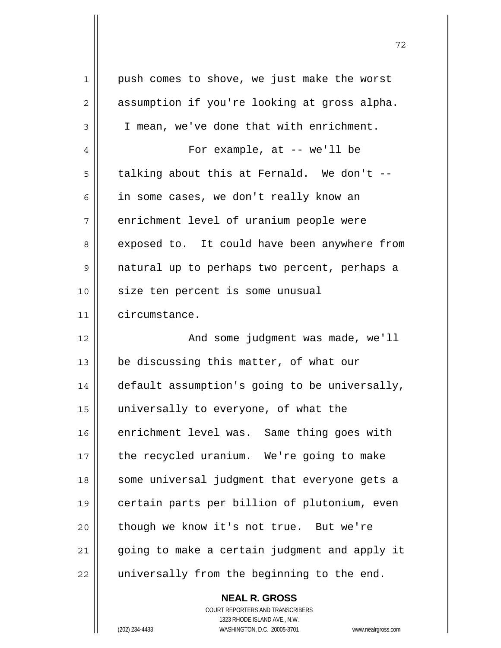| 1  | push comes to shove, we just make the worst   |
|----|-----------------------------------------------|
| 2  | assumption if you're looking at gross alpha.  |
| 3  | I mean, we've done that with enrichment.      |
| 4  | For example, at $-$ we'll be                  |
| 5  | talking about this at Fernald. We don't --    |
| 6  | in some cases, we don't really know an        |
| 7  | enrichment level of uranium people were       |
| 8  | exposed to. It could have been anywhere from  |
| 9  | natural up to perhaps two percent, perhaps a  |
| 10 | size ten percent is some unusual              |
| 11 | circumstance.                                 |
| 12 | And some judgment was made, we'll             |
| 13 | be discussing this matter, of what our        |
| 14 | default assumption's going to be universally, |
| 15 | universally to everyone, of what the          |
| 16 | enrichment level was. Same thing goes with    |
| 17 | the recycled uranium. We're going to make     |
| 18 | some universal judgment that everyone gets a  |
| 19 | certain parts per billion of plutonium, even  |
| 20 | though we know it's not true. But we're       |
| 21 | going to make a certain judgment and apply it |
|    |                                               |

 **NEAL R. GROSS** COURT REPORTERS AND TRANSCRIBERS 1323 RHODE ISLAND AVE., N.W.

 $\mathbf{I}$ 

(202) 234-4433 WASHINGTON, D.C. 20005-3701 www.nealrgross.com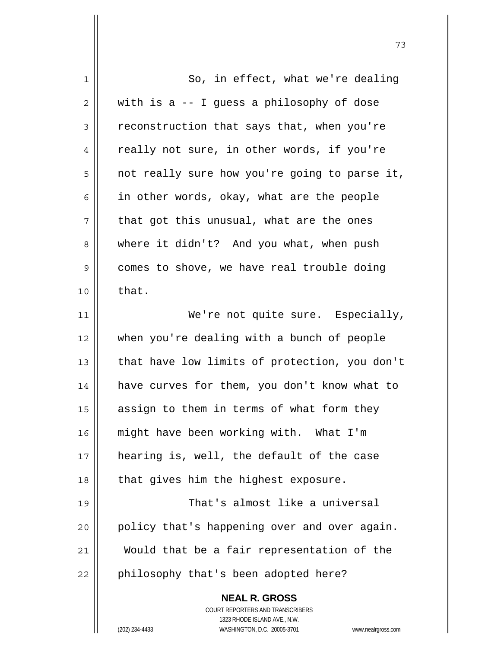| 1            | So, in effect, what we're dealing                                   |
|--------------|---------------------------------------------------------------------|
| $\mathbf{2}$ | with is a -- I guess a philosophy of dose                           |
| 3            | reconstruction that says that, when you're                          |
| 4            | really not sure, in other words, if you're                          |
| 5            | not really sure how you're going to parse it,                       |
| 6            | in other words, okay, what are the people                           |
| 7            | that got this unusual, what are the ones                            |
| 8            | where it didn't? And you what, when push                            |
| 9            | comes to shove, we have real trouble doing                          |
| 10           | that.                                                               |
| 11           | We're not quite sure. Especially,                                   |
| 12           | when you're dealing with a bunch of people                          |
| 13           | that have low limits of protection, you don't                       |
| 14           | have curves for them, you don't know what to                        |
| 15           | assign to them in terms of what form they                           |
| 16           | might have been working with. What I'm                              |
| 17           | hearing is, well, the default of the case                           |
| 18           | that gives him the highest exposure.                                |
| 19           | That's almost like a universal                                      |
| 20           | policy that's happening over and over again.                        |
| 21           | Would that be a fair representation of the                          |
| 22           | philosophy that's been adopted here?                                |
|              | <b>NEAL R. GROSS</b>                                                |
|              | COURT REPORTERS AND TRANSCRIBERS                                    |
|              | 1323 RHODE ISLAND AVE., N.W.                                        |
|              | (202) 234-4433<br>WASHINGTON, D.C. 20005-3701<br>www.nealrgross.com |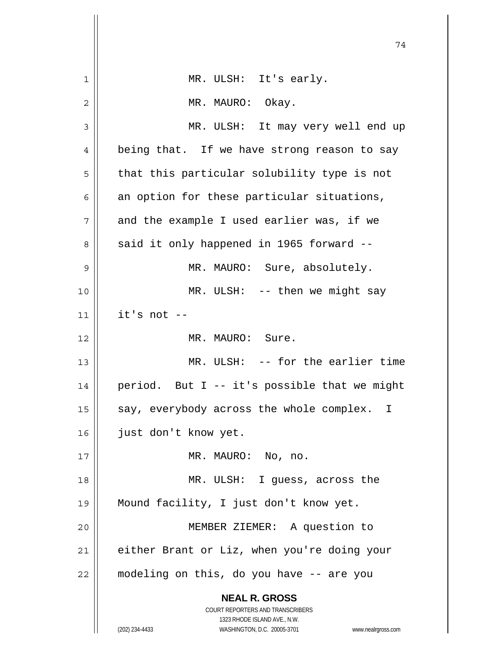|    | 74                                                                                                                                      |
|----|-----------------------------------------------------------------------------------------------------------------------------------------|
| 1  | MR. ULSH: It's early.                                                                                                                   |
| 2  | MR. MAURO: Okay.                                                                                                                        |
| 3  | MR. ULSH: It may very well end up                                                                                                       |
| 4  | being that. If we have strong reason to say                                                                                             |
| 5  | that this particular solubility type is not                                                                                             |
| 6  | an option for these particular situations,                                                                                              |
| 7  | and the example I used earlier was, if we                                                                                               |
| 8  | said it only happened in 1965 forward --                                                                                                |
| 9  | MR. MAURO: Sure, absolutely.                                                                                                            |
| 10 | $MR. ULSH: -- then we might say$                                                                                                        |
| 11 | it's not --                                                                                                                             |
| 12 | MR. MAURO: Sure.                                                                                                                        |
| 13 | MR. ULSH: -- for the earlier time                                                                                                       |
| 14 | period. But I -- it's possible that we might                                                                                            |
| 15 | say, everybody across the whole complex. I                                                                                              |
| 16 | just don't know yet.                                                                                                                    |
| 17 | MR. MAURO: No, no.                                                                                                                      |
| 18 | MR. ULSH: I guess, across the                                                                                                           |
| 19 | Mound facility, I just don't know yet.                                                                                                  |
| 20 | MEMBER ZIEMER: A question to                                                                                                            |
| 21 | either Brant or Liz, when you're doing your                                                                                             |
| 22 | modeling on this, do you have -- are you                                                                                                |
|    | <b>NEAL R. GROSS</b>                                                                                                                    |
|    | COURT REPORTERS AND TRANSCRIBERS<br>1323 RHODE ISLAND AVE., N.W.<br>(202) 234-4433<br>WASHINGTON, D.C. 20005-3701<br>www.nealrgross.com |

 $\parallel$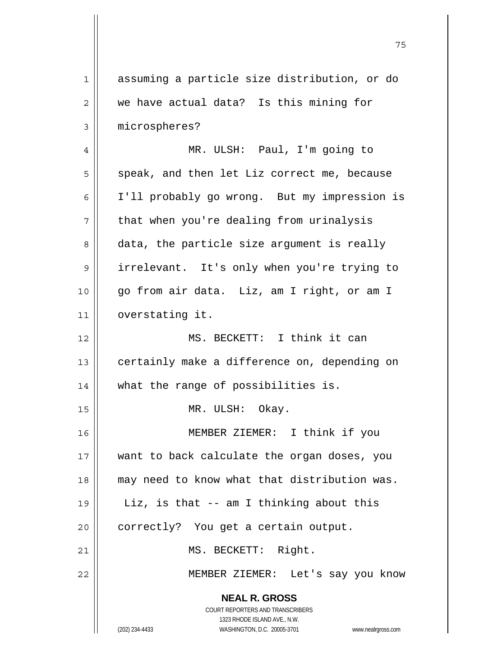**NEAL R. GROSS** COURT REPORTERS AND TRANSCRIBERS 1323 RHODE ISLAND AVE., N.W. (202) 234-4433 WASHINGTON, D.C. 20005-3701 www.nealrgross.com 1 assuming a particle size distribution, or do 2 we have actual data? Is this mining for 3 | microspheres? 4 MR. ULSH: Paul, I'm going to  $5 \parallel$  speak, and then let Liz correct me, because 6 I'll probably go wrong. But my impression is  $7$  | that when you're dealing from urinalysis 8 data, the particle size argument is really 9 || irrelevant. It's only when you're trying to 10 go from air data. Liz, am I right, or am I 11 overstating it. 12 MS. BECKETT: I think it can 13 | certainly make a difference on, depending on 14 what the range of possibilities is. 15 || MR. ULSH: Okay. 16 MEMBER ZIEMER: I think if you 17 want to back calculate the organ doses, you 18 || may need to know what that distribution was. 19 Liz, is that -- am I thinking about this  $20$  | correctly? You get a certain output. 21 || MS. BECKETT: Right. 22 MEMBER ZIEMER: Let's say you know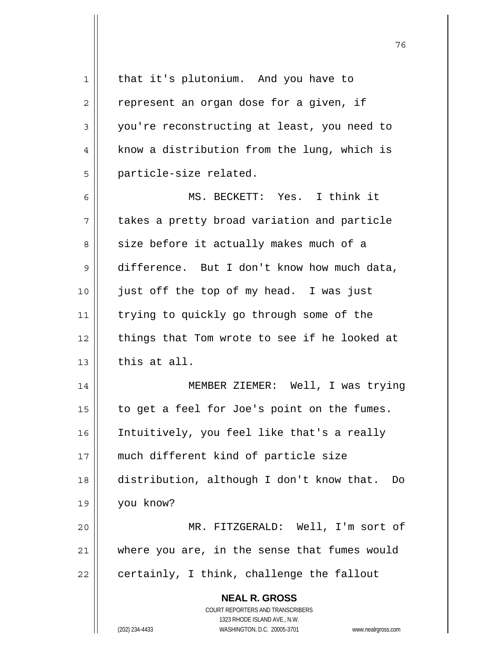| $\mathbf 1$    | that it's plutonium. And you have to                                |
|----------------|---------------------------------------------------------------------|
| $\overline{2}$ | represent an organ dose for a given, if                             |
| 3              | you're reconstructing at least, you need to                         |
| 4              | know a distribution from the lung, which is                         |
| 5              | particle-size related.                                              |
| 6              | MS. BECKETT: Yes. I think it                                        |
| 7              | takes a pretty broad variation and particle                         |
| 8              | size before it actually makes much of a                             |
| 9              | difference. But I don't know how much data,                         |
| 10             | just off the top of my head. I was just                             |
| 11             | trying to quickly go through some of the                            |
| 12             | things that Tom wrote to see if he looked at                        |
| 13             | this at all.                                                        |
| 14             | MEMBER ZIEMER: Well, I was trying                                   |
| 15             | to get a feel for Joe's point on the fumes.                         |
| 16             | Intuitively, you feel like that's a really                          |
| 17             | much different kind of particle size                                |
| 18             | distribution, although I don't know that. Do                        |
| 19             | you know?                                                           |
| 20             | MR. FITZGERALD: Well, I'm sort of                                   |
| 21             | where you are, in the sense that fumes would                        |
| 22             | certainly, I think, challenge the fallout                           |
|                | <b>NEAL R. GROSS</b>                                                |
|                | COURT REPORTERS AND TRANSCRIBERS                                    |
|                | 1323 RHODE ISLAND AVE., N.W.                                        |
|                | (202) 234-4433<br>WASHINGTON, D.C. 20005-3701<br>www.nealrgross.com |

и процесс в политическиот производство в село в 1968 године. В 1968 године при представление при предлагает пр<br>В 1968 године представляет представляет представительно представительно представительно представительно предст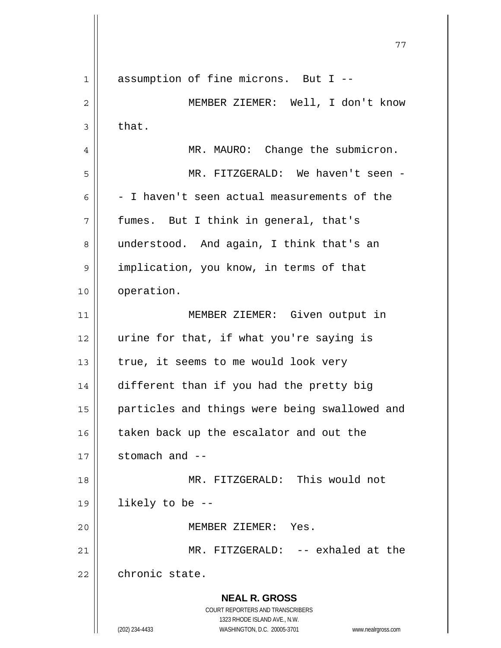**NEAL R. GROSS** COURT REPORTERS AND TRANSCRIBERS 1323 RHODE ISLAND AVE., N.W. (202) 234-4433 WASHINGTON, D.C. 20005-3701 www.nealrgross.com 77 1 assumption of fine microns. But I --2 MEMBER ZIEMER: Well, I don't know  $3 \parallel$  that. 4 | MR. MAURO: Change the submicron. 5 MR. FITZGERALD: We haven't seen -  $6 \parallel -I$  haven't seen actual measurements of the  $7 \parallel$  fumes. But I think in general, that's 8 || understood. And again, I think that's an 9 | implication, you know, in terms of that 10 | operation. 11 MEMBER ZIEMER: Given output in 12 || urine for that, if what you're saying is 13  $\parallel$  true, it seems to me would look very 14 different than if you had the pretty big 15 || particles and things were being swallowed and 16 taken back up the escalator and out the  $17$   $\parallel$  stomach and  $-$ 18 MR. FITZGERALD: This would not  $19 \parallel$  likely to be --20 MEMBER ZIEMER: Yes. 21 MR. FITZGERALD: -- exhaled at the 22 chronic state.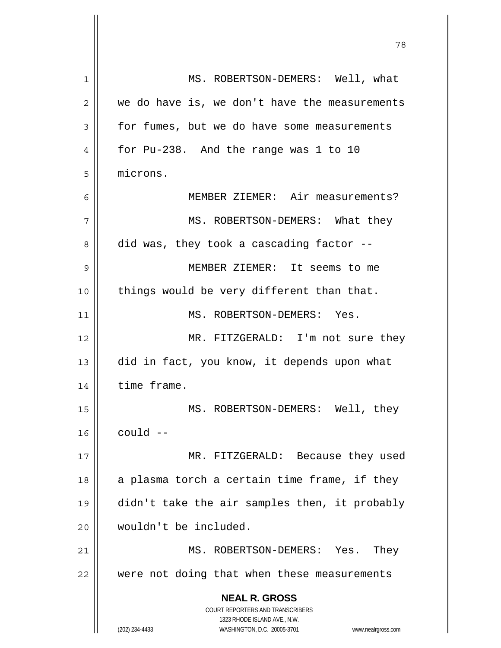| 1  | MS. ROBERTSON-DEMERS: Well, what                                    |
|----|---------------------------------------------------------------------|
| 2  | we do have is, we don't have the measurements                       |
| 3  | for fumes, but we do have some measurements                         |
| 4  | for Pu-238. And the range was 1 to 10                               |
| 5  | microns.                                                            |
| 6  | MEMBER ZIEMER: Air measurements?                                    |
| 7  | MS. ROBERTSON-DEMERS: What they                                     |
| 8  | did was, they took a cascading factor --                            |
| 9  | MEMBER ZIEMER: It seems to me                                       |
| 10 | things would be very different than that.                           |
| 11 | MS. ROBERTSON-DEMERS: Yes.                                          |
| 12 | MR. FITZGERALD: I'm not sure they                                   |
| 13 | did in fact, you know, it depends upon what                         |
| 14 | time frame.                                                         |
| 15 | MS. ROBERTSON-DEMERS: Well, they                                    |
| 16 | $could$ --                                                          |
| 17 | MR. FITZGERALD: Because they used                                   |
| 18 | a plasma torch a certain time frame, if they                        |
| 19 | didn't take the air samples then, it probably                       |
| 20 | wouldn't be included.                                               |
| 21 | MS. ROBERTSON-DEMERS: Yes. They                                     |
| 22 | were not doing that when these measurements                         |
|    | <b>NEAL R. GROSS</b>                                                |
|    | COURT REPORTERS AND TRANSCRIBERS                                    |
|    | 1323 RHODE ISLAND AVE., N.W.                                        |
|    | (202) 234-4433<br>WASHINGTON, D.C. 20005-3701<br>www.nealrgross.com |

 $\mathbf{I}$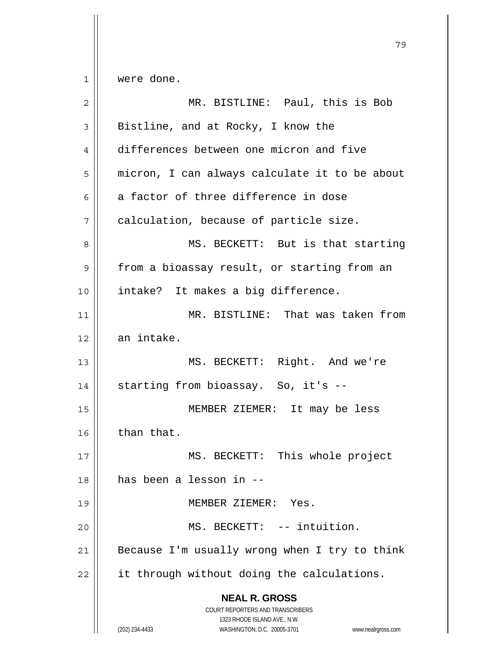$1 \parallel$  were done.

| $\overline{2}$ | MR. BISTLINE: Paul, this is Bob                                                                                                                                 |
|----------------|-----------------------------------------------------------------------------------------------------------------------------------------------------------------|
| 3              | Bistline, and at Rocky, I know the                                                                                                                              |
| 4              | differences between one micron and five                                                                                                                         |
| 5              | micron, I can always calculate it to be about                                                                                                                   |
| 6              | a factor of three difference in dose                                                                                                                            |
| 7              | calculation, because of particle size.                                                                                                                          |
| 8              | MS. BECKETT: But is that starting                                                                                                                               |
| 9              | from a bioassay result, or starting from an                                                                                                                     |
| 10             | intake? It makes a big difference.                                                                                                                              |
| 11             | MR. BISTLINE: That was taken from                                                                                                                               |
| 12             | an intake.                                                                                                                                                      |
| 13             | MS. BECKETT: Right. And we're                                                                                                                                   |
| 14             | starting from bioassay. So, it's --                                                                                                                             |
| 15             | MEMBER ZIEMER: It may be less                                                                                                                                   |
| 16             | than that.                                                                                                                                                      |
| 17             | BECKETT: This whole project<br>MS.                                                                                                                              |
| 18             | has been a lesson in --                                                                                                                                         |
| 19             | MEMBER ZIEMER: Yes.                                                                                                                                             |
| 20             | MS. BECKETT: -- intuition.                                                                                                                                      |
| 21             | Because I'm usually wrong when I try to think                                                                                                                   |
| 22             | it through without doing the calculations.                                                                                                                      |
|                | <b>NEAL R. GROSS</b><br>COURT REPORTERS AND TRANSCRIBERS<br>1323 RHODE ISLAND AVE., N.W.<br>WASHINGTON, D.C. 20005-3701<br>(202) 234-4433<br>www.nealrgross.com |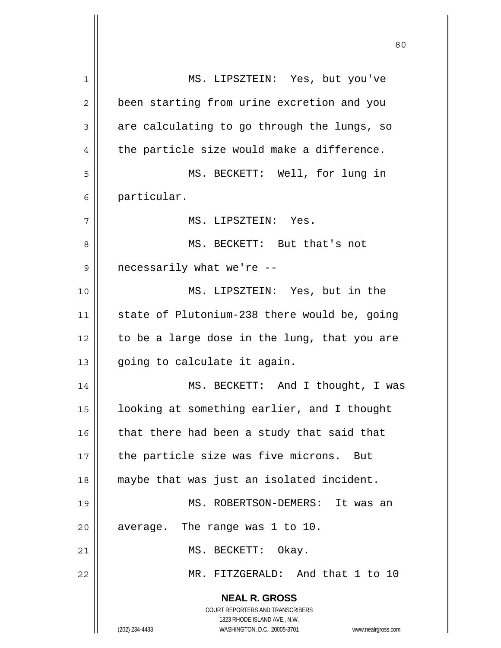**NEAL R. GROSS** COURT REPORTERS AND TRANSCRIBERS 1323 RHODE ISLAND AVE., N.W. (202) 234-4433 WASHINGTON, D.C. 20005-3701 www.nealrgross.com 1 MS. LIPSZTEIN: Yes, but you've 2 | been starting from urine excretion and you  $3 \parallel$  are calculating to go through the lungs, so  $4 \parallel$  the particle size would make a difference. 5 MS. BECKETT: Well, for lung in 6 particular. 7 MS. LIPSZTEIN: Yes. 8 || MS. BECKETT: But that's not 9 || necessarily what we're --10 MS. LIPSZTEIN: Yes, but in the 11 state of Plutonium-238 there would be, going  $12$  | to be a large dose in the lung, that you are  $13$  | going to calculate it again. 14 || MS. BECKETT: And I thought, I was 15 looking at something earlier, and I thought  $16$  | that there had been a study that said that  $17$  | the particle size was five microns. But 18 maybe that was just an isolated incident. 19 MS. ROBERTSON-DEMERS: It was an  $20$  | average. The range was 1 to 10. 21 || MS. BECKETT: Okay. 22 || MR. FITZGERALD: And that 1 to 10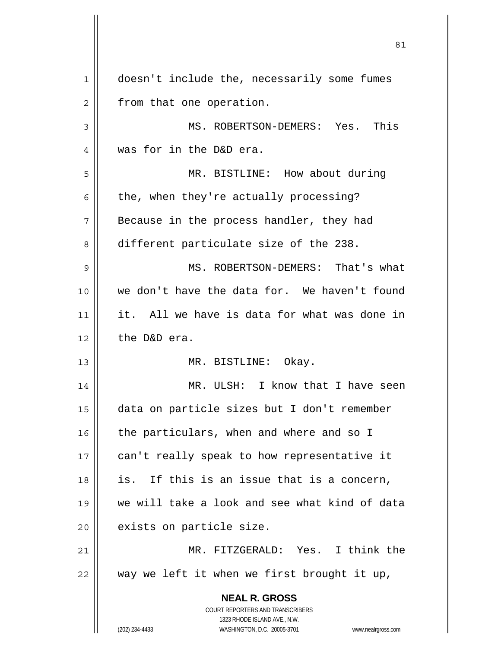| $\mathbf 1$  | doesn't include the, necessarily some fumes                          |
|--------------|----------------------------------------------------------------------|
| $\mathbf{2}$ | from that one operation.                                             |
| 3            | MS. ROBERTSON-DEMERS: Yes. This                                      |
| 4            | was for in the D&D era.                                              |
| 5            | MR. BISTLINE: How about during                                       |
| 6            | the, when they're actually processing?                               |
| 7            | Because in the process handler, they had                             |
| 8            | different particulate size of the 238.                               |
| 9            | MS. ROBERTSON-DEMERS: That's what                                    |
| 10           | we don't have the data for. We haven't found                         |
| 11           | it. All we have is data for what was done in                         |
| 12           | the D&D era.                                                         |
| 13           | MR. BISTLINE: Okay.                                                  |
| 14           | MR. ULSH: I know that I have seen                                    |
| 15           | data on particle sizes but I don't remember                          |
| 16           | the particulars, when and where and so I                             |
| 17           | can't really speak to how representative it                          |
| 18           | If this is an issue that is a concern,<br>is.                        |
| 19           | we will take a look and see what kind of data                        |
| 20           | exists on particle size.                                             |
| 21           | MR. FITZGERALD: Yes. I think the                                     |
| 22           | way we left it when we first brought it up,                          |
|              | <b>NEAL R. GROSS</b>                                                 |
|              | <b>COURT REPORTERS AND TRANSCRIBERS</b>                              |
|              | WASHINGTON, D.C. 20005-3701                                          |
|              | 1323 RHODE ISLAND AVE., N.W.<br>(202) 234-4433<br>www.nealrgross.com |

 $\mathbf{\mathsf{I}}$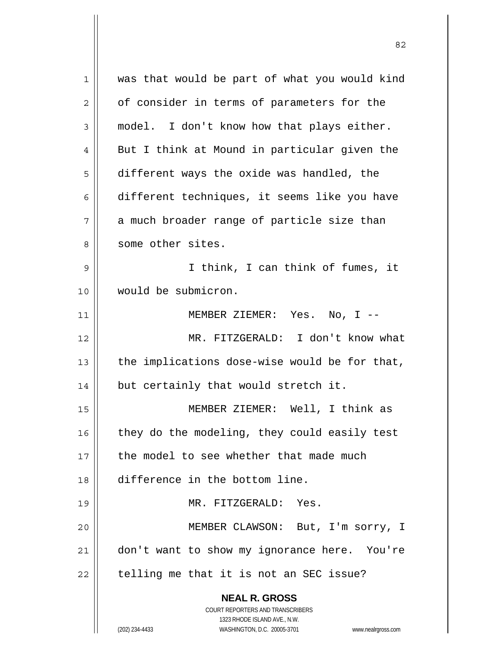| 1  | was that would be part of what you would kind                       |
|----|---------------------------------------------------------------------|
| 2  | of consider in terms of parameters for the                          |
| 3  | model. I don't know how that plays either.                          |
| 4  | But I think at Mound in particular given the                        |
| 5  | different ways the oxide was handled, the                           |
| 6  | different techniques, it seems like you have                        |
| 7  | a much broader range of particle size than                          |
| 8  | some other sites.                                                   |
| 9  | I think, I can think of fumes, it                                   |
| 10 | would be submicron.                                                 |
| 11 | MEMBER ZIEMER: Yes. No, I --                                        |
| 12 | MR. FITZGERALD: I don't know what                                   |
| 13 | the implications dose-wise would be for that,                       |
| 14 | but certainly that would stretch it.                                |
| 15 | MEMBER ZIEMER: Well, I think as                                     |
| 16 | they do the modeling, they could easily test                        |
| 17 | the model to see whether that made much                             |
| 18 | difference in the bottom line.                                      |
| 19 | MR. FITZGERALD: Yes.                                                |
| 20 | MEMBER CLAWSON: But, I'm sorry, I                                   |
| 21 | don't want to show my ignorance here. You're                        |
| 22 | telling me that it is not an SEC issue?                             |
|    | <b>NEAL R. GROSS</b>                                                |
|    | COURT REPORTERS AND TRANSCRIBERS                                    |
|    | 1323 RHODE ISLAND AVE., N.W.                                        |
|    | (202) 234-4433<br>WASHINGTON, D.C. 20005-3701<br>www.nealrgross.com |

<u>82</u>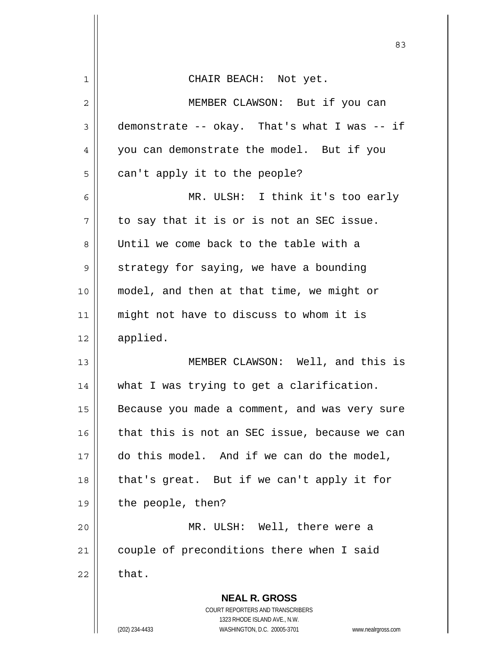|                | 83                                                                                                  |
|----------------|-----------------------------------------------------------------------------------------------------|
| $\mathbf 1$    | CHAIR BEACH: Not yet.                                                                               |
| $\overline{c}$ | MEMBER CLAWSON: But if you can                                                                      |
| 3              | demonstrate -- okay. That's what I was -- if                                                        |
| 4              | you can demonstrate the model. But if you                                                           |
| 5              | can't apply it to the people?                                                                       |
| 6              | MR. ULSH: I think it's too early                                                                    |
| 7              | to say that it is or is not an SEC issue.                                                           |
| 8              | Until we come back to the table with a                                                              |
| 9              | strategy for saying, we have a bounding                                                             |
| 10             | model, and then at that time, we might or                                                           |
| 11             | might not have to discuss to whom it is                                                             |
| 12             | applied.                                                                                            |
| 13             | MEMBER CLAWSON: Well, and this is                                                                   |
| 14             | what I was trying to get a clarification.                                                           |
| 15             | Because you made a comment, and was very sure                                                       |
| 16             | that this is not an SEC issue, because we can                                                       |
| 17             | do this model. And if we can do the model,                                                          |
| 18             | that's great. But if we can't apply it for                                                          |
| 19             | the people, then?                                                                                   |
| 20             | MR. ULSH: Well, there were a                                                                        |
| 21             | couple of preconditions there when I said                                                           |
| 22             | that.                                                                                               |
|                | <b>NEAL R. GROSS</b><br>COURT REPORTERS AND TRANSCRIBERS                                            |
|                | 1323 RHODE ISLAND AVE., N.W.<br>(202) 234-4433<br>WASHINGTON, D.C. 20005-3701<br>www.nealrgross.com |

 $\mathsf{I}$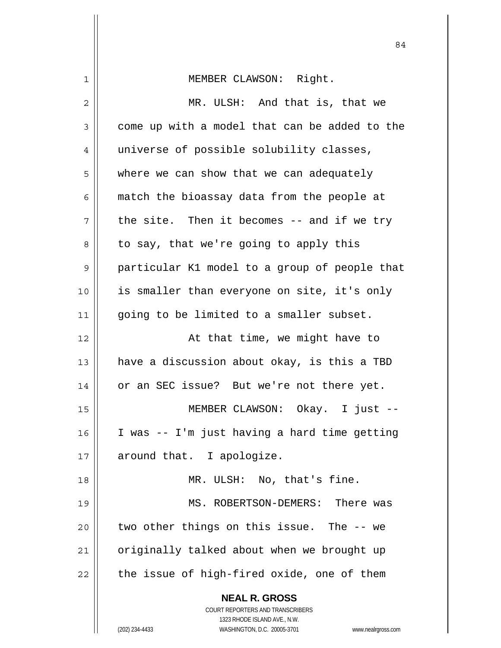| $\mathbf 1$    | MEMBER CLAWSON: Right.                                              |
|----------------|---------------------------------------------------------------------|
| 2              | MR. ULSH: And that is, that we                                      |
| $\mathfrak{Z}$ | come up with a model that can be added to the                       |
| 4              | universe of possible solubility classes,                            |
| 5              | where we can show that we can adequately                            |
| 6              | match the bioassay data from the people at                          |
| 7              | the site. Then it becomes -- and if we try                          |
| 8              | to say, that we're going to apply this                              |
| $\mathsf 9$    | particular K1 model to a group of people that                       |
| 10             | is smaller than everyone on site, it's only                         |
| 11             | going to be limited to a smaller subset.                            |
| 12             | At that time, we might have to                                      |
| 13             | have a discussion about okay, is this a TBD                         |
| 14             | or an SEC issue? But we're not there yet.                           |
| 15             | MEMBER CLAWSON: Okay. I just --                                     |
| 16             | I was -- I'm just having a hard time getting                        |
| 17             | around that. I apologize.                                           |
| 18             | MR. ULSH: No, that's fine.                                          |
| 19             | MS. ROBERTSON-DEMERS: There was                                     |
| 20             | two other things on this issue. The -- we                           |
| 21             | originally talked about when we brought up                          |
| 22             | the issue of high-fired oxide, one of them                          |
|                | <b>NEAL R. GROSS</b>                                                |
|                | COURT REPORTERS AND TRANSCRIBERS                                    |
|                | 1323 RHODE ISLAND AVE., N.W.                                        |
|                | (202) 234-4433<br>WASHINGTON, D.C. 20005-3701<br>www.nealrgross.com |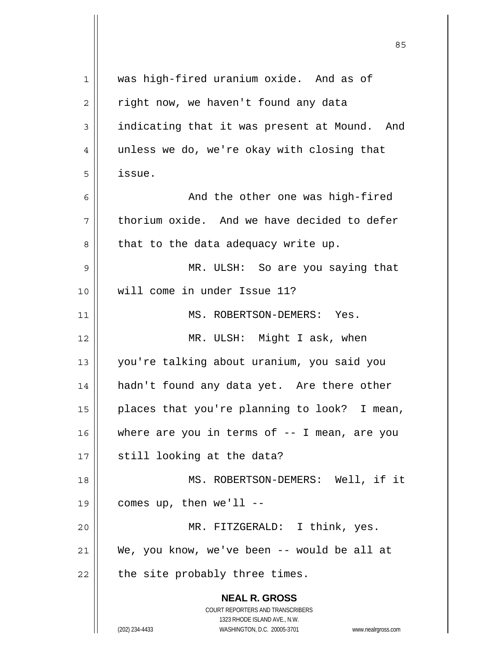| 1  | was high-fired uranium oxide. And as of                             |
|----|---------------------------------------------------------------------|
| 2  | right now, we haven't found any data                                |
| 3  | indicating that it was present at Mound. And                        |
| 4  | unless we do, we're okay with closing that                          |
| 5  | issue.                                                              |
| 6  | And the other one was high-fired                                    |
| 7  | thorium oxide. And we have decided to defer                         |
| 8  | that to the data adequacy write up.                                 |
| 9  | MR. ULSH: So are you saying that                                    |
| 10 | will come in under Issue 11?                                        |
| 11 | MS. ROBERTSON-DEMERS: Yes.                                          |
| 12 | MR. ULSH: Might I ask, when                                         |
| 13 | you're talking about uranium, you said you                          |
| 14 | hadn't found any data yet. Are there other                          |
| 15 | places that you're planning to look? I mean,                        |
| 16 | where are you in terms of $-$ - I mean, are you                     |
| 17 | still looking at the data?                                          |
| 18 | MS. ROBERTSON-DEMERS: Well, if it                                   |
| 19 | comes up, then $we'll$ --                                           |
| 20 | MR. FITZGERALD: I think, yes.                                       |
| 21 | We, you know, we've been -- would be all at                         |
| 22 | the site probably three times.                                      |
|    |                                                                     |
|    | <b>NEAL R. GROSS</b>                                                |
|    | COURT REPORTERS AND TRANSCRIBERS<br>1323 RHODE ISLAND AVE., N.W.    |
|    | (202) 234-4433<br>WASHINGTON, D.C. 20005-3701<br>www.nealrgross.com |

 $\overline{\mathsf{I}}$ 

 $\mathop{\text{||}}$ 

<u>85 and 2001 and 2001 and 2001 and 2001 and 2001 and 2001 and 2001 and 2001 and 2001 and 2001 and 2001 and 200</u>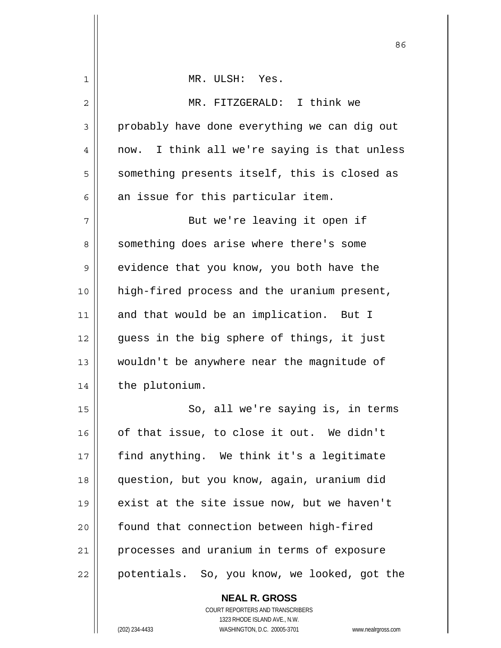| 1  | MR. ULSH: Yes.                                  |
|----|-------------------------------------------------|
| 2  | MR. FITZGERALD: I think we                      |
| 3  | probably have done everything we can dig out    |
| 4  | I think all we're saying is that unless<br>now. |
| 5  | something presents itself, this is closed as    |
| 6  | an issue for this particular item.              |
| 7  | But we're leaving it open if                    |
| 8  | something does arise where there's some         |
| 9  | evidence that you know, you both have the       |
| 10 | high-fired process and the uranium present,     |
| 11 | and that would be an implication. But I         |
| 12 | guess in the big sphere of things, it just      |
| 13 | wouldn't be anywhere near the magnitude of      |
| 14 | the plutonium.                                  |
| 15 | So, all we're saying is, in terms               |
| 16 | of that issue, to close it out. We didn't       |
| 17 | find anything. We think it's a legitimate       |
| 18 | question, but you know, again, uranium did      |
| 19 | exist at the site issue now, but we haven't     |
| 20 | found that connection between high-fired        |
| 21 | processes and uranium in terms of exposure      |
| 22 | potentials. So, you know, we looked, got the    |
|    | <b>NEAL R. GROSS</b>                            |

<u>86 and 2001 and 2002 and 2003 and 2003 and 2003 and 2003 and 2003 and 2003 and 2003 and 2003 and 2003 and 200</u>

 $\mathsf{II}$ 

 1323 RHODE ISLAND AVE., N.W. (202) 234-4433 WASHINGTON, D.C. 20005-3701 www.nealrgross.com

COURT REPORTERS AND TRANSCRIBERS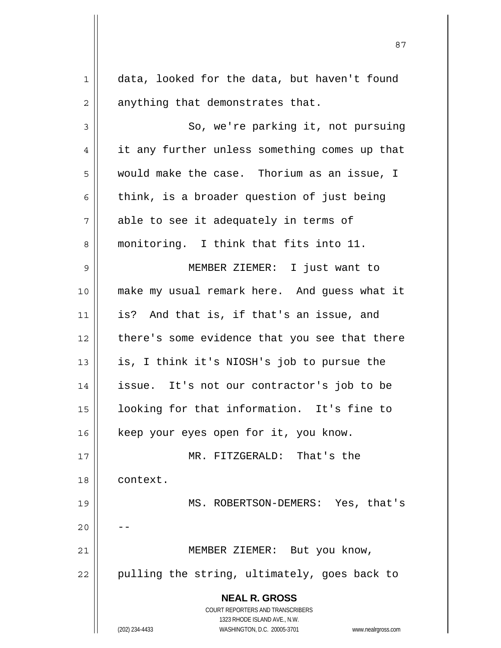| $\mathbf 1$    | data, looked for the data, but haven't found                        |
|----------------|---------------------------------------------------------------------|
| $\overline{c}$ | anything that demonstrates that.                                    |
| 3              | So, we're parking it, not pursuing                                  |
| 4              | it any further unless something comes up that                       |
| 5              | would make the case. Thorium as an issue, I                         |
| 6              | think, is a broader question of just being                          |
| 7              | able to see it adequately in terms of                               |
| 8              | monitoring. I think that fits into 11.                              |
| $\mathsf 9$    | MEMBER ZIEMER: I just want to                                       |
| 10             | make my usual remark here. And guess what it                        |
| 11             | is? And that is, if that's an issue, and                            |
| 12             | there's some evidence that you see that there                       |
| 13             | is, I think it's NIOSH's job to pursue the                          |
| 14             | issue. It's not our contractor's job to be                          |
| 15             | looking for that information. It's fine to                          |
| 16             | keep your eyes open for it, you know.                               |
| 17             | MR. FITZGERALD: That's the                                          |
| 18             | context.                                                            |
| 19             | MS. ROBERTSON-DEMERS: Yes, that's                                   |
| 20             |                                                                     |
| 21             | MEMBER ZIEMER: But you know,                                        |
| 22             | pulling the string, ultimately, goes back to                        |
|                |                                                                     |
|                | <b>NEAL R. GROSS</b><br><b>COURT REPORTERS AND TRANSCRIBERS</b>     |
|                | 1323 RHODE ISLAND AVE., N.W.                                        |
|                | (202) 234-4433<br>WASHINGTON, D.C. 20005-3701<br>www.nealrgross.com |

<u>87 and 2014 and 2014 and 2014 and 2014 and 2014 and 2014 and 2014 and 2014 and 2014 and 2014 and 2014 and 201</u>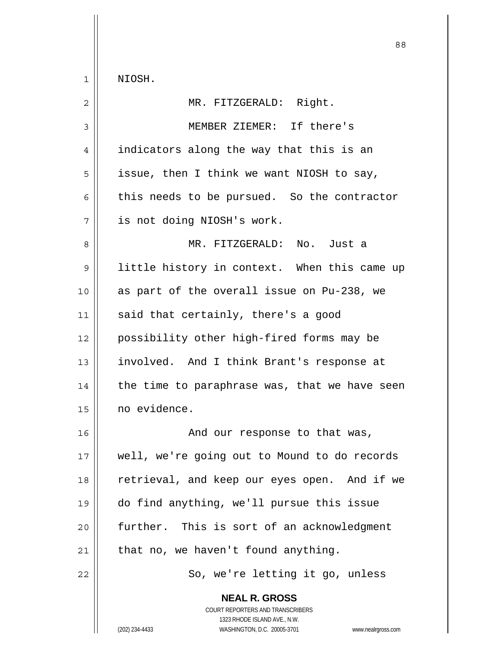**NEAL R. GROSS** 88 1 NIOSH. 2 || MR. FITZGERALD: Right. 3 MEMBER ZIEMER: If there's 4 | indicators along the way that this is an  $5 \parallel$  issue, then I think we want NIOSH to say, 6 this needs to be pursued. So the contractor 7 is not doing NIOSH's work. 8 MR. FITZGERALD: No. Just a 9 || little history in context. When this came up  $10$  as part of the overall issue on Pu-238, we  $11$  said that certainly, there's a good 12 possibility other high-fired forms may be 13 involved. And I think Brant's response at  $14$  | the time to paraphrase was, that we have seen 15 no evidence. 16 || And our response to that was, 17 || well, we're going out to Mound to do records 18 || retrieval, and keep our eyes open. And if we 19 do find anything, we'll pursue this issue  $20$  || further. This is sort of an acknowledgment  $21$  | that no, we haven't found anything. 22 || So, we're letting it go, unless

> COURT REPORTERS AND TRANSCRIBERS 1323 RHODE ISLAND AVE., N.W.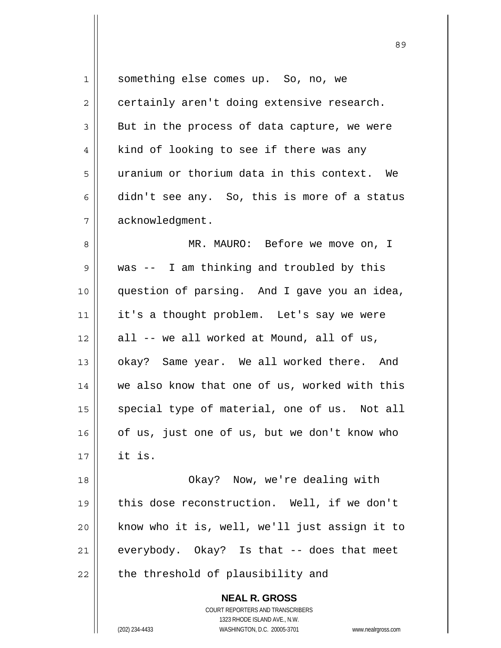| 1              | something else comes up. So, no, we                                 |
|----------------|---------------------------------------------------------------------|
| $\overline{2}$ | certainly aren't doing extensive research.                          |
| 3              | But in the process of data capture, we were                         |
| 4              | kind of looking to see if there was any                             |
| 5              | uranium or thorium data in this context. We                         |
| 6              | didn't see any. So, this is more of a status                        |
| 7              | acknowledgment.                                                     |
| 8              | MR. MAURO: Before we move on, I                                     |
| 9              | was -- I am thinking and troubled by this                           |
| 10             | question of parsing. And I gave you an idea,                        |
| 11             | it's a thought problem. Let's say we were                           |
| 12             | all -- we all worked at Mound, all of us,                           |
| 13             | okay? Same year. We all worked there. And                           |
| 14             | we also know that one of us, worked with this                       |
| 15             | special type of material, one of us. Not all                        |
| 16             | of us, just one of us, but we don't know who                        |
| 17             | it is.                                                              |
| 18             | Okay? Now, we're dealing with                                       |
| 19             | this dose reconstruction. Well, if we don't                         |
| 20             | know who it is, well, we'll just assign it to                       |
| 21             | everybody. Okay? Is that -- does that meet                          |
| 22             | the threshold of plausibility and                                   |
|                | <b>NEAL R. GROSS</b>                                                |
|                | <b>COURT REPORTERS AND TRANSCRIBERS</b>                             |
|                | 1323 RHODE ISLAND AVE., N.W.                                        |
|                | (202) 234-4433<br>WASHINGTON, D.C. 20005-3701<br>www.nealrgross.com |
|                |                                                                     |

 $\mathsf{I}$ 

<u>89 and 2001 and 2002 and 2003 and 2003 and 2003 and 2003 and 2003 and 2003 and 2003 and 2003 and 2003 and 200</u>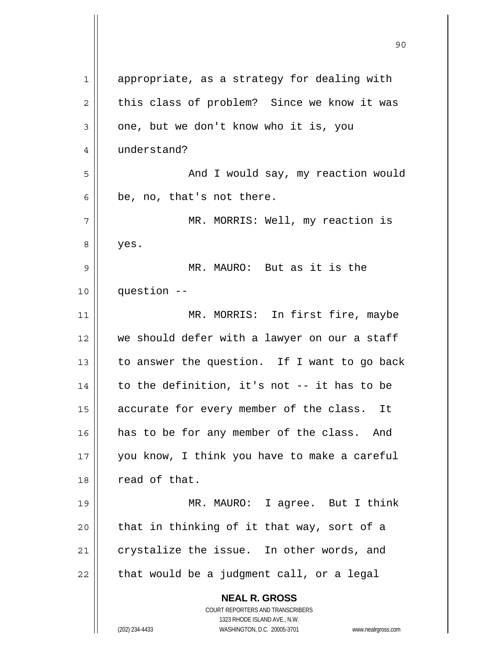| $\mathbf{1}$ | appropriate, as a strategy for dealing with                                                         |
|--------------|-----------------------------------------------------------------------------------------------------|
| $\mathbf{2}$ | this class of problem? Since we know it was                                                         |
| 3            | one, but we don't know who it is, you                                                               |
| 4            | understand?                                                                                         |
| 5            | And I would say, my reaction would                                                                  |
| 6            | be, no, that's not there.                                                                           |
| 7            | MR. MORRIS: Well, my reaction is                                                                    |
| 8            | yes.                                                                                                |
| 9            | MR. MAURO: But as it is the                                                                         |
| 10           | question --                                                                                         |
| 11           | MR. MORRIS: In first fire, maybe                                                                    |
| 12           | we should defer with a lawyer on our a staff                                                        |
| 13           | to answer the question. If I want to go back                                                        |
| 14           | to the definition, it's not -- it has to be                                                         |
| 15           | accurate for every member of the class. It                                                          |
| 16           | has to be for any member of the class. And                                                          |
| 17           | you know, I think you have to make a careful                                                        |
| 18           | read of that.                                                                                       |
| 19           | MR. MAURO: I agree. But I think                                                                     |
| 20           | that in thinking of it that way, sort of a                                                          |
| 21           | crystalize the issue. In other words, and                                                           |
| 22           | that would be a judgment call, or a legal                                                           |
|              | <b>NEAL R. GROSS</b>                                                                                |
|              | <b>COURT REPORTERS AND TRANSCRIBERS</b>                                                             |
|              | 1323 RHODE ISLAND AVE., N.W.<br>WASHINGTON, D.C. 20005-3701<br>(202) 234-4433<br>www.nealrgross.com |
|              |                                                                                                     |

 $\mathop{\text{||}}$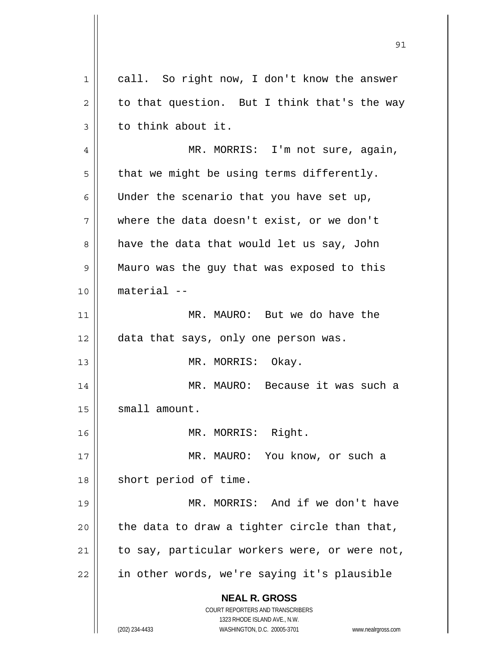| 1  | call. So right now, I don't know the answer                                                         |
|----|-----------------------------------------------------------------------------------------------------|
| 2  | to that question. But I think that's the way                                                        |
| 3  | to think about it.                                                                                  |
| 4  | MR. MORRIS: I'm not sure, again,                                                                    |
| 5  | that we might be using terms differently.                                                           |
| 6  | Under the scenario that you have set up,                                                            |
| 7  | where the data doesn't exist, or we don't                                                           |
| 8  | have the data that would let us say, John                                                           |
| 9  | Mauro was the guy that was exposed to this                                                          |
| 10 | material --                                                                                         |
| 11 | MR. MAURO: But we do have the                                                                       |
| 12 | data that says, only one person was.                                                                |
| 13 | MR. MORRIS: Okay.                                                                                   |
| 14 | MR. MAURO: Because it was such a                                                                    |
| 15 | small amount.                                                                                       |
| 16 | MR. MORRIS: Right.                                                                                  |
| 17 | MR. MAURO: You know, or such a                                                                      |
| 18 | short period of time.                                                                               |
| 19 | MR. MORRIS: And if we don't have                                                                    |
| 20 | the data to draw a tighter circle than that,                                                        |
| 21 | to say, particular workers were, or were not,                                                       |
| 22 | in other words, we're saying it's plausible                                                         |
|    | <b>NEAL R. GROSS</b>                                                                                |
|    | COURT REPORTERS AND TRANSCRIBERS                                                                    |
|    | 1323 RHODE ISLAND AVE., N.W.<br>(202) 234-4433<br>WASHINGTON, D.C. 20005-3701<br>www.nealrgross.com |

 $\mathbf{\mathcal{H}}$ 

<u>91</u>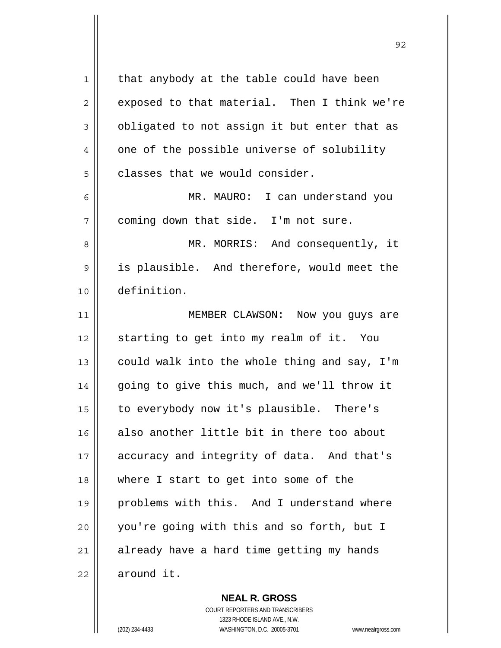| 1              | that anybody at the table could have been    |
|----------------|----------------------------------------------|
| $\overline{c}$ | exposed to that material. Then I think we're |
| 3              | obligated to not assign it but enter that as |
| 4              | one of the possible universe of solubility   |
| 5              | classes that we would consider.              |
| 6              | MR. MAURO: I can understand you              |
| 7              | coming down that side. I'm not sure.         |
| 8              | MR. MORRIS: And consequently, it             |
| 9              | is plausible. And therefore, would meet the  |
| 10             | definition.                                  |
| 11             | MEMBER CLAWSON: Now you guys are             |
| 12             | starting to get into my realm of it. You     |
| 13             | could walk into the whole thing and say, I'm |
| 14             | going to give this much, and we'll throw it  |
| 15             | to everybody now it's plausible. There's     |
| 16             | also another little bit in there too about   |
| 17             | accuracy and integrity of data. And that's   |
| 18             | where I start to get into some of the        |
| 19             | problems with this. And I understand where   |
| 20             | you're going with this and so forth, but I   |
| 21             | already have a hard time getting my hands    |
| 22             | around it.                                   |

 **NEAL R. GROSS** COURT REPORTERS AND TRANSCRIBERS 1323 RHODE ISLAND AVE., N.W. (202) 234-4433 WASHINGTON, D.C. 20005-3701 www.nealrgross.com

<u>92 and 2014 and 2014 and 2014 and 2014 and 2014 and 2014 and 2014 and 2014 and 2014 and 2014 and 2014 and 201</u>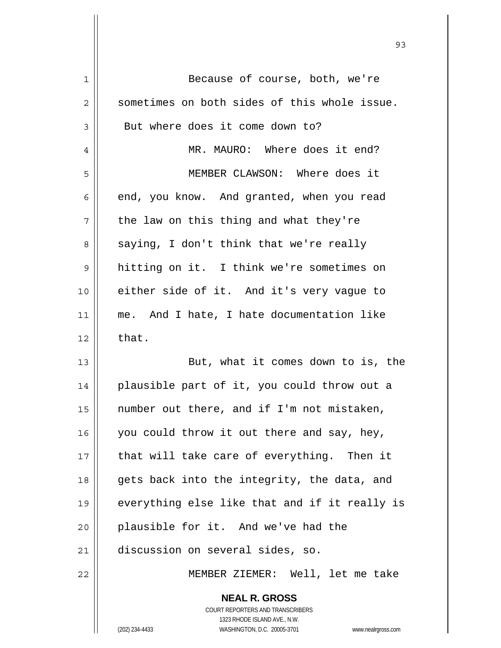| 1  | Because of course, both, we're                |
|----|-----------------------------------------------|
| 2  | sometimes on both sides of this whole issue.  |
| 3  | But where does it come down to?               |
| 4  | MR. MAURO: Where does it end?                 |
| 5  | MEMBER CLAWSON: Where does it                 |
| 6  | end, you know. And granted, when you read     |
| 7  | the law on this thing and what they're        |
| 8  | saying, I don't think that we're really       |
| 9  | hitting on it. I think we're sometimes on     |
| 10 | either side of it. And it's very vague to     |
| 11 | me. And I hate, I hate documentation like     |
| 12 | that.                                         |
| 13 | But, what it comes down to is, the            |
| 14 | plausible part of it, you could throw out a   |
| 15 | number out there, and if I'm not mistaken,    |
| 16 | you could throw it out there and say, hey,    |
| 17 | that will take care of everything. Then it    |
| 18 | gets back into the integrity, the data, and   |
| 19 | everything else like that and if it really is |
| 20 | plausible for it. And we've had the           |
| 21 | discussion on several sides, so.              |
| 22 | MEMBER ZIEMER: Well, let me take              |
|    | <b>NEAL R. GROSS</b>                          |

 COURT REPORTERS AND TRANSCRIBERS 1323 RHODE ISLAND AVE., N.W.

 $\prod$ 

(202) 234-4433 WASHINGTON, D.C. 20005-3701 www.nealrgross.com

<u>93 and 200 and 200 and 200 and 200 and 200 and 200 and 200 and 200 and 200 and 200 and 200 and 200 and 200 an</u>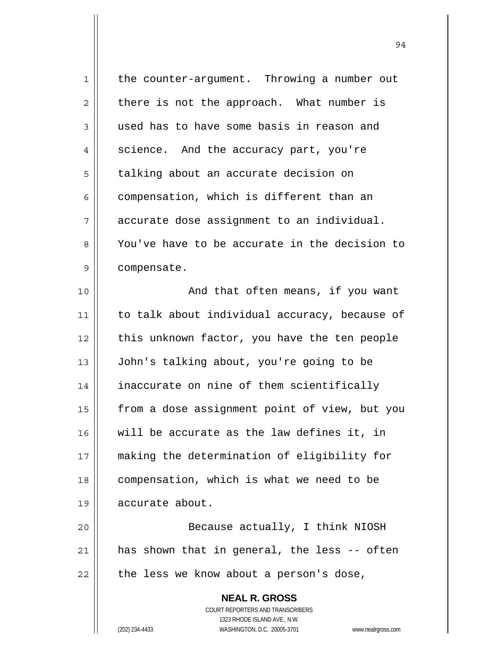| 1              | the counter-argument. Throwing a number out                         |
|----------------|---------------------------------------------------------------------|
| $\overline{2}$ | there is not the approach. What number is                           |
| 3              | used has to have some basis in reason and                           |
| 4              | science. And the accuracy part, you're                              |
| 5              | talking about an accurate decision on                               |
| 6              | compensation, which is different than an                            |
| 7              | accurate dose assignment to an individual.                          |
| 8              | You've have to be accurate in the decision to                       |
| 9              | compensate.                                                         |
| 10             | And that often means, if you want                                   |
| 11             | to talk about individual accuracy, because of                       |
| 12             | this unknown factor, you have the ten people                        |
| 13             | John's talking about, you're going to be                            |
| 14             | inaccurate on nine of them scientifically                           |
| 15             | from a dose assignment point of view, but you                       |
| 16             | will be accurate as the law defines it, in                          |
| 17             | making the determination of eligibility for                         |
| 18             | compensation, which is what we need to be                           |
| 19             | accurate about.                                                     |
| 20             | Because actually, I think NIOSH                                     |
| 21             | has shown that in general, the less -- often                        |
| 22             | the less we know about a person's dose,                             |
|                | <b>NEAL R. GROSS</b>                                                |
|                | COURT REPORTERS AND TRANSCRIBERS                                    |
|                | 1323 RHODE ISLAND AVE., N.W.                                        |
|                | (202) 234-4433<br>WASHINGTON, D.C. 20005-3701<br>www.nealrgross.com |

 $\mathsf{I}$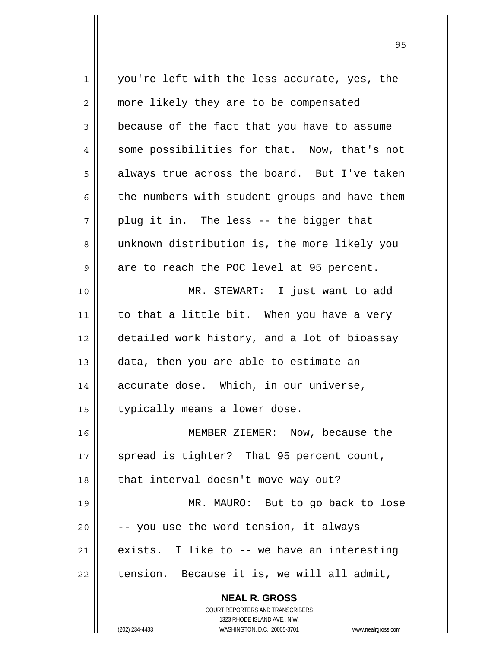**NEAL R. GROSS** COURT REPORTERS AND TRANSCRIBERS 1323 RHODE ISLAND AVE., N.W.  $1$   $\parallel$  vou're left with the less accurate, yes, the 2 | more likely they are to be compensated  $3 \parallel$  because of the fact that you have to assume 4 || some possibilities for that. Now, that's not  $5 \parallel$  always true across the board. But I've taken  $6 \parallel$  the numbers with student groups and have them  $7 \parallel$  plug it in. The less -- the bigger that 8 unknown distribution is, the more likely you  $9 \parallel$  are to reach the POC level at 95 percent. 10 MR. STEWART: I just want to add  $11$  to that a little bit. When you have a very 12 detailed work history, and a lot of bioassay  $13$  | data, then you are able to estimate an 14 || accurate dose. Which, in our universe, 15 | typically means a lower dose. 16 MEMBER ZIEMER: Now, because the  $17$  || spread is tighter? That 95 percent count, 18 || that interval doesn't move way out? 19 || MR. MAURO: But to go back to lose  $20$   $\vert$  -- you use the word tension, it always 21  $\parallel$  exists. I like to -- we have an interesting  $22$  | tension. Because it is, we will all admit,

<u>95 and 2001 and 2001 and 2001 and 2001 and 2001 and 2001 and 2001 and 2001 and 2001 and 2001 and 2001 and 200</u>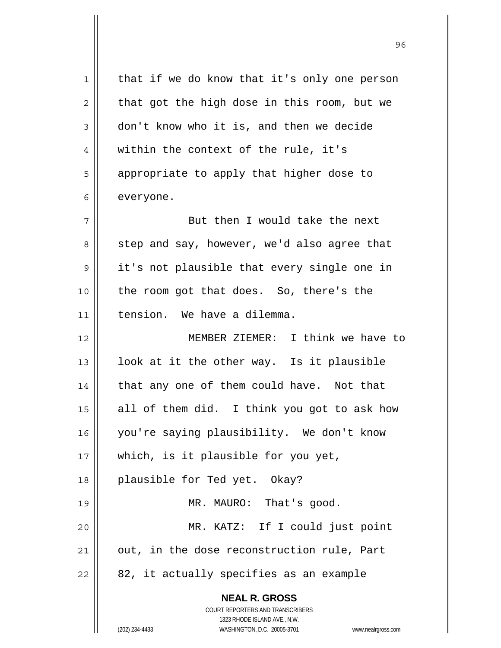**NEAL R. GROSS** COURT REPORTERS AND TRANSCRIBERS 1323 RHODE ISLAND AVE., N.W. 1 | that if we do know that it's only one person  $2 \parallel$  that got the high dose in this room, but we 3 don't know who it is, and then we decide  $4 \parallel$  within the context of the rule, it's 5 | appropriate to apply that higher dose to  $6 \parallel$  everyone. 7 || But then I would take the next  $8 \parallel$  step and say, however, we'd also agree that 9 || it's not plausible that every single one in 10 || the room got that does. So, there's the 11 tension. We have a dilemma. 12 MEMBER ZIEMER: I think we have to  $13$  | look at it the other way. Is it plausible  $14$  | that any one of them could have. Not that 15  $\parallel$  all of them did. I think you got to ask how 16 you're saying plausibility. We don't know 17 || which, is it plausible for you yet, 18 || plausible for Ted yet. Okay? 19 || MR. MAURO: That's good. 20 MR. KATZ: If I could just point  $21$  | out, in the dose reconstruction rule, Part  $22 \parallel 82$ , it actually specifies as an example

<u>96 and 2001 and 2001 and 2001 and 2001 and 2001 and 2001 and 2001 and 2001 and 2001 and 2001 and 2001 and 200</u>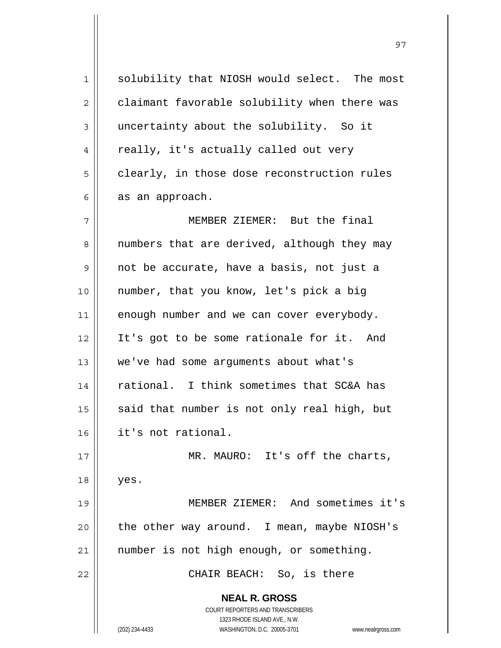**NEAL R. GROSS** COURT REPORTERS AND TRANSCRIBERS 1323 RHODE ISLAND AVE., N.W. 1 solubility that NIOSH would select. The most  $2 \parallel$  claimant favorable solubility when there was 3 uncertainty about the solubility. So it 4 || really, it's actually called out very  $5 \parallel$  clearly, in those dose reconstruction rules  $6 \parallel$  as an approach. 7 MEMBER ZIEMER: But the final 8 || numbers that are derived, although they may 9 || not be accurate, have a basis, not just a 10 number, that you know, let's pick a big  $11$  enough number and we can cover everybody. 12 It's got to be some rationale for it. And 13 || we've had some arguments about what's 14 rational. I think sometimes that SC&A has 15  $\parallel$  said that number is not only real high, but 16 it's not rational. 17 || MR. MAURO: It's off the charts, 18 yes. 19 MEMBER ZIEMER: And sometimes it's  $20$  | the other way around. I mean, maybe NIOSH's 21 | number is not high enough, or something. 22 CHAIR BEACH: So, is there

97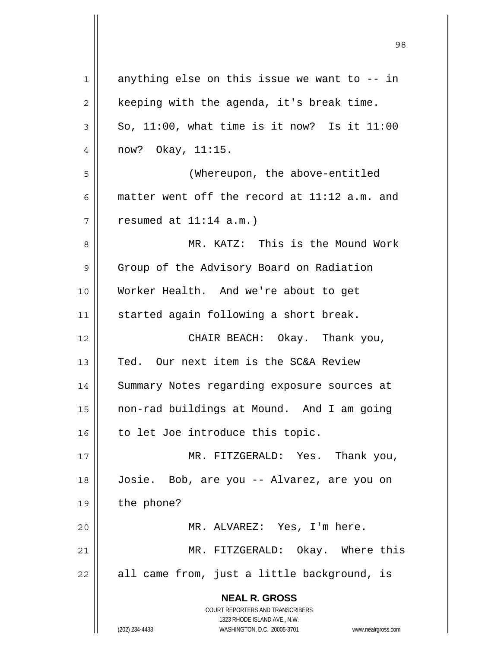| $\mathbf 1$    | anything else on this issue we want to -- in                                                        |
|----------------|-----------------------------------------------------------------------------------------------------|
| $\overline{2}$ | keeping with the agenda, it's break time.                                                           |
| 3              | So, $11:00$ , what time is it now? Is it $11:00$                                                    |
| 4              | now? Okay, 11:15.                                                                                   |
| 5              | (Whereupon, the above-entitled                                                                      |
| 6              | matter went off the record at 11:12 a.m. and                                                        |
| 7              | resumed at $11:14$ a.m.)                                                                            |
| 8              | MR. KATZ: This is the Mound Work                                                                    |
| 9              | Group of the Advisory Board on Radiation                                                            |
| 10             | Worker Health. And we're about to get                                                               |
| 11             | started again following a short break.                                                              |
| 12             | CHAIR BEACH: Okay. Thank you,                                                                       |
| 13             | Ted. Our next item is the SC&A Review                                                               |
| 14             | Summary Notes regarding exposure sources at                                                         |
| 15             | non-rad buildings at Mound. And I am going                                                          |
| 16             | to let Joe introduce this topic.                                                                    |
| 17             | MR. FITZGERALD: Yes. Thank you,                                                                     |
| 18             | Josie. Bob, are you -- Alvarez, are you on                                                          |
| 19             | the phone?                                                                                          |
| 20             | MR. ALVAREZ: Yes, I'm here.                                                                         |
| 21             | MR. FITZGERALD: Okay. Where this                                                                    |
| 22             | all came from, just a little background, is                                                         |
|                | <b>NEAL R. GROSS</b>                                                                                |
|                | COURT REPORTERS AND TRANSCRIBERS                                                                    |
|                | 1323 RHODE ISLAND AVE., N.W.<br>(202) 234-4433<br>WASHINGTON, D.C. 20005-3701<br>www.nealrgross.com |
|                |                                                                                                     |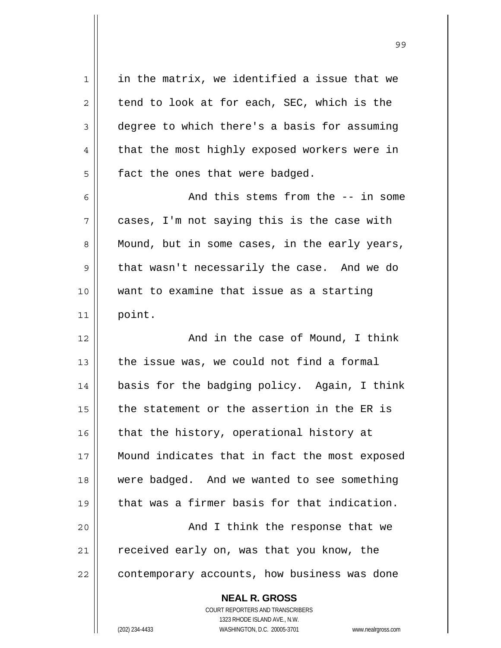**NEAL R. GROSS** COURT REPORTERS AND TRANSCRIBERS 1323 RHODE ISLAND AVE., N.W.  $1 \parallel$  in the matrix, we identified a issue that we  $2 \parallel$  tend to look at for each, SEC, which is the 3 deqree to which there's a basis for assuming  $4 \parallel$  that the most highly exposed workers were in  $5$  | fact the ones that were badged. 6 and this stems from the -- in some  $7 \parallel$  cases, I'm not saying this is the case with  $8 \parallel$  Mound, but in some cases, in the early years,  $9 \parallel$  that wasn't necessarily the case. And we do 10 want to examine that issue as a starting 11 point. 12 || And in the case of Mound, I think  $13$  | the issue was, we could not find a formal 14 basis for the badging policy. Again, I think  $15$  || the statement or the assertion in the ER is  $16$  that the history, operational history at 17 || Mound indicates that in fact the most exposed 18 were badged. And we wanted to see something 19 that was a firmer basis for that indication. 20 || And I think the response that we 21 | received early on, was that you know, the  $22$  | contemporary accounts, how business was done

(202) 234-4433 WASHINGTON, D.C. 20005-3701 www.nealrgross.com

99 - Paul Barbara, poeta e a contra de 1999 - Paul Barbara, español de 1999 - Paul Barbara, español de 1999 -<br>1990 - Paul Barbara, poeta español de 1990 - Paul Barbara, español de 1990 - Paul Barbara, español de 1990 -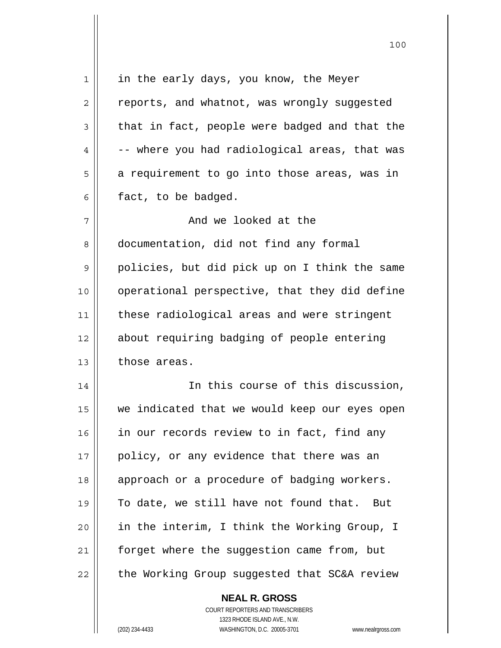| 1  | in the early days, you know, the Meyer        |
|----|-----------------------------------------------|
| 2  | reports, and whatnot, was wrongly suggested   |
| 3  | that in fact, people were badged and that the |
| 4  | -- where you had radiological areas, that was |
| 5  | a requirement to go into those areas, was in  |
| 6  | fact, to be badged.                           |
| 7  | And we looked at the                          |
| 8  | documentation, did not find any formal        |
| 9  | policies, but did pick up on I think the same |
| 10 | operational perspective, that they did define |
| 11 | these radiological areas and were stringent   |
| 12 | about requiring badging of people entering    |
| 13 | those areas.                                  |
| 14 | In this course of this discussion,            |
| 15 | we indicated that we would keep our eyes open |
| 16 | in our records review to in fact, find any    |
| 17 | policy, or any evidence that there was an     |
| 18 | approach or a procedure of badging workers.   |
| 19 | To date, we still have not found that.<br>But |
| 20 | in the interim, I think the Working Group, I  |
| 21 | forget where the suggestion came from, but    |
| 22 | the Working Group suggested that SC&A review  |
|    | <b>NEAL R. GROSS</b>                          |

 COURT REPORTERS AND TRANSCRIBERS 1323 RHODE ISLAND AVE., N.W.

 $\mathbf{\mathsf{I}}$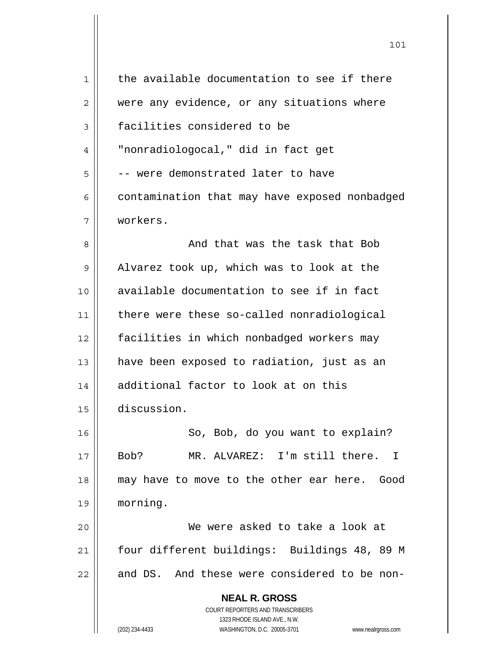| $\mathbf{1}$ | the available documentation to see if there                                              |
|--------------|------------------------------------------------------------------------------------------|
| 2            | were any evidence, or any situations where                                               |
| 3            | facilities considered to be                                                              |
| 4            | "nonradiologocal," did in fact get                                                       |
| 5            | -- were demonstrated later to have                                                       |
| 6            | contamination that may have exposed nonbadged                                            |
| 7            | workers.                                                                                 |
| 8            | And that was the task that Bob                                                           |
| 9            | Alvarez took up, which was to look at the                                                |
| 10           | available documentation to see if in fact                                                |
| 11           | there were these so-called nonradiological                                               |
| 12           | facilities in which nonbadged workers may                                                |
| 13           | have been exposed to radiation, just as an                                               |
| 14           | additional factor to look at on this                                                     |
| 15           | discussion.                                                                              |
| 16           | So, Bob, do you want to explain?                                                         |
| 17           | Bob?<br>MR. ALVAREZ: I'm still there.<br>$\top$                                          |
| 18           | may have to move to the other ear here. Good                                             |
| 19           | morning.                                                                                 |
| 20           | We were asked to take a look at                                                          |
| 21           | four different buildings: Buildings 48, 89 M                                             |
| 22           | and DS. And these were considered to be non-                                             |
|              | <b>NEAL R. GROSS</b><br>COURT REPORTERS AND TRANSCRIBERS<br>1323 RHODE ISLAND AVE., N.W. |
|              | (202) 234-4433<br>WASHINGTON, D.C. 20005-3701<br>www.nealrgross.com                      |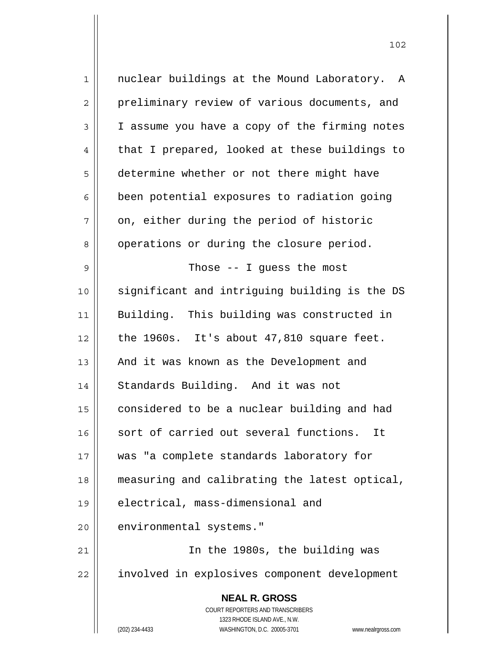**NEAL R. GROSS** COURT REPORTERS AND TRANSCRIBERS 1323 RHODE ISLAND AVE., N.W. (202) 234-4433 WASHINGTON, D.C. 20005-3701 www.nealrgross.com 1 || nuclear buildings at the Mound Laboratory. A 2 | preliminary review of various documents, and 3 | I assume you have a copy of the firming notes  $4 \parallel$  that I prepared, looked at these buildings to 5 determine whether or not there might have  $6 \parallel$  been potential exposures to radiation going  $7 \parallel$  on, either during the period of historic 8 | operations or during the closure period.  $9 \parallel$  Those -- I guess the most 10 significant and intriguing building is the DS 11 Building. This building was constructed in  $12$  | the 1960s. It's about 47,810 square feet. 13 || And it was known as the Development and 14 || Standards Building. And it was not 15 | considered to be a nuclear building and had 16 || sort of carried out several functions. It 17 was "a complete standards laboratory for 18 measuring and calibrating the latest optical, 19 || electrical, mass-dimensional and 20 | environmental systems." 21 In the 1980s, the building was 22 || involved in explosives component development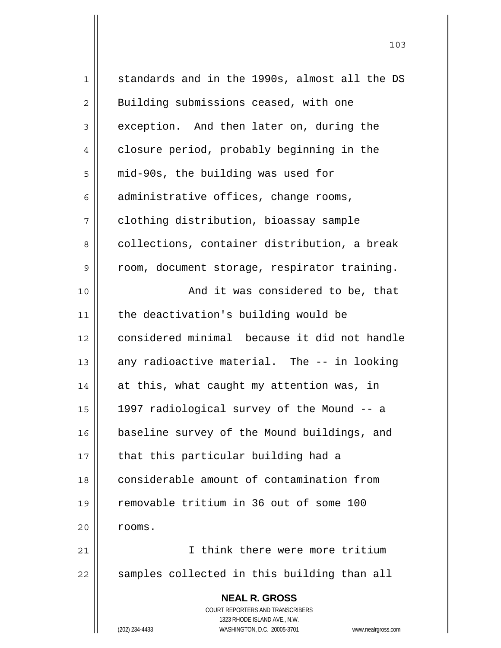| $1\,$          | standards and in the 1990s, almost all the DS                       |
|----------------|---------------------------------------------------------------------|
| $\overline{2}$ | Building submissions ceased, with one                               |
| 3              | exception. And then later on, during the                            |
| 4              | closure period, probably beginning in the                           |
| 5              | mid-90s, the building was used for                                  |
| 6              | administrative offices, change rooms,                               |
| 7              | clothing distribution, bioassay sample                              |
| 8              | collections, container distribution, a break                        |
| 9              | room, document storage, respirator training.                        |
| 10             | And it was considered to be, that                                   |
| 11             | the deactivation's building would be                                |
| 12             | considered minimal because it did not handle                        |
| 13             | any radioactive material. The -- in looking                         |
| 14             | at this, what caught my attention was, in                           |
| 15             | 1997 radiological survey of the Mound -- a                          |
| 16             | baseline survey of the Mound buildings, and                         |
| 17             | that this particular building had a                                 |
| 18             | considerable amount of contamination from                           |
| 19             | removable tritium in 36 out of some 100                             |
| 20             | rooms.                                                              |
| 21             | I think there were more tritium                                     |
| 22             | samples collected in this building than all                         |
|                | <b>NEAL R. GROSS</b>                                                |
|                | <b>COURT REPORTERS AND TRANSCRIBERS</b>                             |
|                | 1323 RHODE ISLAND AVE., N.W.                                        |
|                | (202) 234-4433<br>WASHINGTON, D.C. 20005-3701<br>www.nealrgross.com |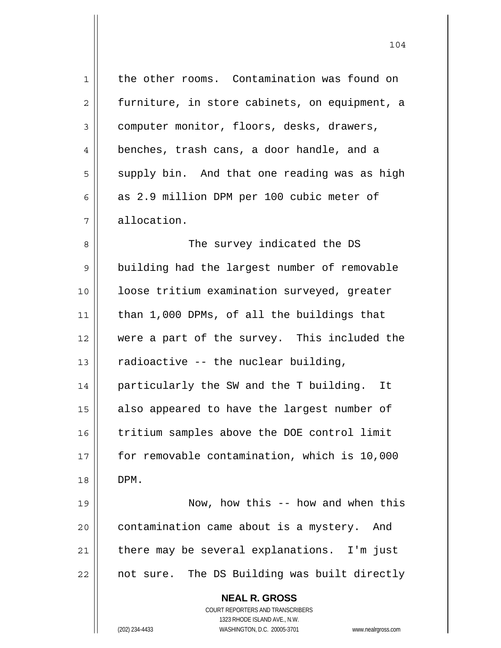| $\mathbf 1$    | the other rooms. Contamination was found on                         |
|----------------|---------------------------------------------------------------------|
| $\overline{2}$ | furniture, in store cabinets, on equipment, a                       |
| 3              | computer monitor, floors, desks, drawers,                           |
| 4              | benches, trash cans, a door handle, and a                           |
| 5              | supply bin. And that one reading was as high                        |
| 6              | as 2.9 million DPM per 100 cubic meter of                           |
| 7              | allocation.                                                         |
| 8              | The survey indicated the DS                                         |
| 9              | building had the largest number of removable                        |
| 10             | loose tritium examination surveyed, greater                         |
| 11             | than 1,000 DPMs, of all the buildings that                          |
| 12             | were a part of the survey. This included the                        |
| 13             | radioactive -- the nuclear building,                                |
| 14             | particularly the SW and the T building.<br>It                       |
| 15             | also appeared to have the largest number of                         |
| 16             | tritium samples above the DOE control limit                         |
| 17             | for removable contamination, which is 10,000                        |
| 18             | DPM.                                                                |
| 19             | Now, how this -- how and when this                                  |
| 20             | contamination came about is a mystery. And                          |
| 21             | there may be several explanations. I'm just                         |
| 22             | not sure. The DS Building was built directly                        |
|                | <b>NEAL R. GROSS</b>                                                |
|                | COURT REPORTERS AND TRANSCRIBERS                                    |
|                | 1323 RHODE ISLAND AVE., N.W.                                        |
|                | (202) 234-4433<br>WASHINGTON, D.C. 20005-3701<br>www.nealrgross.com |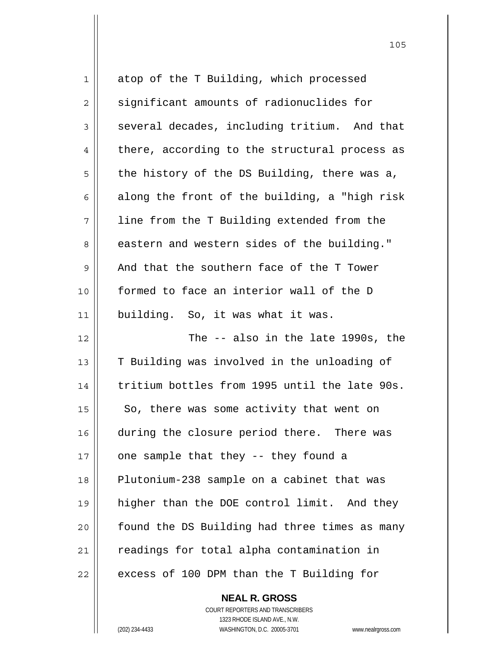| 1              | atop of the T Building, which processed       |
|----------------|-----------------------------------------------|
| $\overline{2}$ | significant amounts of radionuclides for      |
| 3              | several decades, including tritium. And that  |
| 4              | there, according to the structural process as |
| 5              | the history of the DS Building, there was a,  |
| 6              | along the front of the building, a "high risk |
| 7              | line from the T Building extended from the    |
| 8              | eastern and western sides of the building."   |
| 9              | And that the southern face of the T Tower     |
| 10             | formed to face an interior wall of the D      |
| 11             | building. So, it was what it was.             |
| 12             | The -- also in the late 1990s, the            |
| 13             | T Building was involved in the unloading of   |
| 14             | tritium bottles from 1995 until the late 90s. |
| 15             | So, there was some activity that went on      |
| 16             | during the closure period there. There was    |
| 17             | one sample that they -- they found a          |
| 18             | Plutonium-238 sample on a cabinet that was    |
| 19             | higher than the DOE control limit. And they   |
| 20             | found the DS Building had three times as many |
| 21             | readings for total alpha contamination in     |
| 22             | excess of 100 DPM than the T Building for     |

 **NEAL R. GROSS** COURT REPORTERS AND TRANSCRIBERS

1323 RHODE ISLAND AVE., N.W.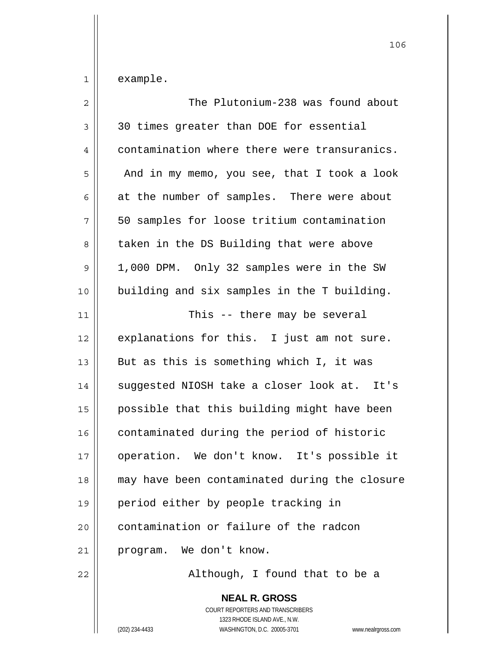$1 \parallel$  example.

| $\overline{2}$ | The Plutonium-238 was found about             |
|----------------|-----------------------------------------------|
| 3              | 30 times greater than DOE for essential       |
| 4              | contamination where there were transuranics.  |
| 5              | And in my memo, you see, that I took a look   |
| 6              | at the number of samples. There were about    |
| 7              | 50 samples for loose tritium contamination    |
| 8              | taken in the DS Building that were above      |
| 9              | 1,000 DPM. Only 32 samples were in the SW     |
| 10             | building and six samples in the T building.   |
| 11             | This -- there may be several                  |
| 12             | explanations for this. I just am not sure.    |
| 13             | But as this is something which I, it was      |
| 14             | suggested NIOSH take a closer look at. It's   |
| 15             | possible that this building might have been   |
| 16             | contaminated during the period of historic    |
| 17             | operation. We don't know. It's possible it    |
| 18             | may have been contaminated during the closure |
| 19             | period either by people tracking in           |
| 20             | contamination or failure of the radcon        |
| 21             | program. We don't know.                       |
| 22             | Although, I found that to be a                |

 **NEAL R. GROSS** COURT REPORTERS AND TRANSCRIBERS 1323 RHODE ISLAND AVE., N.W. (202) 234-4433 WASHINGTON, D.C. 20005-3701 www.nealrgross.com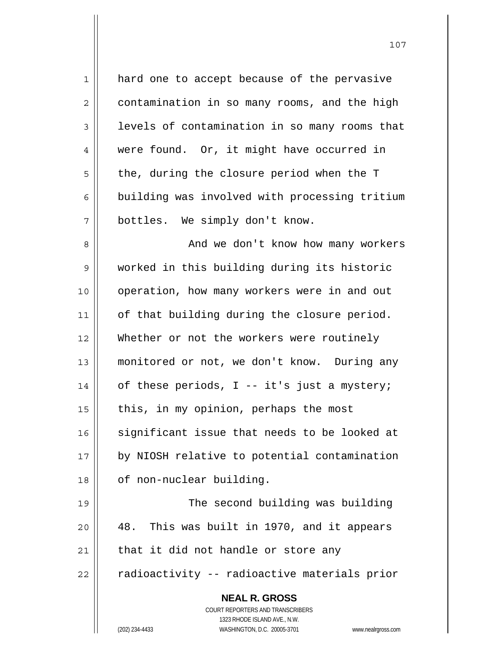| 1  | hard one to accept because of the pervasive                         |
|----|---------------------------------------------------------------------|
| 2  | contamination in so many rooms, and the high                        |
| 3  | levels of contamination in so many rooms that                       |
| 4  | were found. Or, it might have occurred in                           |
| 5  | the, during the closure period when the T                           |
| 6  | building was involved with processing tritium                       |
| 7  | bottles. We simply don't know.                                      |
| 8  | And we don't know how many workers                                  |
| 9  | worked in this building during its historic                         |
| 10 | operation, how many workers were in and out                         |
| 11 | of that building during the closure period.                         |
| 12 | Whether or not the workers were routinely                           |
| 13 | monitored or not, we don't know. During any                         |
| 14 | of these periods, I -- it's just a mystery;                         |
| 15 | this, in my opinion, perhaps the most                               |
| 16 | significant issue that needs to be looked at                        |
| 17 | by NIOSH relative to potential contamination                        |
| 18 | of non-nuclear building.                                            |
| 19 | The second building was building                                    |
| 20 | This was built in 1970, and it appears<br>48.                       |
| 21 | that it did not handle or store any                                 |
| 22 | radioactivity -- radioactive materials prior                        |
|    | <b>NEAL R. GROSS</b>                                                |
|    | COURT REPORTERS AND TRANSCRIBERS<br>1323 RHODE ISLAND AVE., N.W.    |
|    | (202) 234-4433<br>WASHINGTON, D.C. 20005-3701<br>www.nealrgross.com |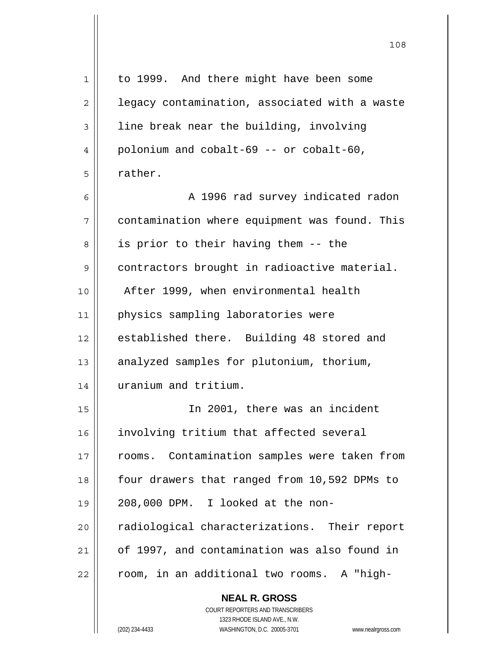| 1  | to 1999. And there might have been some                  |
|----|----------------------------------------------------------|
| 2  | legacy contamination, associated with a waste            |
| 3  | line break near the building, involving                  |
| 4  | polonium and cobalt-69 -- or cobalt-60,                  |
| 5  | rather.                                                  |
| 6  | A 1996 rad survey indicated radon                        |
| 7  | contamination where equipment was found. This            |
| 8  | is prior to their having them -- the                     |
| 9  | contractors brought in radioactive material.             |
| 10 | After 1999, when environmental health                    |
| 11 | physics sampling laboratories were                       |
| 12 | established there. Building 48 stored and                |
| 13 | analyzed samples for plutonium, thorium,                 |
| 14 | uranium and tritium.                                     |
| 15 | In 2001, there was an incident                           |
| 16 | involving tritium that affected several                  |
| 17 | rooms. Contamination samples were taken from             |
| 18 | four drawers that ranged from 10,592 DPMs to             |
| 19 | 208,000 DPM. I looked at the non-                        |
| 20 | radiological characterizations. Their report             |
| 21 | of 1997, and contamination was also found in             |
| 22 | room, in an additional two rooms. A "high-               |
|    | <b>NEAL R. GROSS</b><br>COURT REPORTERS AND TRANSCRIBERS |

 $\prod$ 

 1323 RHODE ISLAND AVE., N.W. (202) 234-4433 WASHINGTON, D.C. 20005-3701 www.nealrgross.com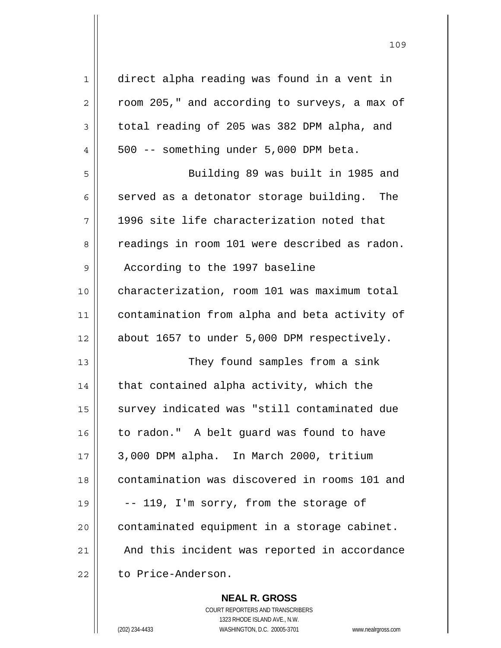| 1              | direct alpha reading was found in a vent in   |
|----------------|-----------------------------------------------|
| $\overline{2}$ | room 205," and according to surveys, a max of |
| 3              | total reading of 205 was 382 DPM alpha, and   |
| 4              | 500 -- something under 5,000 DPM beta.        |
| 5              | Building 89 was built in 1985 and             |
| 6              | served as a detonator storage building. The   |
| 7              | 1996 site life characterization noted that    |
| 8              | readings in room 101 were described as radon. |
| 9              | According to the 1997 baseline                |
| 10             | characterization, room 101 was maximum total  |
| 11             | contamination from alpha and beta activity of |
| 12             | about 1657 to under 5,000 DPM respectively.   |
| 13             | They found samples from a sink                |
| 14             | that contained alpha activity, which the      |
| 15             | survey indicated was "still contaminated due  |
| 16             | to radon." A belt guard was found to have     |
| 17             | 3,000 DPM alpha. In March 2000, tritium       |
| 18             | contamination was discovered in rooms 101 and |
| 19             | -- 119, I'm sorry, from the storage of        |
| 20             | contaminated equipment in a storage cabinet.  |
| 21             | And this incident was reported in accordance  |
| 22             | to Price-Anderson.                            |

 **NEAL R. GROSS**

 COURT REPORTERS AND TRANSCRIBERS 1323 RHODE ISLAND AVE., N.W. (202) 234-4433 WASHINGTON, D.C. 20005-3701 www.nealrgross.com

<u>109</u>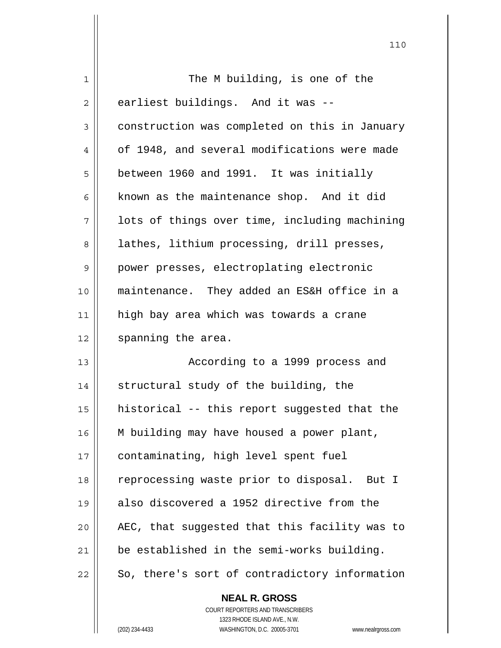| 1  | The M building, is one of the                 |
|----|-----------------------------------------------|
| 2  | earliest buildings. And it was --             |
| 3  | construction was completed on this in January |
| 4  | of 1948, and several modifications were made  |
| 5  | between 1960 and 1991. It was initially       |
| 6  | known as the maintenance shop. And it did     |
| 7  | lots of things over time, including machining |
| 8  | lathes, lithium processing, drill presses,    |
| 9  | power presses, electroplating electronic      |
| 10 | maintenance. They added an ES&H office in a   |
| 11 | high bay area which was towards a crane       |
| 12 | spanning the area.                            |
| 13 | According to a 1999 process and               |
| 14 | structural study of the building, the         |
| 15 | historical -- this report suggested that the  |
| 16 | M building may have housed a power plant,     |
| 17 | contaminating, high level spent fuel          |
| 18 | reprocessing waste prior to disposal. But I   |
| 19 | also discovered a 1952 directive from the     |
| 20 | AEC, that suggested that this facility was to |
| 21 | be established in the semi-works building.    |
| 22 | So, there's sort of contradictory information |
|    | <b>NEAL R. GROSS</b>                          |

 $\mathsf{II}$ 

 COURT REPORTERS AND TRANSCRIBERS 1323 RHODE ISLAND AVE., N.W. (202) 234-4433 WASHINGTON, D.C. 20005-3701 www.nealrgross.com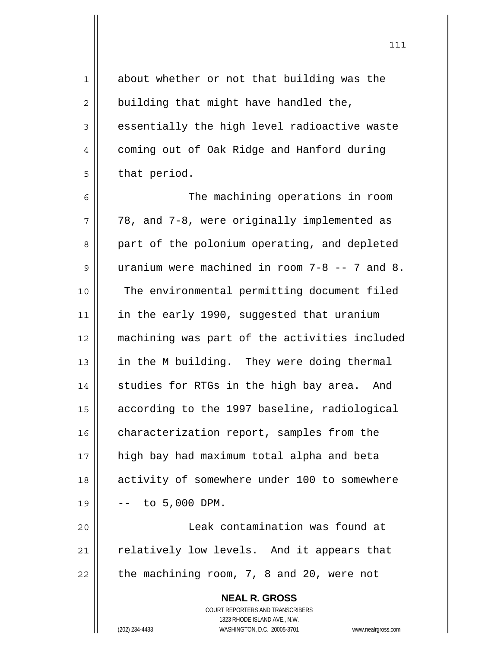**NEAL R. GROSS** COURT REPORTERS AND TRANSCRIBERS 1323 RHODE ISLAND AVE., N.W. 1 about whether or not that building was the  $2 \parallel$  building that might have handled the,  $3 \parallel$  essentially the high level radioactive waste 4 | coming out of Oak Ridge and Hanford during  $5 \parallel$  that period. 6 || The machining operations in room  $7 \parallel$  78, and 7-8, were originally implemented as 8 || part of the polonium operating, and depleted 9 uranium were machined in room 7-8 -- 7 and 8. 10 || The environmental permitting document filed 11 || in the early 1990, suggested that uranium 12 machining was part of the activities included 13 || in the M building. They were doing thermal 14 || studies for RTGs in the high bay area. And 15 according to the 1997 baseline, radiological 16 | characterization report, samples from the 17 high bay had maximum total alpha and beta 18 activity of somewhere under 100 to somewhere  $19 \parallel - - \text{ to } 5,000 \text{ DPM}.$ 20 Leak contamination was found at  $21$  relatively low levels. And it appears that  $22$  | the machining room, 7, 8 and 20, were not

(202) 234-4433 WASHINGTON, D.C. 20005-3701 www.nealrgross.com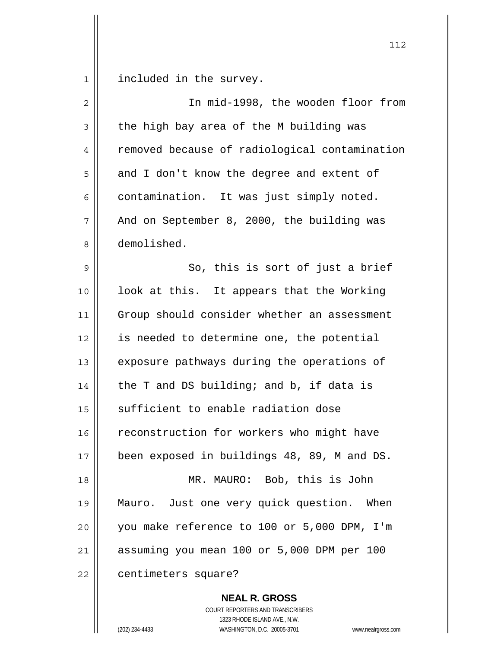1 | included in the survey.

| 2    | In mid-1998, the wooden floor from            |
|------|-----------------------------------------------|
| 3    | the high bay area of the M building was       |
| 4    | removed because of radiological contamination |
| 5    | and I don't know the degree and extent of     |
| 6    | contamination. It was just simply noted.      |
| 7    | And on September 8, 2000, the building was    |
| 8    | demolished.                                   |
| 9    | So, this is sort of just a brief              |
| 10   | look at this. It appears that the Working     |
| 11   | Group should consider whether an assessment   |
| 12   | is needed to determine one, the potential     |
| 13   | exposure pathways during the operations of    |
| 14   | the T and DS building; and b, if data is      |
| 15   | sufficient to enable radiation dose           |
| 16   | reconstruction for workers who might have     |
| $17$ | been exposed in buildings 48, 89, M and DS.   |
| 18   | MR. MAURO: Bob, this is John                  |
| 19   | Mauro. Just one very quick question. When     |
| 20   | you make reference to 100 or 5,000 DPM, I'm   |
| 21   | assuming you mean 100 or 5,000 DPM per 100    |
| 22   | centimeters square?                           |

 **NEAL R. GROSS** COURT REPORTERS AND TRANSCRIBERS 1323 RHODE ISLAND AVE., N.W.

(202) 234-4433 WASHINGTON, D.C. 20005-3701 www.nealrgross.com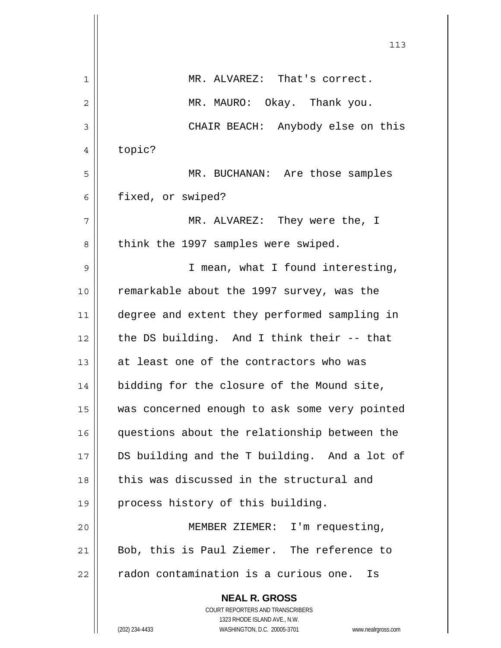|    | 113                                                                 |
|----|---------------------------------------------------------------------|
| 1  | MR. ALVAREZ: That's correct.                                        |
| 2  | MR. MAURO: Okay. Thank you.                                         |
| 3  | CHAIR BEACH: Anybody else on this                                   |
| 4  | topic?                                                              |
| 5  | MR. BUCHANAN: Are those samples                                     |
| 6  | fixed, or swiped?                                                   |
| 7  | MR. ALVAREZ: They were the, I                                       |
| 8  | think the 1997 samples were swiped.                                 |
| 9  | I mean, what I found interesting,                                   |
| 10 | remarkable about the 1997 survey, was the                           |
| 11 | degree and extent they performed sampling in                        |
| 12 | the DS building. And I think their -- that                          |
| 13 | at least one of the contractors who was                             |
| 14 | bidding for the closure of the Mound site,                          |
| 15 | was concerned enough to ask some very pointed                       |
| 16 | questions about the relationship between the                        |
| 17 | DS building and the T building. And a lot of                        |
| 18 | this was discussed in the structural and                            |
| 19 | process history of this building.                                   |
| 20 | MEMBER ZIEMER: I'm requesting,                                      |
| 21 | Bob, this is Paul Ziemer. The reference to                          |
| 22 | radon contamination is a curious one.<br>Is                         |
|    | <b>NEAL R. GROSS</b>                                                |
|    | COURT REPORTERS AND TRANSCRIBERS<br>1323 RHODE ISLAND AVE., N.W.    |
|    | (202) 234-4433<br>WASHINGTON, D.C. 20005-3701<br>www.nealrgross.com |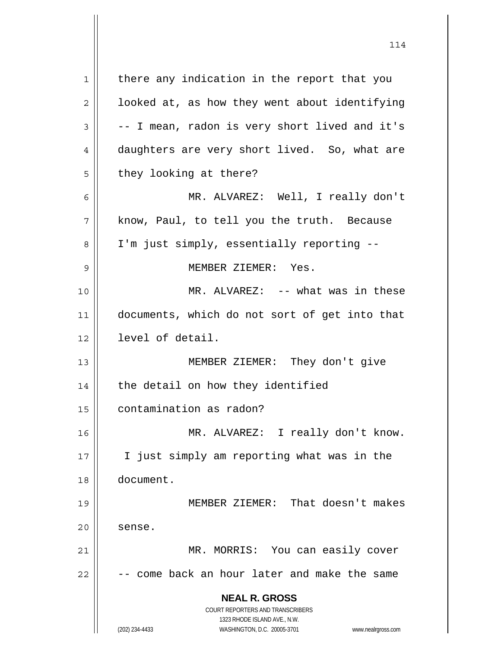**NEAL R. GROSS** COURT REPORTERS AND TRANSCRIBERS 1323 RHODE ISLAND AVE., N.W. (202) 234-4433 WASHINGTON, D.C. 20005-3701 www.nealrgross.com 1 | there any indication in the report that you  $2 \parallel$  looked at, as how they went about identifying  $3 \parallel$  -- I mean, radon is very short lived and it's 4 daughters are very short lived. So, what are  $5 \parallel$  they looking at there? 6 MR. ALVAREZ: Well, I really don't  $7 \parallel$  know, Paul, to tell you the truth. Because 8 | I'm just simply, essentially reporting --9 MEMBER ZIEMER: Yes. 10 MR. ALVAREZ: -- what was in these 11 documents, which do not sort of get into that 12 || level of detail. 13 MEMBER ZIEMER: They don't give  $14$  | the detail on how they identified 15 contamination as radon? 16 MR. ALVAREZ: I really don't know. 17 || I just simply am reporting what was in the 18 document. 19 MEMBER ZIEMER: That doesn't makes  $20$   $\parallel$  sense. 21 MR. MORRIS: You can easily cover  $22$   $\vert$  -- come back an hour later and make the same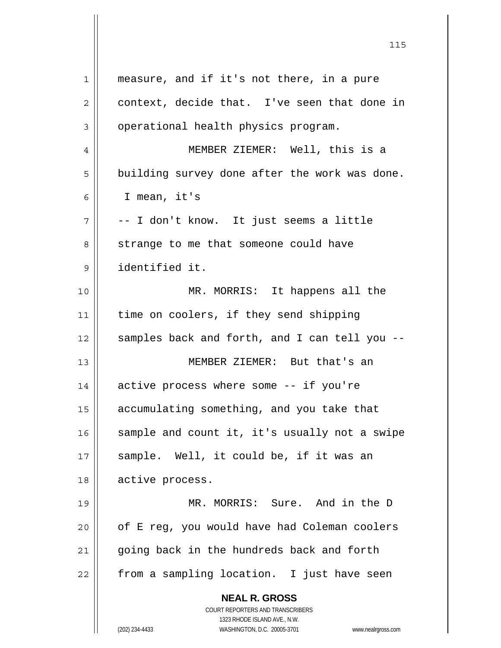| $\mathbf{1}$   | measure, and if it's not there, in a pure                                                           |
|----------------|-----------------------------------------------------------------------------------------------------|
| $\overline{2}$ | context, decide that. I've seen that done in                                                        |
| 3              | operational health physics program.                                                                 |
| 4              | MEMBER ZIEMER: Well, this is a                                                                      |
| 5              | building survey done after the work was done.                                                       |
| 6              | I mean, it's                                                                                        |
| 7              | -- I don't know. It just seems a little                                                             |
| 8              | strange to me that someone could have                                                               |
| 9              | identified it.                                                                                      |
| 10             | MR. MORRIS: It happens all the                                                                      |
| 11             | time on coolers, if they send shipping                                                              |
| 12             | samples back and forth, and I can tell you --                                                       |
| 13             | MEMBER ZIEMER: But that's an                                                                        |
| 14             | active process where some -- if you're                                                              |
| 15             | accumulating something, and you take that                                                           |
| 16             | sample and count it, it's usually not a swipe                                                       |
| 17             | sample. Well, it could be, if it was an                                                             |
| 18             | active process.                                                                                     |
| 19             | MR. MORRIS: Sure. And in the D                                                                      |
| 20             | of E reg, you would have had Coleman coolers                                                        |
| 21             | going back in the hundreds back and forth                                                           |
| 22             | from a sampling location. I just have seen                                                          |
|                | <b>NEAL R. GROSS</b>                                                                                |
|                | COURT REPORTERS AND TRANSCRIBERS                                                                    |
|                | 1323 RHODE ISLAND AVE., N.W.<br>(202) 234-4433<br>WASHINGTON, D.C. 20005-3701<br>www.nealrgross.com |
|                |                                                                                                     |

<u>115</u>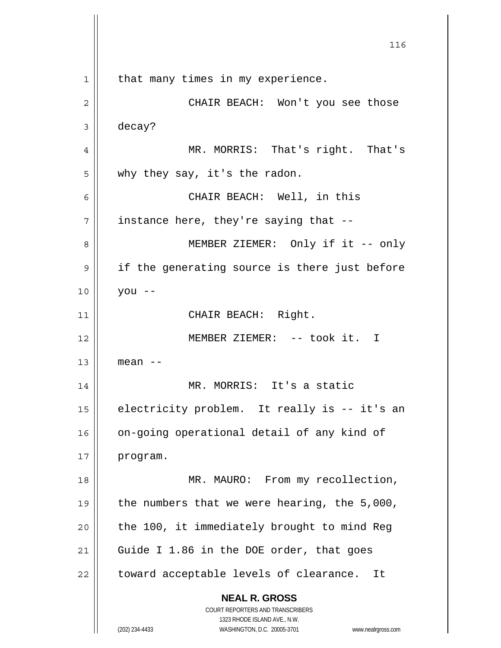**NEAL R. GROSS** COURT REPORTERS AND TRANSCRIBERS 1323 RHODE ISLAND AVE., N.W. (202) 234-4433 WASHINGTON, D.C. 20005-3701 www.nealrgross.com <u>116</u> 1 || that many times in my experience. 2 CHAIR BEACH: Won't you see those 3 decay? 4 MR. MORRIS: That's right. That's 5 why they say, it's the radon. 6 CHAIR BEACH: Well, in this  $7 \parallel$  instance here, they're saying that --8 || MEMBER ZIEMER: Only if it -- only 9 || if the generating source is there just before 10 you -- 11 || CHAIR BEACH: Right. 12 MEMBER ZIEMER: -- took it. I  $13$  || mean --14 || MR. MORRIS: It's a static 15 | electricity problem. It really is -- it's an 16 || on-going operational detail of any kind of 17 program. 18 || MR. MAURO: From my recollection, 19  $\vert$  the numbers that we were hearing, the 5,000,  $20$  | the 100, it immediately brought to mind Reg 21 Guide I 1.86 in the DOE order, that goes  $22$  | toward acceptable levels of clearance. It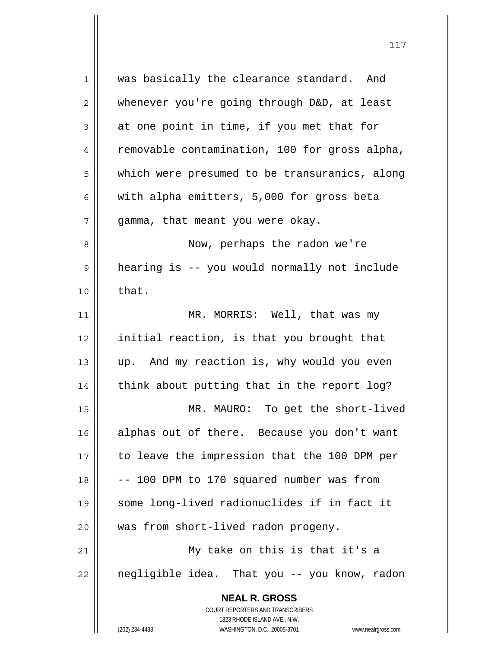| 1  | was basically the clearance standard. And                           |
|----|---------------------------------------------------------------------|
| 2  | whenever you're going through D&D, at least                         |
| 3  | at one point in time, if you met that for                           |
| 4  | removable contamination, 100 for gross alpha,                       |
| 5  | which were presumed to be transuranics, along                       |
| 6  | with alpha emitters, 5,000 for gross beta                           |
| 7  | gamma, that meant you were okay.                                    |
| 8  | Now, perhaps the radon we're                                        |
| 9  | hearing is -- you would normally not include                        |
| 10 | that.                                                               |
| 11 | MR. MORRIS: Well, that was my                                       |
| 12 | initial reaction, is that you brought that                          |
| 13 | up. And my reaction is, why would you even                          |
| 14 | think about putting that in the report log?                         |
| 15 | MR. MAURO: To get the short-lived                                   |
| 16 | alphas out of there. Because you don't want                         |
| 17 | to leave the impression that the 100 DPM per                        |
| 18 | -- 100 DPM to 170 squared number was from                           |
| 19 | some long-lived radionuclides if in fact it                         |
| 20 | was from short-lived radon progeny.                                 |
| 21 | My take on this is that it's a                                      |
| 22 | negligible idea. That you -- you know, radon                        |
|    | <b>NEAL R. GROSS</b>                                                |
|    | COURT REPORTERS AND TRANSCRIBERS                                    |
|    | 1323 RHODE ISLAND AVE., N.W.                                        |
|    | (202) 234-4433<br>WASHINGTON, D.C. 20005-3701<br>www.nealrgross.com |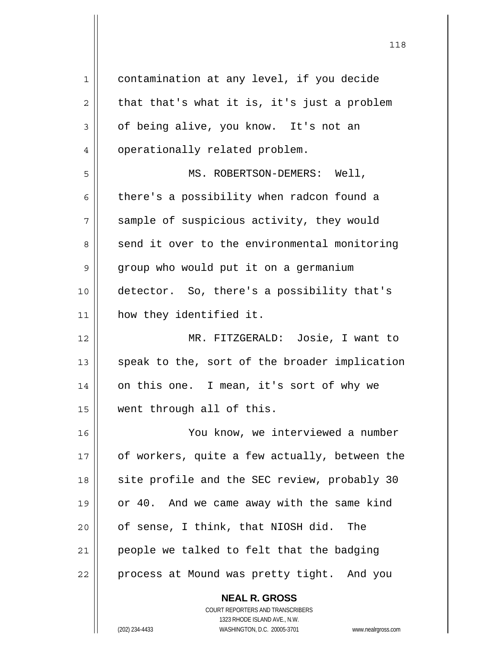| 1  | contamination at any level, if you decide     |
|----|-----------------------------------------------|
| 2  | that that's what it is, it's just a problem   |
| 3  | of being alive, you know. It's not an         |
| 4  | operationally related problem.                |
| 5  | MS. ROBERTSON-DEMERS: Well,                   |
| 6  | there's a possibility when radcon found a     |
| 7  | sample of suspicious activity, they would     |
| 8  | send it over to the environmental monitoring  |
| 9  | group who would put it on a germanium         |
| 10 | detector. So, there's a possibility that's    |
| 11 | how they identified it.                       |
| 12 | MR. FITZGERALD: Josie, I want to              |
| 13 | speak to the, sort of the broader implication |
| 14 | on this one. I mean, it's sort of why we      |
| 15 | went through all of this.                     |
| 16 | You know, we interviewed a number             |
| 17 | of workers, quite a few actually, between the |
| 18 | site profile and the SEC review, probably 30  |
| 19 | or 40. And we came away with the same kind    |
| 20 | of sense, I think, that NIOSH did.<br>The     |
| 21 | people we talked to felt that the badging     |
| 22 | process at Mound was pretty tight. And you    |
|    |                                               |

COURT REPORTERS AND TRANSCRIBERS

 **NEAL R. GROSS**

1323 RHODE ISLAND AVE., N.W.

(202) 234-4433 WASHINGTON, D.C. 20005-3701 www.nealrgross.com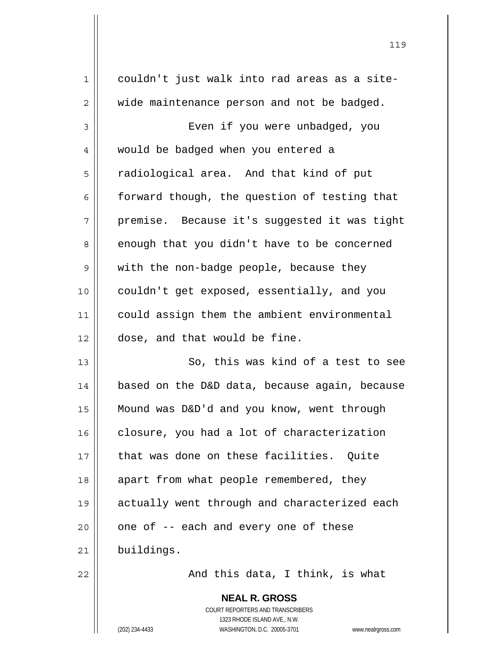| $\mathbf 1$ | couldn't just walk into rad areas as a site-  |
|-------------|-----------------------------------------------|
| 2           | wide maintenance person and not be badged.    |
| 3           | Even if you were unbadged, you                |
| 4           | would be badged when you entered a            |
| 5           | radiological area. And that kind of put       |
| 6           | forward though, the question of testing that  |
| 7           | premise. Because it's suggested it was tight  |
| 8           | enough that you didn't have to be concerned   |
| 9           | with the non-badge people, because they       |
| 10          | couldn't get exposed, essentially, and you    |
| 11          | could assign them the ambient environmental   |
| 12          | dose, and that would be fine.                 |
| 13          | So, this was kind of a test to see            |
| 14          | based on the D&D data, because again, because |
| 15          | Mound was D&D'd and you know, went through    |
| 16          | closure, you had a lot of characterization    |
| 17          | that was done on these facilities. Quite      |
| 18          | apart from what people remembered, they       |
| 19          | actually went through and characterized each  |
| 20          | one of -- each and every one of these         |
| 21          | buildings.                                    |
| 22          | And this data, I think, is what               |
|             |                                               |

 **NEAL R. GROSS** COURT REPORTERS AND TRANSCRIBERS 1323 RHODE ISLAND AVE., N.W.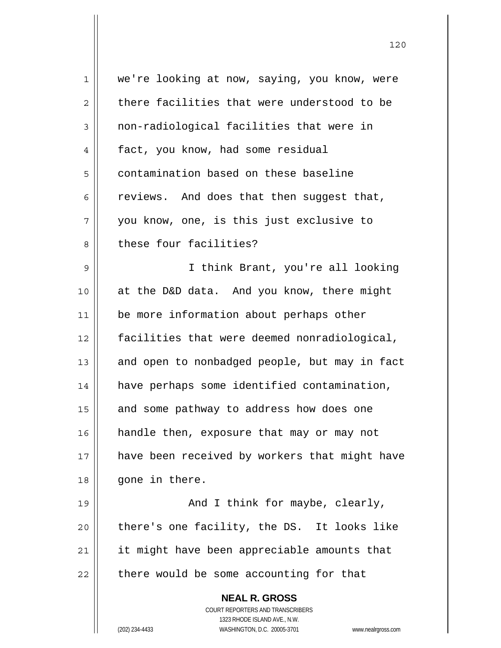| $\mathbf 1$    | we're looking at now, saying, you know, were                        |
|----------------|---------------------------------------------------------------------|
| $\overline{2}$ | there facilities that were understood to be                         |
| 3              | non-radiological facilities that were in                            |
| 4              | fact, you know, had some residual                                   |
| 5              | contamination based on these baseline                               |
| 6              | reviews. And does that then suggest that,                           |
| 7              | you know, one, is this just exclusive to                            |
| 8              | these four facilities?                                              |
| 9              | I think Brant, you're all looking                                   |
| 10             | at the D&D data. And you know, there might                          |
| 11             | be more information about perhaps other                             |
| 12             | facilities that were deemed nonradiological,                        |
| 13             | and open to nonbadged people, but may in fact                       |
| 14             | have perhaps some identified contamination,                         |
| 15             | and some pathway to address how does one                            |
| 16             | handle then, exposure that may or may not                           |
| 17             | have been received by workers that might have                       |
| 18             | gone in there.                                                      |
| 19             | And I think for maybe, clearly,                                     |
| 20             | there's one facility, the DS. It looks like                         |
| 21             | it might have been appreciable amounts that                         |
| 22             | there would be some accounting for that                             |
|                | <b>NEAL R. GROSS</b>                                                |
|                | COURT REPORTERS AND TRANSCRIBERS                                    |
|                | 1323 RHODE ISLAND AVE., N.W.                                        |
|                | (202) 234-4433<br>WASHINGTON, D.C. 20005-3701<br>www.nealrgross.com |

 $\mathsf{I}$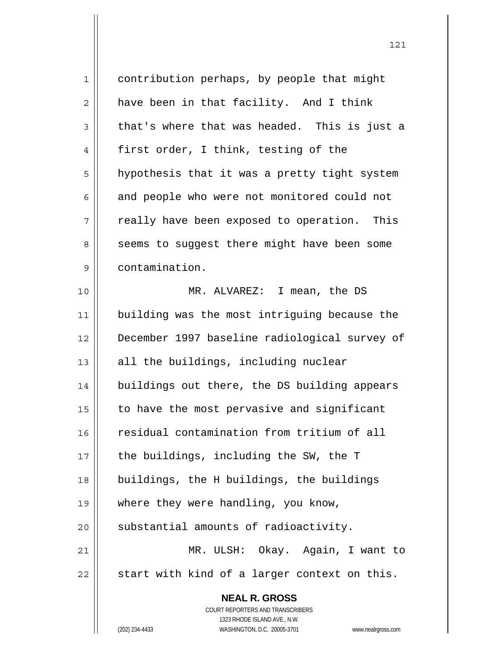| $\mathbf 1$    | contribution perhaps, by people that might                          |
|----------------|---------------------------------------------------------------------|
| $\overline{2}$ | have been in that facility. And I think                             |
| 3              | that's where that was headed. This is just a                        |
| 4              | first order, I think, testing of the                                |
| 5              | hypothesis that it was a pretty tight system                        |
| 6              | and people who were not monitored could not                         |
| 7              | really have been exposed to operation. This                         |
| 8              | seems to suggest there might have been some                         |
| 9              | contamination.                                                      |
| 10             | MR. ALVAREZ: I mean, the DS                                         |
| 11             | building was the most intriguing because the                        |
| 12             | December 1997 baseline radiological survey of                       |
| 13             | all the buildings, including nuclear                                |
| 14             | buildings out there, the DS building appears                        |
| 15             | to have the most pervasive and significant                          |
| 16             | residual contamination from tritium of all                          |
| 17             | the buildings, including the SW, the T                              |
| 18             | buildings, the H buildings, the buildings                           |
| 19             | where they were handling, you know,                                 |
| 20             | substantial amounts of radioactivity.                               |
| 21             | MR. ULSH: Okay. Again, I want to                                    |
| 22             | start with kind of a larger context on this.                        |
|                | <b>NEAL R. GROSS</b>                                                |
|                | <b>COURT REPORTERS AND TRANSCRIBERS</b>                             |
|                | 1323 RHODE ISLAND AVE., N.W.                                        |
|                | (202) 234-4433<br>WASHINGTON, D.C. 20005-3701<br>www.nealrgross.com |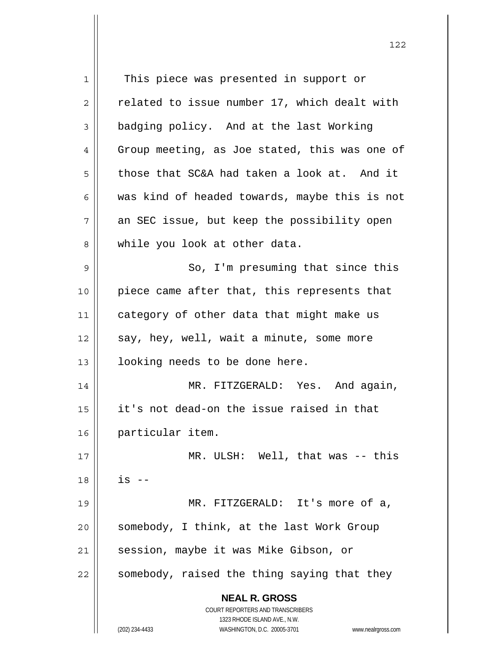**NEAL R. GROSS** COURT REPORTERS AND TRANSCRIBERS 1323 RHODE ISLAND AVE., N.W. (202) 234-4433 WASHINGTON, D.C. 20005-3701 www.nealrgross.com 1 || This piece was presented in support or  $2 \parallel$  related to issue number 17, which dealt with 3 **badging policy.** And at the last Working  $4 \parallel$  Group meeting, as Joe stated, this was one of  $5 \parallel$  those that SC&A had taken a look at. And it 6 was kind of headed towards, maybe this is not  $7 \parallel$  an SEC issue, but keep the possibility open 8 while you look at other data. 9 || So, I'm presuming that since this 10 || piece came after that, this represents that 11 | category of other data that might make us  $12$  | say, hey, well, wait a minute, some more 13 || looking needs to be done here. 14 || MR. FITZGERALD: Yes. And again, 15 it's not dead-on the issue raised in that 16 particular item. 17 || MR. ULSH: Well, that was -- this  $18$  ||  $1s$  --19 MR. FITZGERALD: It's more of a,  $20$  | somebody, I think, at the last Work Group 21 | session, maybe it was Mike Gibson, or  $22$  somebody, raised the thing saying that they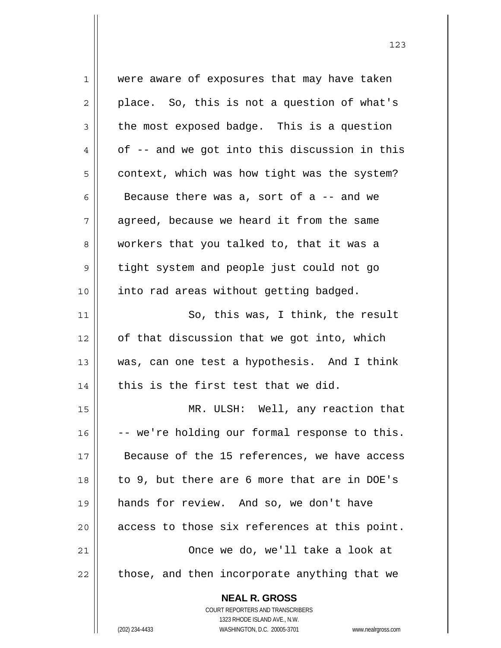| 1  | were aware of exposures that may have taken                         |
|----|---------------------------------------------------------------------|
| 2  | place. So, this is not a question of what's                         |
| 3  | the most exposed badge. This is a question                          |
| 4  | of -- and we got into this discussion in this                       |
| 5  | context, which was how tight was the system?                        |
| 6  | Because there was a, sort of a -- and we                            |
| 7  | agreed, because we heard it from the same                           |
| 8  | workers that you talked to, that it was a                           |
| 9  | tight system and people just could not go                           |
| 10 | into rad areas without getting badged.                              |
| 11 | So, this was, I think, the result                                   |
| 12 | of that discussion that we got into, which                          |
| 13 | was, can one test a hypothesis. And I think                         |
| 14 | this is the first test that we did.                                 |
| 15 | MR. ULSH: Well, any reaction that                                   |
| 16 | -- we're holding our formal response to this.                       |
| 17 | Because of the 15 references, we have access                        |
| 18 | to 9, but there are 6 more that are in DOE's                        |
| 19 | hands for review. And so, we don't have                             |
| 20 | access to those six references at this point.                       |
| 21 | Once we do, we'll take a look at                                    |
| 22 | those, and then incorporate anything that we                        |
|    | <b>NEAL R. GROSS</b>                                                |
|    | COURT REPORTERS AND TRANSCRIBERS                                    |
|    | 1323 RHODE ISLAND AVE., N.W.                                        |
|    | WASHINGTON, D.C. 20005-3701<br>(202) 234-4433<br>www.nealrgross.com |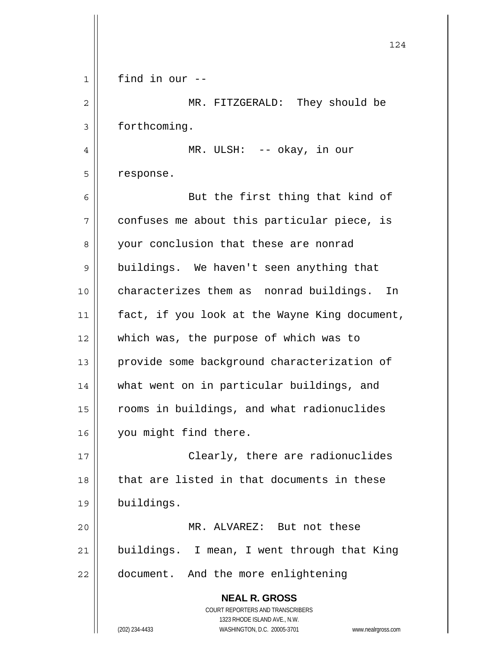|    | 124                                                                 |
|----|---------------------------------------------------------------------|
| 1  | find in our --                                                      |
| 2  | MR. FITZGERALD: They should be                                      |
| 3  | forthcoming.                                                        |
| 4  | MR. ULSH: -- okay, in our                                           |
| 5  | response.                                                           |
| 6  | But the first thing that kind of                                    |
| 7  | confuses me about this particular piece, is                         |
| 8  | your conclusion that these are nonrad                               |
| 9  | buildings. We haven't seen anything that                            |
| 10 | characterizes them as nonrad buildings.<br>In                       |
| 11 | fact, if you look at the Wayne King document,                       |
| 12 | which was, the purpose of which was to                              |
| 13 | provide some background characterization of                         |
| 14 | what went on in particular buildings, and                           |
| 15 | rooms in buildings, and what radionuclides                          |
| 16 | you might find there.                                               |
| 17 | Clearly, there are radionuclides                                    |
| 18 | that are listed in that documents in these                          |
| 19 | buildings.                                                          |
| 20 | MR. ALVAREZ: But not these                                          |
| 21 | buildings. I mean, I went through that King                         |
| 22 | document. And the more enlightening                                 |
|    | <b>NEAL R. GROSS</b>                                                |
|    | COURT REPORTERS AND TRANSCRIBERS<br>1323 RHODE ISLAND AVE., N.W.    |
|    | (202) 234-4433<br>WASHINGTON, D.C. 20005-3701<br>www.nealrgross.com |

 $\mathsf{I}$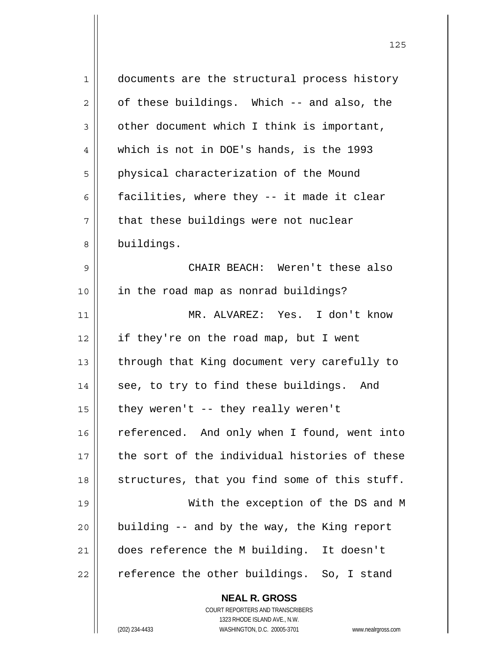| 1  | documents are the structural process history                        |
|----|---------------------------------------------------------------------|
| 2  | of these buildings. Which -- and also, the                          |
| 3  | other document which I think is important,                          |
| 4  | which is not in DOE's hands, is the 1993                            |
| 5  | physical characterization of the Mound                              |
| 6  | facilities, where they -- it made it clear                          |
| 7  | that these buildings were not nuclear                               |
| 8  | buildings.                                                          |
| 9  | CHAIR BEACH: Weren't these also                                     |
| 10 | in the road map as nonrad buildings?                                |
| 11 | MR. ALVAREZ: Yes. I don't know                                      |
| 12 | if they're on the road map, but I went                              |
| 13 | through that King document very carefully to                        |
| 14 | see, to try to find these buildings. And                            |
| 15 | they weren't $-$ they really weren't                                |
| 16 | referenced. And only when I found, went into                        |
| 17 | the sort of the individual histories of these                       |
| 18 | structures, that you find some of this stuff.                       |
| 19 | With the exception of the DS and M                                  |
| 20 | building -- and by the way, the King report                         |
| 21 | does reference the M building. It doesn't                           |
| 22 | reference the other buildings. So, I stand                          |
|    | <b>NEAL R. GROSS</b>                                                |
|    | COURT REPORTERS AND TRANSCRIBERS                                    |
|    | 1323 RHODE ISLAND AVE., N.W.                                        |
|    | (202) 234-4433<br>WASHINGTON, D.C. 20005-3701<br>www.nealrgross.com |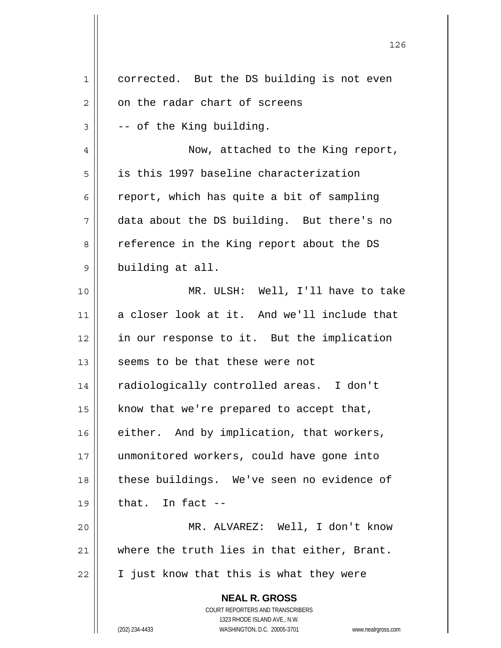|                | 126                                                                 |
|----------------|---------------------------------------------------------------------|
| $\mathbf{1}$   | corrected. But the DS building is not even                          |
| $\overline{c}$ | on the radar chart of screens                                       |
| 3              | -- of the King building.                                            |
| 4              | Now, attached to the King report,                                   |
| 5              | is this 1997 baseline characterization                              |
| 6              | report, which has quite a bit of sampling                           |
| 7              | data about the DS building. But there's no                          |
| 8              | reference in the King report about the DS                           |
| 9              | building at all.                                                    |
| 10             | MR. ULSH: Well, I'll have to take                                   |
| 11             | a closer look at it. And we'll include that                         |
| 12             | in our response to it. But the implication                          |
| 13             | seems to be that these were not                                     |
| 14             | radiologically controlled areas. I don't                            |
| 15             | know that we're prepared to accept that,                            |
| 16             | either. And by implication, that workers,                           |
| 17             | unmonitored workers, could have gone into                           |
| 18             | these buildings. We've seen no evidence of                          |
| 19             | that. In fact --                                                    |
| 20             | MR. ALVAREZ: Well, I don't know                                     |
| 21             | where the truth lies in that either, Brant.                         |
| 22             | I just know that this is what they were                             |
|                | <b>NEAL R. GROSS</b><br>COURT REPORTERS AND TRANSCRIBERS            |
|                | 1323 RHODE ISLAND AVE., N.W.                                        |
|                | (202) 234-4433<br>WASHINGTON, D.C. 20005-3701<br>www.nealrgross.com |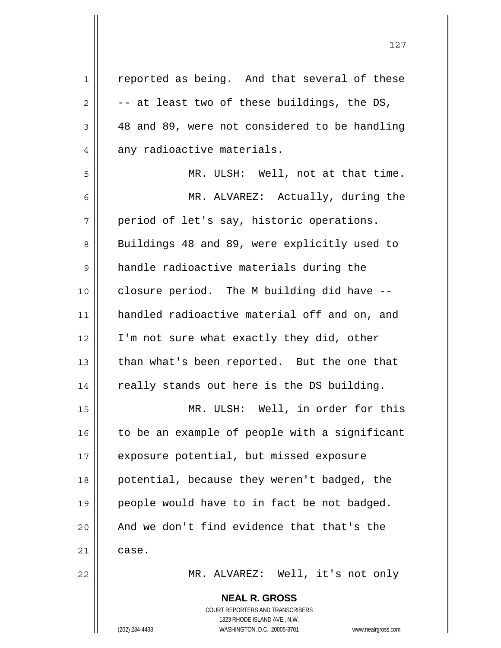| $\mathbf 1$    | reported as being. And that several of these             |
|----------------|----------------------------------------------------------|
| 2              | -- at least two of these buildings, the DS,              |
| $\mathfrak{Z}$ | 48 and 89, were not considered to be handling            |
| 4              | any radioactive materials.                               |
| 5              | MR. ULSH: Well, not at that time.                        |
| 6              | MR. ALVAREZ: Actually, during the                        |
| 7              | period of let's say, historic operations.                |
| 8              | Buildings 48 and 89, were explicitly used to             |
| 9              | handle radioactive materials during the                  |
| 10             | closure period. The M building did have --               |
| 11             | handled radioactive material off and on, and             |
| 12             | I'm not sure what exactly they did, other                |
| 13             | than what's been reported. But the one that              |
| 14             | really stands out here is the DS building.               |
| 15             | MR. ULSH: Well, in order for this                        |
| 16             | to be an example of people with a significant            |
| 17             | exposure potential, but missed exposure                  |
| 18             | potential, because they weren't badged, the              |
| 19             | people would have to in fact be not badged.              |
| 20             | And we don't find evidence that that's the               |
| 21             | case.                                                    |
| 22             | MR. ALVAREZ: Well, it's not only                         |
|                | <b>NEAL R. GROSS</b><br>COURT REPORTERS AND TRANSCRIBERS |

1323 RHODE ISLAND AVE., N.W.

 $\mathop{\text{||}}$ 

(202) 234-4433 WASHINGTON, D.C. 20005-3701 www.nealrgross.com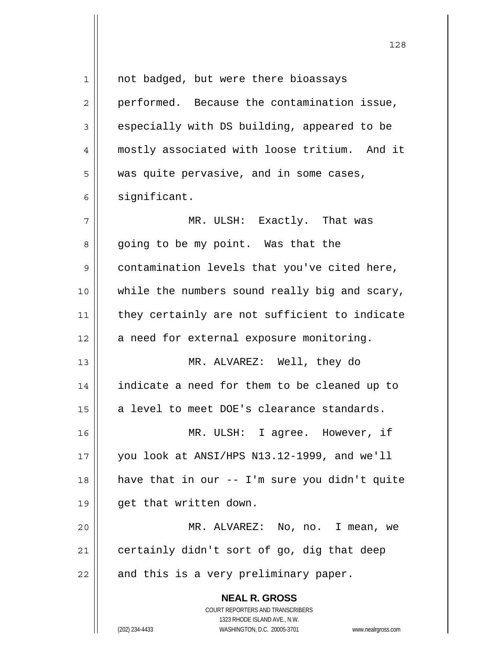| 1  | not badged, but were there bioassays                                |
|----|---------------------------------------------------------------------|
| 2  | performed. Because the contamination issue,                         |
| 3  | especially with DS building, appeared to be                         |
| 4  | mostly associated with loose tritium. And it                        |
| 5  | was quite pervasive, and in some cases,                             |
| 6  | significant.                                                        |
| 7  | MR. ULSH: Exactly. That was                                         |
| 8  | going to be my point. Was that the                                  |
| 9  | contamination levels that you've cited here,                        |
| 10 | while the numbers sound really big and scary,                       |
| 11 | they certainly are not sufficient to indicate                       |
| 12 | a need for external exposure monitoring.                            |
| 13 | MR. ALVAREZ: Well, they do                                          |
| 14 | indicate a need for them to be cleaned up to                        |
| 15 | a level to meet DOE's clearance standards.                          |
| 16 | MR. ULSH: I agree. However, if                                      |
| 17 | you look at ANSI/HPS N13.12-1999, and we'll                         |
| 18 | have that in our -- I'm sure you didn't quite                       |
| 19 | get that written down.                                              |
| 20 | MR. ALVAREZ: No, no. I mean, we                                     |
| 21 | certainly didn't sort of go, dig that deep                          |
| 22 | and this is a very preliminary paper.                               |
|    | <b>NEAL R. GROSS</b>                                                |
|    | COURT REPORTERS AND TRANSCRIBERS                                    |
|    | 1323 RHODE ISLAND AVE., N.W.                                        |
|    | (202) 234-4433<br>WASHINGTON, D.C. 20005-3701<br>www.nealrgross.com |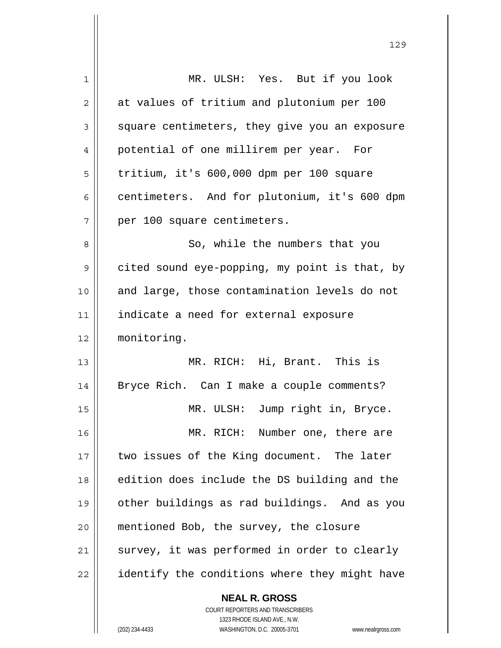| 1  | MR. ULSH: Yes. But if you look                |
|----|-----------------------------------------------|
| 2  | at values of tritium and plutonium per 100    |
| 3  | square centimeters, they give you an exposure |
| 4  | potential of one millirem per year. For       |
| 5  | tritium, it's 600,000 dpm per 100 square      |
| 6  | centimeters. And for plutonium, it's 600 dpm  |
| 7  | per 100 square centimeters.                   |
| 8  | So, while the numbers that you                |
| 9  | cited sound eye-popping, my point is that, by |
| 10 | and large, those contamination levels do not  |
| 11 | indicate a need for external exposure         |
| 12 | monitoring.                                   |
| 13 | MR. RICH: Hi, Brant. This is                  |
| 14 | Bryce Rich. Can I make a couple comments?     |
| 15 | MR. ULSH: Jump right in, Bryce.               |
| 16 | MR. RICH: Number one, there are               |
| 17 | two issues of the King document. The later    |
| 18 | edition does include the DS building and the  |
| 19 | other buildings as rad buildings. And as you  |
| 20 | mentioned Bob, the survey, the closure        |
| 21 | survey, it was performed in order to clearly  |
| 22 | identify the conditions where they might have |
|    |                                               |

 $\mathbf{I}$ 

 COURT REPORTERS AND TRANSCRIBERS 1323 RHODE ISLAND AVE., N.W. (202) 234-4433 WASHINGTON, D.C. 20005-3701 www.nealrgross.com

 **NEAL R. GROSS**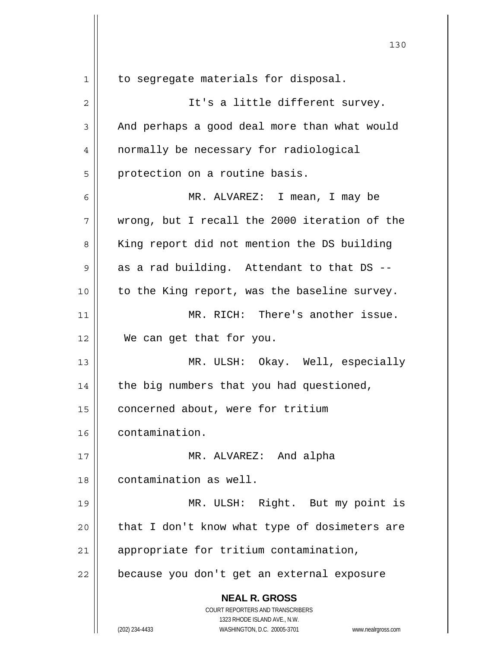| $\mathbf 1$ | to segregate materials for disposal.                                |
|-------------|---------------------------------------------------------------------|
| $\mathbf 2$ | It's a little different survey.                                     |
| 3           | And perhaps a good deal more than what would                        |
| 4           | normally be necessary for radiological                              |
| 5           | protection on a routine basis.                                      |
| 6           | MR. ALVAREZ: I mean, I may be                                       |
| 7           | wrong, but I recall the 2000 iteration of the                       |
| 8           | King report did not mention the DS building                         |
| 9           | as a rad building. Attendant to that DS --                          |
| 10          | to the King report, was the baseline survey.                        |
| 11          | MR. RICH: There's another issue.                                    |
| 12          | We can get that for you.                                            |
| 13          | MR. ULSH: Okay. Well, especially                                    |
| 14          | the big numbers that you had questioned,                            |
| 15          | concerned about, were for tritium                                   |
| 16          | contamination.                                                      |
| 17          | MR. ALVAREZ: And alpha                                              |
| 18          | contamination as well.                                              |
| 19          | MR. ULSH: Right. But my point is                                    |
| 20          | that I don't know what type of dosimeters are                       |
| 21          | appropriate for tritium contamination,                              |
| 22          | because you don't get an external exposure                          |
|             | <b>NEAL R. GROSS</b>                                                |
|             | COURT REPORTERS AND TRANSCRIBERS<br>1323 RHODE ISLAND AVE., N.W.    |
|             | (202) 234-4433<br>WASHINGTON, D.C. 20005-3701<br>www.nealrgross.com |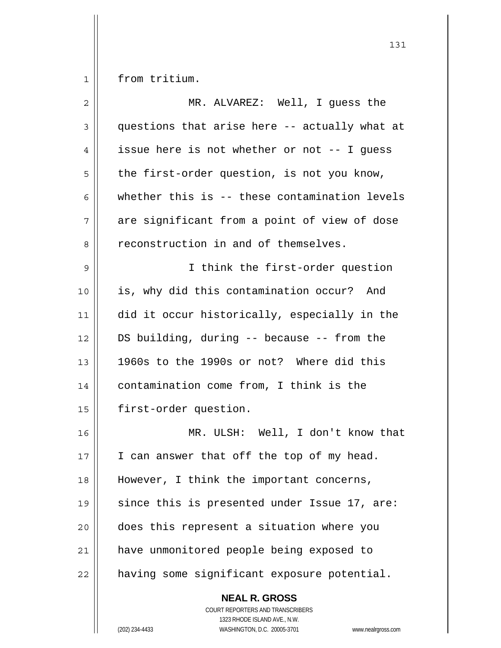1 | from tritium.

| $\overline{2}$ | MR. ALVAREZ: Well, I guess the                |
|----------------|-----------------------------------------------|
| 3              | questions that arise here -- actually what at |
| 4              | issue here is not whether or not -- I guess   |
| 5              | the first-order question, is not you know,    |
| 6              | whether this is -- these contamination levels |
| 7              | are significant from a point of view of dose  |
| 8              | reconstruction in and of themselves.          |
| 9              | I think the first-order question              |
| 10             | is, why did this contamination occur? And     |
| 11             | did it occur historically, especially in the  |
| 12             | DS building, during -- because -- from the    |
| 13             | 1960s to the 1990s or not? Where did this     |
| 14             | contamination come from, I think is the       |
| 15             | first-order question.                         |
| 16             | MR. ULSH: Well, I don't know that             |
| 17             | I can answer that off the top of my head.     |
| 18             | However, I think the important concerns,      |
| 19             | since this is presented under Issue 17, are:  |
| 20             | does this represent a situation where you     |
| 21             | have unmonitored people being exposed to      |
| 22             | having some significant exposure potential.   |
|                | <b>NEAL R. GROSS</b>                          |

 $\mathsf{II}$ 

 COURT REPORTERS AND TRANSCRIBERS 1323 RHODE ISLAND AVE., N.W. (202) 234-4433 WASHINGTON, D.C. 20005-3701 www.nealrgross.com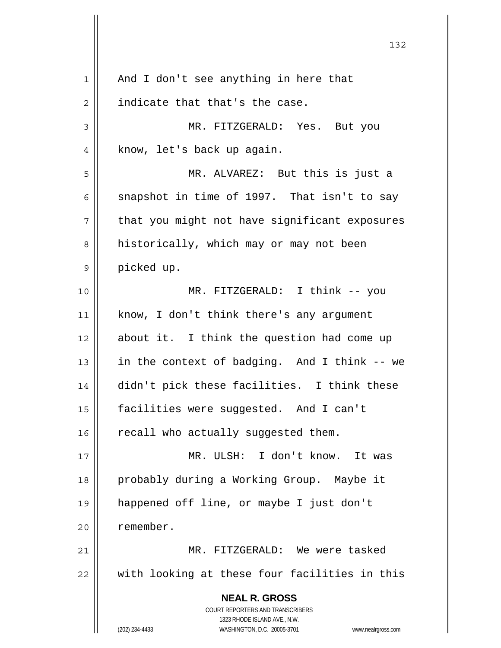| $\mathbf 1$ | And I don't see anything in here that                                                               |
|-------------|-----------------------------------------------------------------------------------------------------|
| 2           | indicate that that's the case.                                                                      |
| 3           | MR. FITZGERALD: Yes. But you                                                                        |
| 4           | know, let's back up again.                                                                          |
| 5           | MR. ALVAREZ: But this is just a                                                                     |
| 6           | snapshot in time of 1997. That isn't to say                                                         |
| 7           | that you might not have significant exposures                                                       |
| 8           | historically, which may or may not been                                                             |
| 9           | picked up.                                                                                          |
| 10          | MR. FITZGERALD: I think -- you                                                                      |
| 11          | know, I don't think there's any argument                                                            |
| 12          | about it. I think the question had come up                                                          |
| 13          | in the context of badging. And I think -- we                                                        |
| 14          | didn't pick these facilities. I think these                                                         |
| 15          | facilities were suggested. And I can't                                                              |
| 16          | recall who actually suggested them.                                                                 |
| 17          | MR. ULSH: I don't know. It was                                                                      |
| 18          | probably during a Working Group. Maybe it                                                           |
| 19          | happened off line, or maybe I just don't                                                            |
| 20          | remember.                                                                                           |
| 21          | MR. FITZGERALD: We were tasked                                                                      |
| 22          | with looking at these four facilities in this                                                       |
|             | <b>NEAL R. GROSS</b>                                                                                |
|             | COURT REPORTERS AND TRANSCRIBERS                                                                    |
|             | 1323 RHODE ISLAND AVE., N.W.<br>(202) 234-4433<br>WASHINGTON, D.C. 20005-3701<br>www.nealrgross.com |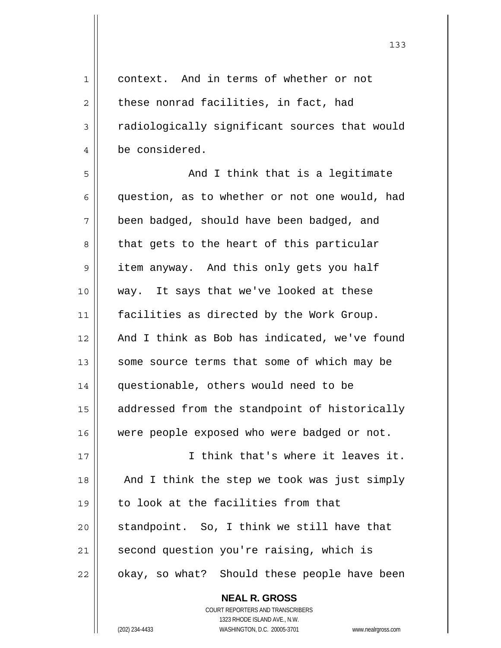1 context. And in terms of whether or not  $2 \parallel$  these nonrad facilities, in fact, had 3 | radiologically significant sources that would 4 be considered.  $5 \parallel$  and I think that is a legitimate  $6 \parallel$  question, as to whether or not one would, had 7 been badged, should have been badged, and 8 || that gets to the heart of this particular 9 || item anyway. And this only gets you half 10 way. It says that we've looked at these 11 | facilities as directed by the Work Group. 12 And I think as Bob has indicated, we've found 13 || some source terms that some of which may be 14 questionable, others would need to be 15 | addressed from the standpoint of historically 16 || were people exposed who were badged or not. 17 I think that's where it leaves it. 18 || And I think the step we took was just simply 19 to look at the facilities from that  $20$  standpoint. So, I think we still have that 21 | second question you're raising, which is 22 | okay, so what? Should these people have been

> **NEAL R. GROSS** COURT REPORTERS AND TRANSCRIBERS 1323 RHODE ISLAND AVE., N.W. (202) 234-4433 WASHINGTON, D.C. 20005-3701 www.nealrgross.com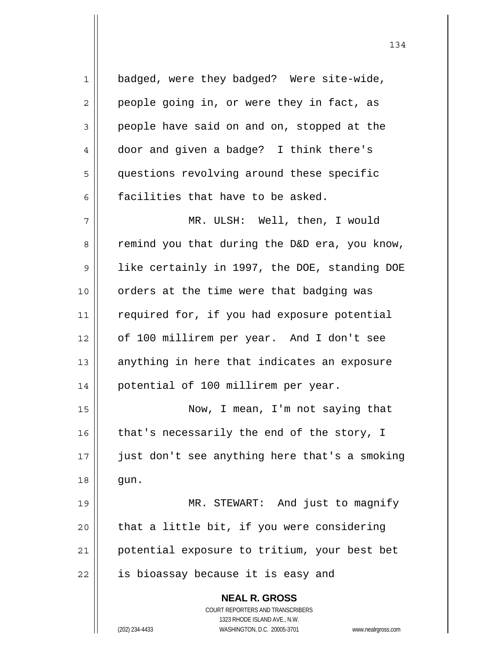**NEAL R. GROSS** COURT REPORTERS AND TRANSCRIBERS 1323 RHODE ISLAND AVE., N.W. 1 | badged, were they badged? Were site-wide,  $2 \parallel$  people going in, or were they in fact, as 3 people have said on and on, stopped at the 4 door and given a badge? I think there's 5 | questions revolving around these specific  $6$  || facilities that have to be asked. 7 MR. ULSH: Well, then, I would  $8 \parallel$  remind you that during the D&D era, you know, 9 || like certainly in 1997, the DOE, standing DOE 10 || orders at the time were that badging was 11 || required for, if you had exposure potential 12 of 100 millirem per year. And I don't see  $13$  anything in here that indicates an exposure 14 || potential of 100 millirem per year. 15 Now, I mean, I'm not saying that 16  $\parallel$  that's necessarily the end of the story, I 17 just don't see anything here that's a smoking 18 || gun. 19 MR. STEWART: And just to magnify  $20$  | that a little bit, if you were considering 21 || potential exposure to tritium, your best bet 22 || is bioassay because it is easy and

(202) 234-4433 WASHINGTON, D.C. 20005-3701 www.nealrgross.com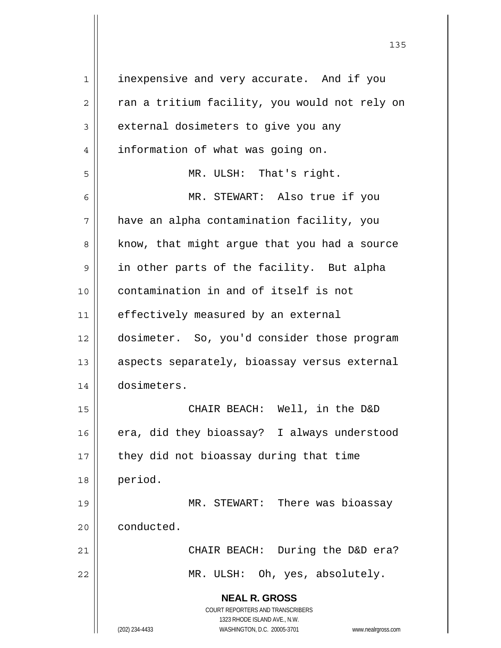| $\mathbf 1$ | inexpensive and very accurate. And if you                           |
|-------------|---------------------------------------------------------------------|
| 2           | ran a tritium facility, you would not rely on                       |
| 3           | external dosimeters to give you any                                 |
| 4           | information of what was going on.                                   |
| 5           | MR. ULSH: That's right.                                             |
| 6           | MR. STEWART: Also true if you                                       |
| 7           | have an alpha contamination facility, you                           |
| 8           | know, that might argue that you had a source                        |
| 9           | in other parts of the facility. But alpha                           |
| 10          | contamination in and of itself is not                               |
| 11          | effectively measured by an external                                 |
| 12          | dosimeter. So, you'd consider those program                         |
| 13          | aspects separately, bioassay versus external                        |
| 14          | dosimeters.                                                         |
| 15          | CHAIR BEACH: Well, in the D&D                                       |
| 16          | era, did they bioassay? I always understood                         |
| 17          | they did not bioassay during that time                              |
| 18          | period.                                                             |
| 19          | MR. STEWART: There was bioassay                                     |
| 20          | conducted.                                                          |
| 21          | CHAIR BEACH: During the D&D era?                                    |
| 22          | MR. ULSH: Oh, yes, absolutely.                                      |
|             | <b>NEAL R. GROSS</b>                                                |
|             | COURT REPORTERS AND TRANSCRIBERS                                    |
|             | 1323 RHODE ISLAND AVE., N.W.                                        |
|             | (202) 234-4433<br>WASHINGTON, D.C. 20005-3701<br>www.nealrgross.com |

<u>135</u>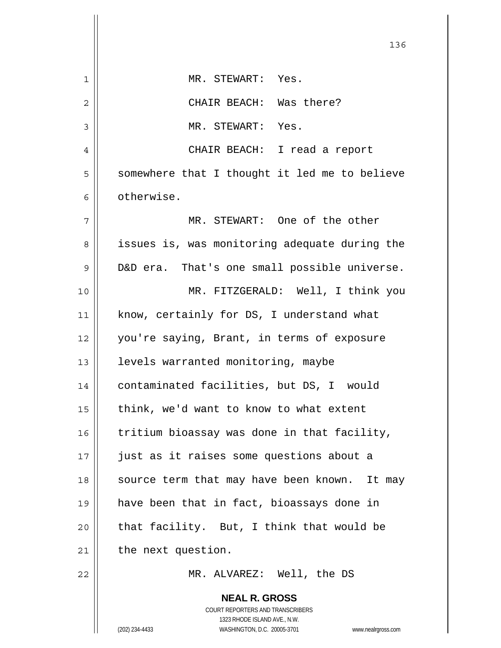|    | 136                                                      |
|----|----------------------------------------------------------|
| 1  | MR. STEWART: Yes.                                        |
| 2  | CHAIR BEACH: Was there?                                  |
| 3  | MR. STEWART: Yes.                                        |
| 4  | CHAIR BEACH: I read a report                             |
| 5  | somewhere that I thought it led me to believe            |
| 6  | otherwise.                                               |
| 7  | MR. STEWART: One of the other                            |
| 8  | issues is, was monitoring adequate during the            |
| 9  | D&D era. That's one small possible universe.             |
| 10 | MR. FITZGERALD: Well, I think you                        |
| 11 | know, certainly for DS, I understand what                |
| 12 | you're saying, Brant, in terms of exposure               |
| 13 | levels warranted monitoring, maybe                       |
| 14 | contaminated facilities, but DS, I would                 |
| 15 | think, we'd want to know to what extent                  |
| 16 | tritium bioassay was done in that facility,              |
| 17 | just as it raises some questions about a                 |
| 18 | source term that may have been known. It may             |
| 19 | have been that in fact, bioassays done in                |
| 20 | that facility. But, I think that would be                |
| 21 | the next question.                                       |
| 22 | MR. ALVAREZ: Well, the DS                                |
|    | <b>NEAL R. GROSS</b><br>COURT REPORTERS AND TRANSCRIBERS |

1323 RHODE ISLAND AVE., N.W.

 $\prod$ 

 $\mathsf{I}$ 

(202) 234-4433 WASHINGTON, D.C. 20005-3701 www.nealrgross.com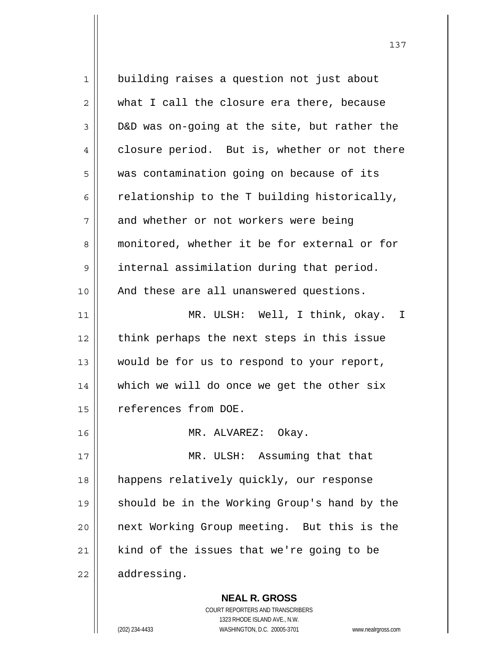1 | building raises a question not just about 2 what I call the closure era there, because  $3 \parallel$  D&D was on-going at the site, but rather the 4 closure period. But is, whether or not there 5 | was contamination going on because of its  $6 \parallel$  relationship to the T building historically,  $7 \parallel$  and whether or not workers were being 8 monitored, whether it be for external or for 9 | internal assimilation during that period. 10 || And these are all unanswered questions. 11 || MR. ULSH: Well, I think, okay. I 12 || think perhaps the next steps in this issue 13 || would be for us to respond to your report, 14 || which we will do once we get the other six 15 references from DOE. 16 || MR. ALVAREZ: Okay. 17 || MR. ULSH: Assuming that that 18 happens relatively quickly, our response 19 || should be in the Working Group's hand by the 20 next Working Group meeting. But this is the  $21$  kind of the issues that we're going to be  $22$  | addressing.

> **NEAL R. GROSS** COURT REPORTERS AND TRANSCRIBERS 1323 RHODE ISLAND AVE., N.W.

(202) 234-4433 WASHINGTON, D.C. 20005-3701 www.nealrgross.com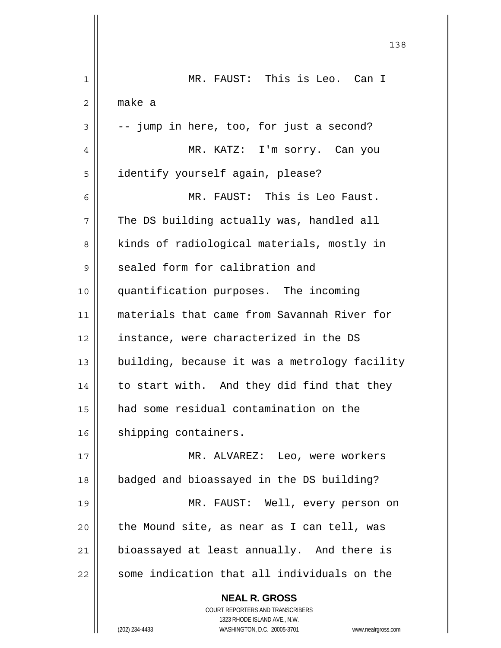|    | 138                                                                 |
|----|---------------------------------------------------------------------|
| 1  | MR. FAUST: This is Leo. Can I                                       |
| 2  | make a                                                              |
| 3  | -- jump in here, too, for just a second?                            |
| 4  | MR. KATZ: I'm sorry. Can you                                        |
| 5  | identify yourself again, please?                                    |
| 6  | MR. FAUST: This is Leo Faust.                                       |
| 7  | The DS building actually was, handled all                           |
| 8  | kinds of radiological materials, mostly in                          |
| 9  | sealed form for calibration and                                     |
| 10 | quantification purposes. The incoming                               |
| 11 | materials that came from Savannah River for                         |
| 12 | instance, were characterized in the DS                              |
| 13 | building, because it was a metrology facility                       |
| 14 | to start with. And they did find that they                          |
| 15 | had some residual contamination on the                              |
| 16 | shipping containers.                                                |
| 17 | MR. ALVAREZ: Leo, were workers                                      |
| 18 | badged and bioassayed in the DS building?                           |
| 19 | MR. FAUST: Well, every person on                                    |
| 20 | the Mound site, as near as I can tell, was                          |
| 21 | bioassayed at least annually. And there is                          |
| 22 | some indication that all individuals on the                         |
|    | <b>NEAL R. GROSS</b><br>COURT REPORTERS AND TRANSCRIBERS            |
|    | 1323 RHODE ISLAND AVE., N.W.                                        |
|    | (202) 234-4433<br>WASHINGTON, D.C. 20005-3701<br>www.nealrgross.com |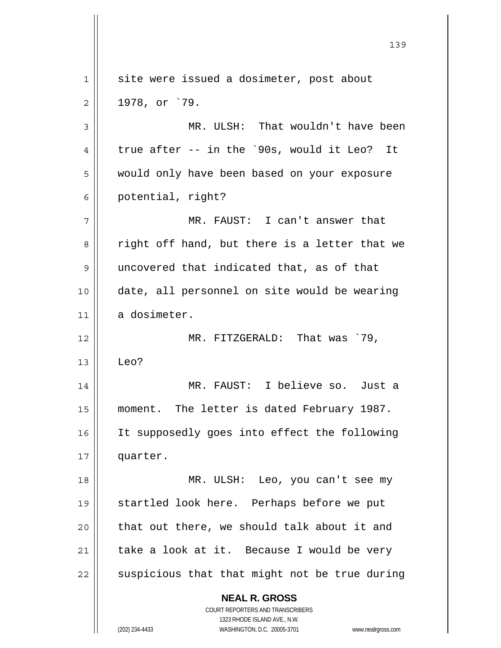**NEAL R. GROSS** COURT REPORTERS AND TRANSCRIBERS 1323 RHODE ISLAND AVE., N.W. (202) 234-4433 WASHINGTON, D.C. 20005-3701 www.nealrgross.com 1 | site were issued a dosimeter, post about  $2 \parallel 1978, \text{ or } 79.$ 3 MR. ULSH: That wouldn't have been  $4 \parallel$  true after -- in the `90s, would it Leo? It 5 would only have been based on your exposure 6 | potential, right? 7 MR. FAUST: I can't answer that  $8 \parallel$  right off hand, but there is a letter that we 9 uncovered that indicated that, as of that 10 date, all personnel on site would be wearing 11 a dosimeter. 12 MR. FITZGERALD: That was `79,  $13 \parallel$  Leo? 14 MR. FAUST: I believe so. Just a 15 | moment. The letter is dated February 1987. 16 It supposedly goes into effect the following 17 quarter. 18 MR. ULSH: Leo, you can't see my 19 startled look here. Perhaps before we put  $20$  || that out there, we should talk about it and  $21$  take a look at it. Because I would be very  $22$   $\parallel$  suspicious that that might not be true during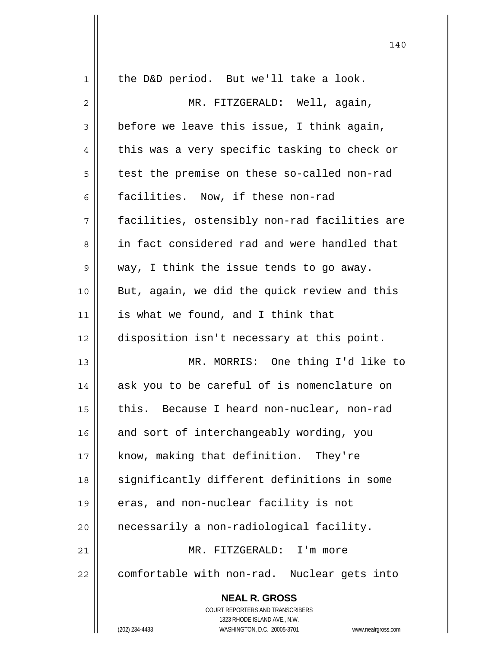| 1  | the D&D period. But we'll take a look.                              |
|----|---------------------------------------------------------------------|
| 2  | MR. FITZGERALD: Well, again,                                        |
| 3  | before we leave this issue, I think again,                          |
| 4  | this was a very specific tasking to check or                        |
| 5  | test the premise on these so-called non-rad                         |
| 6  | facilities. Now, if these non-rad                                   |
| 7  | facilities, ostensibly non-rad facilities are                       |
| 8  | in fact considered rad and were handled that                        |
| 9  | way, I think the issue tends to go away.                            |
| 10 | But, again, we did the quick review and this                        |
| 11 | is what we found, and I think that                                  |
| 12 | disposition isn't necessary at this point.                          |
| 13 | MR. MORRIS: One thing I'd like to                                   |
| 14 | ask you to be careful of is nomenclature on                         |
| 15 | this. Because I heard non-nuclear, non-rad                          |
| 16 | and sort of interchangeably wording, you                            |
| 17 | know, making that definition. They're                               |
| 18 | significantly different definitions in some                         |
| 19 | eras, and non-nuclear facility is not                               |
| 20 | necessarily a non-radiological facility.                            |
| 21 | MR. FITZGERALD: I'm more                                            |
| 22 | comfortable with non-rad. Nuclear gets into                         |
|    | <b>NEAL R. GROSS</b>                                                |
|    | COURT REPORTERS AND TRANSCRIBERS                                    |
|    | 1323 RHODE ISLAND AVE., N.W.                                        |
|    | (202) 234-4433<br>WASHINGTON, D.C. 20005-3701<br>www.nealrgross.com |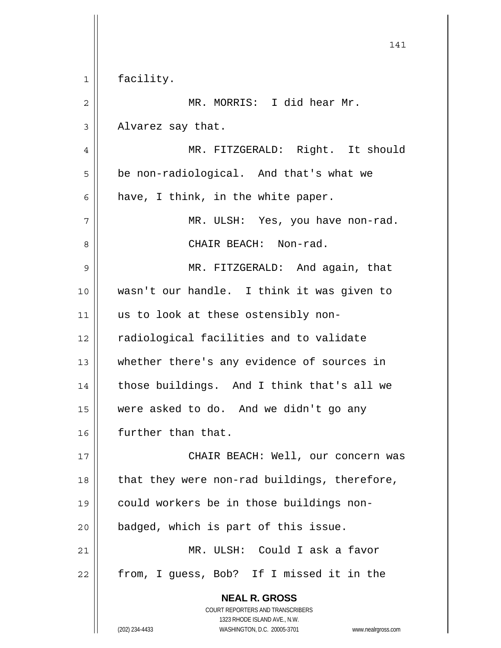**NEAL R. GROSS** COURT REPORTERS AND TRANSCRIBERS 1323 RHODE ISLAND AVE., N.W. (202) 234-4433 WASHINGTON, D.C. 20005-3701 www.nealrgross.com 141 1 | facility. 2 MR. MORRIS: I did hear Mr.  $3 \parallel$  Alvarez say that. 4 MR. FITZGERALD: Right. It should 5 | be non-radiological. And that's what we  $6$  | have, I think, in the white paper.  $7 \parallel$  MR. ULSH: Yes, you have non-rad. 8 CHAIR BEACH: Non-rad. 9 MR. FITZGERALD: And again, that 10 wasn't our handle. I think it was given to 11 || us to look at these ostensibly non-12 | cadiological facilities and to validate 13 || whether there's any evidence of sources in 14 || those buildings. And I think that's all we 15 were asked to do. And we didn't go any 16 | further than that. 17 CHAIR BEACH: Well, our concern was 18 || that they were non-rad buildings, therefore, 19 could workers be in those buildings non- $20$  || badged, which is part of this issue. 21 MR. ULSH: Could I ask a favor 22 || from, I guess, Bob? If I missed it in the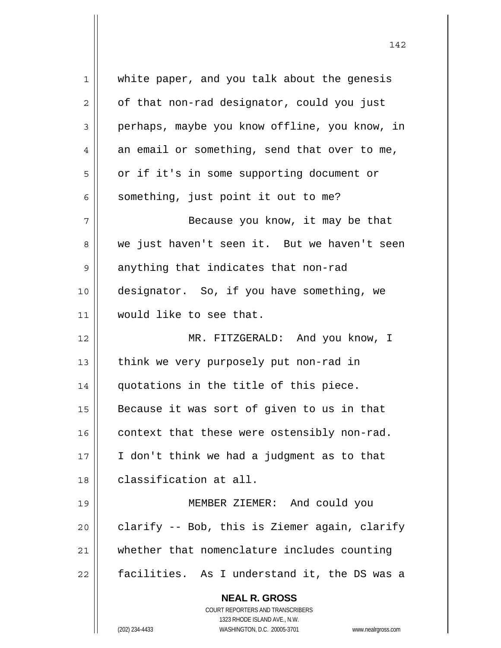| 1            | white paper, and you talk about the genesis                         |
|--------------|---------------------------------------------------------------------|
| $\mathbf{2}$ | of that non-rad designator, could you just                          |
| 3            | perhaps, maybe you know offline, you know, in                       |
| 4            | an email or something, send that over to me,                        |
| 5            | or if it's in some supporting document or                           |
| 6            | something, just point it out to me?                                 |
| 7            | Because you know, it may be that                                    |
| 8            | we just haven't seen it. But we haven't seen                        |
| 9            | anything that indicates that non-rad                                |
| 10           | designator. So, if you have something, we                           |
| 11           | would like to see that.                                             |
| 12           | MR. FITZGERALD: And you know, I                                     |
| 13           | think we very purposely put non-rad in                              |
| 14           | quotations in the title of this piece.                              |
| 15           | Because it was sort of given to us in that                          |
| 16           | context that these were ostensibly non-rad.                         |
| 17           | I don't think we had a judgment as to that                          |
| 18           | classification at all.                                              |
| 19           | MEMBER ZIEMER: And could you                                        |
| 20           | clarify -- Bob, this is Ziemer again, clarify                       |
| 21           | whether that nomenclature includes counting                         |
| 22           | facilities. As I understand it, the DS was a                        |
|              | <b>NEAL R. GROSS</b>                                                |
|              | COURT REPORTERS AND TRANSCRIBERS                                    |
|              | 1323 RHODE ISLAND AVE., N.W.                                        |
|              | (202) 234-4433<br>WASHINGTON, D.C. 20005-3701<br>www.nealrgross.com |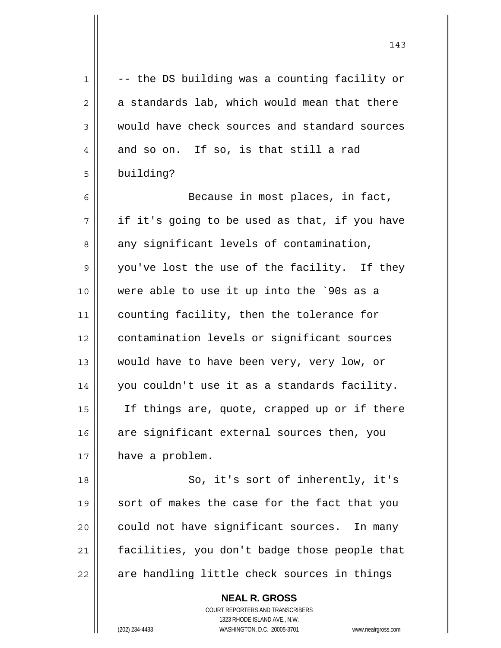$1 \parallel$  -- the DS building was a counting facility or  $2 \parallel$  a standards lab, which would mean that there 3 would have check sources and standard sources  $4 \parallel$  and so on. If so, is that still a rad 5 building? 6 Because in most places, in fact,  $7 \parallel$  if it's going to be used as that, if you have  $8 \parallel$  any significant levels of contamination, 9 || you've lost the use of the facility. If they 10 were able to use it up into the `90s as a 11 | counting facility, then the tolerance for 12 contamination levels or significant sources 13 would have to have been very, very low, or 14 you couldn't use it as a standards facility. 15 If things are, quote, crapped up or if there  $16$  are significant external sources then, you 17 | have a problem. 18 || So, it's sort of inherently, it's 19 sort of makes the case for the fact that you 20 || could not have significant sources. In many 21 | facilities, you don't badge those people that  $22$  || are handling little check sources in things

> COURT REPORTERS AND TRANSCRIBERS 1323 RHODE ISLAND AVE., N.W. (202) 234-4433 WASHINGTON, D.C. 20005-3701 www.nealrgross.com

 **NEAL R. GROSS**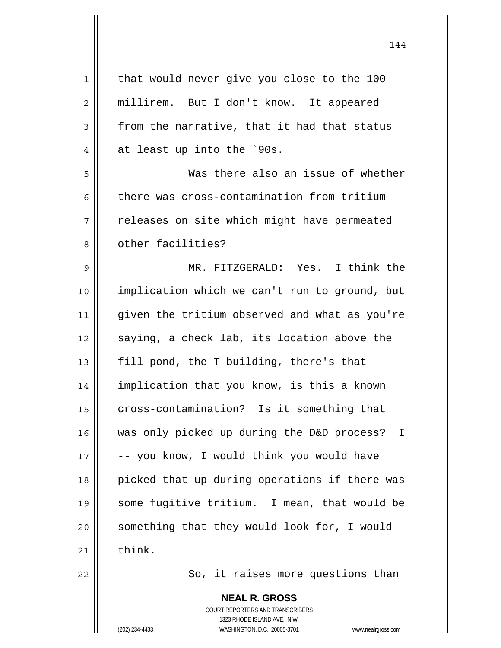| 1  | that would never give you close to the 100      |
|----|-------------------------------------------------|
| 2  | millirem. But I don't know. It appeared         |
| 3  | from the narrative, that it had that status     |
| 4  | at least up into the `90s.                      |
| 5  | Was there also an issue of whether              |
| 6  | there was cross-contamination from tritium      |
| 7  | releases on site which might have permeated     |
| 8  | other facilities?                               |
| 9  | MR. FITZGERALD: Yes. I think the                |
| 10 | implication which we can't run to ground, but   |
| 11 | given the tritium observed and what as you're   |
| 12 | saying, a check lab, its location above the     |
| 13 | fill pond, the T building, there's that         |
| 14 | implication that you know, is this a known      |
| 15 | cross-contamination? Is it something that       |
| 16 | was only picked up during the D&D process?<br>I |
| 17 | -- you know, I would think you would have       |
| 18 | picked that up during operations if there was   |
| 19 | some fugitive tritium. I mean, that would be    |
| 20 | something that they would look for, I would     |
| 21 | think.                                          |
| 22 | So, it raises more questions than               |
|    |                                                 |

 **NEAL R. GROSS** COURT REPORTERS AND TRANSCRIBERS 1323 RHODE ISLAND AVE., N.W. (202) 234-4433 WASHINGTON, D.C. 20005-3701 www.nealrgross.com

 $\mathbf{I}$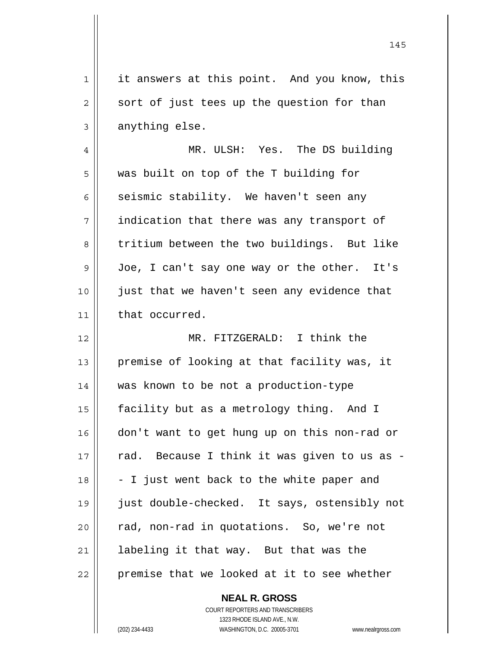1 || it answers at this point. And you know, this  $2 \parallel$  sort of just tees up the question for than  $3 \parallel$  anything else. 4 MR. ULSH: Yes. The DS building 5 was built on top of the T building for 6 seismic stability. We haven't seen any 7 | indication that there was any transport of 8 tritium between the two buildings. But like 9 Joe, I can't say one way or the other. It's 10 just that we haven't seen any evidence that 11 | that occurred. 12 MR. FITZGERALD: I think the 13 || premise of looking at that facility was, it 14 was known to be not a production-type 15 facility but as a metrology thing. And I 16 don't want to get hung up on this non-rad or  $17$  | rad. Because I think it was given to us as - $18 \parallel -I$  just went back to the white paper and 19 just double-checked. It says, ostensibly not 20 || rad, non-rad in quotations. So, we're not

145

 $22$  | premise that we looked at it to see whether

21 | labeling it that way. But that was the

 COURT REPORTERS AND TRANSCRIBERS 1323 RHODE ISLAND AVE., N.W. (202) 234-4433 WASHINGTON, D.C. 20005-3701 www.nealrgross.com

 **NEAL R. GROSS**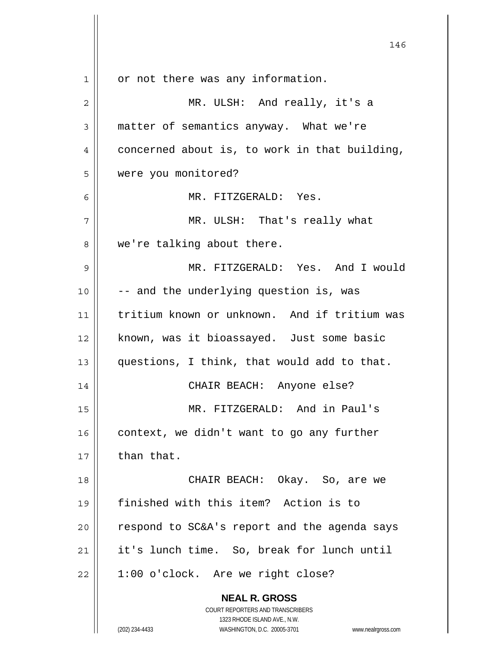|              | 146                                                                 |
|--------------|---------------------------------------------------------------------|
| $\mathbf{1}$ | or not there was any information.                                   |
| 2            | MR. ULSH: And really, it's a                                        |
| 3            | matter of semantics anyway. What we're                              |
| 4            | concerned about is, to work in that building,                       |
| 5            | were you monitored?                                                 |
| 6            | MR. FITZGERALD: Yes.                                                |
| 7            | MR. ULSH: That's really what                                        |
| 8            | we're talking about there.                                          |
| 9            | MR. FITZGERALD: Yes. And I would                                    |
| 10           | -- and the underlying question is, was                              |
| 11           | tritium known or unknown. And if tritium was                        |
| 12           | known, was it bioassayed. Just some basic                           |
| 13           | questions, I think, that would add to that.                         |
| 14           | CHAIR BEACH: Anyone else?                                           |
| 15           | MR. FITZGERALD: And in Paul's                                       |
| 16           | context, we didn't want to go any further                           |
| 17           | than that.                                                          |
| 18           | CHAIR BEACH: Okay. So, are we                                       |
| 19           | finished with this item? Action is to                               |
| 20           | respond to SC&A's report and the agenda says                        |
| 21           | it's lunch time. So, break for lunch until                          |
| 22           | 1:00 o'clock. Are we right close?                                   |
|              | <b>NEAL R. GROSS</b><br>COURT REPORTERS AND TRANSCRIBERS            |
|              | 1323 RHODE ISLAND AVE., N.W.                                        |
|              | (202) 234-4433<br>WASHINGTON, D.C. 20005-3701<br>www.nealrgross.com |

 $\mathsf{l}$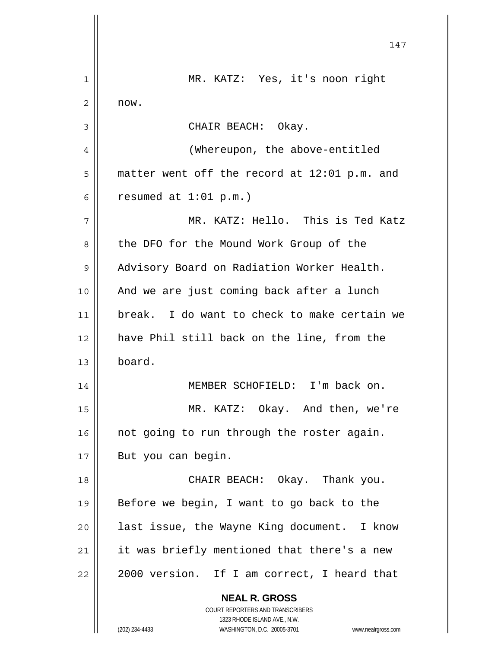**NEAL R. GROSS** COURT REPORTERS AND TRANSCRIBERS 1323 RHODE ISLAND AVE., N.W. (202) 234-4433 WASHINGTON, D.C. 20005-3701 www.nealrgross.com 147 1 || MR. KATZ: Yes, it's noon right  $2 \parallel$  now. 3 CHAIR BEACH: Okay. 4 || (Whereupon, the above-entitled  $5 \parallel$  matter went off the record at 12:01 p.m. and 6 commed at  $1:01 \text{ p.m.}$ ) 7 MR. KATZ: Hello. This is Ted Katz 8 || the DFO for the Mound Work Group of the 9 | Advisory Board on Radiation Worker Health. 10 || And we are just coming back after a lunch 11 break. I do want to check to make certain we 12 have Phil still back on the line, from the 13 board. 14 || MEMBER SCHOFIELD: I'm back on. 15 MR. KATZ: Okay. And then, we're  $16$  | not going to run through the roster again. 17 || But you can begin. 18 CHAIR BEACH: Okay. Thank you. 19 || Before we begin, I want to go back to the  $20$  || last issue, the Wayne King document. I know  $21$  | it was briefly mentioned that there's a new  $22 \parallel 2000$  version. If I am correct, I heard that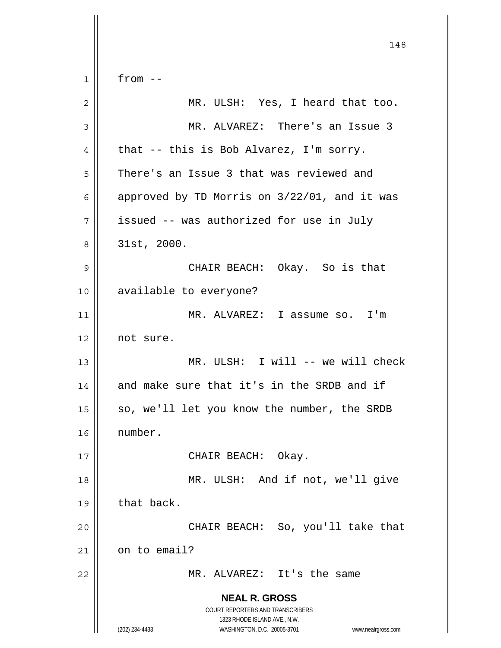**NEAL R. GROSS** COURT REPORTERS AND TRANSCRIBERS 1323 RHODE ISLAND AVE., N.W. (202) 234-4433 WASHINGTON, D.C. 20005-3701 www.nealrgross.com 148  $1 \parallel$  from  $-$ 2 MR. ULSH: Yes, I heard that too. 3 MR. ALVAREZ: There's an Issue 3  $4 \parallel$  that -- this is Bob Alvarez, I'm sorry. 5 | There's an Issue 3 that was reviewed and 6 | approved by TD Morris on  $3/22/01$ , and it was  $7 \parallel$  issued -- was authorized for use in July 8 31st, 2000. 9 CHAIR BEACH: Okay. So is that 10 available to everyone? 11 MR. ALVAREZ: I assume so. I'm 12 not sure. 13 MR. ULSH: I will -- we will check 14 || and make sure that it's in the SRDB and if 15 || so, we'll let you know the number, the SRDB 16 number. 17 || CHAIR BEACH: Okay. 18 || MR. ULSH: And if not, we'll give  $19$  | that back. 20 CHAIR BEACH: So, you'll take that  $21$  on to email? 22 MR. ALVAREZ: It's the same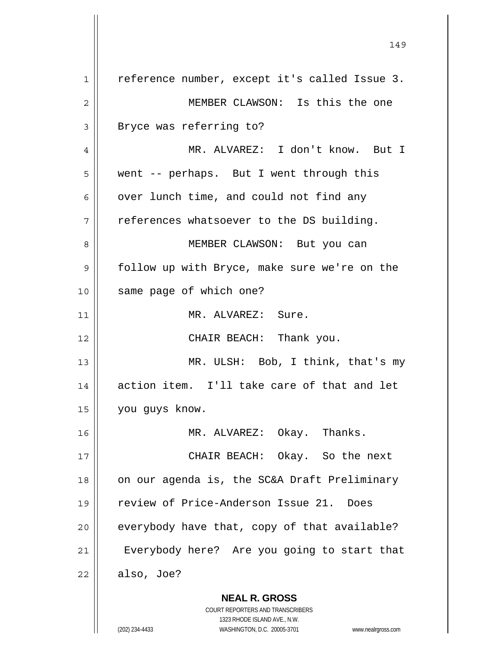**NEAL R. GROSS** COURT REPORTERS AND TRANSCRIBERS 1 || reference number, except it's called Issue 3. 2 MEMBER CLAWSON: Is this the one 3 || Bryce was referring to? 4 MR. ALVAREZ: I don't know. But I 5 went -- perhaps. But I went through this  $6$  | over lunch time, and could not find any  $7 \parallel$  references whatsoever to the DS building. 8 || MEMBER CLAWSON: But you can 9 | follow up with Bryce, make sure we're on the 10 || same page of which one? 11 | MR. ALVAREZ: Sure. 12 || CHAIR BEACH: Thank you. 13 || MR. ULSH: Bob, I think, that's my 14 action item. I'll take care of that and let 15 you guys know. 16 MR. ALVAREZ: Okay. Thanks. 17 CHAIR BEACH: Okay. So the next 18  $\parallel$  on our agenda is, the SC&A Draft Preliminary 19 review of Price-Anderson Issue 21. Does  $20$  | everybody have that, copy of that available? 21 | Everybody here? Are you going to start that  $22 \parallel$  also, Joe?

149

1323 RHODE ISLAND AVE., N.W.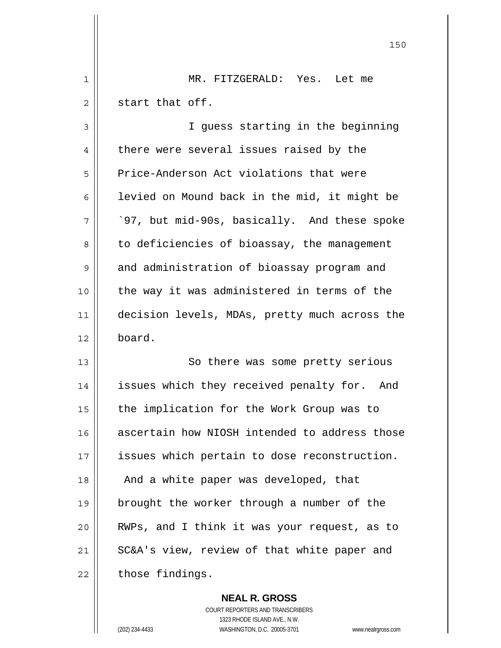1 MR. FITZGERALD: Yes. Let me  $2 \parallel$  start that off.

<u>150</u>

3 || I quess starting in the beginning 4 | there were several issues raised by the 5 Price-Anderson Act violations that were 6 | levied on Mound back in the mid, it might be  $7 \parallel$   $97$ , but mid-90s, basically. And these spoke 8 | to deficiencies of bioassay, the management 9 and administration of bioassay program and 10 the way it was administered in terms of the 11 | decision levels, MDAs, pretty much across the 12 board.

13 || So there was some pretty serious 14 || issues which they received penalty for. And 15 | the implication for the Work Group was to 16 ascertain how NIOSH intended to address those 17 || issues which pertain to dose reconstruction. 18 || And a white paper was developed, that 19 brought the worker through a number of the 20 RWPs, and I think it was your request, as to 21 || SC&A's view, review of that white paper and  $22$  | those findings.

 **NEAL R. GROSS**

 COURT REPORTERS AND TRANSCRIBERS 1323 RHODE ISLAND AVE., N.W. (202) 234-4433 WASHINGTON, D.C. 20005-3701 www.nealrgross.com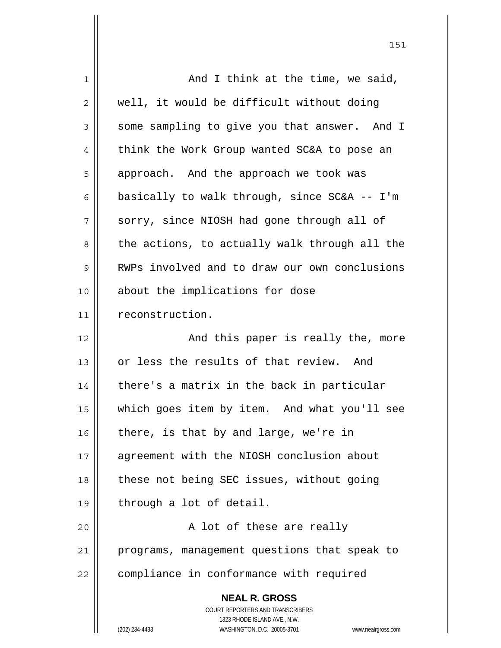| $\mathbf 1$ | And I think at the time, we said,                                   |
|-------------|---------------------------------------------------------------------|
| 2           | well, it would be difficult without doing                           |
| 3           | some sampling to give you that answer. And I                        |
| 4           | think the Work Group wanted SC&A to pose an                         |
| 5           | approach. And the approach we took was                              |
| 6           | basically to walk through, since SC&A -- I'm                        |
| 7           | sorry, since NIOSH had gone through all of                          |
| 8           | the actions, to actually walk through all the                       |
| 9           | RWPs involved and to draw our own conclusions                       |
| 10          | about the implications for dose                                     |
| 11          | reconstruction.                                                     |
| 12          | And this paper is really the, more                                  |
| 13          | or less the results of that review. And                             |
| 14          | there's a matrix in the back in particular                          |
| 15          | which goes item by item. And what you'll see                        |
| 16          | there, is that by and large, we're in                               |
| 17          | agreement with the NIOSH conclusion about                           |
| 18          | these not being SEC issues, without going                           |
| 19          | through a lot of detail.                                            |
| 20          | A lot of these are really                                           |
| 21          | programs, management questions that speak to                        |
| 22          | compliance in conformance with required                             |
|             | <b>NEAL R. GROSS</b>                                                |
|             | COURT REPORTERS AND TRANSCRIBERS                                    |
|             | 1323 RHODE ISLAND AVE., N.W.                                        |
|             | (202) 234-4433<br>WASHINGTON, D.C. 20005-3701<br>www.nealrgross.com |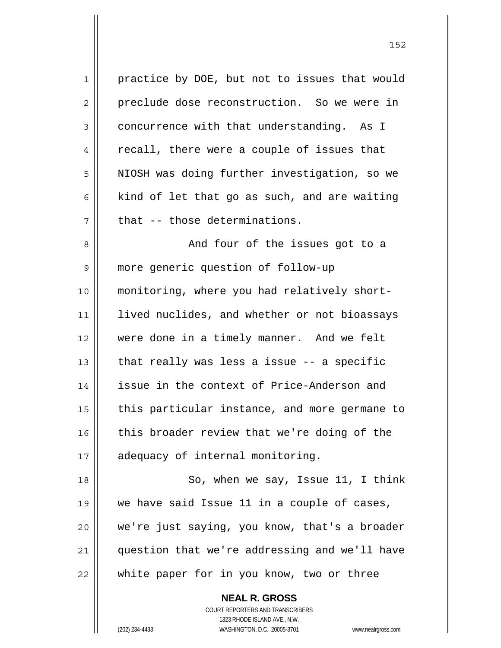1 practice by DOE, but not to issues that would 2 preclude dose reconstruction. So we were in  $3 \parallel$  concurrence with that understanding. As I 4 || recall, there were a couple of issues that 5 | NIOSH was doing further investigation, so we 6 kind of let that go as such, and are waiting  $7$   $\parallel$  that -- those determinations. 8 || And four of the issues got to a 9 more generic question of follow-up 10 monitoring, where you had relatively short-11 || lived nuclides, and whether or not bioassays 12 were done in a timely manner. And we felt 13  $\parallel$  that really was less a issue -- a specific 14 issue in the context of Price-Anderson and  $15$  | this particular instance, and more germane to 16 this broader review that we're doing of the 17 || adequacy of internal monitoring. 18 || So, when we say, Issue 11, I think 19 we have said Issue 11 in a couple of cases, 20 || we're just saying, you know, that's a broader 21 || question that we're addressing and we'll have 22 || white paper for in you know, two or three

> **NEAL R. GROSS** COURT REPORTERS AND TRANSCRIBERS 1323 RHODE ISLAND AVE., N.W. (202) 234-4433 WASHINGTON, D.C. 20005-3701 www.nealrgross.com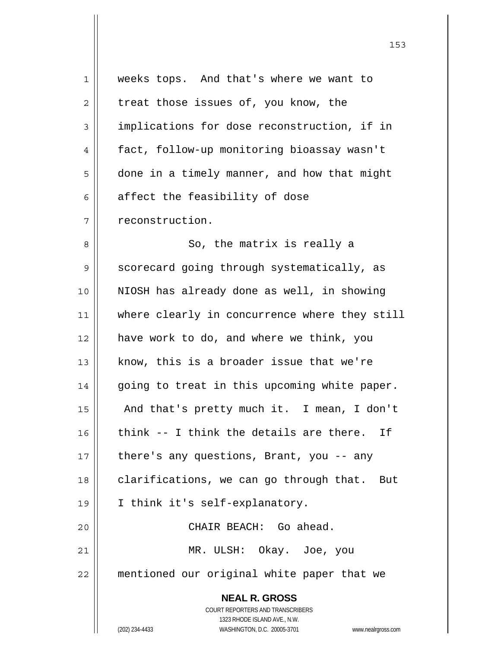| $\mathbf 1$ | weeks tops. And that's where we want to                             |
|-------------|---------------------------------------------------------------------|
| 2           | treat those issues of, you know, the                                |
| 3           | implications for dose reconstruction, if in                         |
| 4           | fact, follow-up monitoring bioassay wasn't                          |
| 5           | done in a timely manner, and how that might                         |
| 6           | affect the feasibility of dose                                      |
| 7           | reconstruction.                                                     |
| 8           | So, the matrix is really a                                          |
| 9           | scorecard going through systematically, as                          |
| 10          | NIOSH has already done as well, in showing                          |
| 11          | where clearly in concurrence where they still                       |
| 12          | have work to do, and where we think, you                            |
| 13          | know, this is a broader issue that we're                            |
| 14          | going to treat in this upcoming white paper.                        |
| 15          | And that's pretty much it. I mean, I don't                          |
| 16          | think -- I think the details are there.<br>Ιf                       |
| 17          | there's any questions, Brant, you -- any                            |
| 18          | clarifications, we can go through that.<br>But                      |
| 19          | I think it's self-explanatory.                                      |
| 20          | CHAIR BEACH: Go ahead.                                              |
| 21          | MR. ULSH: Okay. Joe, you                                            |
| 22          | mentioned our original white paper that we                          |
|             | <b>NEAL R. GROSS</b>                                                |
|             | COURT REPORTERS AND TRANSCRIBERS                                    |
|             | 1323 RHODE ISLAND AVE., N.W.                                        |
|             | (202) 234-4433<br>WASHINGTON, D.C. 20005-3701<br>www.nealrgross.com |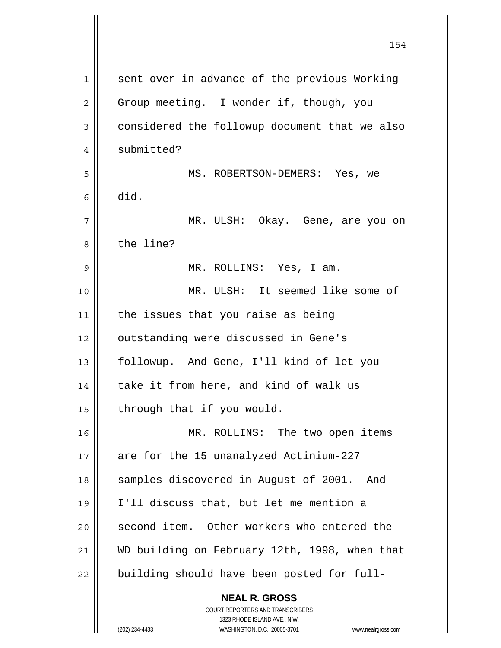| 1  | sent over in advance of the previous Working  |
|----|-----------------------------------------------|
| 2  | Group meeting. I wonder if, though, you       |
| 3  | considered the followup document that we also |
| 4  | submitted?                                    |
| 5  | MS. ROBERTSON-DEMERS: Yes, we                 |
| 6  | did.                                          |
| 7  | MR. ULSH: Okay. Gene, are you on              |
| 8  | the line?                                     |
| 9  | MR. ROLLINS: Yes, I am.                       |
| 10 | MR. ULSH: It seemed like some of              |
| 11 | the issues that you raise as being            |
| 12 | outstanding were discussed in Gene's          |
| 13 | followup. And Gene, I'll kind of let you      |
| 14 | take it from here, and kind of walk us        |
| 15 | through that if you would.                    |
| 16 | MR. ROLLINS: The two open items               |
| 17 | are for the 15 unanalyzed Actinium-227        |
| 18 | samples discovered in August of 2001.<br>And  |
| 19 | I'll discuss that, but let me mention a       |
| 20 | second item. Other workers who entered the    |
| 21 | WD building on February 12th, 1998, when that |
| 22 | building should have been posted for full-    |
|    | <b>NEAL R. GROSS</b>                          |

 $\prod$ 

 1323 RHODE ISLAND AVE., N.W. (202) 234-4433 WASHINGTON, D.C. 20005-3701 www.nealrgross.com

COURT REPORTERS AND TRANSCRIBERS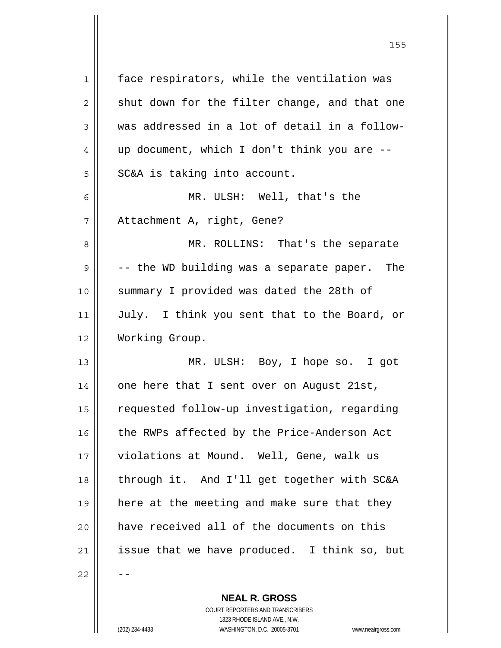| 1  | face respirators, while the ventilation was   |
|----|-----------------------------------------------|
| 2  | shut down for the filter change, and that one |
| 3  | was addressed in a lot of detail in a follow- |
| 4  | up document, which I don't think you are --   |
| 5  | SC&A is taking into account.                  |
| 6  | MR. ULSH: Well, that's the                    |
| 7  | Attachment A, right, Gene?                    |
| 8  | MR. ROLLINS: That's the separate              |
| 9  | -- the WD building was a separate paper. The  |
| 10 | summary I provided was dated the 28th of      |
| 11 | July. I think you sent that to the Board, or  |
| 12 | Working Group.                                |
| 13 | MR. ULSH: Boy, I hope so. I got               |
| 14 | one here that I sent over on August 21st,     |
| 15 | requested follow-up investigation, regarding  |
| 16 | the RWPs affected by the Price-Anderson Act   |
| 17 | violations at Mound. Well, Gene, walk us      |
| 18 | through it. And I'll get together with SC&A   |
| 19 | here at the meeting and make sure that they   |
| 20 | have received all of the documents on this    |
| 21 | issue that we have produced. I think so, but  |
| 22 |                                               |
|    |                                               |

<u>155 میں اس کی استعمال کرتا ہے۔ اس کی اس کی اس کی اس کی اس کی اس کی اس کی اس کی اس کی اس کی اس کی اس کی اس کی</u>

 **NEAL R. GROSS** COURT REPORTERS AND TRANSCRIBERS 1323 RHODE ISLAND AVE., N.W. (202) 234-4433 WASHINGTON, D.C. 20005-3701 www.nealrgross.com

 $\mathsf{II}$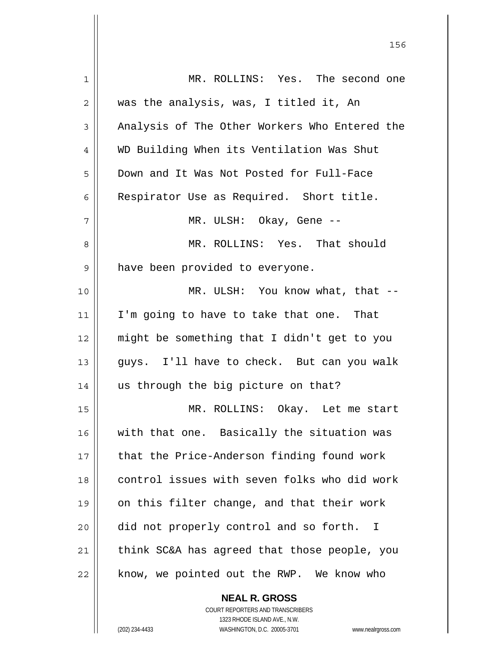| 1  | MR. ROLLINS: Yes. The second one              |
|----|-----------------------------------------------|
| 2  | was the analysis, was, I titled it, An        |
| 3  | Analysis of The Other Workers Who Entered the |
| 4  | WD Building When its Ventilation Was Shut     |
| 5  | Down and It Was Not Posted for Full-Face      |
| 6  | Respirator Use as Required. Short title.      |
| 7  | MR. ULSH: Okay, Gene --                       |
| 8  | MR. ROLLINS: Yes. That should                 |
| 9  | have been provided to everyone.               |
| 10 | MR. ULSH: You know what, that --              |
| 11 | I'm going to have to take that one. That      |
| 12 | might be something that I didn't get to you   |
| 13 | guys. I'll have to check. But can you walk    |
| 14 | us through the big picture on that?           |
| 15 | MR. ROLLINS: Okay. Let me start               |
| 16 | with that one. Basically the situation was    |
| 17 | that the Price-Anderson finding found work    |
| 18 | control issues with seven folks who did work  |
| 19 | on this filter change, and that their work    |
| 20 | did not properly control and so forth. I      |
| 21 | think SC&A has agreed that those people, you  |
| 22 | know, we pointed out the RWP. We know who     |
|    |                                               |

 COURT REPORTERS AND TRANSCRIBERS 1323 RHODE ISLAND AVE., N.W. (202) 234-4433 WASHINGTON, D.C. 20005-3701 www.nealrgross.com

 **NEAL R. GROSS**

<u>156 - Animal Stephen Barbara, amerikan pendadaran pengaran pengaran pengaran pengaran pengaran pengaran penga</u>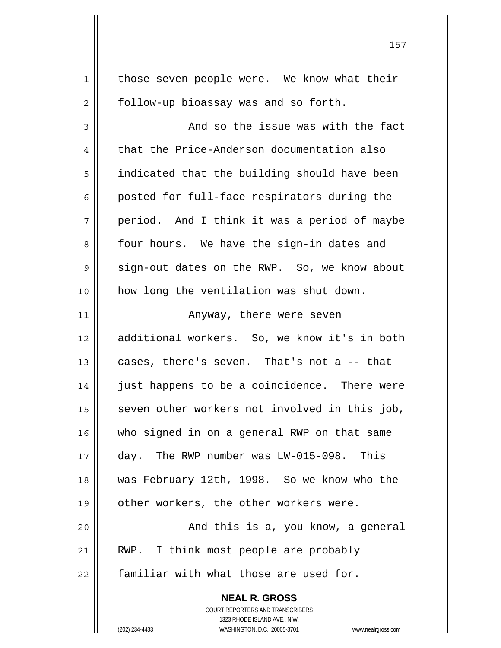**NEAL R. GROSS** 1 | those seven people were. We know what their 2 | follow-up bioassay was and so forth.  $3 \parallel$  and so the issue was with the fact 4 | that the Price-Anderson documentation also 5 | indicated that the building should have been  $6 \parallel$  posted for full-face respirators during the  $7 \parallel$  period. And I think it was a period of maybe 8 || four hours. We have the sign-in dates and  $9 \parallel$  sign-out dates on the RWP. So, we know about 10 || how long the ventilation was shut down. 11 || Anyway, there were seven 12 additional workers. So, we know it's in both  $13$  cases, there's seven. That's not a  $-$ - that 14 || just happens to be a coincidence. There were  $15$  seven other workers not involved in this job, 16 who signed in on a general RWP on that same 17 day. The RWP number was LW-015-098. This 18 was February 12th, 1998. So we know who the 19 || other workers, the other workers were. 20 | The Soleman Christian State Coulomb and this is a, you know, a general 21 || RWP. I think most people are probably  $22$   $\parallel$  familiar with what those are used for.

> COURT REPORTERS AND TRANSCRIBERS 1323 RHODE ISLAND AVE., N.W.

(202) 234-4433 WASHINGTON, D.C. 20005-3701 www.nealrgross.com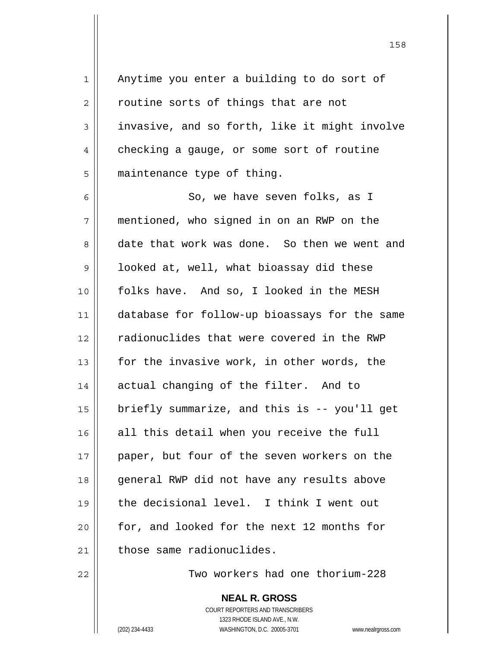1 || Anytime you enter a building to do sort of  $2 \parallel$  routine sorts of things that are not  $3 \parallel$  invasive, and so forth, like it might involve 4 checking a gauge, or some sort of routine 5 | maintenance type of thing.

6 So, we have seven folks, as I 7 mentioned, who signed in on an RWP on the 8 date that work was done. So then we went and  $9 \parallel$  looked at, well, what bioassay did these 10 | folks have. And so, I looked in the MESH 11 database for follow-up bioassays for the same 12 || radionuclides that were covered in the RWP 13  $\parallel$  for the invasive work, in other words, the 14 || actual changing of the filter. And to 15  $\parallel$  briefly summarize, and this is -- you'll get 16 all this detail when you receive the full 17 || paper, but four of the seven workers on the 18 || general RWP did not have any results above 19 the decisional level. I think I went out 20 for, and looked for the next 12 months for  $21$   $\parallel$  those same radionuclides.

22 Two workers had one thorium-228

 **NEAL R. GROSS** COURT REPORTERS AND TRANSCRIBERS 1323 RHODE ISLAND AVE., N.W. (202) 234-4433 WASHINGTON, D.C. 20005-3701 www.nealrgross.com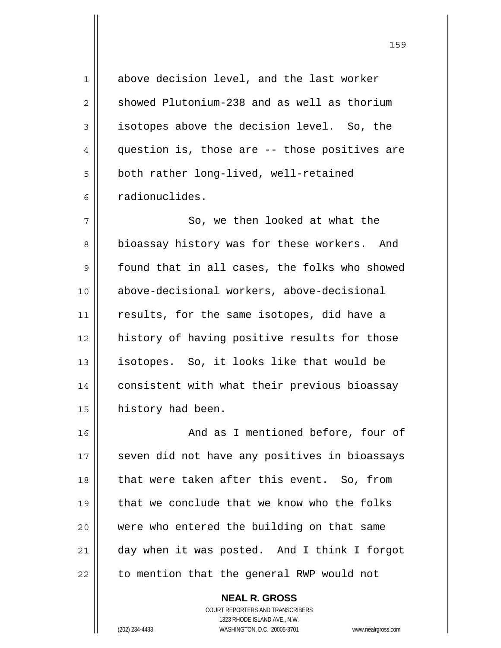1 above decision level, and the last worker  $2 \parallel$  showed Plutonium-238 and as well as thorium 3 | isotopes above the decision level. So, the  $4 \parallel$  question is, those are -- those positives are 5 | both rather long-lived, well-retained 6 radionuclides. 7 || So, we then looked at what the 8 bioassay history was for these workers. And 9 | found that in all cases, the folks who showed 10 above-decisional workers, above-decisional 11 || results, for the same isotopes, did have a 12 history of having positive results for those 13 isotopes. So, it looks like that would be 14 | consistent with what their previous bioassay 15 | history had been. 16 || And as I mentioned before, four of 17 || seven did not have any positives in bioassays 18 || that were taken after this event. So, from 19 that we conclude that we know who the folks 20 were who entered the building on that same 21 day when it was posted. And I think I forgot

<u>159 - Andrej Amerikaanse konstantine († 159</u>

 COURT REPORTERS AND TRANSCRIBERS 1323 RHODE ISLAND AVE., N.W. (202) 234-4433 WASHINGTON, D.C. 20005-3701 www.nealrgross.com

 **NEAL R. GROSS**

 $22$  | to mention that the general RWP would not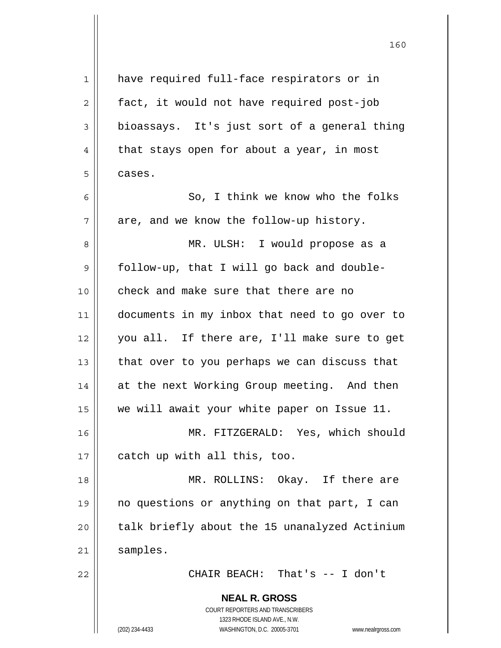| 1              | have required full-face respirators or in                           |
|----------------|---------------------------------------------------------------------|
| $\overline{c}$ | fact, it would not have required post-job                           |
| 3              | bioassays. It's just sort of a general thing                        |
| 4              | that stays open for about a year, in most                           |
| 5              | cases.                                                              |
| 6              | So, I think we know who the folks                                   |
| 7              | are, and we know the follow-up history.                             |
| 8              | MR. ULSH: I would propose as a                                      |
| 9              | follow-up, that I will go back and double-                          |
| 10             | check and make sure that there are no                               |
| 11             | documents in my inbox that need to go over to                       |
| 12             | you all. If there are, I'll make sure to get                        |
| 13             | that over to you perhaps we can discuss that                        |
| 14             | at the next Working Group meeting. And then                         |
| 15             | we will await your white paper on Issue 11.                         |
| 16             | MR. FITZGERALD: Yes, which should                                   |
| 17             | catch up with all this, too.                                        |
| 18             | MR. ROLLINS: Okay. If there are                                     |
| 19             | no questions or anything on that part, I can                        |
| 20             | talk briefly about the 15 unanalyzed Actinium                       |
| 21             | samples.                                                            |
| 22             | CHAIR BEACH: That's -- I don't                                      |
|                | <b>NEAL R. GROSS</b>                                                |
|                | COURT REPORTERS AND TRANSCRIBERS                                    |
|                | 1323 RHODE ISLAND AVE., N.W.                                        |
|                | (202) 234-4433<br>WASHINGTON, D.C. 20005-3701<br>www.nealrgross.com |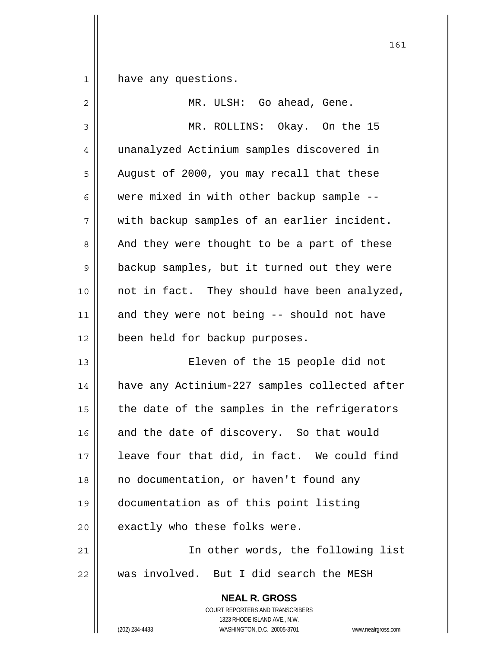have any questions.

| $\overline{2}$ | MR. ULSH: Go ahead, Gene.                                                                                                                                              |
|----------------|------------------------------------------------------------------------------------------------------------------------------------------------------------------------|
| 3              | MR. ROLLINS: Okay. On the 15                                                                                                                                           |
| $\overline{4}$ | unanalyzed Actinium samples discovered in                                                                                                                              |
| 5              | August of 2000, you may recall that these                                                                                                                              |
| 6              | were mixed in with other backup sample --                                                                                                                              |
| 7              | with backup samples of an earlier incident.                                                                                                                            |
| 8              | And they were thought to be a part of these                                                                                                                            |
| 9              | backup samples, but it turned out they were                                                                                                                            |
| 10             | not in fact. They should have been analyzed,                                                                                                                           |
| 11             | and they were not being -- should not have                                                                                                                             |
| 12             | been held for backup purposes.                                                                                                                                         |
| 13             | Eleven of the 15 people did not                                                                                                                                        |
| 14             | have any Actinium-227 samples collected after                                                                                                                          |
| 15             | the date of the samples in the refrigerators                                                                                                                           |
| 16             | and the date of discovery. So that would                                                                                                                               |
| 17             | leave four that did, in fact. We could find                                                                                                                            |
| 18             | no documentation, or haven't found any                                                                                                                                 |
| 19             | documentation as of this point listing                                                                                                                                 |
| 20             | exactly who these folks were.                                                                                                                                          |
| 21             | In other words, the following list                                                                                                                                     |
| 22             | was involved. But I did search the MESH                                                                                                                                |
|                | <b>NEAL R. GROSS</b><br><b>COURT REPORTERS AND TRANSCRIBERS</b><br>1323 RHODE ISLAND AVE., N.W.<br>(202) 234-4433<br>WASHINGTON, D.C. 20005-3701<br>www.nealrgross.com |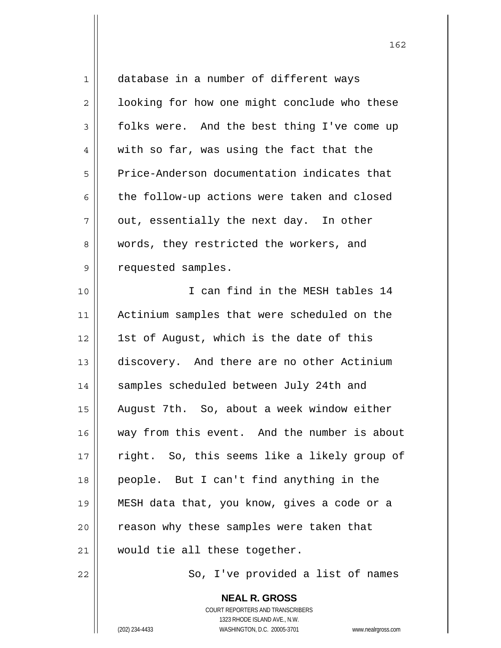| $\mathbf 1$    | database in a number of different ways       |
|----------------|----------------------------------------------|
| $\overline{c}$ | looking for how one might conclude who these |
| $\mathfrak{Z}$ | folks were. And the best thing I've come up  |
| 4              | with so far, was using the fact that the     |
| 5              | Price-Anderson documentation indicates that  |
| 6              | the follow-up actions were taken and closed  |
| 7              | out, essentially the next day. In other      |
| 8              | words, they restricted the workers, and      |
| 9              | requested samples.                           |
| 10             | I can find in the MESH tables 14             |
| 11             | Actinium samples that were scheduled on the  |
| 12             | 1st of August, which is the date of this     |
| 13             | discovery. And there are no other Actinium   |
| 14             | samples scheduled between July 24th and      |
| 15             | August 7th. So, about a week window either   |
| 16             | way from this event. And the number is about |
| 17             | right. So, this seems like a likely group of |
| 18             | people. But I can't find anything in the     |
| 19             | MESH data that, you know, gives a code or a  |
| 20             | reason why these samples were taken that     |
| 21             | would tie all these together.                |
| 22             | So, I've provided a list of names            |

 **NEAL R. GROSS** COURT REPORTERS AND TRANSCRIBERS 1323 RHODE ISLAND AVE., N.W. (202) 234-4433 WASHINGTON, D.C. 20005-3701 www.nealrgross.com

 $\mathbf{\mathsf{I}}$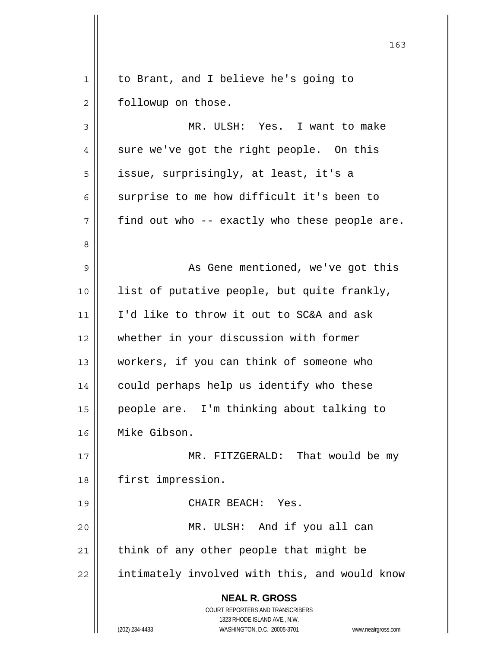1 | to Brant, and I believe he's going to 2 | followup on those.

 **NEAL R. GROSS** COURT REPORTERS AND TRANSCRIBERS 3 MR. ULSH: Yes. I want to make 4 || sure we've got the right people. On this 5 | issue, surprisingly, at least, it's a  $6 \parallel$  surprise to me how difficult it's been to  $7 \parallel$  find out who -- exactly who these people are. 8 9 || As Gene mentioned, we've got this 10 list of putative people, but quite frankly, 11 || I'd like to throw it out to SC&A and ask 12 whether in your discussion with former 13 workers, if you can think of someone who 14 | could perhaps help us identify who these 15 people are. I'm thinking about talking to 16 Mike Gibson. 17 || MR. FITZGERALD: That would be my 18 || first impression. 19 CHAIR BEACH: Yes. 20 MR. ULSH: And if you all can  $21$  think of any other people that might be 22 || intimately involved with this, and would know

 1323 RHODE ISLAND AVE., N.W. (202) 234-4433 WASHINGTON, D.C. 20005-3701 www.nealrgross.com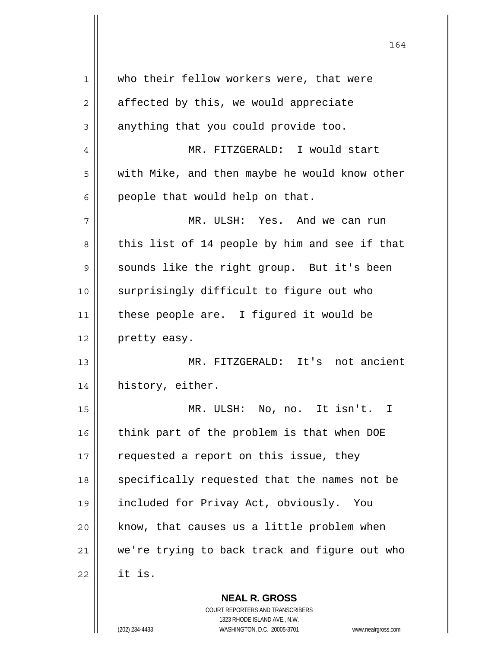| 1  | who their fellow workers were, that were      |
|----|-----------------------------------------------|
| 2  | affected by this, we would appreciate         |
| 3  | anything that you could provide too.          |
| 4  | MR. FITZGERALD: I would start                 |
| 5  | with Mike, and then maybe he would know other |
| 6  | people that would help on that.               |
| 7  | MR. ULSH: Yes. And we can run                 |
| 8  | this list of 14 people by him and see if that |
| 9  | sounds like the right group. But it's been    |
| 10 | surprisingly difficult to figure out who      |
| 11 | these people are. I figured it would be       |
| 12 | pretty easy.                                  |
| 13 | MR. FITZGERALD: It's not ancient              |
| 14 | history, either.                              |
| 15 | MR. ULSH: No, no. It isn't. I                 |
| 16 | think part of the problem is that when DOE    |
| 17 | requested a report on this issue, they        |
| 18 | specifically requested that the names not be  |
| 19 | included for Privay Act, obviously.<br>You    |
| 20 | know, that causes us a little problem when    |
| 21 | we're trying to back track and figure out who |
| 22 | it is.                                        |
|    |                                               |

 **NEAL R. GROSS** COURT REPORTERS AND TRANSCRIBERS 1323 RHODE ISLAND AVE., N.W.

 $\mathbf{I}$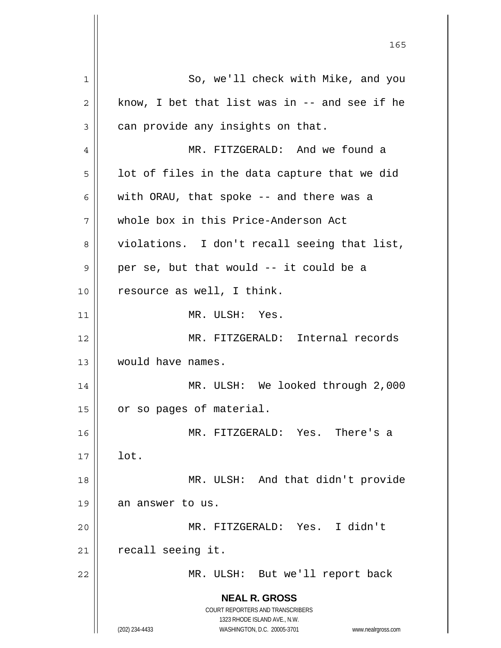**NEAL R. GROSS** COURT REPORTERS AND TRANSCRIBERS 1323 RHODE ISLAND AVE., N.W. (202) 234-4433 WASHINGTON, D.C. 20005-3701 www.nealrgross.com 1 || So, we'll check with Mike, and you  $2 \parallel$  know, I bet that list was in -- and see if he  $3 \parallel$  can provide any insights on that. 4 MR. FITZGERALD: And we found a  $5 \parallel$  lot of files in the data capture that we did 6 | with ORAU, that spoke  $-$  and there was a 7 whole box in this Price-Anderson Act 8 || violations. I don't recall seeing that list,  $9 \parallel$  per se, but that would -- it could be a 10 || resource as well, I think. 11 MR. ULSH: Yes. 12 MR. FITZGERALD: Internal records 13 would have names. 14 | MR. ULSH: We looked through 2,000 15 | or so pages of material. 16 MR. FITZGERALD: Yes. There's a  $17 \parallel$  lot. 18 || MR. ULSH: And that didn't provide 19 || an answer to us. 20 MR. FITZGERALD: Yes. I didn't  $21$  | recall seeing it. 22 MR. ULSH: But we'll report back

<u>165</u>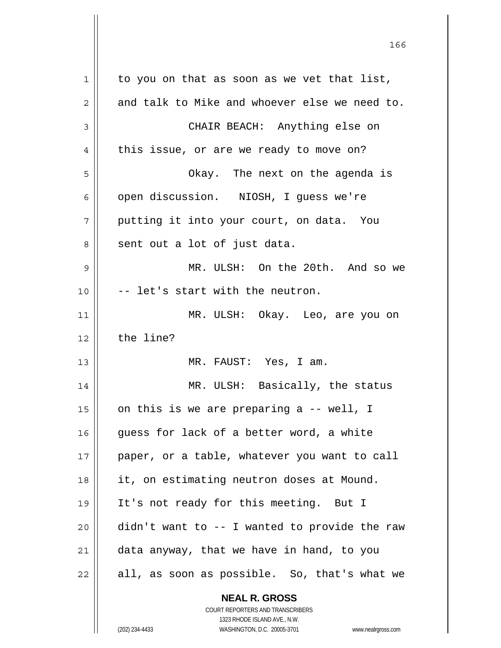**NEAL R. GROSS** COURT REPORTERS AND TRANSCRIBERS 1323 RHODE ISLAND AVE., N.W.  $1 \parallel$  to you on that as soon as we vet that list,  $2 \parallel$  and talk to Mike and whoever else we need to. 3 CHAIR BEACH: Anything else on  $4 \parallel$  this issue, or are we ready to move on? 5 Okay. The next on the agenda is 6 | open discussion. NIOSH, I quess we're  $7$  || putting it into your court, on data. You 8 sent out a lot of just data. 9 MR. ULSH: On the 20th. And so we  $10$   $\parallel$  -- let's start with the neutron. 11 || MR. ULSH: Okay. Leo, are you on  $12 \parallel$  the line? 13 MR. FAUST: Yes, I am. 14 MR. ULSH: Basically, the status 15  $\parallel$  on this is we are preparing a -- well, I  $16$  guess for lack of a better word, a white 17 || paper, or a table, whatever you want to call 18 it, on estimating neutron doses at Mound. 19 It's not ready for this meeting. But I  $20$  didn't want to  $-$  I wanted to provide the raw  $21$  data anyway, that we have in hand, to you  $22 \parallel$  all, as soon as possible. So, that's what we

166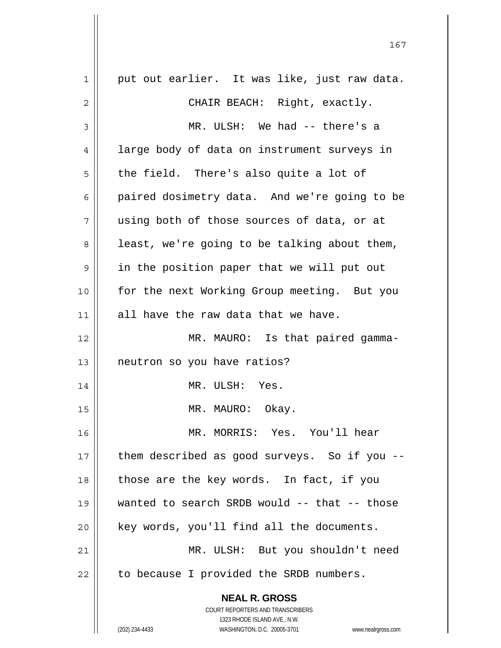| $\mathbf 1$ | put out earlier. It was like, just raw data.                                                        |
|-------------|-----------------------------------------------------------------------------------------------------|
| 2           | CHAIR BEACH: Right, exactly.                                                                        |
| 3           | MR. ULSH: We had -- there's a                                                                       |
| 4           | large body of data on instrument surveys in                                                         |
| 5           | the field. There's also quite a lot of                                                              |
| 6           | paired dosimetry data. And we're going to be                                                        |
| 7           | using both of those sources of data, or at                                                          |
| 8           | least, we're going to be talking about them,                                                        |
| 9           | in the position paper that we will put out                                                          |
| 10          | for the next Working Group meeting. But you                                                         |
| 11          | all have the raw data that we have.                                                                 |
| 12          | MR. MAURO: Is that paired gamma-                                                                    |
| 13          | neutron so you have ratios?                                                                         |
| 14          | MR. ULSH: Yes.                                                                                      |
| 15          | MR. MAURO: Okay.                                                                                    |
| 16          | MR. MORRIS: Yes. You'll hear                                                                        |
| 17          | them described as good surveys. So if you --                                                        |
| 18          | those are the key words. In fact, if you                                                            |
| 19          | wanted to search SRDB would -- that -- those                                                        |
| 20          | key words, you'll find all the documents.                                                           |
| 21          | MR. ULSH: But you shouldn't need                                                                    |
| 22          | to because I provided the SRDB numbers.                                                             |
|             | <b>NEAL R. GROSS</b>                                                                                |
|             | COURT REPORTERS AND TRANSCRIBERS                                                                    |
|             | 1323 RHODE ISLAND AVE., N.W.<br>(202) 234-4433<br>WASHINGTON, D.C. 20005-3701<br>www.nealrgross.com |
|             |                                                                                                     |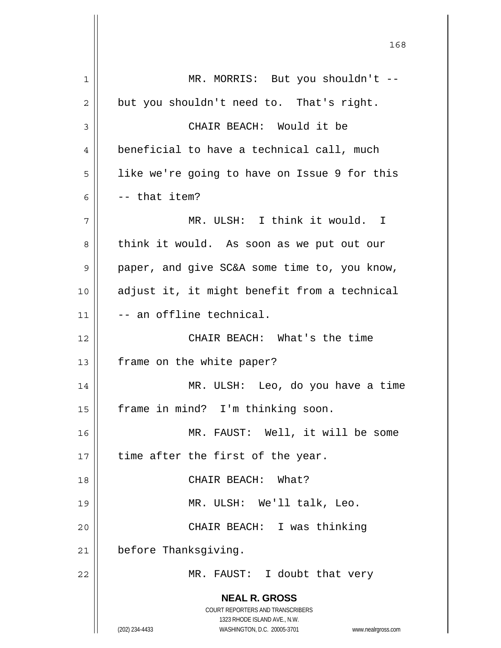**NEAL R. GROSS** COURT REPORTERS AND TRANSCRIBERS 1323 RHODE ISLAND AVE., N.W. (202) 234-4433 WASHINGTON, D.C. 20005-3701 www.nealrgross.com 1 || MR. MORRIS: But you shouldn't -- $2 \parallel$  but you shouldn't need to. That's right. 3 || CHAIR BEACH: Would it be 4 | beneficial to have a technical call, much 5 | like we're going to have on Issue 9 for this  $6 \parallel$  -- that item? 7 MR. ULSH: I think it would. I 8 | think it would. As soon as we put out our 9 paper, and give SC&A some time to, you know, 10 adjust it, it might benefit from a technical 11 -- an offline technical. 12 CHAIR BEACH: What's the time 13 | frame on the white paper? 14 MR. ULSH: Leo, do you have a time 15 || frame in mind? I'm thinking soon. 16 MR. FAUST: Well, it will be some  $17$  | time after the first of the year. 18 CHAIR BEACH: What? 19 || MR. ULSH: We'll talk, Leo. 20 CHAIR BEACH: I was thinking 21 | before Thanksgiving. 22 || MR. FAUST: I doubt that very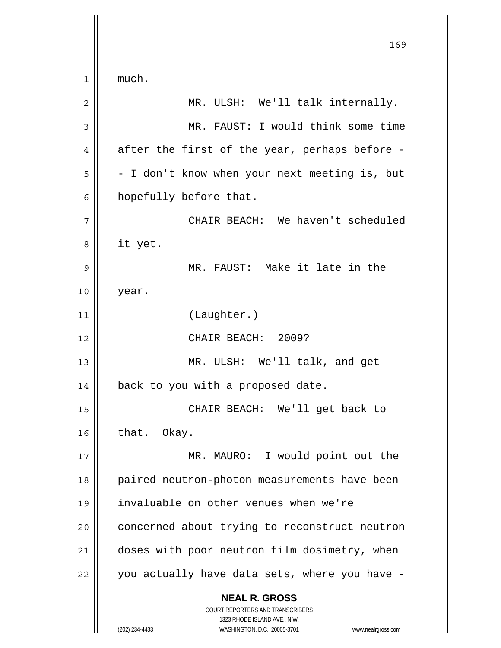**NEAL R. GROSS** COURT REPORTERS AND TRANSCRIBERS 1323 RHODE ISLAND AVE., N.W. (202) 234-4433 WASHINGTON, D.C. 20005-3701 www.nealrgross.com 169  $1 \parallel$  much. 2 MR. ULSH: We'll talk internally. 3 || MR. FAUST: I would think some time  $4 \parallel$  after the first of the year, perhaps before - $5 \parallel$  - I don't know when your next meeting is, but 6 | hopefully before that. 7 CHAIR BEACH: We haven't scheduled 8 it yet. 9 MR. FAUST: Make it late in the 10 year. 11 (Laughter.) 12 CHAIR BEACH: 2009? 13 || MR. ULSH: We'll talk, and get 14 | back to you with a proposed date. 15 CHAIR BEACH: We'll get back to  $16$  that. Okay. 17 || MR. MAURO: I would point out the 18 || paired neutron-photon measurements have been 19 invaluable on other venues when we're 20 | concerned about trying to reconstruct neutron 21 | doses with poor neutron film dosimetry, when  $22$  | you actually have data sets, where you have -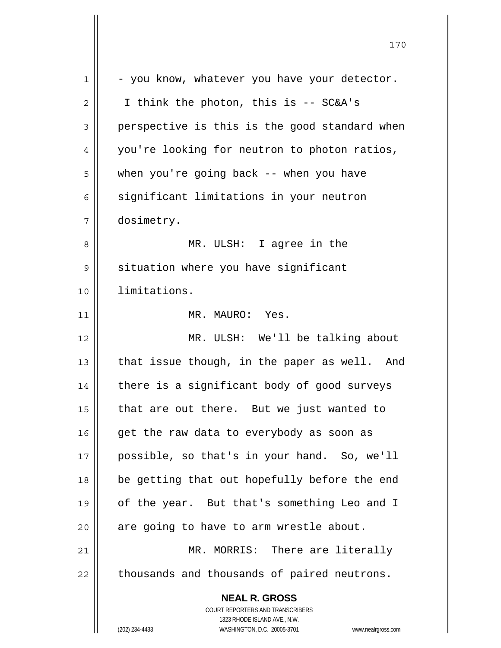| $\mathbf 1$ | - you know, whatever you have your detector.                                             |
|-------------|------------------------------------------------------------------------------------------|
| 2           | I think the photon, this is -- SC&A's                                                    |
| 3           | perspective is this is the good standard when                                            |
| 4           | you're looking for neutron to photon ratios,                                             |
| 5           | when you're going back -- when you have                                                  |
| 6           | significant limitations in your neutron                                                  |
| 7           | dosimetry.                                                                               |
| 8           | MR. ULSH: I agree in the                                                                 |
| 9           | situation where you have significant                                                     |
| 10          | limitations.                                                                             |
| 11          | MR. MAURO: Yes.                                                                          |
| 12          | MR. ULSH: We'll be talking about                                                         |
| 13          | that issue though, in the paper as well. And                                             |
| 14          | there is a significant body of good surveys                                              |
| 15          | that are out there. But we just wanted to                                                |
| 16          | get the raw data to everybody as soon as                                                 |
| 17          | possible, so that's in your hand. So, we'll                                              |
| 18          | be getting that out hopefully before the end                                             |
| 19          | of the year. But that's something Leo and I                                              |
| 20          | are going to have to arm wrestle about.                                                  |
| 21          | MR. MORRIS: There are literally                                                          |
| 22          | thousands and thousands of paired neutrons.                                              |
|             | <b>NEAL R. GROSS</b><br>COURT REPORTERS AND TRANSCRIBERS<br>1323 RHODE ISLAND AVE., N.W. |
|             | (202) 234-4433<br>WASHINGTON, D.C. 20005-3701<br>www.nealrgross.com                      |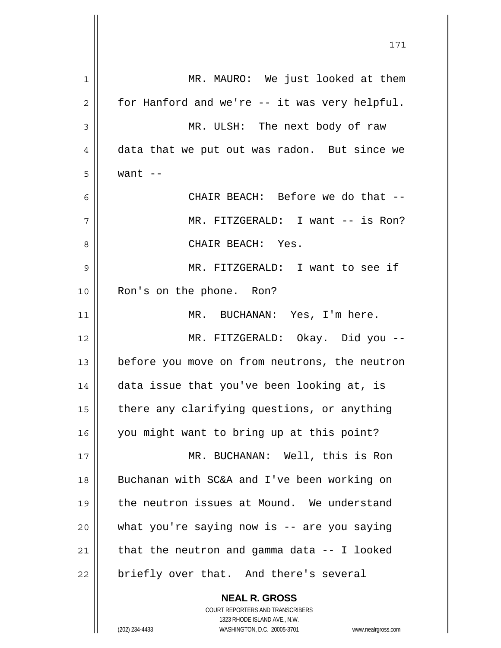1 || MR. MAURO: We just looked at them  $2 \parallel$  for Hanford and we're -- it was very helpful. MR. ULSH: The next body of raw 4 data that we put out was radon. But since we  $5 \parallel$  want  $-$ CHAIR BEACH: Before we do that -- MR. FITZGERALD: I want -- is Ron? CHAIR BEACH: Yes. MR. FITZGERALD: I want to see if Ron's on the phone. Ron? MR. BUCHANAN: Yes, I'm here. MR. FITZGERALD: Okay. Did you -- before you move on from neutrons, the neutron | data issue that you've been looking at, is | there any clarifying questions, or anything 16 you might want to bring up at this point? MR. BUCHANAN: Well, this is Ron 18 || Buchanan with SC&A and I've been working on the neutron issues at Mound. We understand || what you're saying now is -- are you saying  $\parallel$  that the neutron and gamma data -- I looked || briefly over that. And there's several

 **NEAL R. GROSS** COURT REPORTERS AND TRANSCRIBERS 1323 RHODE ISLAND AVE., N.W.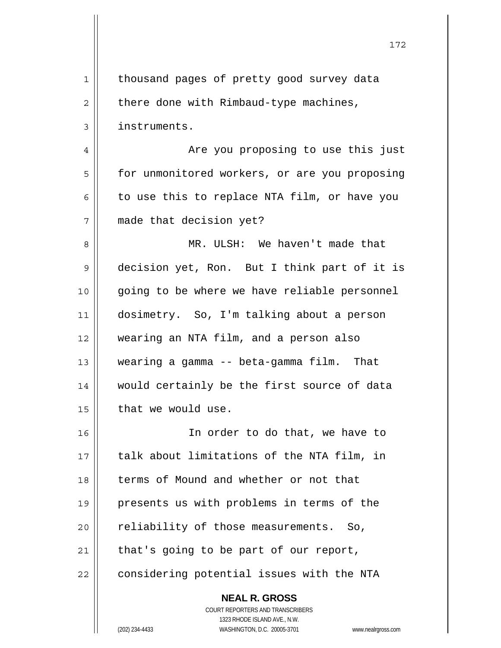| $\mathbf 1$ | thousand pages of pretty good survey data                |
|-------------|----------------------------------------------------------|
| 2           | there done with Rimbaud-type machines,                   |
| 3           | instruments.                                             |
| 4           | Are you proposing to use this just                       |
| 5           | for unmonitored workers, or are you proposing            |
| 6           | to use this to replace NTA film, or have you             |
| 7           | made that decision yet?                                  |
| 8           | MR. ULSH: We haven't made that                           |
| 9           | decision yet, Ron. But I think part of it is             |
| 10          | going to be where we have reliable personnel             |
| 11          | dosimetry. So, I'm talking about a person                |
| 12          | wearing an NTA film, and a person also                   |
| 13          | wearing a gamma -- beta-gamma film. That                 |
| 14          | would certainly be the first source of data              |
| 15          | that we would use.                                       |
| 16          | In order to do that, we have to                          |
| 17          | talk about limitations of the NTA film, in               |
| 18          | terms of Mound and whether or not that                   |
| 19          | presents us with problems in terms of the                |
| 20          | reliability of those measurements.<br>So,                |
| 21          | that's going to be part of our report,                   |
| 22          | considering potential issues with the NTA                |
|             | <b>NEAL R. GROSS</b><br>COURT REPORTERS AND TRANSCRIBERS |

1323 RHODE ISLAND AVE., N.W.

 $\prod$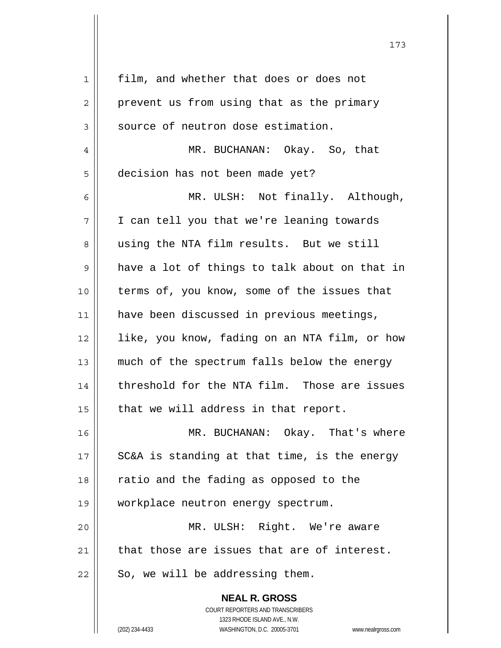| $\mathbf 1$    | film, and whether that does or does not                             |
|----------------|---------------------------------------------------------------------|
| $\overline{2}$ | prevent us from using that as the primary                           |
| 3              | source of neutron dose estimation.                                  |
| $\overline{4}$ | MR. BUCHANAN: Okay. So, that                                        |
| 5              | decision has not been made yet?                                     |
| 6              | MR. ULSH: Not finally. Although,                                    |
| 7              | I can tell you that we're leaning towards                           |
| 8              | using the NTA film results. But we still                            |
| 9              | have a lot of things to talk about on that in                       |
| 10             | terms of, you know, some of the issues that                         |
| 11             | have been discussed in previous meetings,                           |
| 12             | like, you know, fading on an NTA film, or how                       |
| 13             | much of the spectrum falls below the energy                         |
| 14             | threshold for the NTA film. Those are issues                        |
| 15             | that we will address in that report.                                |
| 16             | MR. BUCHANAN: Okay. That's where                                    |
| 17             | SC&A is standing at that time, is the energy                        |
| 18             | ratio and the fading as opposed to the                              |
| 19             | workplace neutron energy spectrum.                                  |
| 20             | MR. ULSH: Right. We're aware                                        |
| 21             | that those are issues that are of interest.                         |
| 22             | So, we will be addressing them.                                     |
|                | <b>NEAL R. GROSS</b>                                                |
|                | COURT REPORTERS AND TRANSCRIBERS                                    |
|                | 1323 RHODE ISLAND AVE., N.W.                                        |
|                | (202) 234-4433<br>WASHINGTON, D.C. 20005-3701<br>www.nealrgross.com |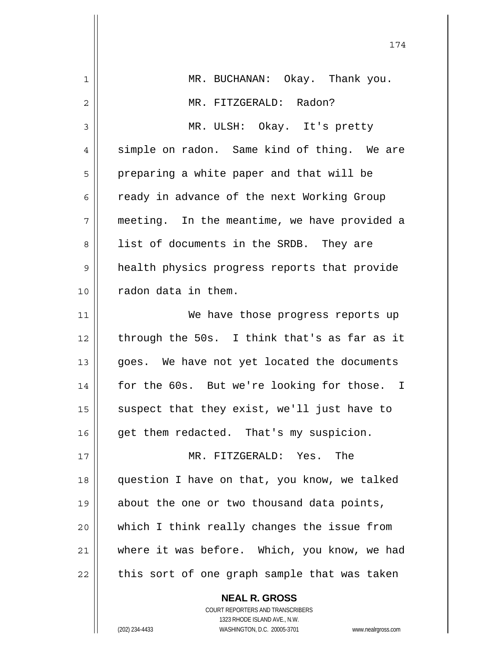|    | 174                                          |
|----|----------------------------------------------|
| 1  | MR. BUCHANAN: Okay. Thank you.               |
| 2  | MR. FITZGERALD: Radon?                       |
| 3  | MR. ULSH: Okay. It's pretty                  |
| 4  | simple on radon. Same kind of thing. We are  |
| 5  | preparing a white paper and that will be     |
| 6  | ready in advance of the next Working Group   |
| 7  | meeting. In the meantime, we have provided a |
| 8  | list of documents in the SRDB. They are      |
| 9  | health physics progress reports that provide |
| 10 | radon data in them.                          |
| 11 | We have those progress reports up            |
| 12 | through the 50s. I think that's as far as it |
| 13 | goes. We have not yet located the documents  |
| 14 | for the 60s. But we're looking for those. I  |
| 15 | suspect that they exist, we'll just have to  |
| 16 | get them redacted. That's my suspicion.      |
| 17 | MR. FITZGERALD: Yes. The                     |
| 18 | question I have on that, you know, we talked |
| 19 | about the one or two thousand data points,   |
| 20 | which I think really changes the issue from  |
| 21 | where it was before. Which, you know, we had |
| 22 | this sort of one graph sample that was taken |
|    | <b>NEAL R. GROSS</b>                         |

 COURT REPORTERS AND TRANSCRIBERS 1323 RHODE ISLAND AVE., N.W. (202) 234-4433 WASHINGTON, D.C. 20005-3701 www.nealrgross.com

 $\mathsf{I}$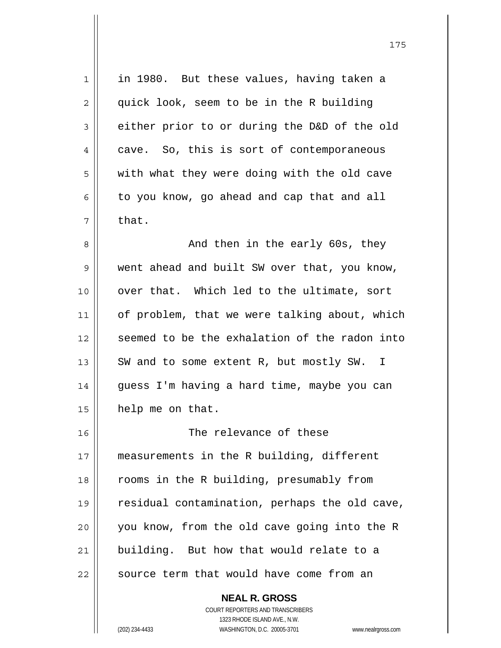| 1  | in 1980. But these values, having taken a     |
|----|-----------------------------------------------|
| 2  | quick look, seem to be in the R building      |
| 3  | either prior to or during the D&D of the old  |
| 4  | cave. So, this is sort of contemporaneous     |
| 5  | with what they were doing with the old cave   |
| 6  | to you know, go ahead and cap that and all    |
| 7  | that.                                         |
| 8  | And then in the early 60s, they               |
| 9  | went ahead and built SW over that, you know,  |
| 10 | over that. Which led to the ultimate, sort    |
| 11 | of problem, that we were talking about, which |
| 12 | seemed to be the exhalation of the radon into |
| 13 | SW and to some extent R, but mostly SW.<br>I. |
| 14 | guess I'm having a hard time, maybe you can   |
| 15 | help me on that.                              |
| 16 | The relevance of these                        |
| 17 | measurements in the R building, different     |
| 18 | rooms in the R building, presumably from      |
| 19 | residual contamination, perhaps the old cave, |
| 20 | you know, from the old cave going into the R  |
| 21 | building. But how that would relate to a      |
| 22 | source term that would have come from an      |
|    |                                               |

 **NEAL R. GROSS** COURT REPORTERS AND TRANSCRIBERS 1323 RHODE ISLAND AVE., N.W.

(202) 234-4433 WASHINGTON, D.C. 20005-3701 www.nealrgross.com

 $\mathsf{II}$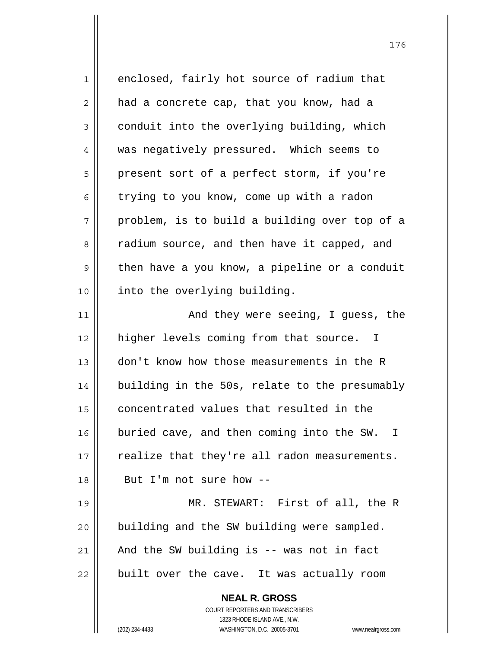| 1  | enclosed, fairly hot source of radium that                          |
|----|---------------------------------------------------------------------|
| 2  | had a concrete cap, that you know, had a                            |
| 3  | conduit into the overlying building, which                          |
| 4  | was negatively pressured. Which seems to                            |
| 5  | present sort of a perfect storm, if you're                          |
| 6  | trying to you know, come up with a radon                            |
| 7  | problem, is to build a building over top of a                       |
| 8  | radium source, and then have it capped, and                         |
| 9  | then have a you know, a pipeline or a conduit                       |
| 10 | into the overlying building.                                        |
| 11 | And they were seeing, I guess, the                                  |
| 12 | higher levels coming from that source. I                            |
| 13 | don't know how those measurements in the R                          |
| 14 | building in the 50s, relate to the presumably                       |
| 15 | concentrated values that resulted in the                            |
| 16 | buried cave, and then coming into the SW. I                         |
| 17 | realize that they're all radon measurements.                        |
| 18 | But I'm not sure how --                                             |
| 19 | MR. STEWART: First of all, the R                                    |
| 20 | building and the SW building were sampled.                          |
| 21 | And the SW building is -- was not in fact                           |
| 22 | built over the cave. It was actually room                           |
|    | <b>NEAL R. GROSS</b>                                                |
|    | COURT REPORTERS AND TRANSCRIBERS                                    |
|    | 1323 RHODE ISLAND AVE., N.W.                                        |
|    | (202) 234-4433<br>WASHINGTON, D.C. 20005-3701<br>www.nealrgross.com |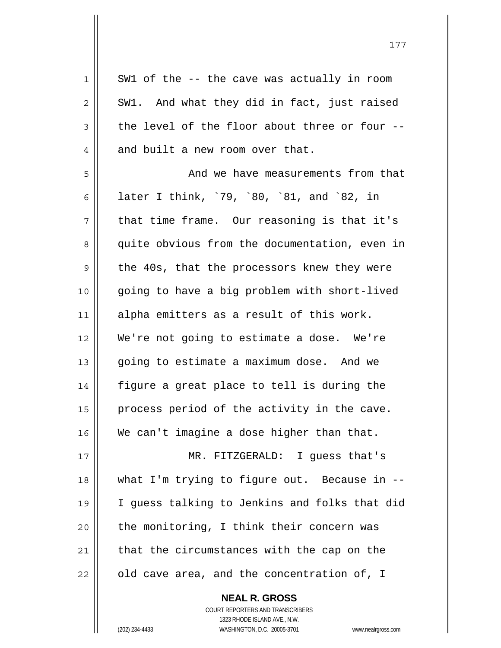$1 \parallel$  SW1 of the -- the cave was actually in room  $2 \parallel$  SW1. And what they did in fact, just raised  $3 \parallel$  the level of the floor about three or four --4 || and built a new room over that. 5 || Solomand we have measurements from that 6 later I think, `79, `80, `81, and `82, in  $7 \parallel$  that time frame. Our reasoning is that it's 8 || quite obvious from the documentation, even in 9 || the 40s, that the processors knew they were 10 || going to have a big problem with short-lived 11 || alpha emitters as a result of this work. 12 We're not going to estimate a dose. We're 13 | going to estimate a maximum dose. And we  $14$  | figure a great place to tell is during the 15 || process period of the activity in the cave. 16 We can't imagine a dose higher than that. 17 MR. FITZGERALD: I guess that's 18 what I'm trying to figure out. Because in -- 19 I guess talking to Jenkins and folks that did  $20$  | the monitoring, I think their concern was  $21$  that the circumstances with the cap on the  $22$  | old cave area, and the concentration of, I

 **NEAL R. GROSS**

 COURT REPORTERS AND TRANSCRIBERS 1323 RHODE ISLAND AVE., N.W. (202) 234-4433 WASHINGTON, D.C. 20005-3701 www.nealrgross.com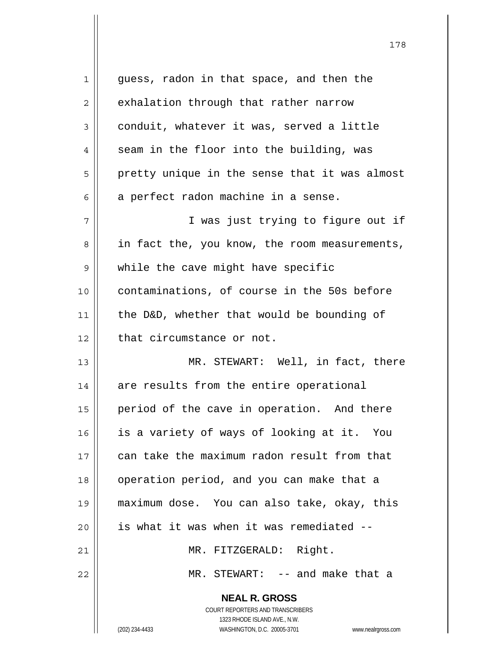| 1  | guess, radon in that space, and then the                 |
|----|----------------------------------------------------------|
| 2  | exhalation through that rather narrow                    |
| 3  | conduit, whatever it was, served a little                |
| 4  | seam in the floor into the building, was                 |
| 5  | pretty unique in the sense that it was almost            |
| 6  | a perfect radon machine in a sense.                      |
| 7  | I was just trying to figure out if                       |
| 8  | in fact the, you know, the room measurements,            |
| 9  | while the cave might have specific                       |
| 10 | contaminations, of course in the 50s before              |
| 11 | the D&D, whether that would be bounding of               |
| 12 | that circumstance or not.                                |
| 13 | MR. STEWART: Well, in fact, there                        |
| 14 | are results from the entire operational                  |
| 15 | period of the cave in operation. And there               |
| 16 | is a variety of ways of looking at it. You               |
| 17 | can take the maximum radon result from that              |
| 18 | operation period, and you can make that a                |
| 19 | maximum dose. You can also take, okay, this              |
| 20 | is what it was when it was remediated --                 |
| 21 | MR. FITZGERALD: Right.                                   |
| 22 | MR. STEWART: -- and make that a                          |
|    | <b>NEAL R. GROSS</b><br>COURT REPORTERS AND TRANSCRIBERS |

1323 RHODE ISLAND AVE., N.W.

 $\mathsf{II}$ 

(202) 234-4433 WASHINGTON, D.C. 20005-3701 www.nealrgross.com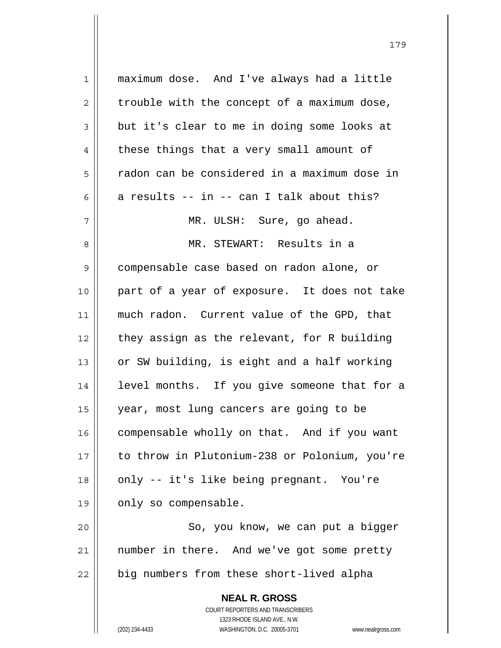| $\mathbf{1}$   | maximum dose. And I've always had a little                          |
|----------------|---------------------------------------------------------------------|
| 2              | trouble with the concept of a maximum dose,                         |
| $\mathfrak{Z}$ | but it's clear to me in doing some looks at                         |
| 4              | these things that a very small amount of                            |
| 5              | radon can be considered in a maximum dose in                        |
| 6              | a results -- in -- can I talk about this?                           |
| 7              | MR. ULSH: Sure, go ahead.                                           |
| 8              | MR. STEWART: Results in a                                           |
| 9              | compensable case based on radon alone, or                           |
| 10             | part of a year of exposure. It does not take                        |
| 11             | much radon. Current value of the GPD, that                          |
| 12             | they assign as the relevant, for R building                         |
| 13             | or SW building, is eight and a half working                         |
| 14             | level months. If you give someone that for a                        |
| 15             | year, most lung cancers are going to be                             |
| 16             | compensable wholly on that. And if you want                         |
| 17             | to throw in Plutonium-238 or Polonium, you're                       |
| 18             | only -- it's like being pregnant. You're                            |
| 19             | only so compensable.                                                |
| 20             | So, you know, we can put a bigger                                   |
| 21             | number in there. And we've got some pretty                          |
| 22             | big numbers from these short-lived alpha                            |
|                | <b>NEAL R. GROSS</b>                                                |
|                | <b>COURT REPORTERS AND TRANSCRIBERS</b>                             |
|                | 1323 RHODE ISLAND AVE., N.W.                                        |
|                | (202) 234-4433<br>WASHINGTON, D.C. 20005-3701<br>www.nealrgross.com |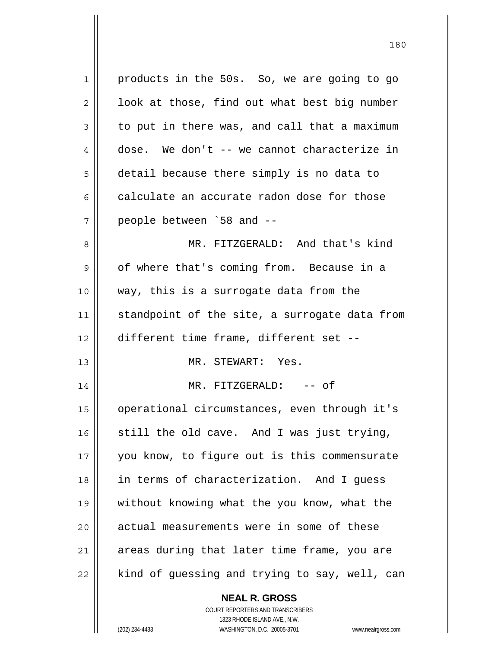**NEAL R. GROSS** 1 products in the 50s. So, we are going to go  $2 \parallel$  look at those, find out what best big number  $3 \parallel$  to put in there was, and call that a maximum 4 dose. We don't -- we cannot characterize in 5 detail because there simply is no data to  $6 \parallel$  calculate an accurate radon dose for those  $7 \parallel$  people between `58 and  $-$ 8 || MR. FITZGERALD: And that's kind  $9 \parallel$  of where that's coming from. Because in a 10 way, this is a surrogate data from the 11  $\parallel$  standpoint of the site, a surrogate data from 12 different time frame, different set -- 13 MR. STEWART: Yes. 14 || MR. FITZGERALD: -- of 15 operational circumstances, even through it's 16  $\parallel$  still the old cave. And I was just trying, 17 || you know, to figure out is this commensurate 18 in terms of characterization. And I guess 19 without knowing what the you know, what the 20 | actual measurements were in some of these 21 || areas during that later time frame, you are  $22$  | kind of guessing and trying to say, well, can

180

 1323 RHODE ISLAND AVE., N.W. (202) 234-4433 WASHINGTON, D.C. 20005-3701 www.nealrgross.com

COURT REPORTERS AND TRANSCRIBERS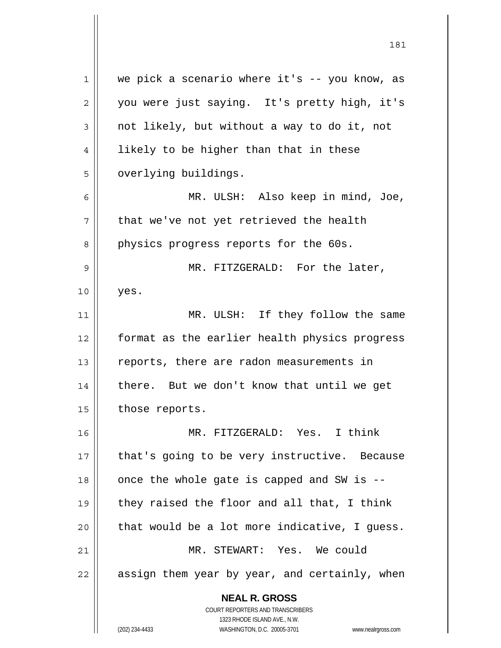**NEAL R. GROSS** COURT REPORTERS AND TRANSCRIBERS 1323 RHODE ISLAND AVE., N.W. 1 || we pick a scenario where it's -- you know, as 2 || you were just saying. It's pretty high, it's  $3 \parallel$  not likely, but without a way to do it, not  $4 \parallel$  likely to be higher than that in these 5 | overlying buildings. 6 MR. ULSH: Also keep in mind, Joe,  $7 \parallel$  that we've not yet retrieved the health 8 || physics progress reports for the 60s. 9 MR. FITZGERALD: For the later,  $10$  | yes. 11 || MR. ULSH: If they follow the same 12 format as the earlier health physics progress 13 || reports, there are radon measurements in 14 there. But we don't know that until we get 15 | those reports. 16 MR. FITZGERALD: Yes. I think 17 || that's going to be very instructive. Because  $18$  || once the whole gate is capped and SW is  $-$ -19  $\parallel$  they raised the floor and all that, I think  $20$  | that would be a lot more indicative, I quess. 21 MR. STEWART: Yes. We could  $22$  | assign them year by year, and certainly, when

181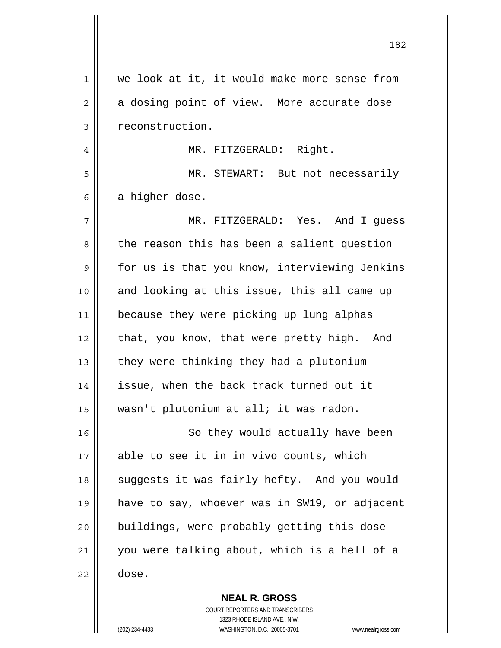| 1  | we look at it, it would make more sense from  |
|----|-----------------------------------------------|
| 2  | a dosing point of view. More accurate dose    |
| 3  | reconstruction.                               |
| 4  | MR. FITZGERALD: Right.                        |
| 5  | MR. STEWART: But not necessarily              |
| 6  | a higher dose.                                |
| 7  | MR. FITZGERALD: Yes. And I guess              |
| 8  | the reason this has been a salient question   |
| 9  | for us is that you know, interviewing Jenkins |
| 10 | and looking at this issue, this all came up   |
| 11 | because they were picking up lung alphas      |
| 12 | that, you know, that were pretty high. And    |
| 13 | they were thinking they had a plutonium       |
| 14 | issue, when the back track turned out it      |
| 15 | wasn't plutonium at all; it was radon.        |
| 16 | So they would actually have been              |
| 17 | able to see it in in vivo counts, which       |
| 18 | suggests it was fairly hefty. And you would   |
| 19 | have to say, whoever was in SW19, or adjacent |
| 20 | buildings, were probably getting this dose    |
| 21 | you were talking about, which is a hell of a  |
| 22 | dose.                                         |
|    | <b>NEAL R. GROSS</b>                          |

 COURT REPORTERS AND TRANSCRIBERS 1323 RHODE ISLAND AVE., N.W. (202) 234-4433 WASHINGTON, D.C. 20005-3701 www.nealrgross.com

 $\mathbf{I}$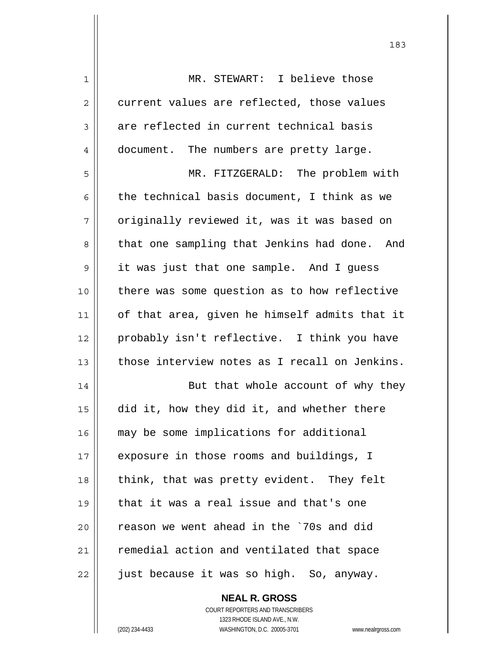| $\mathbf 1$ | MR. STEWART: I believe those                  |
|-------------|-----------------------------------------------|
| 2           | current values are reflected, those values    |
| 3           | are reflected in current technical basis      |
| 4           | document. The numbers are pretty large.       |
| 5           | MR. FITZGERALD: The problem with              |
| 6           | the technical basis document, I think as we   |
| 7           | originally reviewed it, was it was based on   |
| 8           | that one sampling that Jenkins had done. And  |
| $\mathsf 9$ | it was just that one sample. And I guess      |
| 10          | there was some question as to how reflective  |
| 11          | of that area, given he himself admits that it |
| 12          | probably isn't reflective. I think you have   |
| 13          | those interview notes as I recall on Jenkins. |
| 14          | But that whole account of why they            |
| 15          | did it, how they did it, and whether there    |
| 16          | may be some implications for additional       |
| 17          | exposure in those rooms and buildings, I      |
| 18          | think, that was pretty evident. They felt     |
| 19          | that it was a real issue and that's one       |
| 20          | reason we went ahead in the `70s and did      |
| 21          | remedial action and ventilated that space     |
| 22          | just because it was so high. So, anyway.      |
|             |                                               |

 **NEAL R. GROSS** COURT REPORTERS AND TRANSCRIBERS 1323 RHODE ISLAND AVE., N.W. (202) 234-4433 WASHINGTON, D.C. 20005-3701 www.nealrgross.com

 $\mathbf{I}$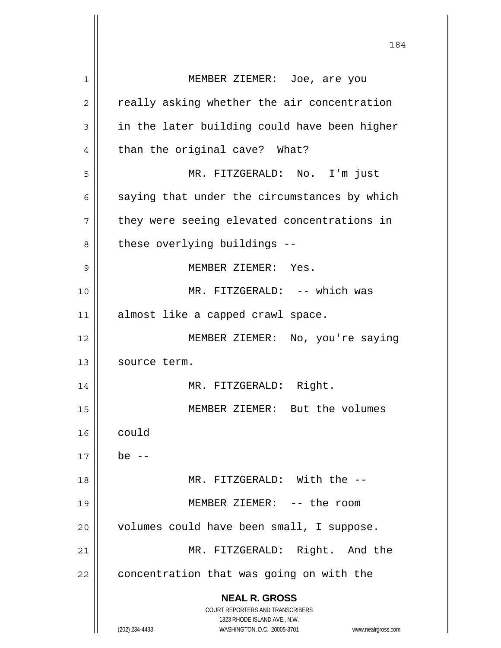| 1  | MEMBER ZIEMER: Joe, are you                                         |
|----|---------------------------------------------------------------------|
| 2  | really asking whether the air concentration                         |
| 3  | in the later building could have been higher                        |
| 4  | than the original cave? What?                                       |
| 5  | MR. FITZGERALD: No. I'm just                                        |
| 6  | saying that under the circumstances by which                        |
| 7  | they were seeing elevated concentrations in                         |
| 8  | these overlying buildings --                                        |
| 9  | MEMBER ZIEMER: Yes.                                                 |
| 10 | MR. FITZGERALD: -- which was                                        |
| 11 | almost like a capped crawl space.                                   |
| 12 | MEMBER ZIEMER: No, you're saying                                    |
| 13 | source term.                                                        |
| 14 | MR. FITZGERALD: Right.                                              |
| 15 | MEMBER ZIEMER: But the volumes                                      |
| 16 | could                                                               |
| 17 | be $--$                                                             |
| 18 | MR. FITZGERALD: With the --                                         |
| 19 | MEMBER ZIEMER: -- the room                                          |
| 20 | volumes could have been small, I suppose.                           |
| 21 | MR. FITZGERALD: Right. And the                                      |
| 22 | concentration that was going on with the                            |
|    | <b>NEAL R. GROSS</b>                                                |
|    | <b>COURT REPORTERS AND TRANSCRIBERS</b>                             |
|    | 1323 RHODE ISLAND AVE., N.W.                                        |
|    | (202) 234-4433<br>WASHINGTON, D.C. 20005-3701<br>www.nealrgross.com |

 $\mathsf{I}$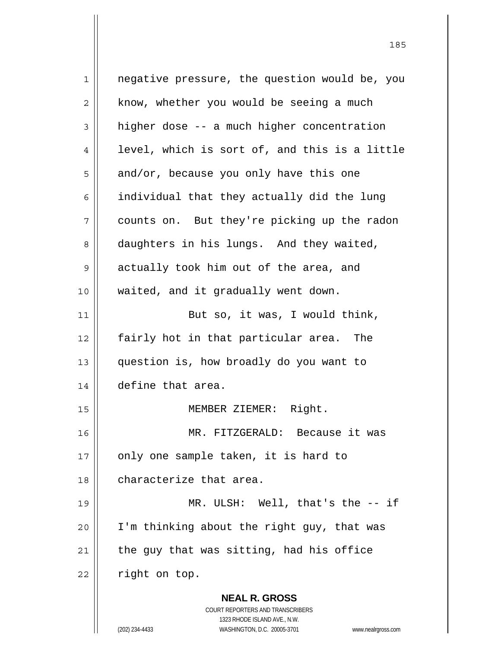**NEAL R. GROSS** COURT REPORTERS AND TRANSCRIBERS 1323 RHODE ISLAND AVE., N.W. 1 || negative pressure, the question would be, you  $2 \parallel$  know, whether you would be seeing a much  $3 \parallel$  higher dose -- a much higher concentration  $4 \parallel$  level, which is sort of, and this is a little  $5 \parallel$  and/or, because you only have this one  $6 \parallel$  individual that they actually did the lung 7 counts on. But they're picking up the radon 8 daughters in his lungs. And they waited,  $9 \parallel$  actually took him out of the area, and 10 || waited, and it gradually went down.  $11$  But so, it was, I would think, 12 | fairly hot in that particular area. The 13 question is, how broadly do you want to 14 define that area. 15 || MEMBER ZIEMER: Right. 16 MR. FITZGERALD: Because it was  $17$  | only one sample taken, it is hard to 18 || characterize that area. 19 MR. ULSH: Well, that's the -- if  $20$  | I'm thinking about the right guy, that was 21  $\parallel$  the guy that was sitting, had his office  $22$  | right on top.

<u>185</u>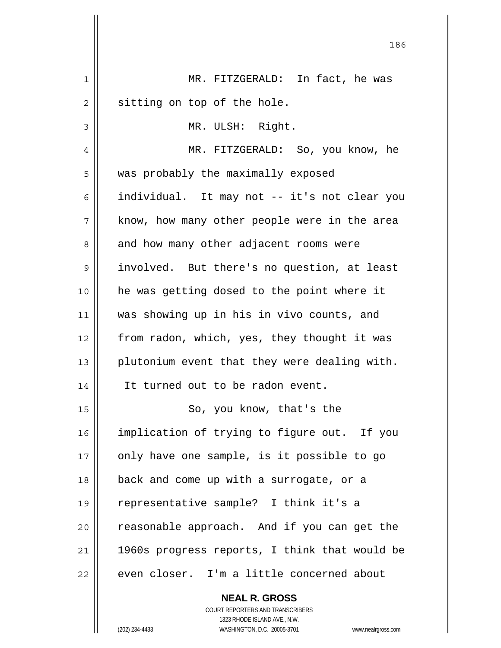| $\mathbf 1$ | MR. FITZGERALD: In fact, he was                          |
|-------------|----------------------------------------------------------|
| 2           | sitting on top of the hole.                              |
| 3           | MR. ULSH: Right.                                         |
| 4           | MR. FITZGERALD: So, you know, he                         |
| 5           | was probably the maximally exposed                       |
| 6           | individual. It may not -- it's not clear you             |
| 7           | know, how many other people were in the area             |
| 8           | and how many other adjacent rooms were                   |
| 9           | involved. But there's no question, at least              |
| 10          | he was getting dosed to the point where it               |
| 11          | was showing up in his in vivo counts, and                |
| 12          | from radon, which, yes, they thought it was              |
| 13          | plutonium event that they were dealing with.             |
| 14          | It turned out to be radon event.                         |
| 15          | So, you know, that's the                                 |
| 16          | implication of trying to figure out. If you              |
| 17          | only have one sample, is it possible to go               |
| 18          | back and come up with a surrogate, or a                  |
| 19          | representative sample? I think it's a                    |
| 20          | reasonable approach. And if you can get the              |
| 21          | 1960s progress reports, I think that would be            |
| 22          | even closer. I'm a little concerned about                |
|             | <b>NEAL R. GROSS</b><br>COURT REPORTERS AND TRANSCRIBERS |

1323 RHODE ISLAND AVE., N.W.

 $\begin{array}{c} \hline \end{array}$ 

(202) 234-4433 WASHINGTON, D.C. 20005-3701 www.nealrgross.com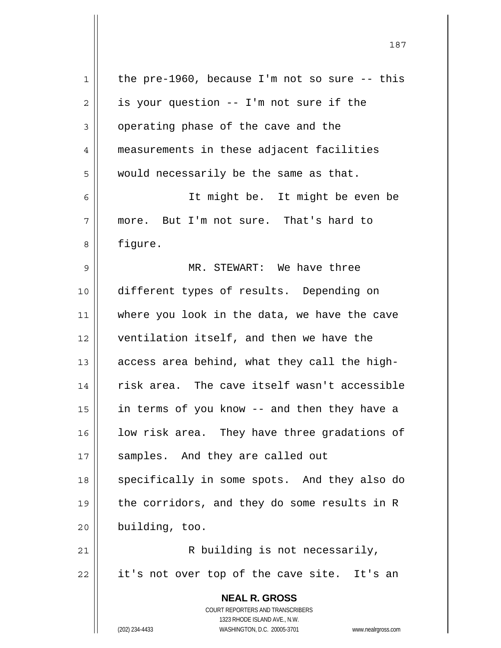| $\mathbf 1$    | the pre-1960, because I'm not so sure $-$ - this                    |
|----------------|---------------------------------------------------------------------|
| $\overline{2}$ | is your question -- I'm not sure if the                             |
| 3              | operating phase of the cave and the                                 |
| $\overline{4}$ | measurements in these adjacent facilities                           |
| 5              | would necessarily be the same as that.                              |
| 6              | It might be. It might be even be                                    |
| 7              | more. But I'm not sure. That's hard to                              |
| 8              | figure.                                                             |
| 9              | MR. STEWART: We have three                                          |
| 10             | different types of results. Depending on                            |
| 11             | where you look in the data, we have the cave                        |
| 12             | ventilation itself, and then we have the                            |
| 13             | access area behind, what they call the high-                        |
| 14             | risk area. The cave itself wasn't accessible                        |
| 15             | in terms of you know -- and then they have a                        |
| 16             | low risk area. They have three gradations of                        |
| 17             | samples. And they are called out                                    |
| 18             | specifically in some spots. And they also do                        |
| 19             | the corridors, and they do some results in R                        |
| 20             | building, too.                                                      |
| 21             | R building is not necessarily,                                      |
| 22             | it's not over top of the cave site. It's an                         |
|                | <b>NEAL R. GROSS</b>                                                |
|                | COURT REPORTERS AND TRANSCRIBERS                                    |
|                | 1323 RHODE ISLAND AVE., N.W.                                        |
|                | (202) 234-4433<br>WASHINGTON, D.C. 20005-3701<br>www.nealrgross.com |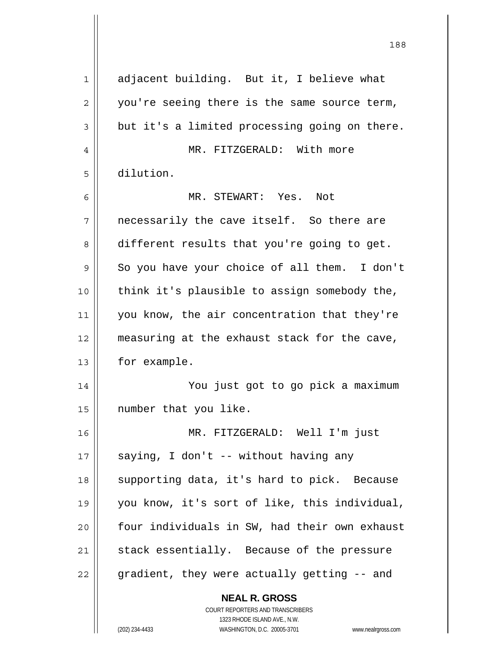| $\mathbf{1}$   | adjacent building. But it, I believe what     |
|----------------|-----------------------------------------------|
| $\overline{2}$ | you're seeing there is the same source term,  |
| 3              | but it's a limited processing going on there. |
| 4              | MR. FITZGERALD: With more                     |
| 5              | dilution.                                     |
| 6              | MR. STEWART: Yes. Not                         |
| 7              | necessarily the cave itself. So there are     |
| 8              | different results that you're going to get.   |
| 9              | So you have your choice of all them. I don't  |
| 10             | think it's plausible to assign somebody the,  |
| 11             | you know, the air concentration that they're  |
| 12             | measuring at the exhaust stack for the cave,  |
| 13             | for example.                                  |
| 14             | You just got to go pick a maximum             |
| 15             | number that you like.                         |
| 16             | MR. FITZGERALD: Well I'm just                 |
| 17             | saying, I don't -- without having any         |
| 18             | supporting data, it's hard to pick. Because   |
| 19             | you know, it's sort of like, this individual, |
| 20             | four individuals in SW, had their own exhaust |
| 21             | stack essentially. Because of the pressure    |
| 22             | gradient, they were actually getting -- and   |
|                | <b>NEAL R. GROSS</b>                          |

 $\mathop{\text{||}}$ 

 1323 RHODE ISLAND AVE., N.W. (202) 234-4433 WASHINGTON, D.C. 20005-3701 www.nealrgross.com

COURT REPORTERS AND TRANSCRIBERS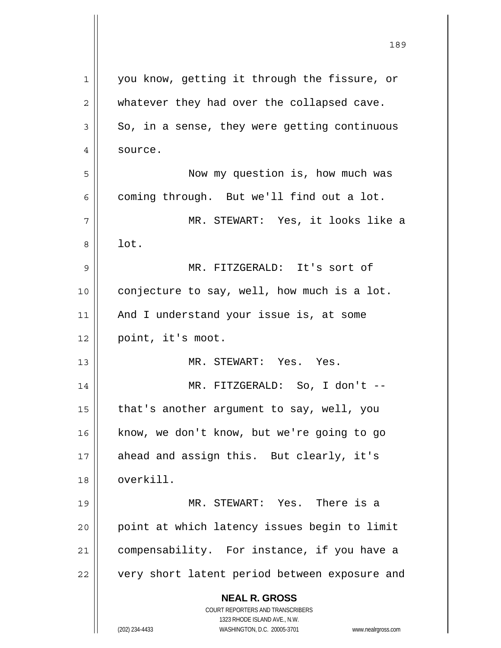| $\mathbf 1$ | you know, getting it through the fissure, or                                                        |
|-------------|-----------------------------------------------------------------------------------------------------|
| 2           | whatever they had over the collapsed cave.                                                          |
| 3           | So, in a sense, they were getting continuous                                                        |
| 4           | source.                                                                                             |
| 5           | Now my question is, how much was                                                                    |
| 6           | coming through. But we'll find out a lot.                                                           |
| 7           | MR. STEWART: Yes, it looks like a                                                                   |
| 8           | lot.                                                                                                |
| 9           | MR. FITZGERALD: It's sort of                                                                        |
| 10          | conjecture to say, well, how much is a lot.                                                         |
| 11          | And I understand your issue is, at some                                                             |
| 12          | point, it's moot.                                                                                   |
| 13          | MR. STEWART: Yes. Yes.                                                                              |
| 14          | MR. FITZGERALD: So, I don't --                                                                      |
| 15          | that's another argument to say, well, you                                                           |
| 16          | know, we don't know, but we're going to go                                                          |
| 17          | ahead and assign this. But clearly, it's                                                            |
| 18          | overkill.                                                                                           |
| 19          | MR. STEWART: Yes. There is a                                                                        |
| 20          | point at which latency issues begin to limit                                                        |
| 21          | compensability. For instance, if you have a                                                         |
| 22          | very short latent period between exposure and                                                       |
|             | <b>NEAL R. GROSS</b>                                                                                |
|             | <b>COURT REPORTERS AND TRANSCRIBERS</b>                                                             |
|             | 1323 RHODE ISLAND AVE., N.W.<br>(202) 234-4433<br>WASHINGTON, D.C. 20005-3701<br>www.nealrgross.com |
|             |                                                                                                     |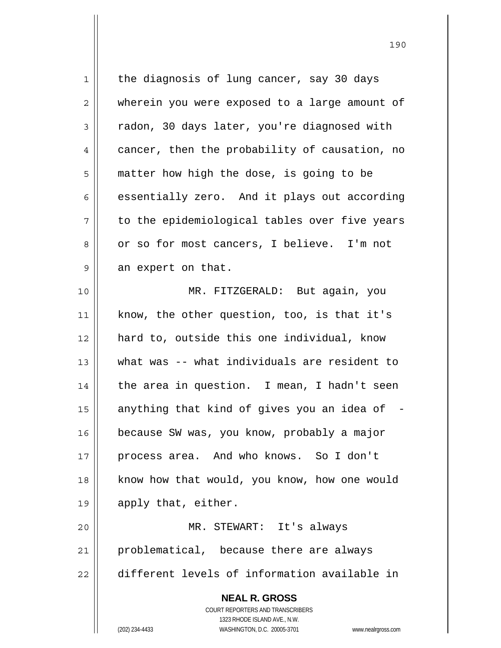**NEAL R. GROSS** COURT REPORTERS AND TRANSCRIBERS 1323 RHODE ISLAND AVE., N.W. (202) 234-4433 WASHINGTON, D.C. 20005-3701 www.nealrgross.com 1 || the diagnosis of lung cancer, say 30 days 2 || wherein you were exposed to a large amount of 3 | radon, 30 days later, you're diagnosed with 4 cancer, then the probability of causation, no 5 matter how high the dose, is going to be  $6 \parallel$  essentially zero. And it plays out according  $7 \parallel$  to the epidemiological tables over five years 8 | or so for most cancers, I believe. I'm not  $9 \parallel$  an expert on that. 10 MR. FITZGERALD: But again, you 11 know, the other question, too, is that it's 12 hard to, outside this one individual, know 13 what was -- what individuals are resident to  $14$  | the area in question. I mean, I hadn't seen 15  $\parallel$  anything that kind of gives you an idea of 16 because SW was, you know, probably a major 17 process area. And who knows. So I don't 18 || know how that would, you know, how one would 19 || apply that, either. 20 MR. STEWART: It's always 21 || problematical, because there are always 22 different levels of information available in

<u>190</u>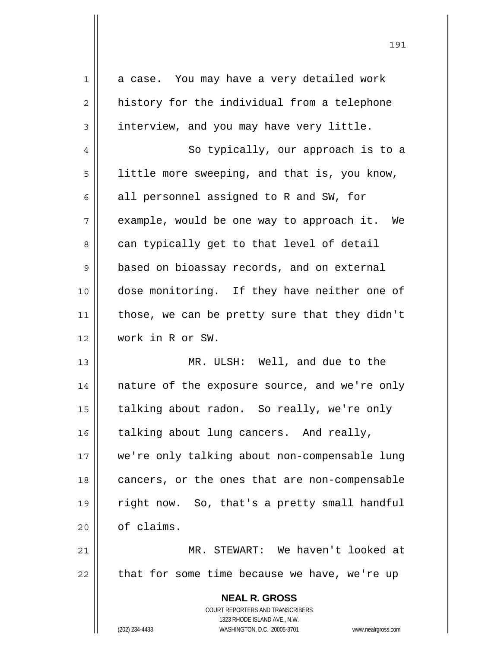| $\mathbf 1$    | a case. You may have a very detailed work                           |
|----------------|---------------------------------------------------------------------|
| 2              | history for the individual from a telephone                         |
| 3              | interview, and you may have very little.                            |
| $\overline{4}$ | So typically, our approach is to a                                  |
| 5              | little more sweeping, and that is, you know,                        |
| 6              | all personnel assigned to R and SW, for                             |
| 7              | example, would be one way to approach it. We                        |
| 8              | can typically get to that level of detail                           |
| 9              | based on bioassay records, and on external                          |
| 10             | dose monitoring. If they have neither one of                        |
| 11             | those, we can be pretty sure that they didn't                       |
| 12             | work in R or SW.                                                    |
| 13             | MR. ULSH: Well, and due to the                                      |
| 14             | nature of the exposure source, and we're only                       |
| 15             | talking about radon. So really, we're only                          |
| 16             | talking about lung cancers. And really,                             |
| 17             | we're only talking about non-compensable lung                       |
| 18             | cancers, or the ones that are non-compensable                       |
| 19             | right now. So, that's a pretty small handful                        |
| 20             | of claims.                                                          |
| 21             | MR. STEWART: We haven't looked at                                   |
| 22             | that for some time because we have, we're up                        |
|                | <b>NEAL R. GROSS</b>                                                |
|                | COURT REPORTERS AND TRANSCRIBERS                                    |
|                | 1323 RHODE ISLAND AVE., N.W.                                        |
|                | (202) 234-4433<br>WASHINGTON, D.C. 20005-3701<br>www.nealrgross.com |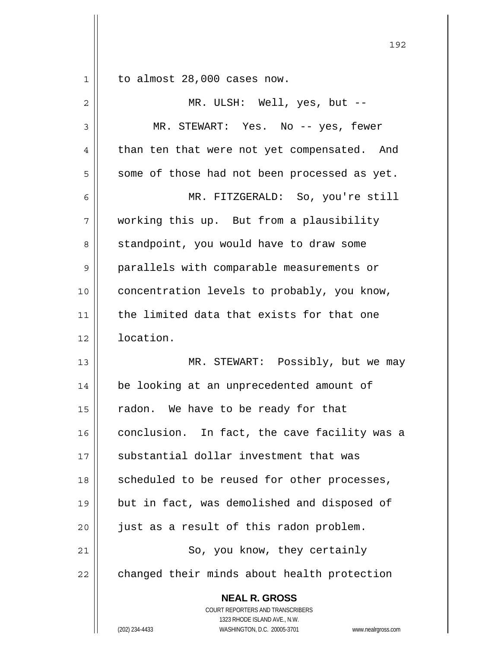$1 \parallel$  to almost 28,000 cases now.

| 2              | MR. ULSH: Well, yes, but --                                                                                                                                     |
|----------------|-----------------------------------------------------------------------------------------------------------------------------------------------------------------|
| $\mathsf 3$    | MR. STEWART: Yes. No -- yes, fewer                                                                                                                              |
| $\overline{4}$ | than ten that were not yet compensated. And                                                                                                                     |
| 5              | some of those had not been processed as yet.                                                                                                                    |
| 6              | MR. FITZGERALD: So, you're still                                                                                                                                |
| 7              | working this up. But from a plausibility                                                                                                                        |
| 8              | standpoint, you would have to draw some                                                                                                                         |
| 9              | parallels with comparable measurements or                                                                                                                       |
| 10             | concentration levels to probably, you know,                                                                                                                     |
| 11             | the limited data that exists for that one                                                                                                                       |
| 12             | location.                                                                                                                                                       |
| 13             | MR. STEWART: Possibly, but we may                                                                                                                               |
| 14             | be looking at an unprecedented amount of                                                                                                                        |
| 15             | radon. We have to be ready for that                                                                                                                             |
| 16             | conclusion. In fact, the cave facility was a                                                                                                                    |
| 17             | substantial dollar investment that was                                                                                                                          |
| 18             | scheduled to be reused for other processes,                                                                                                                     |
| 19             | but in fact, was demolished and disposed of                                                                                                                     |
| 20             | just as a result of this radon problem.                                                                                                                         |
| 21             | So, you know, they certainly                                                                                                                                    |
| 22             | changed their minds about health protection                                                                                                                     |
|                | <b>NEAL R. GROSS</b><br>COURT REPORTERS AND TRANSCRIBERS<br>1323 RHODE ISLAND AVE., N.W.<br>(202) 234-4433<br>WASHINGTON, D.C. 20005-3701<br>www.nealrgross.com |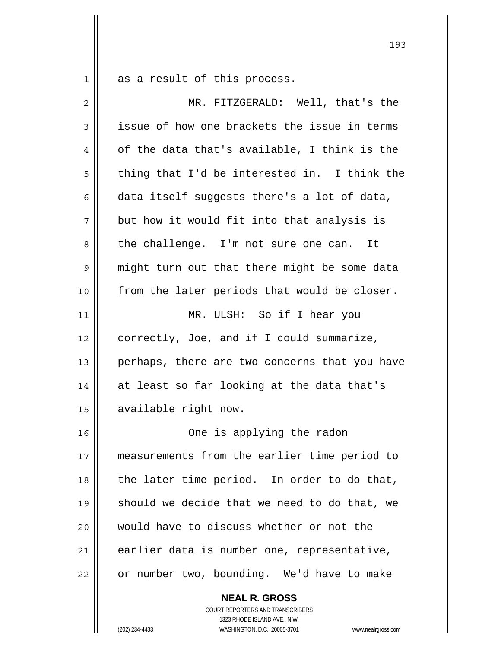$1 \parallel$  as a result of this process.

| $\overline{2}$ | MR. FITZGERALD: Well, that's the              |
|----------------|-----------------------------------------------|
| 3              | issue of how one brackets the issue in terms  |
| 4              | of the data that's available, I think is the  |
| 5              | thing that I'd be interested in. I think the  |
| 6              | data itself suggests there's a lot of data,   |
| 7              | but how it would fit into that analysis is    |
| 8              | the challenge. I'm not sure one can. It       |
| $\mathsf 9$    | might turn out that there might be some data  |
| 10             | from the later periods that would be closer.  |
| 11             | MR. ULSH: So if I hear you                    |
| 12             | correctly, Joe, and if I could summarize,     |
| 13             | perhaps, there are two concerns that you have |
| 14             | at least so far looking at the data that's    |
| 15             | available right now.                          |
| 16             | One is applying the radon                     |
| 17             | measurements from the earlier time period to  |
| 18             | the later time period. In order to do that,   |
| 19             | should we decide that we need to do that, we  |
| 20             | would have to discuss whether or not the      |
| 21             | earlier data is number one, representative,   |
| 22             | or number two, bounding. We'd have to make    |

 **NEAL R. GROSS** COURT REPORTERS AND TRANSCRIBERS 1323 RHODE ISLAND AVE., N.W.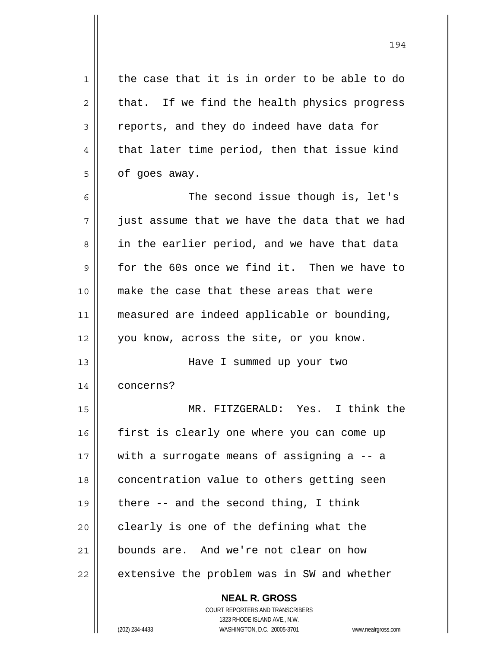| $\mathbf 1$ | the case that it is in order to be able to do                       |
|-------------|---------------------------------------------------------------------|
| 2           | that. If we find the health physics progress                        |
| 3           | reports, and they do indeed have data for                           |
| 4           | that later time period, then that issue kind                        |
| 5           | of goes away.                                                       |
| 6           | The second issue though is, let's                                   |
| 7           | just assume that we have the data that we had                       |
| 8           | in the earlier period, and we have that data                        |
| 9           | for the 60s once we find it. Then we have to                        |
| 10          | make the case that these areas that were                            |
| 11          | measured are indeed applicable or bounding,                         |
| 12          | you know, across the site, or you know.                             |
| 13          | Have I summed up your two                                           |
| 14          | concerns?                                                           |
| 15          | MR. FITZGERALD: Yes. I think the                                    |
| 16          | first is clearly one where you can come up                          |
| 17          | with a surrogate means of assigning a -- a                          |
| 18          | concentration value to others getting seen                          |
| 19          | there $-$ and the second thing, I think                             |
| 20          | clearly is one of the defining what the                             |
| 21          | bounds are. And we're not clear on how                              |
| 22          | extensive the problem was in SW and whether                         |
|             | <b>NEAL R. GROSS</b>                                                |
|             | <b>COURT REPORTERS AND TRANSCRIBERS</b>                             |
|             | 1323 RHODE ISLAND AVE., N.W.                                        |
|             | (202) 234-4433<br>WASHINGTON, D.C. 20005-3701<br>www.nealrgross.com |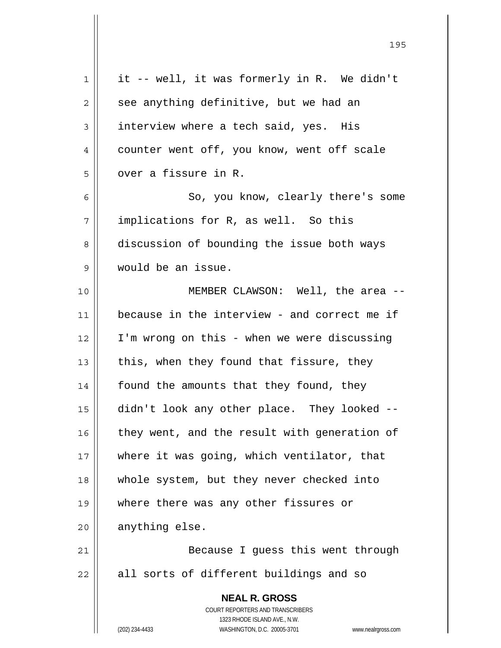| 1              | it -- well, it was formerly in R. We didn't                                              |
|----------------|------------------------------------------------------------------------------------------|
| $\overline{c}$ | see anything definitive, but we had an                                                   |
| 3              | interview where a tech said, yes. His                                                    |
| 4              | counter went off, you know, went off scale                                               |
| 5              | over a fissure in R.                                                                     |
| 6              | So, you know, clearly there's some                                                       |
| 7              | implications for R, as well. So this                                                     |
| 8              | discussion of bounding the issue both ways                                               |
| 9              | would be an issue.                                                                       |
| 10             | MEMBER CLAWSON: Well, the area --                                                        |
| 11             | because in the interview - and correct me if                                             |
| 12             | I'm wrong on this - when we were discussing                                              |
| 13             | this, when they found that fissure, they                                                 |
| 14             | found the amounts that they found, they                                                  |
| 15             | didn't look any other place. They looked --                                              |
| 16             | they went, and the result with generation of                                             |
| 17             | where it was going, which ventilator, that                                               |
| 18             | whole system, but they never checked into                                                |
| 19             | where there was any other fissures or                                                    |
| 20             | anything else.                                                                           |
| 21             | Because I guess this went through                                                        |
| 22             | all sorts of different buildings and so                                                  |
|                | <b>NEAL R. GROSS</b><br>COURT REPORTERS AND TRANSCRIBERS<br>1323 RHODE ISLAND AVE., N.W. |
|                | (202) 234-4433<br>WASHINGTON, D.C. 20005-3701<br>www.nealrgross.com                      |

<u>195</u>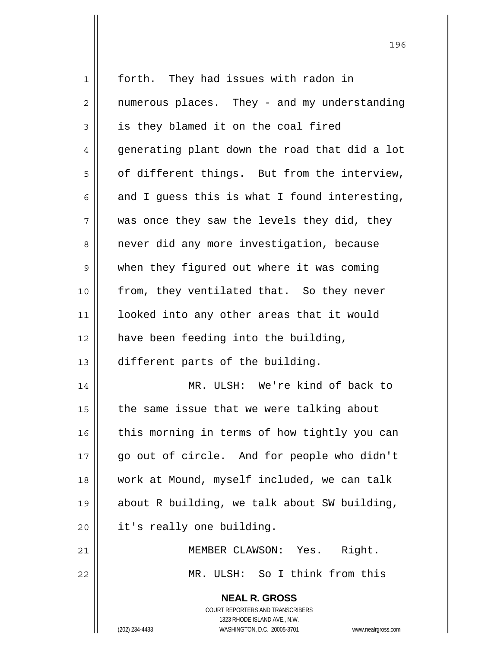| 1              | forth. They had issues with radon in                                |
|----------------|---------------------------------------------------------------------|
| $\overline{2}$ | numerous places. They - and my understanding                        |
| 3              | is they blamed it on the coal fired                                 |
| 4              | generating plant down the road that did a lot                       |
| 5              | of different things. But from the interview,                        |
| 6              | and I guess this is what I found interesting,                       |
| 7              | was once they saw the levels they did, they                         |
| 8              | never did any more investigation, because                           |
| $\mathsf 9$    | when they figured out where it was coming                           |
| 10             | from, they ventilated that. So they never                           |
| 11             | looked into any other areas that it would                           |
| 12             | have been feeding into the building,                                |
| 13             | different parts of the building.                                    |
| 14             | MR. ULSH: We're kind of back to                                     |
| 15             | the same issue that we were talking about                           |
| 16             | this morning in terms of how tightly you can                        |
| 17             | go out of circle. And for people who didn't                         |
| 18             | work at Mound, myself included, we can talk                         |
| 19             | about R building, we talk about SW building,                        |
| 20             | it's really one building.                                           |
| 21             | Right.<br>MEMBER CLAWSON: Yes.                                      |
| 22             | MR. ULSH: So I think from this                                      |
|                | <b>NEAL R. GROSS</b>                                                |
|                | <b>COURT REPORTERS AND TRANSCRIBERS</b>                             |
|                | 1323 RHODE ISLAND AVE., N.W.                                        |
|                | (202) 234-4433<br>WASHINGTON, D.C. 20005-3701<br>www.nealrgross.com |

<u>1962 - Johann Stein, Amerikaansk politiker (</u>† 196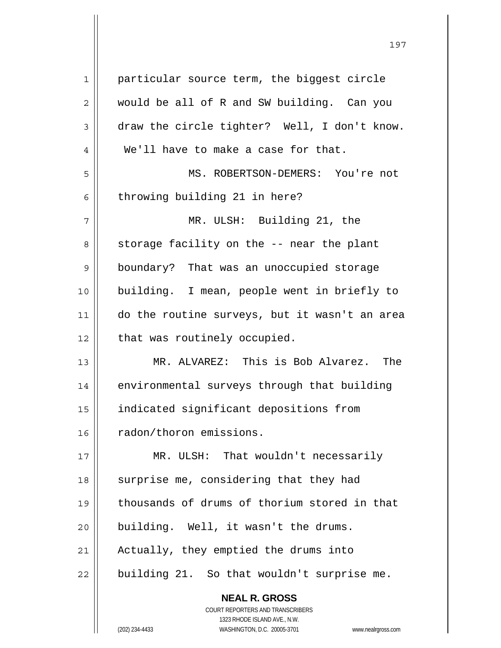| 1  | particular source term, the biggest circle    |
|----|-----------------------------------------------|
| 2  | would be all of R and SW building. Can you    |
| 3  | draw the circle tighter? Well, I don't know.  |
| 4  | We'll have to make a case for that.           |
| 5  | MS. ROBERTSON-DEMERS: You're not              |
| 6  | throwing building 21 in here?                 |
| 7  | MR. ULSH: Building 21, the                    |
| 8  | storage facility on the -- near the plant     |
| 9  | boundary? That was an unoccupied storage      |
| 10 | building. I mean, people went in briefly to   |
| 11 | do the routine surveys, but it wasn't an area |
| 12 | that was routinely occupied.                  |
| 13 | MR. ALVAREZ: This is Bob Alvarez. The         |
| 14 | environmental surveys through that building   |
| 15 | indicated significant depositions from        |
| 16 | radon/thoron emissions.                       |
| 17 | MR. ULSH: That wouldn't necessarily           |
| 18 | surprise me, considering that they had        |
| 19 | thousands of drums of thorium stored in that  |
| 20 | building. Well, it wasn't the drums.          |
| 21 | Actually, they emptied the drums into         |
| 22 | building 21. So that wouldn't surprise me.    |
|    | <b>NEAL R. GROSS</b>                          |

 $\mathsf{I}$ 

 COURT REPORTERS AND TRANSCRIBERS 1323 RHODE ISLAND AVE., N.W. (202) 234-4433 WASHINGTON, D.C. 20005-3701 www.nealrgross.com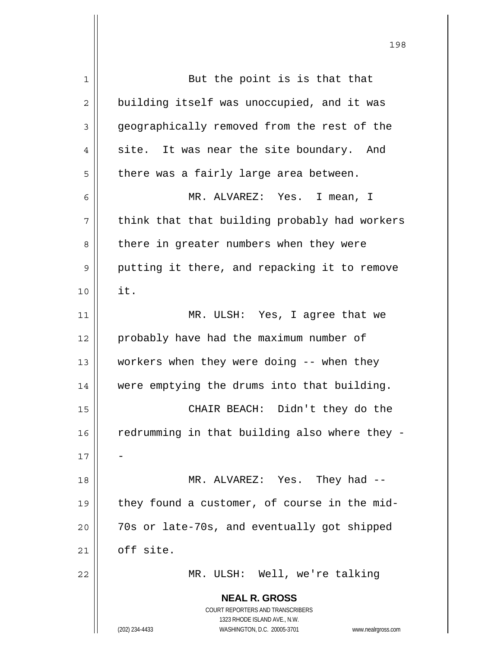| 1  | But the point is is that that                                       |
|----|---------------------------------------------------------------------|
| 2  | building itself was unoccupied, and it was                          |
| 3  | geographically removed from the rest of the                         |
| 4  | site. It was near the site boundary. And                            |
| 5  | there was a fairly large area between.                              |
| 6  | MR. ALVAREZ: Yes. I mean, I                                         |
| 7  | think that that building probably had workers                       |
| 8  | there in greater numbers when they were                             |
| 9  | putting it there, and repacking it to remove                        |
| 10 | it.                                                                 |
| 11 | MR. ULSH: Yes, I agree that we                                      |
| 12 | probably have had the maximum number of                             |
| 13 | workers when they were doing -- when they                           |
| 14 | were emptying the drums into that building.                         |
| 15 | CHAIR BEACH: Didn't they do the                                     |
| 16 | redrumming in that building also where they -                       |
| 17 |                                                                     |
| 18 | MR. ALVAREZ: Yes. They had --                                       |
| 19 | they found a customer, of course in the mid-                        |
| 20 | 70s or late-70s, and eventually got shipped                         |
| 21 | off site.                                                           |
| 22 | MR. ULSH: Well, we're talking                                       |
|    | <b>NEAL R. GROSS</b>                                                |
|    | COURT REPORTERS AND TRANSCRIBERS                                    |
|    | 1323 RHODE ISLAND AVE., N.W.                                        |
|    | (202) 234-4433<br>WASHINGTON, D.C. 20005-3701<br>www.nealrgross.com |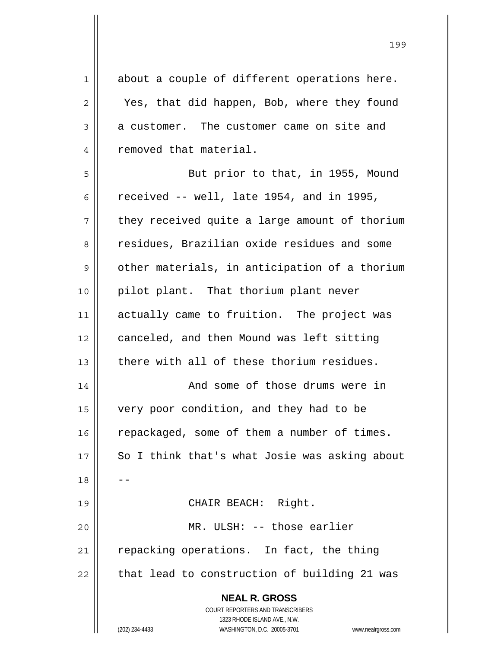**NEAL R. GROSS** COURT REPORTERS AND TRANSCRIBERS 1323 RHODE ISLAND AVE., N.W.  $1$  about a couple of different operations here. 2 || Yes, that did happen, Bob, where they found  $3 \parallel$  a customer. The customer came on site and 4 | removed that material. 5 || But prior to that, in 1955, Mound 6  $\parallel$  received -- well, late 1954, and in 1995,  $7 \parallel$  they received quite a large amount of thorium 8 a residues, Brazilian oxide residues and some  $9 \parallel$  other materials, in anticipation of a thorium 10 || pilot plant. That thorium plant never 11 || actually came to fruition. The project was 12 | canceled, and then Mound was left sitting  $13$   $\parallel$  there with all of these thorium residues. 14 || And some of those drums were in 15 very poor condition, and they had to be  $16$  repackaged, some of them a number of times. 17 || So I think that's what Josie was asking about  $18$ 19 || CHAIR BEACH: Right. 20 MR. ULSH: -- those earlier  $21$  repacking operations. In fact, the thing  $22$  | that lead to construction of building 21 was

199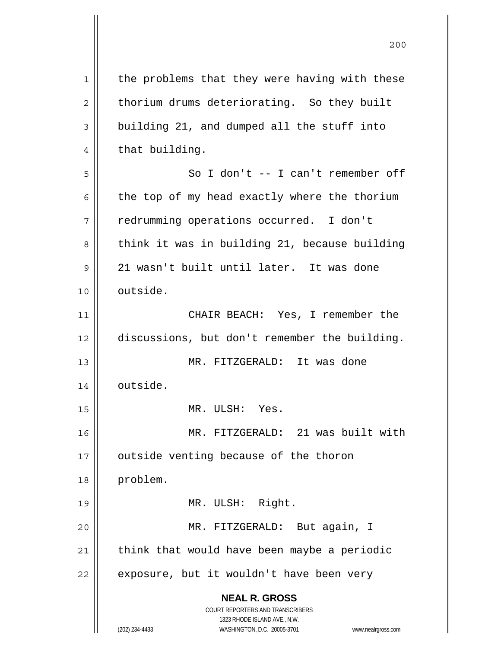| $\mathbf 1$ | the problems that they were having with these                       |
|-------------|---------------------------------------------------------------------|
| 2           | thorium drums deteriorating. So they built                          |
| 3           | building 21, and dumped all the stuff into                          |
| 4           | that building.                                                      |
| 5           | So I don't -- I can't remember off                                  |
| 6           | the top of my head exactly where the thorium                        |
| 7           | redrumming operations occurred. I don't                             |
| 8           | think it was in building 21, because building                       |
| 9           | 21 wasn't built until later. It was done                            |
| 10          | outside.                                                            |
| 11          | CHAIR BEACH: Yes, I remember the                                    |
| 12          | discussions, but don't remember the building.                       |
| 13          | MR. FITZGERALD: It was done                                         |
| 14          | outside.                                                            |
| 15          | MR. ULSH: Yes.                                                      |
| 16          | MR. FITZGERALD: 21 was built with                                   |
| 17          | outside venting because of the thoron                               |
| 18          | problem.                                                            |
| 19          | MR. ULSH: Right.                                                    |
| 20          | MR. FITZGERALD: But again, I                                        |
| 21          | think that would have been maybe a periodic                         |
| 22          | exposure, but it wouldn't have been very                            |
|             | <b>NEAL R. GROSS</b>                                                |
|             | COURT REPORTERS AND TRANSCRIBERS                                    |
|             | 1323 RHODE ISLAND AVE., N.W.                                        |
|             | (202) 234-4433<br>WASHINGTON, D.C. 20005-3701<br>www.nealrgross.com |

 $\mathsf{I}$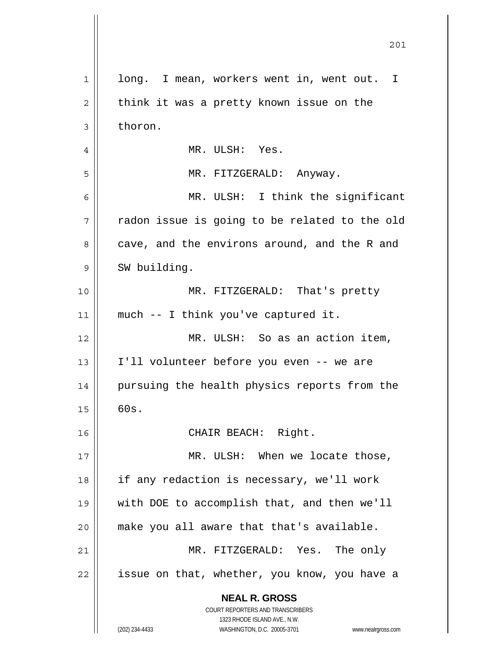| $\mathbf 1$ | long. I mean, workers went in, went out. I                                                          |
|-------------|-----------------------------------------------------------------------------------------------------|
| 2           | think it was a pretty known issue on the                                                            |
| 3           | thoron.                                                                                             |
| 4           | MR. ULSH: Yes.                                                                                      |
| 5           | MR. FITZGERALD: Anyway.                                                                             |
| 6           | MR. ULSH: I think the significant                                                                   |
| 7           | radon issue is going to be related to the old                                                       |
| 8           | cave, and the environs around, and the R and                                                        |
| 9           | SW building.                                                                                        |
| 10          | MR. FITZGERALD: That's pretty                                                                       |
| 11          | much -- I think you've captured it.                                                                 |
| 12          | MR. ULSH: So as an action item,                                                                     |
| 13          | I'll volunteer before you even -- we are                                                            |
| 14          | pursuing the health physics reports from the                                                        |
| 15          | 60s.                                                                                                |
| 16          | CHAIR BEACH: Right.                                                                                 |
| 17          | MR. ULSH: When we locate those,                                                                     |
| 18          | if any redaction is necessary, we'll work                                                           |
| 19          | with DOE to accomplish that, and then we'll                                                         |
| 20          | make you all aware that that's available.                                                           |
| 21          | MR. FITZGERALD: Yes. The only                                                                       |
| 22          | issue on that, whether, you know, you have a                                                        |
|             | <b>NEAL R. GROSS</b>                                                                                |
|             | COURT REPORTERS AND TRANSCRIBERS                                                                    |
|             | 1323 RHODE ISLAND AVE., N.W.<br>(202) 234-4433<br>WASHINGTON, D.C. 20005-3701<br>www.nealrgross.com |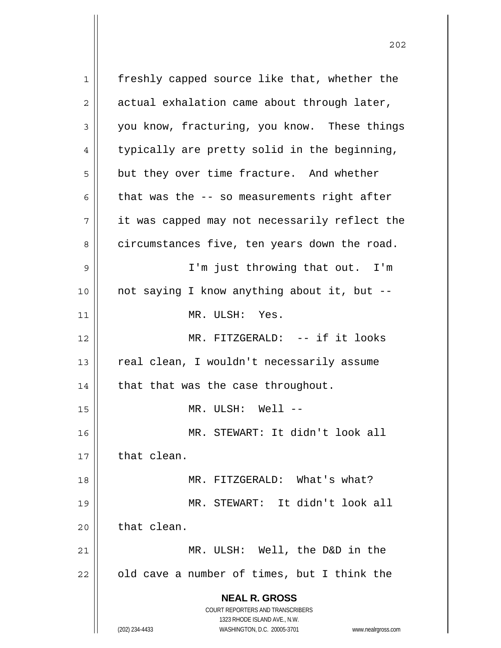**NEAL R. GROSS** COURT REPORTERS AND TRANSCRIBERS 1323 RHODE ISLAND AVE., N.W. (202) 234-4433 WASHINGTON, D.C. 20005-3701 www.nealrgross.com 1 freshly capped source like that, whether the  $2 \parallel$  actual exhalation came about through later, 3 you know, fracturing, you know. These things  $4 \parallel$  typically are pretty solid in the beginning,  $5 \parallel$  but they over time fracture. And whether 6  $\parallel$  that was the -- so measurements right after  $7 \parallel$  it was capped may not necessarily reflect the 8 circumstances five, ten years down the road. 9 || I'm just throwing that out. I'm 10 not saying I know anything about it, but -- 11 MR. ULSH: Yes. 12 || MR. FITZGERALD: -- if it looks 13 | real clean, I wouldn't necessarily assume 14  $\parallel$  that that was the case throughout. 15 || MR. ULSH: Well --16 MR. STEWART: It didn't look all  $17$   $\parallel$  that clean. 18 MR. FITZGERALD: What's what? 19 MR. STEWART: It didn't look all  $20$  | that clean. 21 MR. ULSH: Well, the D&D in the  $22$  | old cave a number of times, but I think the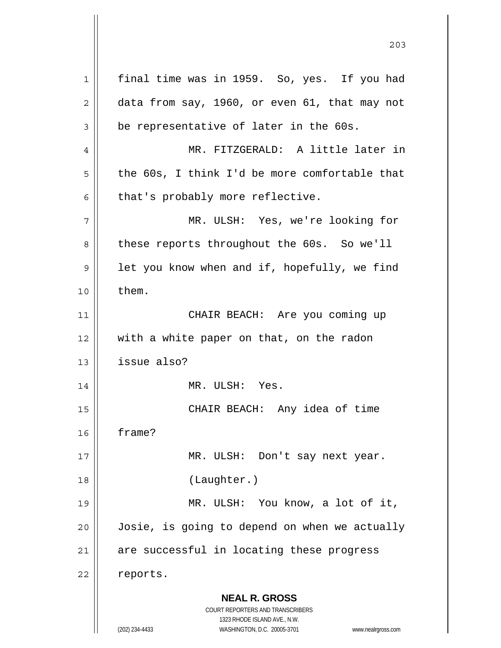**NEAL R. GROSS** COURT REPORTERS AND TRANSCRIBERS 1323 RHODE ISLAND AVE., N.W. (202) 234-4433 WASHINGTON, D.C. 20005-3701 www.nealrgross.com 1 || final time was in 1959. So, yes. If you had  $2 \parallel$  data from say, 1960, or even 61, that may not  $3 \parallel$  be representative of later in the 60s. 4 MR. FITZGERALD: A little later in  $5 \parallel$  the 60s, I think I'd be more comfortable that  $6 \parallel$  that's probably more reflective. 7 MR. ULSH: Yes, we're looking for 8 | these reports throughout the 60s. So we'll  $9 \parallel$  let you know when and if, hopefully, we find  $10 \parallel$  them. 11 CHAIR BEACH: Are you coming up 12 with a white paper on that, on the radon  $13$  | issue also? 14 || MR. ULSH: Yes. 15 CHAIR BEACH: Any idea of time 16 frame? 17 MR. ULSH: Don't say next year. 18 || (Laughter.) 19 || MR. ULSH: You know, a lot of it, 20 Josie, is going to depend on when we actually  $21$  are successful in locating these progress 22 | reports.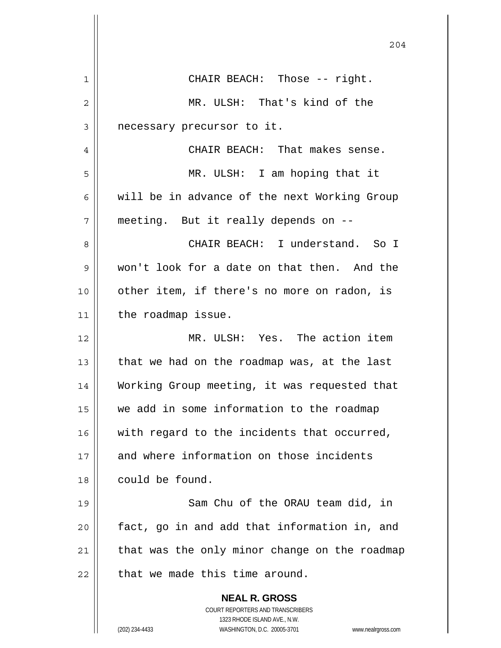|    | 204                                                                 |
|----|---------------------------------------------------------------------|
|    |                                                                     |
| 1  | CHAIR BEACH: Those -- right.                                        |
| 2  | MR. ULSH: That's kind of the                                        |
| 3  | necessary precursor to it.                                          |
| 4  | CHAIR BEACH: That makes sense.                                      |
| 5  | MR. ULSH: I am hoping that it                                       |
| 6  | will be in advance of the next Working Group                        |
| 7  | meeting. But it really depends on --                                |
| 8  | CHAIR BEACH: I understand. So I                                     |
| 9  | won't look for a date on that then. And the                         |
| 10 | other item, if there's no more on radon, is                         |
| 11 | the roadmap issue.                                                  |
| 12 | MR. ULSH: Yes. The action item                                      |
| 13 | that we had on the roadmap was, at the last                         |
| 14 | Working Group meeting, it was requested that                        |
| 15 | we add in some information to the roadmap                           |
| 16 | with regard to the incidents that occurred,                         |
| 17 | and where information on those incidents                            |
| 18 | could be found.                                                     |
| 19 | Sam Chu of the ORAU team did, in                                    |
| 20 | fact, go in and add that information in, and                        |
| 21 | that was the only minor change on the roadmap                       |
| 22 | that we made this time around.                                      |
|    | <b>NEAL R. GROSS</b>                                                |
|    | COURT REPORTERS AND TRANSCRIBERS<br>1323 RHODE ISLAND AVE., N.W.    |
|    | (202) 234-4433<br>WASHINGTON, D.C. 20005-3701<br>www.nealrgross.com |

 $\overline{\phantom{a}}$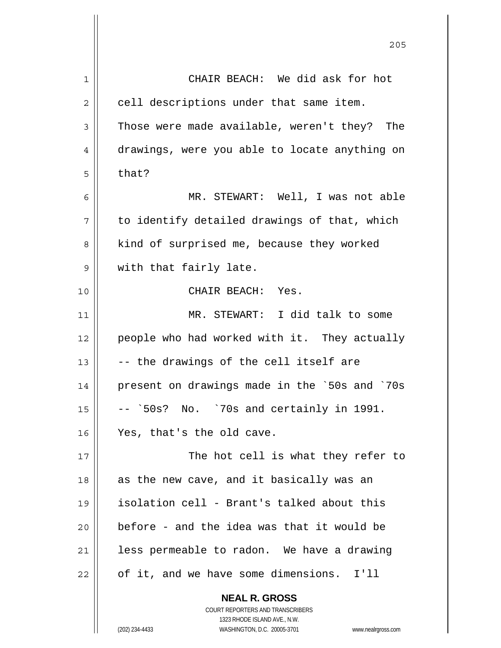| 1  | CHAIR BEACH: We did ask for hot               |
|----|-----------------------------------------------|
| 2  | cell descriptions under that same item.       |
| 3  | Those were made available, weren't they? The  |
| 4  | drawings, were you able to locate anything on |
| 5  | that?                                         |
| 6  | MR. STEWART: Well, I was not able             |
| 7  | to identify detailed drawings of that, which  |
| 8  | kind of surprised me, because they worked     |
| 9  | with that fairly late.                        |
| 10 | CHAIR BEACH: Yes.                             |
| 11 | MR. STEWART: I did talk to some               |
| 12 | people who had worked with it. They actually  |
| 13 | -- the drawings of the cell itself are        |
| 14 | present on drawings made in the `50s and `70s |
| 15 | No. `70s and certainly in 1991.<br>-- `50s?   |
| 16 | Yes, that's the old cave.                     |
| 17 | The hot cell is what they refer to            |
| 18 | as the new cave, and it basically was an      |
| 19 | isolation cell - Brant's talked about this    |
| 20 | before - and the idea was that it would be    |
| 21 | less permeable to radon. We have a drawing    |
| 22 | of it, and we have some dimensions.<br>I'll   |
|    | <b>NEAL R. GROSS</b>                          |

 $\mathsf{II}$ 

 1323 RHODE ISLAND AVE., N.W. (202) 234-4433 WASHINGTON, D.C. 20005-3701 www.nealrgross.com

COURT REPORTERS AND TRANSCRIBERS

<u>205</u>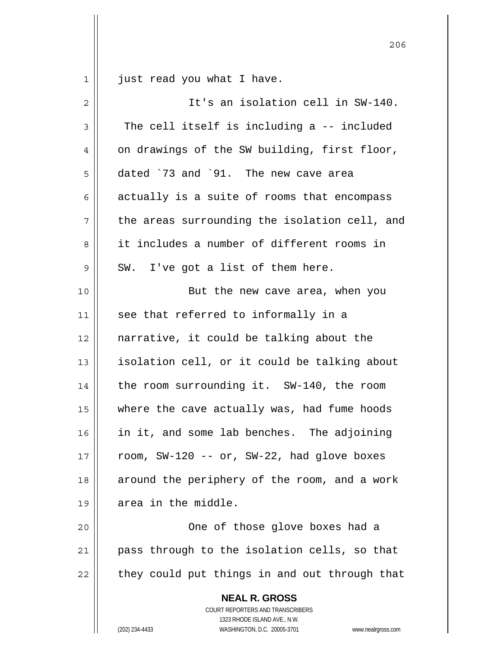$1 \parallel$  just read you what I have.

| 2              | It's an isolation cell in SW-140.                                                                                                                               |
|----------------|-----------------------------------------------------------------------------------------------------------------------------------------------------------------|
| 3              | The cell itself is including a -- included                                                                                                                      |
| $\overline{4}$ | on drawings of the SW building, first floor,                                                                                                                    |
| 5              | dated `73 and `91. The new cave area                                                                                                                            |
| 6              | actually is a suite of rooms that encompass                                                                                                                     |
| 7              | the areas surrounding the isolation cell, and                                                                                                                   |
| 8              | it includes a number of different rooms in                                                                                                                      |
| 9              | SW. I've got a list of them here.                                                                                                                               |
| 10             | But the new cave area, when you                                                                                                                                 |
| 11             | see that referred to informally in a                                                                                                                            |
| 12             | narrative, it could be talking about the                                                                                                                        |
| 13             | isolation cell, or it could be talking about                                                                                                                    |
| 14             | the room surrounding it. SW-140, the room                                                                                                                       |
| 15             | where the cave actually was, had fume hoods                                                                                                                     |
| 16             | in it, and some lab benches. The adjoining                                                                                                                      |
| 17             | room, SW-120 -- or, SW-22, had glove boxes                                                                                                                      |
| 18             | around the periphery of the room, and a work                                                                                                                    |
| 19             | area in the middle.                                                                                                                                             |
| 20             | One of those glove boxes had a                                                                                                                                  |
| 21             | pass through to the isolation cells, so that                                                                                                                    |
| 22             | they could put things in and out through that                                                                                                                   |
|                | <b>NEAL R. GROSS</b><br>COURT REPORTERS AND TRANSCRIBERS<br>1323 RHODE ISLAND AVE., N.W.<br>(202) 234-4433<br>WASHINGTON, D.C. 20005-3701<br>www.nealrgross.com |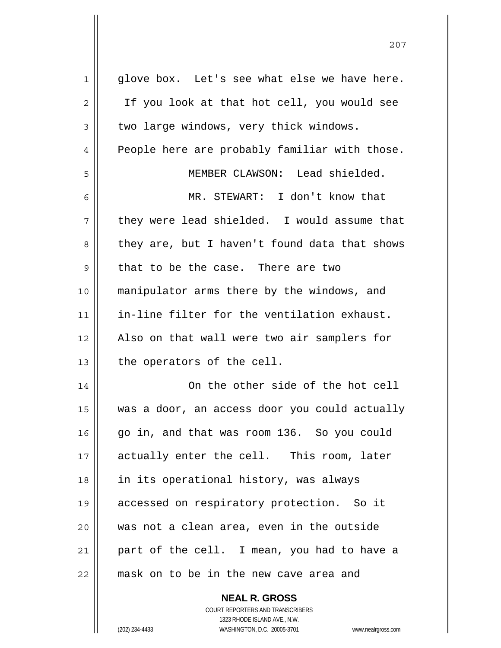| 1  | glove box. Let's see what else we have here.  |
|----|-----------------------------------------------|
| 2  | If you look at that hot cell, you would see   |
| 3  | two large windows, very thick windows.        |
| 4  | People here are probably familiar with those. |
| 5  | MEMBER CLAWSON: Lead shielded.                |
| 6  | MR. STEWART: I don't know that                |
| 7  | they were lead shielded. I would assume that  |
| 8  | they are, but I haven't found data that shows |
| 9  | that to be the case. There are two            |
| 10 | manipulator arms there by the windows, and    |
| 11 | in-line filter for the ventilation exhaust.   |
| 12 | Also on that wall were two air samplers for   |
| 13 | the operators of the cell.                    |
| 14 | On the other side of the hot cell             |
| 15 | was a door, an access door you could actually |
| 16 | go in, and that was room 136. So you could    |
| 17 | actually enter the cell. This room, later     |
| 18 | in its operational history, was always        |
| 19 | accessed on respiratory protection. So it     |
| 20 | was not a clean area, even in the outside     |
| 21 | part of the cell. I mean, you had to have a   |
| 22 | mask on to be in the new cave area and        |

<u>207</u>

 **NEAL R. GROSS** COURT REPORTERS AND TRANSCRIBERS 1323 RHODE ISLAND AVE., N.W. (202) 234-4433 WASHINGTON, D.C. 20005-3701 www.nealrgross.com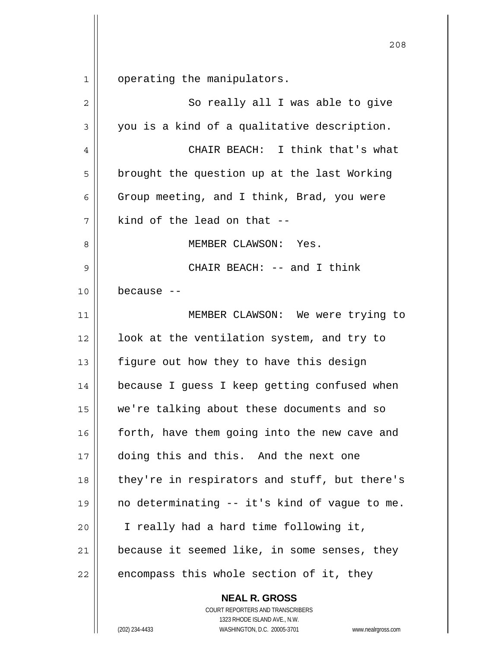1 operating the manipulators.

| $\overline{2}$ | So really all I was able to give              |
|----------------|-----------------------------------------------|
| 3              | you is a kind of a qualitative description.   |
| 4              | CHAIR BEACH: I think that's what              |
| 5              | brought the question up at the last Working   |
| 6              | Group meeting, and I think, Brad, you were    |
| 7              | kind of the lead on that --                   |
| 8              | MEMBER CLAWSON: Yes.                          |
| 9              | CHAIR BEACH: -- and I think                   |
| 10             | because --                                    |
| 11             | MEMBER CLAWSON: We were trying to             |
| 12             | look at the ventilation system, and try to    |
| 13             | figure out how they to have this design       |
| 14             | because I guess I keep getting confused when  |
| 15             | we're talking about these documents and so    |
| 16             | forth, have them going into the new cave and  |
| 17             | doing this and this. And the next one         |
| 18             | they're in respirators and stuff, but there's |
| 19             | no determinating -- it's kind of vague to me. |
| 20             | I really had a hard time following it,        |
| 21             | because it seemed like, in some senses, they  |
| 22             | encompass this whole section of it, they      |

 COURT REPORTERS AND TRANSCRIBERS 1323 RHODE ISLAND AVE., N.W. (202) 234-4433 WASHINGTON, D.C. 20005-3701 www.nealrgross.com

 **NEAL R. GROSS**

<u>208</u>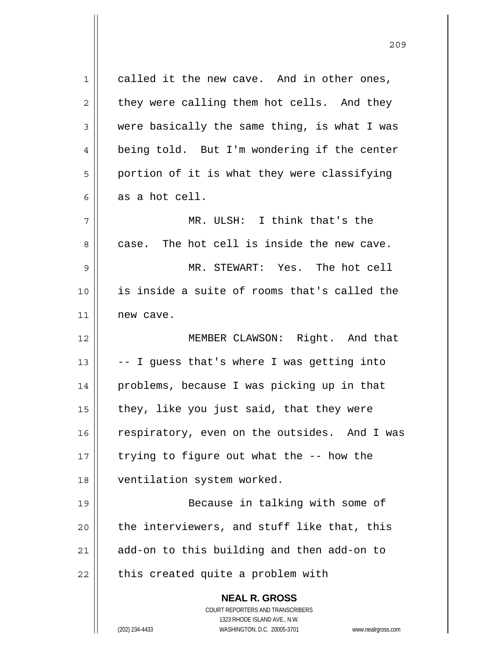**NEAL R. GROSS** COURT REPORTERS AND TRANSCRIBERS 1323 RHODE ISLAND AVE., N.W.  $1 \parallel$  called it the new cave. And in other ones,  $2 \parallel$  they were calling them hot cells. And they  $3 \parallel$  were basically the same thing, is what I was 4 | being told. But I'm wondering if the center  $5 \parallel$  portion of it is what they were classifying  $6 \parallel$  as a hot cell. 7 MR. ULSH: I think that's the  $8 \parallel$  case. The hot cell is inside the new cave. 9 MR. STEWART: Yes. The hot cell 10 is inside a suite of rooms that's called the 11 new cave. 12 || MEMBER CLAWSON: Right. And that 13  $\vert$  -- I guess that's where I was getting into 14 problems, because I was picking up in that  $15$  | they, like you just said, that they were 16 | respiratory, even on the outsides. And I was 17  $\parallel$  trying to figure out what the  $-$ - how the 18 | ventilation system worked. 19 || Because in talking with some of  $20$  || the interviewers, and stuff like that, this 21 add-on to this building and then add-on to  $22$  || this created quite a problem with

(202) 234-4433 WASHINGTON, D.C. 20005-3701 www.nealrgross.com

<u>209</u>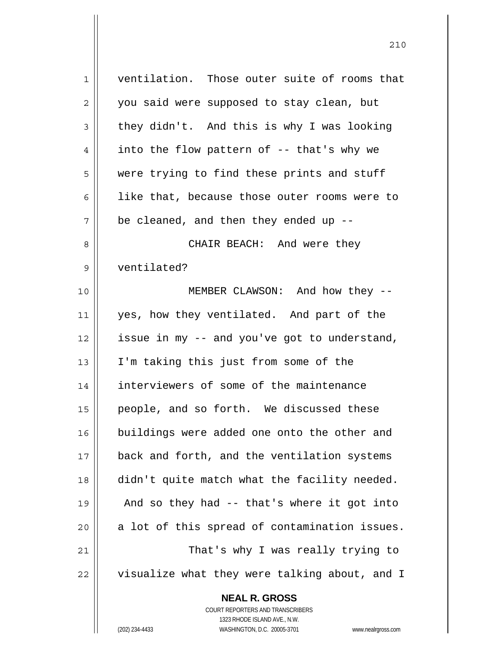| 1  | ventilation. Those outer suite of rooms that  |
|----|-----------------------------------------------|
| 2  | you said were supposed to stay clean, but     |
| 3  | they didn't. And this is why I was looking    |
| 4  | into the flow pattern of -- that's why we     |
| 5  | were trying to find these prints and stuff    |
| 6  | like that, because those outer rooms were to  |
| 7  | be cleaned, and then they ended up $-$ -      |
| 8  | CHAIR BEACH: And were they                    |
| 9  | ventilated?                                   |
| 10 | MEMBER CLAWSON: And how they --               |
| 11 | yes, how they ventilated. And part of the     |
| 12 | issue in my -- and you've got to understand,  |
| 13 | I'm taking this just from some of the         |
| 14 | interviewers of some of the maintenance       |
| 15 | people, and so forth. We discussed these      |
| 16 | buildings were added one onto the other and   |
| 17 | back and forth, and the ventilation systems   |
| 18 | didn't quite match what the facility needed.  |
| 19 | And so they had -- that's where it got into   |
| 20 | a lot of this spread of contamination issues. |
| 21 | That's why I was really trying to             |
| 22 | visualize what they were talking about, and I |
|    | <b>NEAL R. GROSS</b>                          |

 $\prod$ 

 1323 RHODE ISLAND AVE., N.W. (202) 234-4433 WASHINGTON, D.C. 20005-3701 www.nealrgross.com

COURT REPORTERS AND TRANSCRIBERS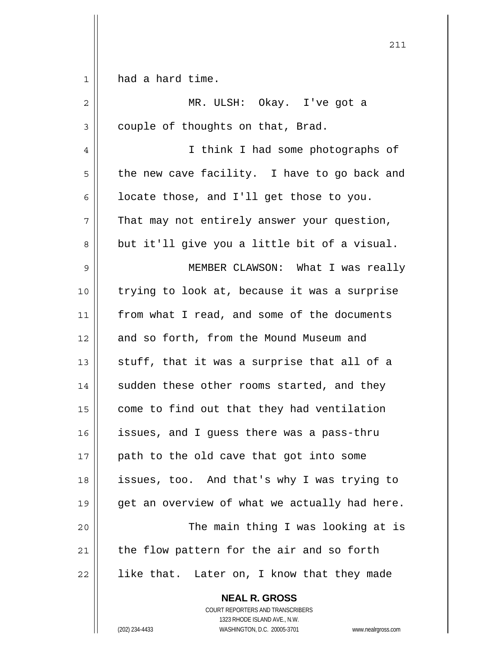**NEAL R. GROSS** 1 | had a hard time. 2 MR. ULSH: Okay. I've got a  $3 \parallel$  couple of thoughts on that, Brad. 4 I think I had some photographs of  $5 \parallel$  the new cave facility. I have to go back and  $6 \parallel$  locate those, and I'll get those to you.  $7 \parallel$  That may not entirely answer your question,  $8 \parallel$  but it'll give you a little bit of a visual. 9 MEMBER CLAWSON: What I was really 10 trying to look at, because it was a surprise 11 from what I read, and some of the documents 12 and so forth, from the Mound Museum and 13  $\parallel$  stuff, that it was a surprise that all of a  $14$  sudden these other rooms started, and they  $15$  come to find out that they had ventilation 16 | issues, and I guess there was a pass-thru  $17$  || path to the old cave that got into some 18 issues, too. And that's why I was trying to  $19 \parallel$  get an overview of what we actually had here. 20 | The main thing I was looking at is  $21$  the flow pattern for the air and so forth  $22$  || like that. Later on, I know that they made

211

 COURT REPORTERS AND TRANSCRIBERS 1323 RHODE ISLAND AVE., N.W.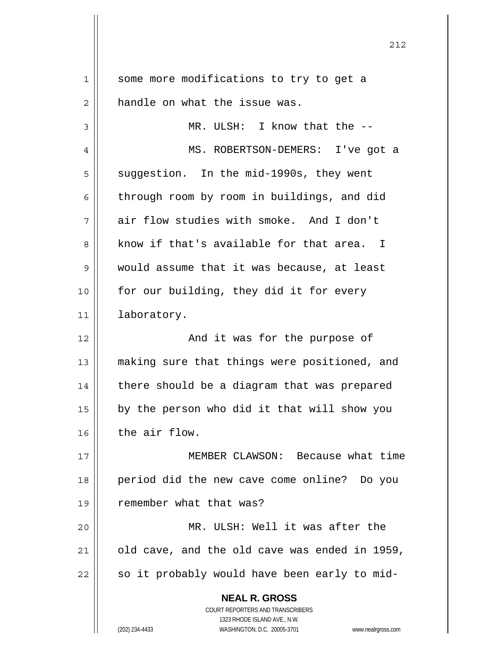| $\mathbf 1$ | some more modifications to try to get a                                                             |
|-------------|-----------------------------------------------------------------------------------------------------|
| 2           | handle on what the issue was.                                                                       |
| 3           | MR. ULSH: I know that the --                                                                        |
| 4           | MS. ROBERTSON-DEMERS: I've got a                                                                    |
| 5           | suggestion. In the mid-1990s, they went                                                             |
| 6           | through room by room in buildings, and did                                                          |
| 7           | air flow studies with smoke. And I don't                                                            |
| 8           | know if that's available for that area. I                                                           |
| 9           | would assume that it was because, at least                                                          |
| 10          | for our building, they did it for every                                                             |
| 11          | laboratory.                                                                                         |
| 12          | And it was for the purpose of                                                                       |
| 13          | making sure that things were positioned, and                                                        |
| 14          | there should be a diagram that was prepared                                                         |
| 15          | by the person who did it that will show you                                                         |
| 16          | the air flow.                                                                                       |
| 17          | MEMBER CLAWSON: Because what time                                                                   |
| 18          | period did the new cave come online? Do you                                                         |
| 19          | remember what that was?                                                                             |
| 20          | MR. ULSH: Well it was after the                                                                     |
| 21          | old cave, and the old cave was ended in 1959,                                                       |
| 22          | so it probably would have been early to mid-                                                        |
|             |                                                                                                     |
|             | <b>NEAL R. GROSS</b>                                                                                |
|             | COURT REPORTERS AND TRANSCRIBERS                                                                    |
|             | 1323 RHODE ISLAND AVE., N.W.<br>(202) 234-4433<br>WASHINGTON, D.C. 20005-3701<br>www.nealrgross.com |
|             |                                                                                                     |

<u>212</u>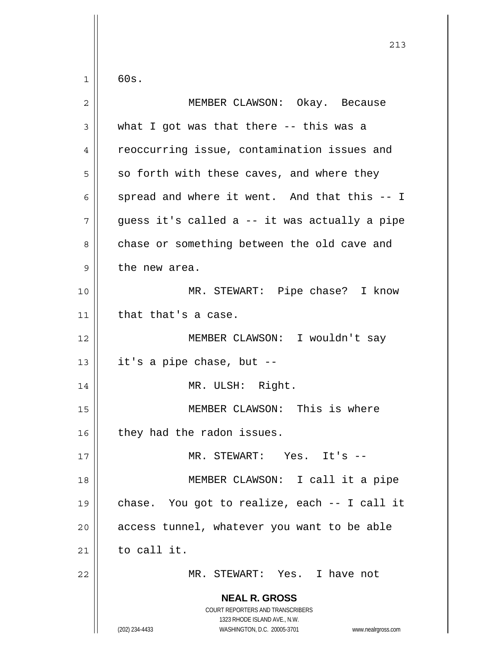$1 \parallel 60s.$ 

| $\overline{2}$ | MEMBER CLAWSON: Okay. Because                                                                                                                                   |
|----------------|-----------------------------------------------------------------------------------------------------------------------------------------------------------------|
| 3              | what I got was that there -- this was a                                                                                                                         |
| 4              | reoccurring issue, contamination issues and                                                                                                                     |
| 5              | so forth with these caves, and where they                                                                                                                       |
| 6              | spread and where it went. And that this -- I                                                                                                                    |
| 7              | guess it's called a -- it was actually a pipe                                                                                                                   |
| 8              | chase or something between the old cave and                                                                                                                     |
| 9              | the new area.                                                                                                                                                   |
| 10             | MR. STEWART: Pipe chase? I know                                                                                                                                 |
| 11             | that that's a case.                                                                                                                                             |
| 12             | MEMBER CLAWSON: I wouldn't say                                                                                                                                  |
| 13             | it's a pipe chase, but --                                                                                                                                       |
| 14             | MR. ULSH: Right.                                                                                                                                                |
| 15             | MEMBER CLAWSON: This is where                                                                                                                                   |
| 16             | they had the radon issues.                                                                                                                                      |
| 17             | MR. STEWART: Yes. It's                                                                                                                                          |
| 18             | MEMBER CLAWSON: I call it a pipe                                                                                                                                |
| 19             | chase. You got to realize, each -- I call it                                                                                                                    |
| 20             | access tunnel, whatever you want to be able                                                                                                                     |
| 21             | to call it.                                                                                                                                                     |
| 22             | MR. STEWART: Yes. I have not                                                                                                                                    |
|                | <b>NEAL R. GROSS</b><br>COURT REPORTERS AND TRANSCRIBERS<br>1323 RHODE ISLAND AVE., N.W.<br>(202) 234-4433<br>WASHINGTON, D.C. 20005-3701<br>www.nealrgross.com |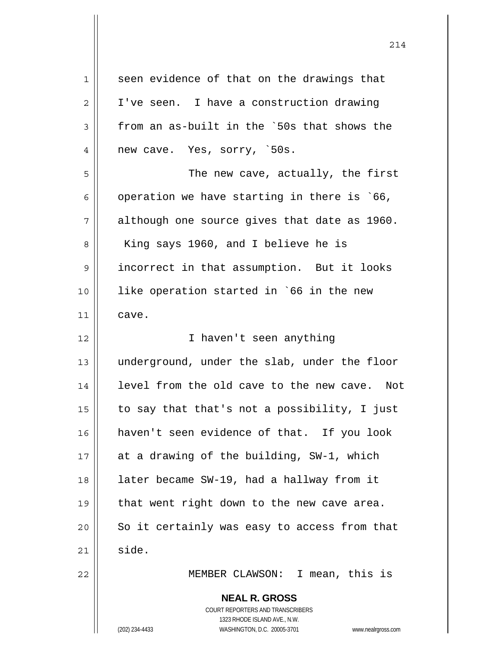| $1\,$          | seen evidence of that on the drawings that                                                                                                                      |
|----------------|-----------------------------------------------------------------------------------------------------------------------------------------------------------------|
| $\overline{2}$ | I've seen. I have a construction drawing                                                                                                                        |
| $\mathsf 3$    | from an as-built in the `50s that shows the                                                                                                                     |
| 4              | new cave. Yes, sorry, `50s.                                                                                                                                     |
| 5              | The new cave, actually, the first                                                                                                                               |
| 6              | operation we have starting in there is `66,                                                                                                                     |
| 7              | although one source gives that date as 1960.                                                                                                                    |
| 8              | King says 1960, and I believe he is                                                                                                                             |
| 9              | incorrect in that assumption. But it looks                                                                                                                      |
| 10             | like operation started in `66 in the new                                                                                                                        |
| 11             | cave.                                                                                                                                                           |
| 12             | I haven't seen anything                                                                                                                                         |
| 13             | underground, under the slab, under the floor                                                                                                                    |
| 14             | level from the old cave to the new cave. Not                                                                                                                    |
| 15             | to say that that's not a possibility, I just                                                                                                                    |
| 16             | haven't seen evidence of that. If you look                                                                                                                      |
| 17             | at a drawing of the building, SW-1, which                                                                                                                       |
| 18             | later became SW-19, had a hallway from it                                                                                                                       |
| 19             | that went right down to the new cave area.                                                                                                                      |
| 20             | So it certainly was easy to access from that                                                                                                                    |
| 21             | side.                                                                                                                                                           |
| 22             | MEMBER CLAWSON: I mean, this is                                                                                                                                 |
|                | <b>NEAL R. GROSS</b><br>COURT REPORTERS AND TRANSCRIBERS<br>1323 RHODE ISLAND AVE., N.W.<br>(202) 234-4433<br>WASHINGTON, D.C. 20005-3701<br>www.nealrgross.com |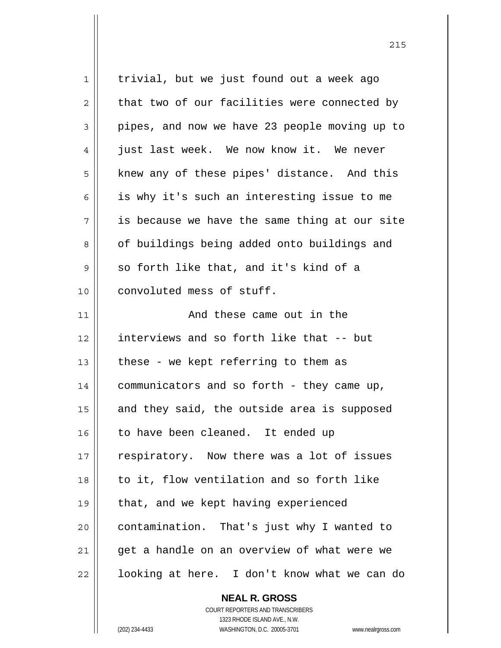|    | <b>NEAL R. GROSS</b>                          |
|----|-----------------------------------------------|
| 22 | looking at here. I don't know what we can do  |
| 21 | get a handle on an overview of what were we   |
| 20 | contamination. That's just why I wanted to    |
| 19 | that, and we kept having experienced          |
| 18 | to it, flow ventilation and so forth like     |
| 17 | respiratory. Now there was a lot of issues    |
| 16 | to have been cleaned. It ended up             |
| 15 | and they said, the outside area is supposed   |
| 14 | communicators and so forth - they came up,    |
| 13 | these - we kept referring to them as          |
| 12 | interviews and so forth like that -- but      |
| 11 | And these came out in the                     |
| 10 | convoluted mess of stuff.                     |
| 9  | so forth like that, and it's kind of a        |
| 8  | of buildings being added onto buildings and   |
| 7  | is because we have the same thing at our site |
| 6  | is why it's such an interesting issue to me   |
| 5  | knew any of these pipes' distance. And this   |
| 4  | just last week. We now know it. We never      |
| 3  | pipes, and now we have 23 people moving up to |
| 2  | that two of our facilities were connected by  |
| 1  | trivial, but we just found out a week ago     |
|    |                                               |

 COURT REPORTERS AND TRANSCRIBERS 1323 RHODE ISLAND AVE., N.W. (202) 234-4433 WASHINGTON, D.C. 20005-3701 www.nealrgross.com

 $\mathsf{I}$ 

<u>215</u>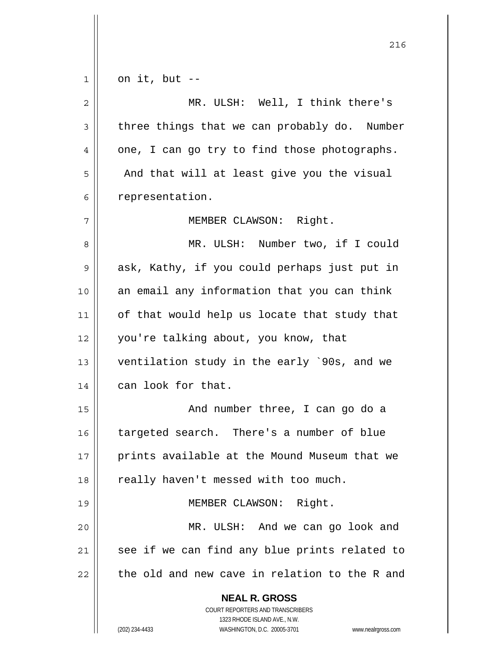|             | 216                                                                 |
|-------------|---------------------------------------------------------------------|
| $\mathbf 1$ | on it, but --                                                       |
| $\mathbf 2$ | MR. ULSH: Well, I think there's                                     |
| 3           | three things that we can probably do. Number                        |
| 4           | one, I can go try to find those photographs.                        |
| 5           | And that will at least give you the visual                          |
| 6           | representation.                                                     |
| 7           | MEMBER CLAWSON: Right.                                              |
| 8           | MR. ULSH: Number two, if I could                                    |
| 9           | ask, Kathy, if you could perhaps just put in                        |
| 10          | an email any information that you can think                         |
| 11          | of that would help us locate that study that                        |
| 12          | you're talking about, you know, that                                |
| 13          | ventilation study in the early `90s, and we                         |
| 14          | can look for that.                                                  |
| 15          | And number three, I can go do a                                     |
| 16          | targeted search. There's a number of blue                           |
| 17          | prints available at the Mound Museum that we                        |
| 18          | really haven't messed with too much.                                |
| 19          | MEMBER CLAWSON: Right.                                              |
| 20          | MR. ULSH: And we can go look and                                    |
| 21          | see if we can find any blue prints related to                       |
| 22          | the old and new cave in relation to the R and                       |
|             | <b>NEAL R. GROSS</b>                                                |
|             | COURT REPORTERS AND TRANSCRIBERS<br>1323 RHODE ISLAND AVE., N.W.    |
|             | (202) 234-4433<br>WASHINGTON, D.C. 20005-3701<br>www.nealrgross.com |

 $\mathsf{l}$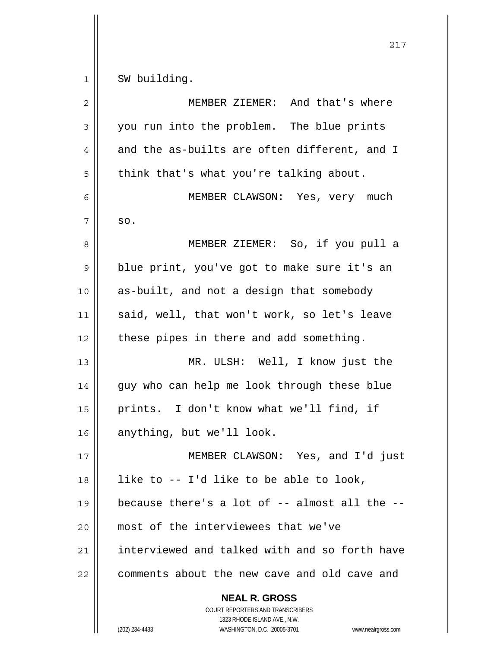$1 \parallel$  SW building.

| $\overline{2}$ | MEMBER ZIEMER: And that's where                                                        |
|----------------|----------------------------------------------------------------------------------------|
| 3              | you run into the problem. The blue prints                                              |
| 4              | and the as-builts are often different, and I                                           |
| 5              | think that's what you're talking about.                                                |
| 6              | MEMBER CLAWSON: Yes, very much                                                         |
| 7              | SO.                                                                                    |
| 8              | MEMBER ZIEMER: So, if you pull a                                                       |
| 9              | blue print, you've got to make sure it's an                                            |
| 10             | as-built, and not a design that somebody                                               |
| 11             | said, well, that won't work, so let's leave                                            |
| 12             | these pipes in there and add something.                                                |
| 13             | MR. ULSH: Well, I know just the                                                        |
| 14             | guy who can help me look through these blue                                            |
| 15             | prints. I don't know what we'll find, if                                               |
| 16             | anything, but we'll look.                                                              |
| 17             | MEMBER CLAWSON: Yes, and I'd just                                                      |
| 18             | like to -- I'd like to be able to look,                                                |
| 19             | because there's a lot of -- almost all the --                                          |
| 20             | most of the interviewees that we've                                                    |
| 21             | interviewed and talked with and so forth have                                          |
| 22             | comments about the new cave and old cave and                                           |
|                | <b>NEAL R. GROSS</b><br>COURT REPORTERS AND TRANSCRIBERS<br>1323 RHODE ISLAND AVE N.W. |

 $\prod_{i=1}^{n}$ 

 1323 RHODE ISLAND AVE., N.W. (202) 234-4433 WASHINGTON, D.C. 20005-3701 www.nealrgross.com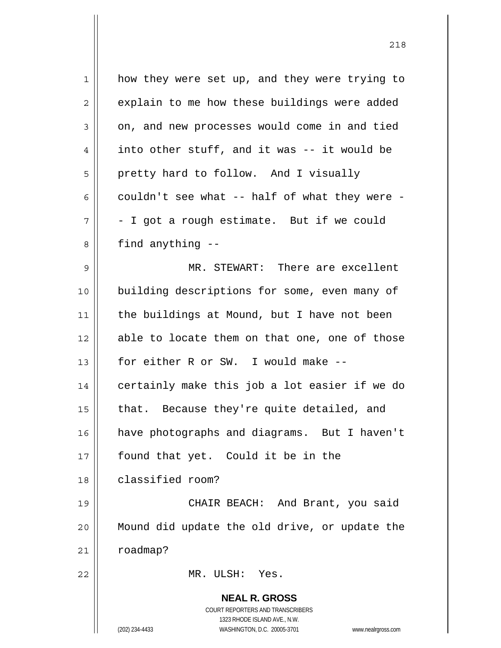| $\mathbf 1$ | how they were set up, and they were trying to                       |
|-------------|---------------------------------------------------------------------|
| 2           | explain to me how these buildings were added                        |
| 3           | on, and new processes would come in and tied                        |
| 4           | into other stuff, and it was -- it would be                         |
| 5           | pretty hard to follow. And I visually                               |
| 6           | couldn't see what -- half of what they were -                       |
| 7           | - I got a rough estimate. But if we could                           |
| 8           | find anything --                                                    |
| 9           | MR. STEWART: There are excellent                                    |
| 10          | building descriptions for some, even many of                        |
| 11          | the buildings at Mound, but I have not been                         |
| 12          | able to locate them on that one, one of those                       |
| 13          | for either R or SW. I would make --                                 |
| 14          | certainly make this job a lot easier if we do                       |
| 15          | that. Because they're quite detailed, and                           |
| 16          | have photographs and diagrams. But I haven't                        |
| 17          | found that yet. Could it be in the                                  |
| 18          | classified room?                                                    |
| 19          | CHAIR BEACH: And Brant, you said                                    |
| 20          | Mound did update the old drive, or update the                       |
| 21          | roadmap?                                                            |
| 22          | MR. ULSH: Yes.                                                      |
|             | <b>NEAL R. GROSS</b>                                                |
|             | COURT REPORTERS AND TRANSCRIBERS                                    |
|             | 1323 RHODE ISLAND AVE., N.W.                                        |
|             | (202) 234-4433<br>WASHINGTON, D.C. 20005-3701<br>www.nealrgross.com |

<u>218</u>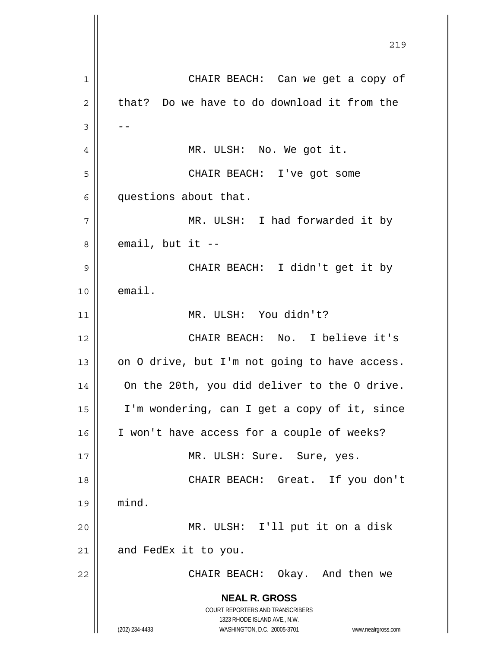**NEAL R. GROSS** COURT REPORTERS AND TRANSCRIBERS 1323 RHODE ISLAND AVE., N.W. (202) 234-4433 WASHINGTON, D.C. 20005-3701 www.nealrgross.com <u>219</u> 1 || CHAIR BEACH: Can we get a copy of  $2 \parallel$  that? Do we have to do download it from the  $3 \parallel - -$ 4 || MR. ULSH: No. We got it. 5 CHAIR BEACH: I've got some 6 questions about that. 7 || MR. ULSH: I had forwarded it by  $8 \parallel$  email, but it --9 CHAIR BEACH: I didn't get it by  $10$   $\parallel$  email. 11 MR. ULSH: You didn't? 12 CHAIR BEACH: No. I believe it's 13  $\vert$  on O drive, but I'm not going to have access. 14 | On the 20th, you did deliver to the O drive. 15 I'm wondering, can I get a copy of it, since 16 || I won't have access for a couple of weeks? 17 || MR. ULSH: Sure. Sure, yes. 18 || CHAIR BEACH: Great. If you don't 19 mind. 20 MR. ULSH: I'll put it on a disk  $21$  and FedEx it to you. 22 CHAIR BEACH: Okay. And then we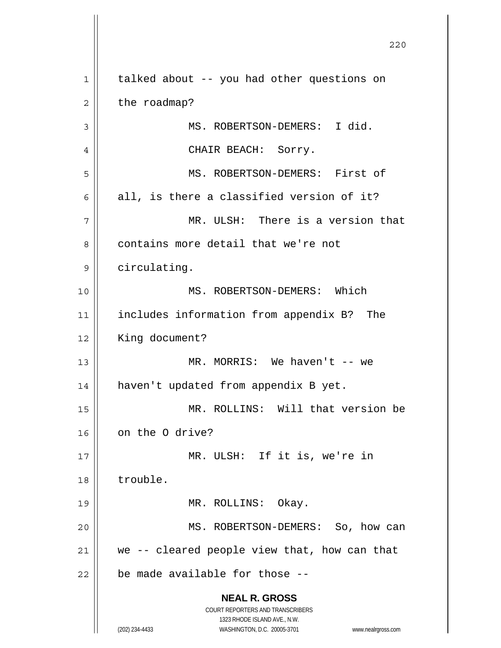**NEAL R. GROSS** COURT REPORTERS AND TRANSCRIBERS 1323 RHODE ISLAND AVE., N.W. (202) 234-4433 WASHINGTON, D.C. 20005-3701 www.nealrgross.com 1 | talked about -- you had other questions on  $2 \parallel$  the roadmap? 3 || MS. ROBERTSON-DEMERS: I did. 4 CHAIR BEACH: Sorry. 5 MS. ROBERTSON-DEMERS: First of  $6 \parallel$  all, is there a classified version of it? 7 MR. ULSH: There is a version that 8 || contains more detail that we're not 9 | circulating. 10 MS. ROBERTSON-DEMERS: Which 11 includes information from appendix B? The 12 | King document? 13 MR. MORRIS: We haven't -- we 14 haven't updated from appendix B yet. 15 MR. ROLLINS: Will that version be 16 | on the 0 drive? 17 MR. ULSH: If it is, we're in 18 trouble. 19 MR. ROLLINS: Okay. 20 || MS. ROBERTSON-DEMERS: So, how can  $21$  we -- cleared people view that, how can that  $22$  | be made available for those --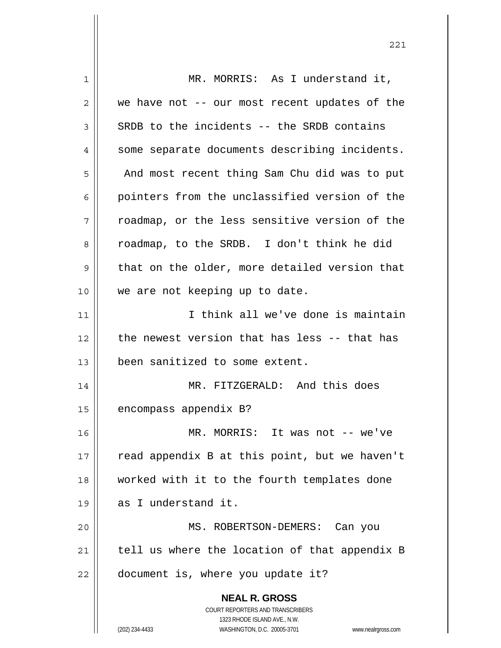**NEAL R. GROSS** COURT REPORTERS AND TRANSCRIBERS 1323 RHODE ISLAND AVE., N.W. (202) 234-4433 WASHINGTON, D.C. 20005-3701 www.nealrgross.com 1 || MR. MORRIS: As I understand it,  $2 \parallel$  we have not -- our most recent updates of the  $3 \parallel$  SRDB to the incidents -- the SRDB contains 4 | some separate documents describing incidents. 5 | And most recent thing Sam Chu did was to put 6 || pointers from the unclassified version of the  $7 \parallel$  roadmap, or the less sensitive version of the 8 || roadmap, to the SRDB. I don't think he did  $9 \parallel$  that on the older, more detailed version that 10 || we are not keeping up to date. 11 I think all we've done is maintain  $12$  | the newest version that has less -- that has 13 been sanitized to some extent. 14 || MR. FITZGERALD: And this does 15 || encompass appendix B? 16 MR. MORRIS: It was not -- we've  $17$  | read appendix B at this point, but we haven't 18 worked with it to the fourth templates done 19 as I understand it. 20 MS. ROBERTSON-DEMERS: Can you  $21$  | tell us where the location of that appendix B  $22$  | document is, where you update it?

221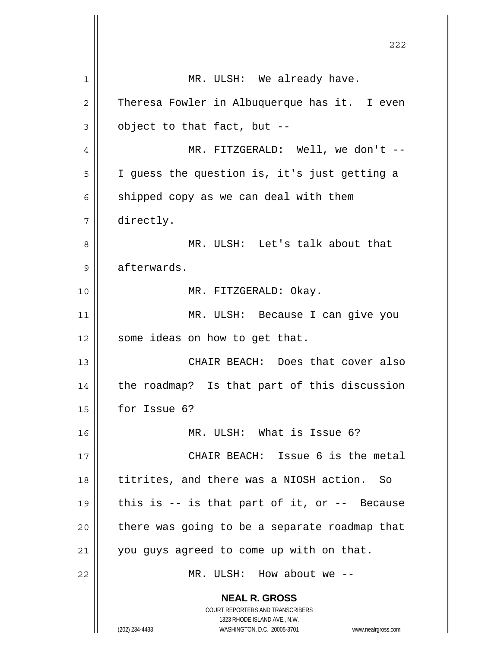**NEAL R. GROSS** COURT REPORTERS AND TRANSCRIBERS 1323 RHODE ISLAND AVE., N.W. 1 || MR. ULSH: We already have.  $2 \parallel$  Theresa Fowler in Albuquerque has it. I even  $3 \parallel$  object to that fact, but --4 MR. FITZGERALD: Well, we don't -- 5 I guess the question is, it's just getting a  $6 \parallel$  shipped copy as we can deal with them 7 directly. 8 MR. ULSH: Let's talk about that 9 | afterwards. 10 || MR. FITZGERALD: Okay. 11 MR. ULSH: Because I can give you  $12$  | some ideas on how to get that. 13 CHAIR BEACH: Does that cover also  $14$  | the roadmap? Is that part of this discussion 15 for Issue 6? 16 MR. ULSH: What is Issue 6? 17 CHAIR BEACH: Issue 6 is the metal 18 || titrites, and there was a NIOSH action. So 19  $\parallel$  this is -- is that part of it, or -- Because  $20$  | there was going to be a separate roadmap that  $21$  you guys agreed to come up with on that. 22 MR. ULSH: How about we --

<u>222</u>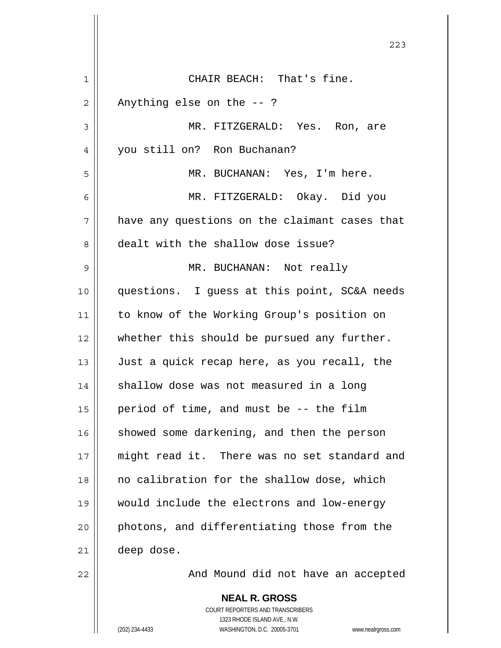<u>223</u> CHAIR BEACH: That's fine.  $2 \parallel$  Anything else on the  $-$  ? MR. FITZGERALD: Yes. Ron, are 4 || you still on? Ron Buchanan? MR. BUCHANAN: Yes, I'm here. MR. FITZGERALD: Okay. Did you  $7 \parallel$  have any questions on the claimant cases that 8 dealt with the shallow dose issue? MR. BUCHANAN: Not really questions. I guess at this point, SC&A needs to know of the Working Group's position on whether this should be pursued any further. Just a quick recap here, as you recall, the | shallow dose was not measured in a long  $\parallel$  period of time, and must be -- the film showed some darkening, and then the person might read it. There was no set standard and no calibration for the shallow dose, which would include the electrons and low-energy 20 || photons, and differentiating those from the deep dose. 22 | Road Mound did not have an accepted

> **NEAL R. GROSS** COURT REPORTERS AND TRANSCRIBERS 1323 RHODE ISLAND AVE., N.W. (202) 234-4433 WASHINGTON, D.C. 20005-3701 www.nealrgross.com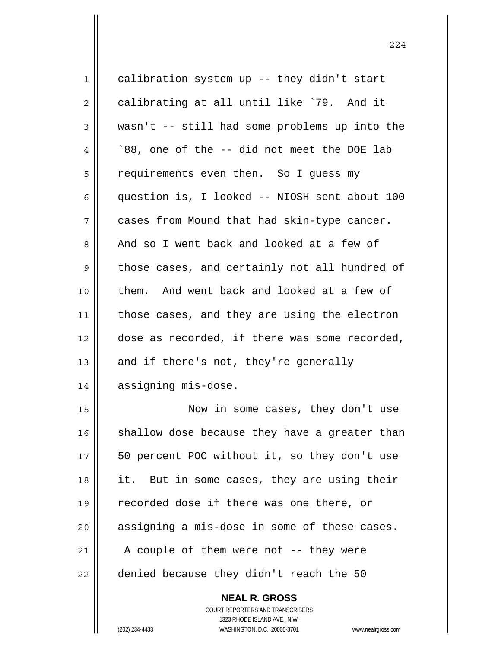| 1  | calibration system up -- they didn't start     |
|----|------------------------------------------------|
| 2  | calibrating at all until like '79. And it      |
| 3  | wasn't -- still had some problems up into the  |
| 4  | `88, one of the -- did not meet the DOE lab    |
| 5  | requirements even then. So I guess my          |
| 6  | question is, I looked -- NIOSH sent about 100  |
| 7  | cases from Mound that had skin-type cancer.    |
| 8  | And so I went back and looked at a few of      |
| 9  | those cases, and certainly not all hundred of  |
| 10 | them. And went back and looked at a few of     |
| 11 | those cases, and they are using the electron   |
| 12 | dose as recorded, if there was some recorded,  |
| 13 | and if there's not, they're generally          |
| 14 | assigning mis-dose.                            |
| 15 | Now in some cases, they don't use              |
| 16 | shallow dose because they have a greater than  |
| 17 | 50 percent POC without it, so they don't use   |
| 18 | But in some cases, they are using their<br>it. |
| 19 | recorded dose if there was one there, or       |
| 20 | assigning a mis-dose in some of these cases.   |
| 21 | A couple of them were not -- they were         |
| 22 | denied because they didn't reach the 50        |
|    |                                                |

 **NEAL R. GROSS** COURT REPORTERS AND TRANSCRIBERS 1323 RHODE ISLAND AVE., N.W.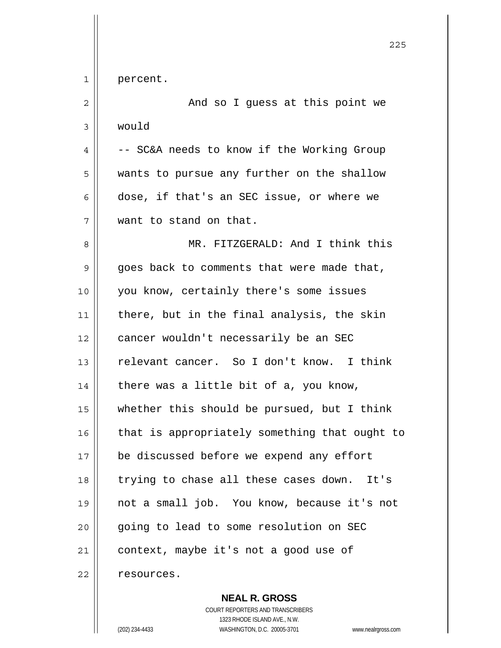|              | 225                                           |
|--------------|-----------------------------------------------|
| $\mathbf{1}$ | percent.                                      |
| 2            | And so I guess at this point we               |
| 3            | would                                         |
| 4            | -- SC&A needs to know if the Working Group    |
| 5            | wants to pursue any further on the shallow    |
| 6            | dose, if that's an SEC issue, or where we     |
| 7            | want to stand on that.                        |
| 8            | MR. FITZGERALD: And I think this              |
| 9            | goes back to comments that were made that,    |
| 10           | you know, certainly there's some issues       |
| 11           | there, but in the final analysis, the skin    |
| 12           | cancer wouldn't necessarily be an SEC         |
| 13           | relevant cancer. So I don't know. I think     |
| 14           | there was a little bit of a, you know,        |
| 15           | whether this should be pursued, but I think   |
| 16           | that is appropriately something that ought to |
| 17           | be discussed before we expend any effort      |
| 18           | trying to chase all these cases down.<br>It's |
| 19           | not a small job. You know, because it's not   |
| 20           | going to lead to some resolution on SEC       |
| 21           | context, maybe it's not a good use of         |
| 22           | resources.                                    |

 **NEAL R. GROSS** COURT REPORTERS AND TRANSCRIBERS 1323 RHODE ISLAND AVE., N.W. (202) 234-4433 WASHINGTON, D.C. 20005-3701 www.nealrgross.com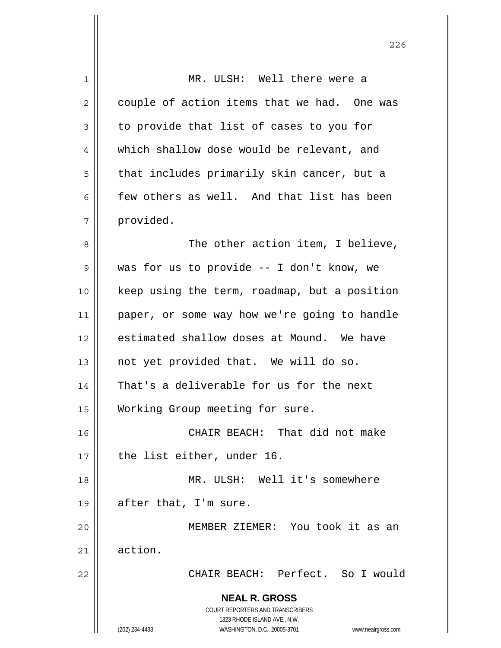| 1  | MR. ULSH: Well there were a                                         |
|----|---------------------------------------------------------------------|
| 2  | couple of action items that we had. One was                         |
| 3  | to provide that list of cases to you for                            |
| 4  | which shallow dose would be relevant, and                           |
| 5  | that includes primarily skin cancer, but a                          |
| 6  | few others as well. And that list has been                          |
| 7  | provided.                                                           |
| 8  | The other action item, I believe,                                   |
| 9  | was for us to provide -- I don't know, we                           |
| 10 | keep using the term, roadmap, but a position                        |
| 11 | paper, or some way how we're going to handle                        |
| 12 | estimated shallow doses at Mound. We have                           |
| 13 | not yet provided that. We will do so.                               |
| 14 | That's a deliverable for us for the next                            |
| 15 | Working Group meeting for sure.                                     |
| 16 | CHAIR BEACH: That did not make                                      |
| 17 | the list either, under 16.                                          |
| 18 | MR. ULSH: Well it's somewhere                                       |
| 19 | after that, I'm sure.                                               |
| 20 | MEMBER ZIEMER: You took it as an                                    |
| 21 | action.                                                             |
| 22 | CHAIR BEACH: Perfect. So I would                                    |
|    | <b>NEAL R. GROSS</b>                                                |
|    | COURT REPORTERS AND TRANSCRIBERS                                    |
|    | 1323 RHODE ISLAND AVE., N.W.                                        |
|    | (202) 234-4433<br>WASHINGTON, D.C. 20005-3701<br>www.nealrgross.com |

<u>226</u>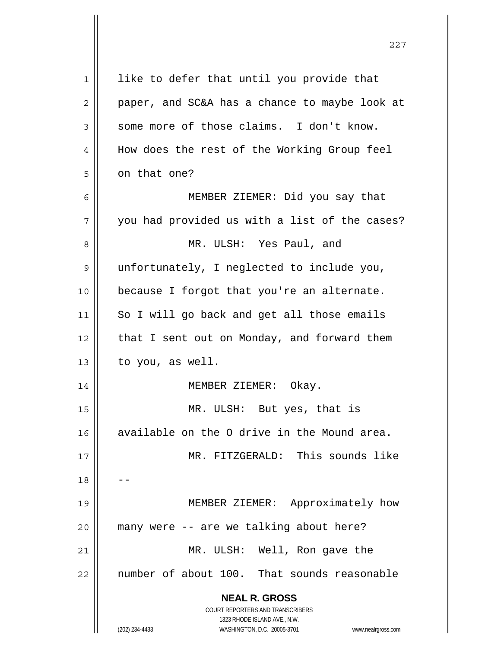| 1  | like to defer that until you provide that                           |
|----|---------------------------------------------------------------------|
| 2  | paper, and SC&A has a chance to maybe look at                       |
| 3  | some more of those claims. I don't know.                            |
| 4  | How does the rest of the Working Group feel                         |
| 5  | on that one?                                                        |
| 6  | MEMBER ZIEMER: Did you say that                                     |
| 7  | you had provided us with a list of the cases?                       |
| 8  | MR. ULSH: Yes Paul, and                                             |
| 9  | unfortunately, I neglected to include you,                          |
| 10 | because I forgot that you're an alternate.                          |
| 11 | So I will go back and get all those emails                          |
| 12 | that I sent out on Monday, and forward them                         |
| 13 | to you, as well.                                                    |
| 14 | MEMBER ZIEMER: Okay.                                                |
| 15 | MR. ULSH: But yes, that is                                          |
| 16 | available on the O drive in the Mound area.                         |
| 17 | MR. FITZGERALD: This sounds like                                    |
| 18 |                                                                     |
| 19 | MEMBER ZIEMER: Approximately how                                    |
| 20 | many were -- are we talking about here?                             |
| 21 | MR. ULSH: Well, Ron gave the                                        |
| 22 | number of about 100. That sounds reasonable                         |
|    | <b>NEAL R. GROSS</b>                                                |
|    | COURT REPORTERS AND TRANSCRIBERS                                    |
|    | 1323 RHODE ISLAND AVE., N.W.                                        |
|    | (202) 234-4433<br>WASHINGTON, D.C. 20005-3701<br>www.nealrgross.com |

<u>227</u>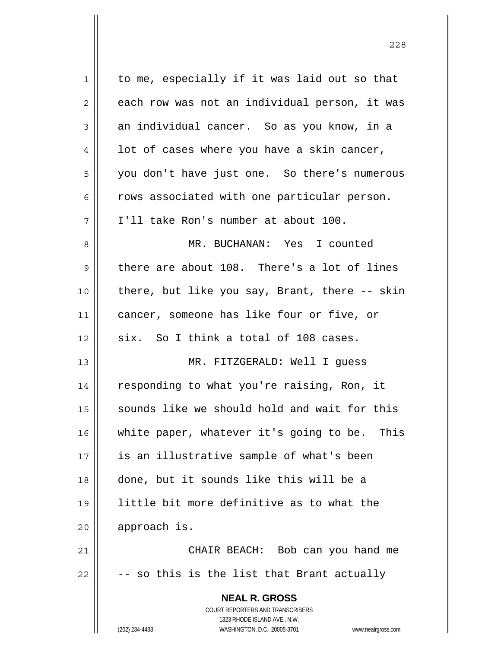| $\mathbf 1$ | to me, especially if it was laid out so that                        |
|-------------|---------------------------------------------------------------------|
| 2           | each row was not an individual person, it was                       |
| 3           | an individual cancer. So as you know, in a                          |
| 4           | lot of cases where you have a skin cancer,                          |
| 5           | you don't have just one. So there's numerous                        |
| 6           | rows associated with one particular person.                         |
| 7           | I'll take Ron's number at about 100.                                |
| 8           | MR. BUCHANAN: Yes I counted                                         |
| 9           | there are about 108. There's a lot of lines                         |
| 10          | there, but like you say, Brant, there -- skin                       |
| 11          | cancer, someone has like four or five, or                           |
| 12          | six. So I think a total of 108 cases.                               |
| 13          | MR. FITZGERALD: Well I guess                                        |
| 14          | responding to what you're raising, Ron, it                          |
| 15          | sounds like we should hold and wait for this                        |
| 16          | white paper, whatever it's going to be.<br>This                     |
| 17          | is an illustrative sample of what's been                            |
| 18          | done, but it sounds like this will be a                             |
| 19          | little bit more definitive as to what the                           |
| 20          | approach is.                                                        |
| 21          | CHAIR BEACH: Bob can you hand me                                    |
| 22          | - so this is the list that Brant actually                           |
|             | <b>NEAL R. GROSS</b>                                                |
|             | COURT REPORTERS AND TRANSCRIBERS                                    |
|             | 1323 RHODE ISLAND AVE., N.W.                                        |
|             | (202) 234-4433<br>WASHINGTON, D.C. 20005-3701<br>www.nealrgross.com |

<u>228</u>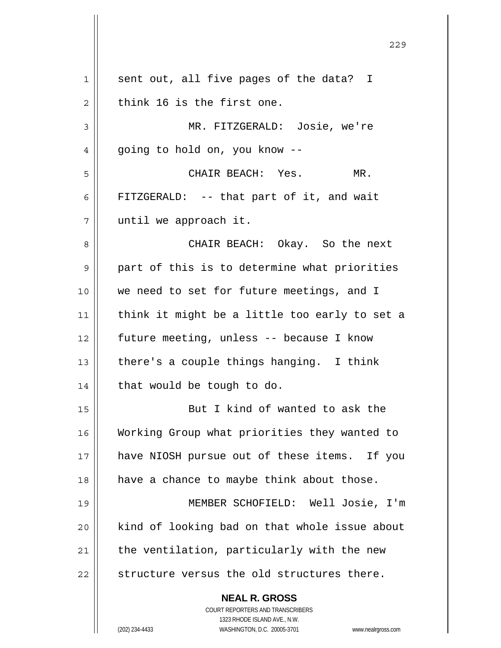**NEAL R. GROSS** COURT REPORTERS AND TRANSCRIBERS 1323 RHODE ISLAND AVE., N.W. (202) 234-4433 WASHINGTON, D.C. 20005-3701 www.nealrgross.com 1 || sent out, all five pages of the data? I  $2 \parallel$  think 16 is the first one. 3 MR. FITZGERALD: Josie, we're 4 || going to hold on, you know --5 CHAIR BEACH: Yes. MR. 6 || FITZGERALD: -- that part of it, and wait 7 | until we approach it. 8 CHAIR BEACH: Okay. So the next 9 || part of this is to determine what priorities 10 || we need to set for future meetings, and I 11  $\parallel$  think it might be a little too early to set a 12 future meeting, unless -- because I know 13  $\parallel$  there's a couple things hanging. I think  $14$  | that would be tough to do. 15 || But I kind of wanted to ask the 16 Working Group what priorities they wanted to 17 || have NIOSH pursue out of these items. If you  $18$  | have a chance to maybe think about those. 19 MEMBER SCHOFIELD: Well Josie, I'm 20 | kind of looking bad on that whole issue about  $21$  | the ventilation, particularly with the new  $22$  || structure versus the old structures there.

<u>229</u>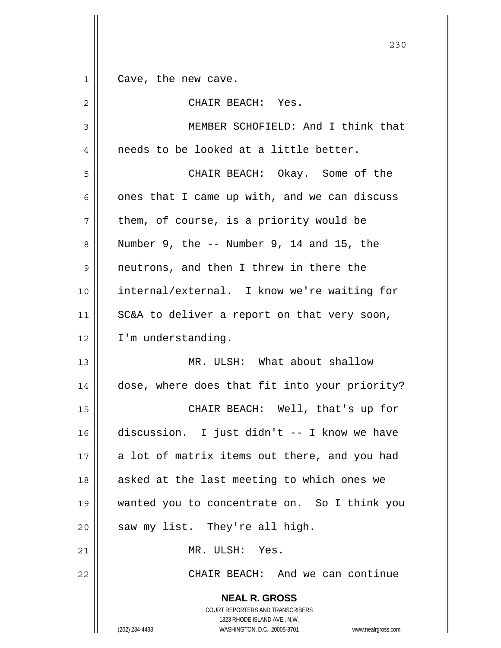**NEAL R. GROSS** COURT REPORTERS AND TRANSCRIBERS 1 || Cave, the new cave. 2 CHAIR BEACH: Yes. 3 || MEMBER SCHOFIELD: And I think that  $4 \parallel$  needs to be looked at a little better. 5 CHAIR BEACH: Okay. Some of the  $6 \parallel$  ones that I came up with, and we can discuss  $7 \parallel$  them, of course, is a priority would be  $8 \parallel$  Number 9, the  $-$  Number 9, 14 and 15, the 9 || neutrons, and then I threw in there the 10 || internal/external. I know we're waiting for 11  $\parallel$  SC&A to deliver a report on that very soon, 12 | I'm understanding. 13 MR. ULSH: What about shallow 14 | dose, where does that fit into your priority? 15 CHAIR BEACH: Well, that's up for 16 discussion. I just didn't -- I know we have  $17$  || a lot of matrix items out there, and you had 18  $\parallel$  asked at the last meeting to which ones we 19 wanted you to concentrate on. So I think you  $20$  | saw my list. They're all high. 21 MR. ULSH: Yes. 22 CHAIR BEACH: And we can continue

<u>230</u>

1323 RHODE ISLAND AVE., N.W.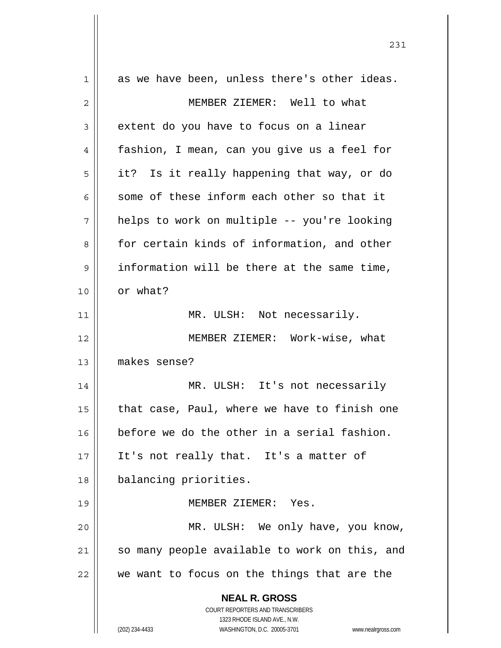| $\mathbf 1$ | as we have been, unless there's other ideas.                        |
|-------------|---------------------------------------------------------------------|
| 2           | MEMBER ZIEMER: Well to what                                         |
| 3           | extent do you have to focus on a linear                             |
| 4           | fashion, I mean, can you give us a feel for                         |
| 5           | it? Is it really happening that way, or do                          |
| 6           | some of these inform each other so that it                          |
| 7           | helps to work on multiple -- you're looking                         |
| 8           | for certain kinds of information, and other                         |
| 9           | information will be there at the same time,                         |
| 10          | or what?                                                            |
| 11          | MR. ULSH: Not necessarily.                                          |
| 12          | MEMBER ZIEMER: Work-wise, what                                      |
| 13          | makes sense?                                                        |
| 14          | MR. ULSH: It's not necessarily                                      |
| 15          | that case, Paul, where we have to finish one                        |
| 16          | before we do the other in a serial fashion.                         |
| 17          | It's not really that. It's a matter of                              |
| 18          | balancing priorities.                                               |
| 19          | MEMBER ZIEMER: Yes.                                                 |
| 20          | MR. ULSH: We only have, you know,                                   |
| 21          | so many people available to work on this, and                       |
| 22          | we want to focus on the things that are the                         |
|             | <b>NEAL R. GROSS</b>                                                |
|             | <b>COURT REPORTERS AND TRANSCRIBERS</b>                             |
|             | 1323 RHODE ISLAND AVE., N.W.                                        |
|             | (202) 234-4433<br>WASHINGTON, D.C. 20005-3701<br>www.nealrgross.com |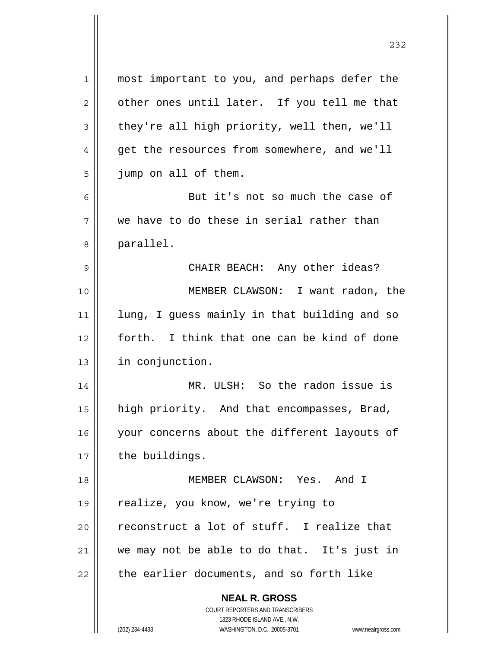| $\mathbf 1$    | most important to you, and perhaps defer the                        |
|----------------|---------------------------------------------------------------------|
| $\mathbf{2}$   | other ones until later. If you tell me that                         |
| 3              | they're all high priority, well then, we'll                         |
| $\overline{4}$ | get the resources from somewhere, and we'll                         |
| 5              | jump on all of them.                                                |
| 6              | But it's not so much the case of                                    |
| 7              | we have to do these in serial rather than                           |
| 8              | parallel.                                                           |
| 9              | CHAIR BEACH: Any other ideas?                                       |
| 10             | MEMBER CLAWSON: I want radon, the                                   |
| 11             | lung, I guess mainly in that building and so                        |
| 12             | forth. I think that one can be kind of done                         |
| 13             | in conjunction.                                                     |
| 14             | MR. ULSH: So the radon issue is                                     |
| 15             | high priority. And that encompasses, Brad,                          |
| 16             | your concerns about the different layouts of                        |
| 17             | the buildings.                                                      |
| 18             | MEMBER CLAWSON: Yes. And I                                          |
| 19             | realize, you know, we're trying to                                  |
| 20             | reconstruct a lot of stuff. I realize that                          |
| 21             | we may not be able to do that. It's just in                         |
| 22             | the earlier documents, and so forth like                            |
|                | <b>NEAL R. GROSS</b>                                                |
|                | <b>COURT REPORTERS AND TRANSCRIBERS</b>                             |
|                | 1323 RHODE ISLAND AVE., N.W.                                        |
|                | WASHINGTON, D.C. 20005-3701<br>(202) 234-4433<br>www.nealrgross.com |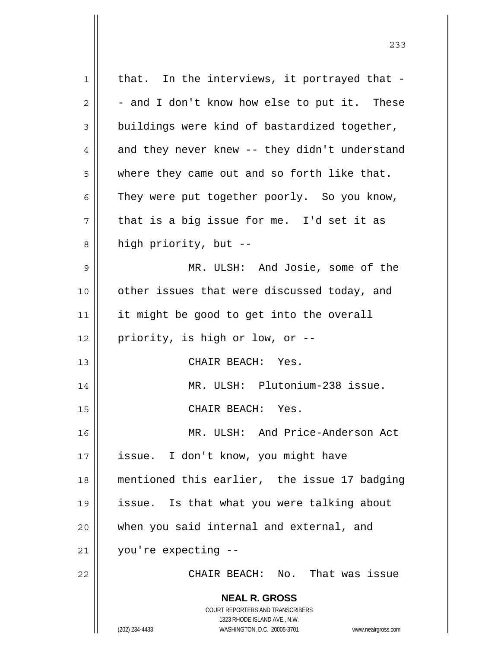**NEAL R. GROSS** COURT REPORTERS AND TRANSCRIBERS 1323 RHODE ISLAND AVE., N.W. (202) 234-4433 WASHINGTON, D.C. 20005-3701 www.nealrgross.com  $1$  | that. In the interviews, it portrayed that - $2 \parallel -$  and I don't know how else to put it. These  $3 \parallel$  buildings were kind of bastardized together,  $4 \parallel$  and they never knew -- they didn't understand  $5 \parallel$  where they came out and so forth like that.  $6 \parallel$  They were put together poorly. So you know,  $7 \parallel$  that is a big issue for me. I'd set it as  $8 \parallel$  high priority, but --9 MR. ULSH: And Josie, some of the 10 other issues that were discussed today, and 11 || it might be good to get into the overall 12 || priority, is high or low, or  $-$ -13 CHAIR BEACH: Yes. 14 MR. ULSH: Plutonium-238 issue. 15 || CHAIR BEACH: Yes. 16 MR. ULSH: And Price-Anderson Act 17 || issue. I don't know, you might have 18 mentioned this earlier, the issue 17 badging 19 issue. Is that what you were talking about 20 || when you said internal and external, and 21 you're expecting -- 22 CHAIR BEACH: No. That was issue

 <sup>233</sup>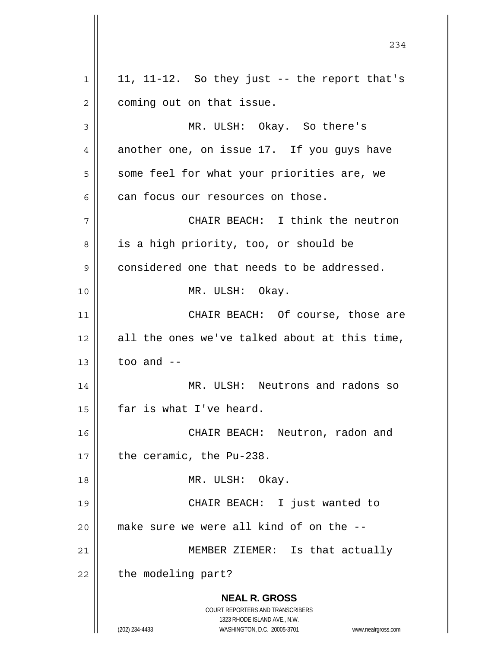**NEAL R. GROSS** COURT REPORTERS AND TRANSCRIBERS 1323 RHODE ISLAND AVE., N.W. (202) 234-4433 WASHINGTON, D.C. 20005-3701 www.nealrgross.com  $1 \parallel 11, 11$ -12. So they just -- the report that's 2 | coming out on that issue. 3 MR. ULSH: Okay. So there's 4 another one, on issue 17. If you guys have 5 | some feel for what your priorities are, we  $6$  can focus our resources on those. 7 CHAIR BEACH: I think the neutron 8 || is a high priority, too, or should be 9 considered one that needs to be addressed. 10 MR. ULSH: Okay. 11 CHAIR BEACH: Of course, those are  $12$  all the ones we've talked about at this time,  $13$  | too and  $-$ 14 MR. ULSH: Neutrons and radons so  $15$  | far is what I've heard. 16 CHAIR BEACH: Neutron, radon and  $17$  | the ceramic, the Pu-238. 18 || MR. ULSH: Okay. 19 CHAIR BEACH: I just wanted to  $20$  | make sure we were all kind of on the  $-$ -21 || MEMBER ZIEMER: Is that actually  $22$  | the modeling part?

234